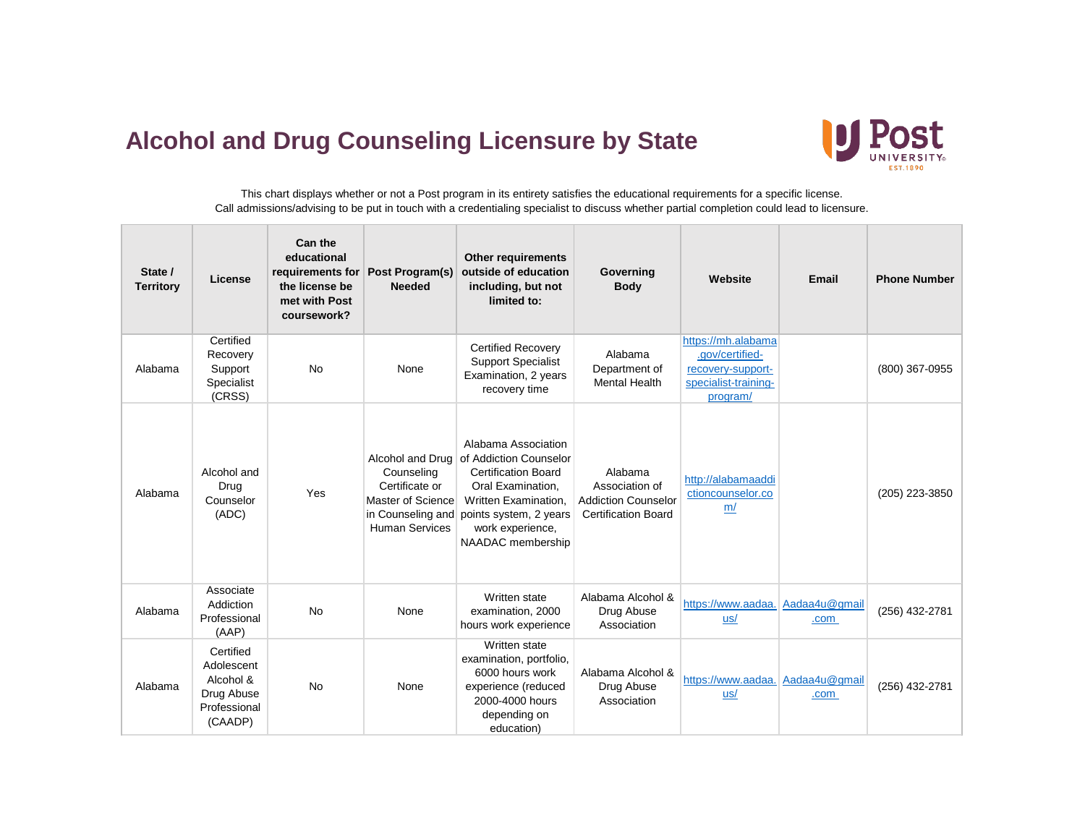## **Alcohol and Drug Counseling Licensure by State**



This chart displays whether or not a Post program in its entirety satisfies the educational requirements for a specific license. Call admissions/advising to be put in touch with a credentialing specialist to discuss whether partial completion could lead to licensure.

| State /<br><b>Territory</b> | License                                                                       | Can the<br>educational<br>requirements for<br>the license be<br>met with Post<br>coursework? | Post Program(s)<br><b>Needed</b>                                                                | <b>Other requirements</b><br>outside of education<br>including, but not<br>limited to:                                                                                                                       | Governing<br><b>Body</b>                                                              | Website                                                                                        | Email                 | <b>Phone Number</b> |
|-----------------------------|-------------------------------------------------------------------------------|----------------------------------------------------------------------------------------------|-------------------------------------------------------------------------------------------------|--------------------------------------------------------------------------------------------------------------------------------------------------------------------------------------------------------------|---------------------------------------------------------------------------------------|------------------------------------------------------------------------------------------------|-----------------------|---------------------|
| Alabama                     | Certified<br>Recovery<br>Support<br>Specialist<br>(CRSS)                      | <b>No</b>                                                                                    | None                                                                                            | <b>Certified Recovery</b><br><b>Support Specialist</b><br>Examination, 2 years<br>recovery time                                                                                                              | Alabama<br>Department of<br><b>Mental Health</b>                                      | https://mh.alabama<br>.gov/certified-<br>recovery-support-<br>specialist-training-<br>program/ |                       | (800) 367-0955      |
| Alabama                     | Alcohol and<br>Drug<br>Counselor<br>(ADC)                                     | Yes                                                                                          | Counseling<br>Certificate or<br>Master of Science<br>in Counseling and<br><b>Human Services</b> | Alabama Association<br>Alcohol and Drug of Addiction Counselor<br><b>Certification Board</b><br>Oral Examination,<br>Written Examination.<br>points system, 2 years<br>work experience,<br>NAADAC membership | Alabama<br>Association of<br><b>Addiction Counselor</b><br><b>Certification Board</b> | http://alabamaaddi<br>ctioncounselor.co<br>m/                                                  |                       | (205) 223-3850      |
| Alabama                     | Associate<br>Addiction<br>Professional<br>(AAP)                               | <b>No</b>                                                                                    | None                                                                                            | Written state<br>examination, 2000<br>hours work experience                                                                                                                                                  | Alabama Alcohol &<br>Drug Abuse<br>Association                                        | https://www.aadaa.<br>$us/$                                                                    | Aadaa4u@gmail<br>.com | (256) 432-2781      |
| Alabama                     | Certified<br>Adolescent<br>Alcohol &<br>Drug Abuse<br>Professional<br>(CAADP) | <b>No</b>                                                                                    | None                                                                                            | Written state<br>examination, portfolio,<br>6000 hours work<br>experience (reduced<br>2000-4000 hours<br>depending on<br>education)                                                                          | Alabama Alcohol &<br>Drug Abuse<br>Association                                        | https://www.aadaa.<br>us/                                                                      | Aadaa4u@gmail<br>.com | (256) 432-2781      |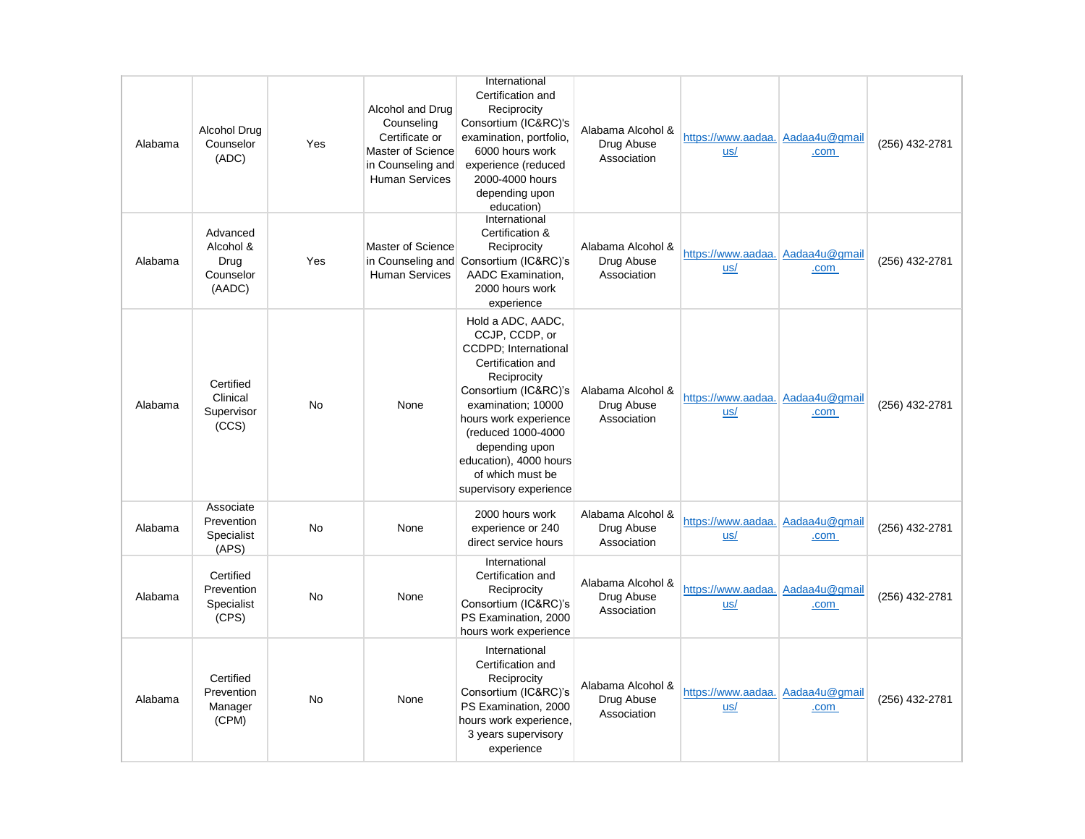| Alabama | Alcohol Drug<br>Counselor<br>(ADC)                   | Yes       | Alcohol and Drug<br>Counseling<br>Certificate or<br>Master of Science<br>in Counseling and<br><b>Human Services</b> | International<br>Certification and<br>Reciprocity<br>Consortium (IC&RC)'s<br>examination, portfolio,<br>6000 hours work<br>experience (reduced<br>2000-4000 hours<br>depending upon<br>education)                                                                                              | Alabama Alcohol &<br>Drug Abuse<br>Association | https://www.aadaa. Aadaa4u@gmail<br>us/ | .com                  | (256) 432-2781 |
|---------|------------------------------------------------------|-----------|---------------------------------------------------------------------------------------------------------------------|------------------------------------------------------------------------------------------------------------------------------------------------------------------------------------------------------------------------------------------------------------------------------------------------|------------------------------------------------|-----------------------------------------|-----------------------|----------------|
| Alabama | Advanced<br>Alcohol &<br>Drug<br>Counselor<br>(AADC) | Yes       | Master of Science<br>in Counseling and<br><b>Human Services</b>                                                     | International<br>Certification &<br>Reciprocity<br>Consortium (IC&RC)'s<br>AADC Examination,<br>2000 hours work<br>experience                                                                                                                                                                  | Alabama Alcohol &<br>Drug Abuse<br>Association | https://www.aadaa. Aadaa4u@gmail<br>us/ | .com                  | (256) 432-2781 |
| Alabama | Certified<br>Clinical<br>Supervisor<br>(CCS)         | <b>No</b> | None                                                                                                                | Hold a ADC, AADC,<br>CCJP, CCDP, or<br><b>CCDPD</b> ; International<br>Certification and<br>Reciprocity<br>Consortium (IC&RC)'s<br>examination; 10000<br>hours work experience<br>(reduced 1000-4000<br>depending upon<br>education), 4000 hours<br>of which must be<br>supervisory experience | Alabama Alcohol &<br>Drug Abuse<br>Association | https://www.aadaa.<br>us/               | Aadaa4u@gmail<br>.com | (256) 432-2781 |
| Alabama | Associate<br>Prevention<br>Specialist<br>(APS)       | No        | None                                                                                                                | 2000 hours work<br>experience or 240<br>direct service hours                                                                                                                                                                                                                                   | Alabama Alcohol &<br>Drug Abuse<br>Association | https://www.aadaa.<br>us/               | Aadaa4u@gmail<br>.com | (256) 432-2781 |
| Alabama | Certified<br>Prevention<br>Specialist<br>(CPS)       | No        | None                                                                                                                | International<br>Certification and<br>Reciprocity<br>Consortium (IC&RC)'s<br>PS Examination, 2000<br>hours work experience                                                                                                                                                                     | Alabama Alcohol &<br>Drug Abuse<br>Association | https://www.aadaa.<br>us/               | Aadaa4u@gmail<br>.com | (256) 432-2781 |
| Alabama | Certified<br>Prevention<br>Manager<br>(CPM)          | No        | None                                                                                                                | International<br>Certification and<br>Reciprocity<br>Consortium (IC&RC)'s<br>PS Examination, 2000<br>hours work experience,<br>3 years supervisory<br>experience                                                                                                                               | Alabama Alcohol &<br>Drug Abuse<br>Association | https://www.aadaa.<br>us/               | Aadaa4u@gmail<br>.com | (256) 432-2781 |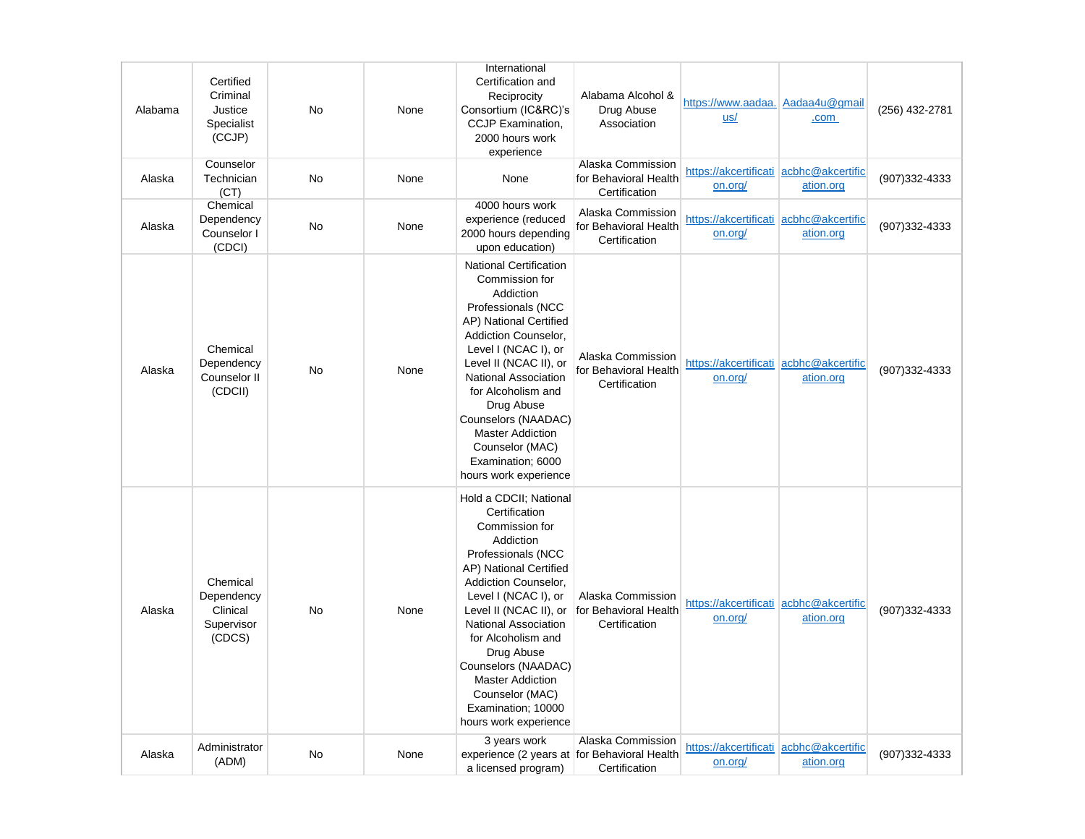| Alabama | Certified<br>Criminal<br>Justice<br>Specialist<br>(CCJP)   | No | None | International<br>Certification and<br>Reciprocity<br>Consortium (IC&RC)'s<br>CCJP Examination,<br>2000 hours work<br>experience                                                                                                                                                                                                                                                         | Alabama Alcohol &<br>Drug Abuse<br>Association              | https://www.aadaa. Aadaa4u@gmail<br>us/           | .com      | (256) 432-2781 |
|---------|------------------------------------------------------------|----|------|-----------------------------------------------------------------------------------------------------------------------------------------------------------------------------------------------------------------------------------------------------------------------------------------------------------------------------------------------------------------------------------------|-------------------------------------------------------------|---------------------------------------------------|-----------|----------------|
| Alaska  | Counselor<br>Technician<br>(CT)                            | No | None | None                                                                                                                                                                                                                                                                                                                                                                                    | Alaska Commission<br>for Behavioral Health<br>Certification | https://akcertificati acbhc@akcertific<br>on.org/ | ation.org | (907)332-4333  |
| Alaska  | Chemical<br>Dependency<br>Counselor I<br>(CDCI)            | No | None | 4000 hours work<br>experience (reduced<br>2000 hours depending<br>upon education)                                                                                                                                                                                                                                                                                                       | Alaska Commission<br>for Behavioral Health<br>Certification | https://akcertificati acbhc@akcertific<br>on.org/ | ation.org | (907)332-4333  |
| Alaska  | Chemical<br>Dependency<br>Counselor II<br>(CDCII)          | No | None | <b>National Certification</b><br>Commission for<br>Addiction<br>Professionals (NCC<br>AP) National Certified<br>Addiction Counselor,<br>Level I (NCAC I), or<br>Level II (NCAC II), or<br><b>National Association</b><br>for Alcoholism and<br>Drug Abuse<br>Counselors (NAADAC)<br><b>Master Addiction</b><br>Counselor (MAC)<br>Examination; 6000<br>hours work experience            | Alaska Commission<br>for Behavioral Health<br>Certification | https://akcertificati acbhc@akcertific<br>on.org/ | ation.org | (907)332-4333  |
| Alaska  | Chemical<br>Dependency<br>Clinical<br>Supervisor<br>(CDCS) | No | None | Hold a CDCII; National<br>Certification<br>Commission for<br>Addiction<br>Professionals (NCC<br>AP) National Certified<br>Addiction Counselor,<br>Level I (NCAC I), or<br>Level II (NCAC II), or<br><b>National Association</b><br>for Alcoholism and<br>Drug Abuse<br>Counselors (NAADAC)<br><b>Master Addiction</b><br>Counselor (MAC)<br>Examination; 10000<br>hours work experience | Alaska Commission<br>for Behavioral Health<br>Certification | https://akcertificati acbhc@akcertific<br>on.org/ | ation.org | (907)332-4333  |
| Alaska  | Administrator<br>(ADM)                                     | No | None | 3 years work<br>experience (2 years at for Behavioral Health<br>a licensed program)                                                                                                                                                                                                                                                                                                     | Alaska Commission<br>Certification                          | https://akcertificati acbhc@akcertific<br>on.org/ | ation.org | (907)332-4333  |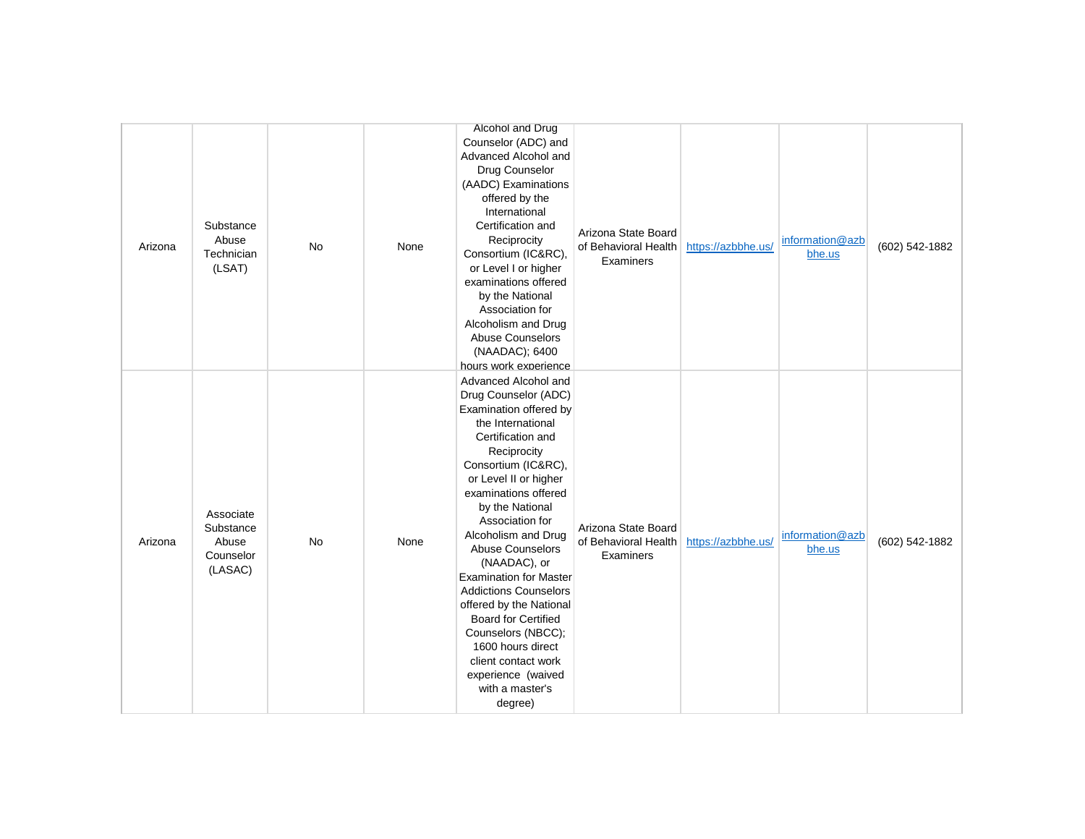| Arizona | Substance<br>Abuse<br>Technician<br>(LSAT)              | No | None | Alcohol and Drug<br>Counselor (ADC) and<br>Advanced Alcohol and<br>Drug Counselor<br>(AADC) Examinations<br>offered by the<br>International<br>Certification and<br>Reciprocity<br>Consortium (IC&RC),<br>or Level I or higher<br>examinations offered<br>by the National<br>Association for<br>Alcoholism and Drug<br>Abuse Counselors<br>(NAADAC); 6400                                                                                                                                                                                                                                | Arizona State Board<br>of Behavioral Health<br>Examiners | https://azbbhe.us/ | information@azb<br>bhe.us | (602) 542-1882 |
|---------|---------------------------------------------------------|----|------|------------------------------------------------------------------------------------------------------------------------------------------------------------------------------------------------------------------------------------------------------------------------------------------------------------------------------------------------------------------------------------------------------------------------------------------------------------------------------------------------------------------------------------------------------------------------------------------|----------------------------------------------------------|--------------------|---------------------------|----------------|
| Arizona | Associate<br>Substance<br>Abuse<br>Counselor<br>(LASAC) | No | None | hours work experience<br>Advanced Alcohol and<br>Drug Counselor (ADC)<br>Examination offered by<br>the International<br>Certification and<br>Reciprocity<br>Consortium (IC&RC),<br>or Level II or higher<br>examinations offered<br>by the National<br>Association for<br>Alcoholism and Drug<br><b>Abuse Counselors</b><br>(NAADAC), or<br><b>Examination for Master</b><br><b>Addictions Counselors</b><br>offered by the National<br><b>Board for Certified</b><br>Counselors (NBCC);<br>1600 hours direct<br>client contact work<br>experience (waived<br>with a master's<br>degree) | Arizona State Board<br>of Behavioral Health<br>Examiners | https://azbbhe.us/ | information@azb<br>bhe.us | (602) 542-1882 |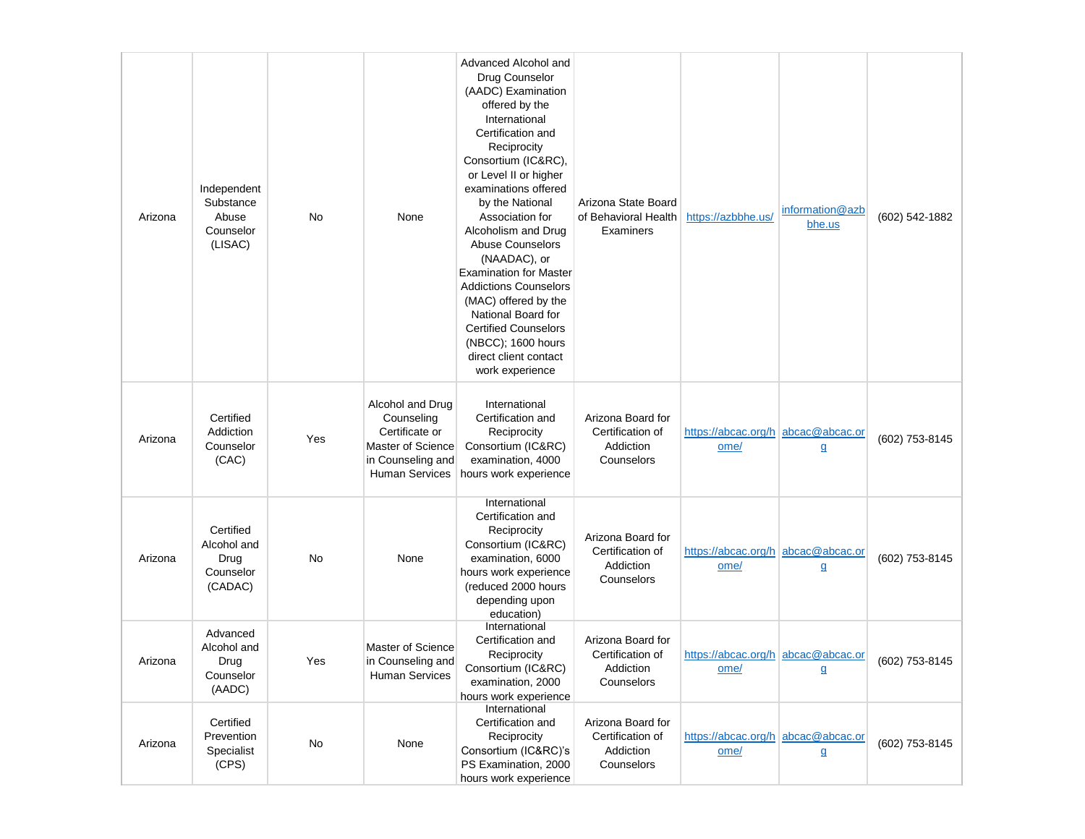| Arizona | Independent<br>Substance<br>Abuse<br>Counselor<br>(LISAC) | No  | None                                                                                                                | Advanced Alcohol and<br>Drug Counselor<br>(AADC) Examination<br>offered by the<br>International<br>Certification and<br>Reciprocity<br>Consortium (IC&RC),<br>or Level II or higher<br>examinations offered<br>by the National<br>Association for<br>Alcoholism and Drug<br><b>Abuse Counselors</b><br>(NAADAC), or<br><b>Examination for Master</b><br><b>Addictions Counselors</b><br>(MAC) offered by the<br>National Board for<br><b>Certified Counselors</b><br>(NBCC); 1600 hours<br>direct client contact<br>work experience | Arizona State Board<br>of Behavioral Health<br>Examiners         | https://azbbhe.us/                         | information@azb<br>bhe.us | (602) 542-1882 |
|---------|-----------------------------------------------------------|-----|---------------------------------------------------------------------------------------------------------------------|-------------------------------------------------------------------------------------------------------------------------------------------------------------------------------------------------------------------------------------------------------------------------------------------------------------------------------------------------------------------------------------------------------------------------------------------------------------------------------------------------------------------------------------|------------------------------------------------------------------|--------------------------------------------|---------------------------|----------------|
| Arizona | Certified<br>Addiction<br>Counselor<br>(CAC)              | Yes | Alcohol and Drug<br>Counseling<br>Certificate or<br>Master of Science<br>in Counseling and<br><b>Human Services</b> | International<br>Certification and<br>Reciprocity<br>Consortium (IC&RC)<br>examination, 4000<br>hours work experience                                                                                                                                                                                                                                                                                                                                                                                                               | Arizona Board for<br>Certification of<br>Addiction<br>Counselors | https://abcac.org/h abcac@abcac.or<br>ome/ | $\mathbf{q}$              | (602) 753-8145 |
| Arizona | Certified<br>Alcohol and<br>Drug<br>Counselor<br>(CADAC)  | No  | None                                                                                                                | International<br>Certification and<br>Reciprocity<br>Consortium (IC&RC)<br>examination, 6000<br>hours work experience<br>(reduced 2000 hours<br>depending upon<br>education)                                                                                                                                                                                                                                                                                                                                                        | Arizona Board for<br>Certification of<br>Addiction<br>Counselors | https://abcac.org/h abcac@abcac.or<br>ome/ | $\mathbf{q}$              | (602) 753-8145 |
| Arizona | Advanced<br>Alcohol and<br>Drug<br>Counselor<br>(AADC)    | Yes | Master of Science<br>in Counseling and<br><b>Human Services</b>                                                     | International<br>Certification and<br>Reciprocity<br>Consortium (IC&RC)<br>examination, 2000<br>hours work experience                                                                                                                                                                                                                                                                                                                                                                                                               | Arizona Board for<br>Certification of<br>Addiction<br>Counselors | https://abcac.org/h abcac@abcac.or<br>ome/ | g                         | (602) 753-8145 |
| Arizona | Certified<br>Prevention<br>Specialist<br>(CPS)            | No  | None                                                                                                                | International<br>Certification and<br>Reciprocity<br>Consortium (IC&RC)'s<br>PS Examination, 2000<br>hours work experience                                                                                                                                                                                                                                                                                                                                                                                                          | Arizona Board for<br>Certification of<br>Addiction<br>Counselors | https://abcac.org/h abcac@abcac.or<br>ome/ | $\mathbf{g}$              | (602) 753-8145 |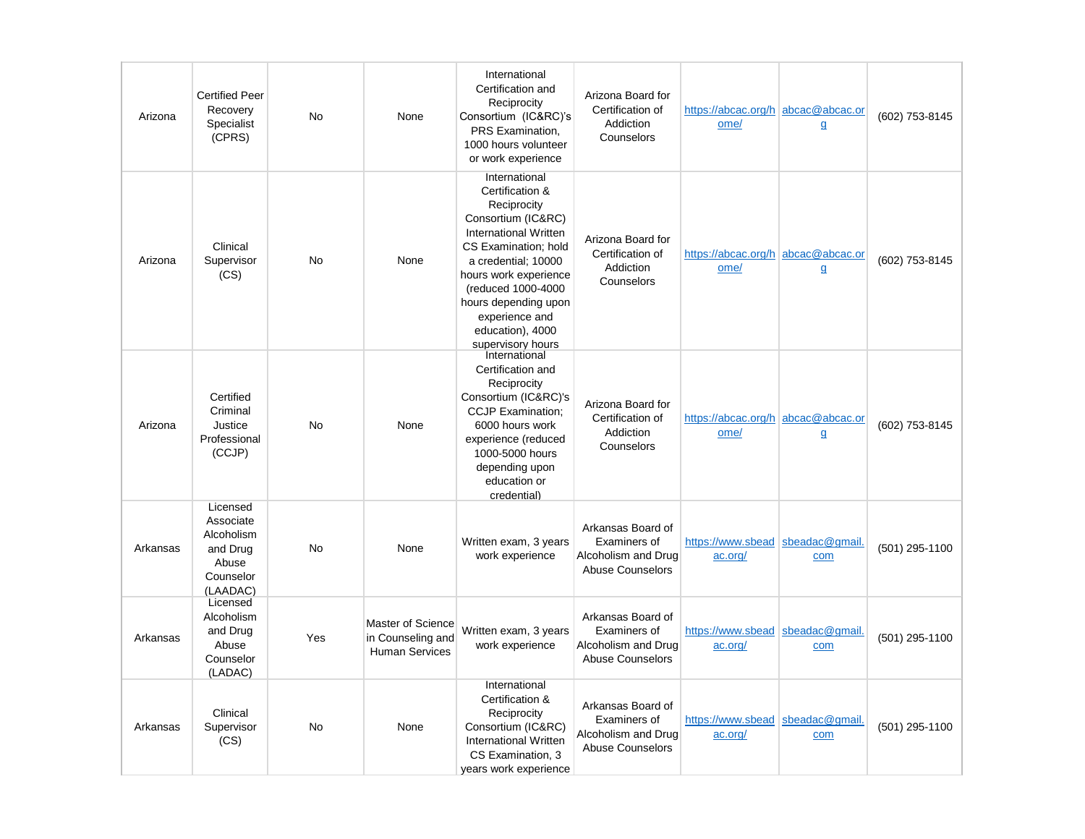| Arizona  | <b>Certified Peer</b><br>Recovery<br>Specialist<br>(CPRS)                         | No        | None                                                            | International<br>Certification and<br>Reciprocity<br>Consortium (IC&RC)'s<br>PRS Examination.<br>1000 hours volunteer<br>or work experience                                                                                                                                     | Arizona Board for<br>Certification of<br>Addiction<br>Counselors                    | https://abcac.org/h abcac@abcac.or<br>ome/  | $\mathbf{q}$          | (602) 753-8145 |
|----------|-----------------------------------------------------------------------------------|-----------|-----------------------------------------------------------------|---------------------------------------------------------------------------------------------------------------------------------------------------------------------------------------------------------------------------------------------------------------------------------|-------------------------------------------------------------------------------------|---------------------------------------------|-----------------------|----------------|
| Arizona  | Clinical<br>Supervisor<br>(CS)                                                    | <b>No</b> | None                                                            | International<br>Certification &<br>Reciprocity<br>Consortium (IC&RC)<br>International Written<br>CS Examination; hold<br>a credential; 10000<br>hours work experience<br>(reduced 1000-4000<br>hours depending upon<br>experience and<br>education), 4000<br>supervisory hours | Arizona Board for<br>Certification of<br>Addiction<br>Counselors                    | https://abcac.org/h abcac@abcac.or<br>ome/  | $\mathbf{q}$          | (602) 753-8145 |
| Arizona  | Certified<br>Criminal<br>Justice<br>Professional<br>(CCJP)                        | <b>No</b> | None                                                            | International<br>Certification and<br>Reciprocity<br>Consortium (IC&RC)'s<br><b>CCJP Examination;</b><br>6000 hours work<br>experience (reduced<br>1000-5000 hours<br>depending upon<br>education or<br>credential)                                                             | Arizona Board for<br>Certification of<br>Addiction<br>Counselors                    | https://abcac.org/h abcac@abcac.or<br>ome/  | $\mathbf{q}$          | (602) 753-8145 |
| Arkansas | Licensed<br>Associate<br>Alcoholism<br>and Drug<br>Abuse<br>Counselor<br>(LAADAC) | <b>No</b> | None                                                            | Written exam, 3 years<br>work experience                                                                                                                                                                                                                                        | Arkansas Board of<br>Examiners of<br>Alcoholism and Drug<br><b>Abuse Counselors</b> | https://www.sbead<br>ac.org/                | sbeadac@gmail<br>com  | (501) 295-1100 |
| Arkansas | Licensed<br>Alcoholism<br>and Drug<br>Abuse<br>Counselor<br>(LADAC)               | Yes       | Master of Science<br>in Counseling and<br><b>Human Services</b> | Written exam, 3 years<br>work experience                                                                                                                                                                                                                                        | Arkansas Board of<br>Examiners of<br>Alcoholism and Drug<br><b>Abuse Counselors</b> | https://www.sbead<br>ac.org/                | sbeadac@gmail.<br>com | (501) 295-1100 |
| Arkansas | Clinical<br>Supervisor<br>(CS)                                                    | <b>No</b> | None                                                            | International<br>Certification &<br>Reciprocity<br>Consortium (IC&RC)<br>International Written<br>CS Examination, 3<br>years work experience                                                                                                                                    | Arkansas Board of<br>Examiners of<br>Alcoholism and Drug<br><b>Abuse Counselors</b> | https://www.sbead sbeadac@gmail.<br>ac.org/ | com                   | (501) 295-1100 |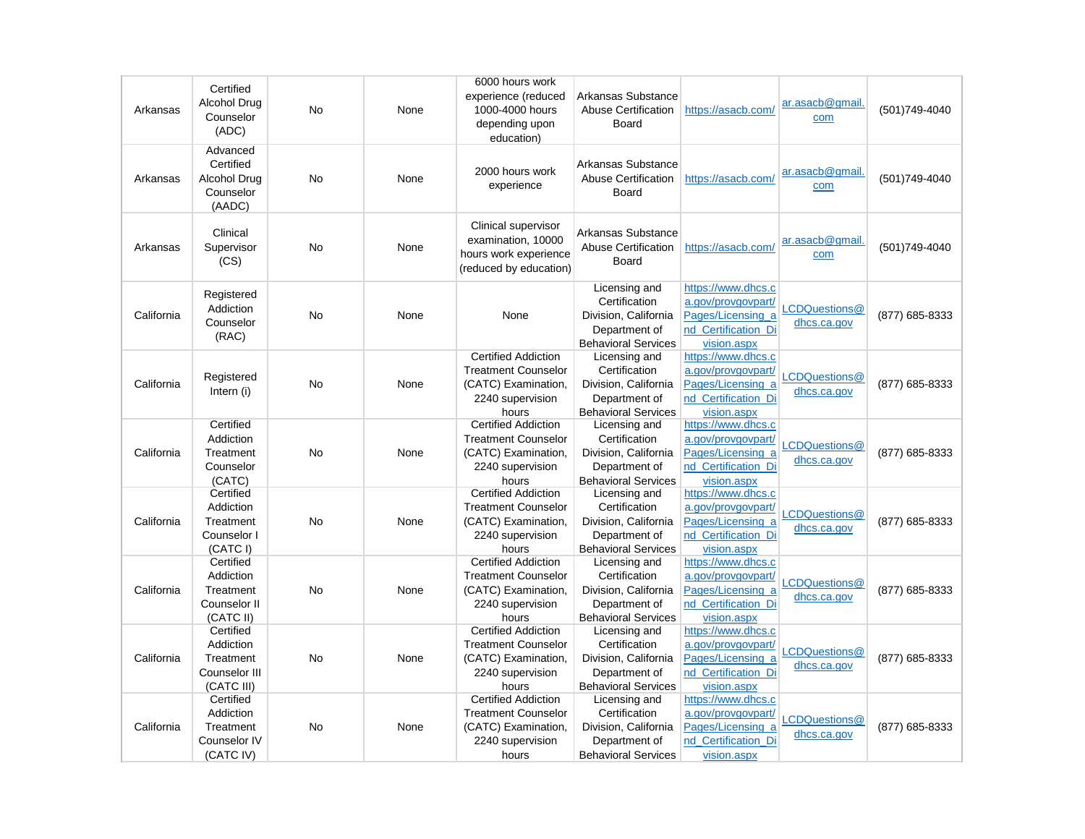| Arkansas   | Certified<br><b>Alcohol Drug</b><br>Counselor<br>(ADC)             | No        | None | 6000 hours work<br>experience (reduced<br>1000-4000 hours<br>depending upon<br>education)                    | Arkansas Substance<br>Abuse Certification<br>Board                                                    | https://asacb.com/                                                                                  | ar.asacb@gmail.<br>com       | (501) 749-4040 |
|------------|--------------------------------------------------------------------|-----------|------|--------------------------------------------------------------------------------------------------------------|-------------------------------------------------------------------------------------------------------|-----------------------------------------------------------------------------------------------------|------------------------------|----------------|
| Arkansas   | Advanced<br>Certified<br>Alcohol Drug<br>Counselor<br>(AADC)       | <b>No</b> | None | 2000 hours work<br>experience                                                                                | Arkansas Substance<br><b>Abuse Certification</b><br>Board                                             | https://asacb.com/                                                                                  | ar.asacb@gmail.<br>com       | (501) 749-4040 |
| Arkansas   | Clinical<br>Supervisor<br>(CS)                                     | <b>No</b> | None | Clinical supervisor<br>examination, 10000<br>hours work experience<br>(reduced by education)                 | Arkansas Substance<br>Abuse Certification<br>Board                                                    | https://asacb.com/                                                                                  | ar.asacb@gmail<br>com        | (501)749-4040  |
| California | Registered<br>Addiction<br>Counselor<br>(RAC)                      | <b>No</b> | None | None                                                                                                         | Licensing and<br>Certification<br>Division, California<br>Department of<br><b>Behavioral Services</b> | https://www.dhcs.c<br>a.gov/provgovpart/<br>Pages/Licensing a<br>nd Certification Di<br>vision.aspx | LCDQuestions@<br>dhcs.ca.gov | (877) 685-8333 |
| California | Registered<br>Intern (i)                                           | <b>No</b> | None | <b>Certified Addiction</b><br><b>Treatment Counselor</b><br>(CATC) Examination,<br>2240 supervision<br>hours | Licensing and<br>Certification<br>Division, California<br>Department of<br><b>Behavioral Services</b> | https://www.dhcs.c<br>a.gov/provgovpart/<br>Pages/Licensing a<br>nd Certification Di<br>vision.aspx | LCDQuestions@<br>dhcs.ca.gov | (877) 685-8333 |
| California | Certified<br>Addiction<br>Treatment<br>Counselor<br>(CATC)         | No        | None | <b>Certified Addiction</b><br><b>Treatment Counselor</b><br>(CATC) Examination,<br>2240 supervision<br>hours | Licensing and<br>Certification<br>Division, California<br>Department of<br><b>Behavioral Services</b> | https://www.dhcs.c<br>a.gov/provgovpart/<br>Pages/Licensing a<br>nd_Certification_Di<br>vision.aspx | LCDQuestions@<br>dhcs.ca.gov | (877) 685-8333 |
| California | Certified<br>Addiction<br>Treatment<br>Counselor I<br>(CATC I)     | <b>No</b> | None | <b>Certified Addiction</b><br><b>Treatment Counselor</b><br>(CATC) Examination,<br>2240 supervision<br>hours | Licensing and<br>Certification<br>Division, California<br>Department of<br><b>Behavioral Services</b> | https://www.dhcs.c<br>a.gov/provgovpart/<br>Pages/Licensing a<br>nd Certification Di<br>vision.aspx | LCDQuestions@<br>dhcs.ca.gov | (877) 685-8333 |
| California | Certified<br>Addiction<br>Treatment<br>Counselor II<br>(CATC II)   | <b>No</b> | None | <b>Certified Addiction</b><br><b>Treatment Counselor</b><br>(CATC) Examination,<br>2240 supervision<br>hours | Licensing and<br>Certification<br>Division, California<br>Department of<br><b>Behavioral Services</b> | https://www.dhcs.c<br>a.gov/provgovpart/<br>Pages/Licensing a<br>nd Certification Di<br>vision.aspx | LCDQuestions@<br>dhcs.ca.gov | (877) 685-8333 |
| California | Certified<br>Addiction<br>Treatment<br>Counselor III<br>(CATC III) | <b>No</b> | None | <b>Certified Addiction</b><br><b>Treatment Counselor</b><br>(CATC) Examination,<br>2240 supervision<br>hours | Licensing and<br>Certification<br>Division, California<br>Department of<br><b>Behavioral Services</b> | https://www.dhcs.c<br>a.gov/provgovpart/<br>Pages/Licensing a<br>nd Certification Di<br>vision.aspx | LCDQuestions@<br>dhcs.ca.gov | (877) 685-8333 |
| California | Certified<br>Addiction<br>Treatment<br>Counselor IV<br>(CATC IV)   | No        | None | <b>Certified Addiction</b><br><b>Treatment Counselor</b><br>(CATC) Examination,<br>2240 supervision<br>hours | Licensing and<br>Certification<br>Division, California<br>Department of<br><b>Behavioral Services</b> | https://www.dhcs.c<br>a.gov/provgovpart/<br>Pages/Licensing_a<br>nd_Certification_Di<br>vision.aspx | LCDQuestions@<br>dhcs.ca.gov | (877) 685-8333 |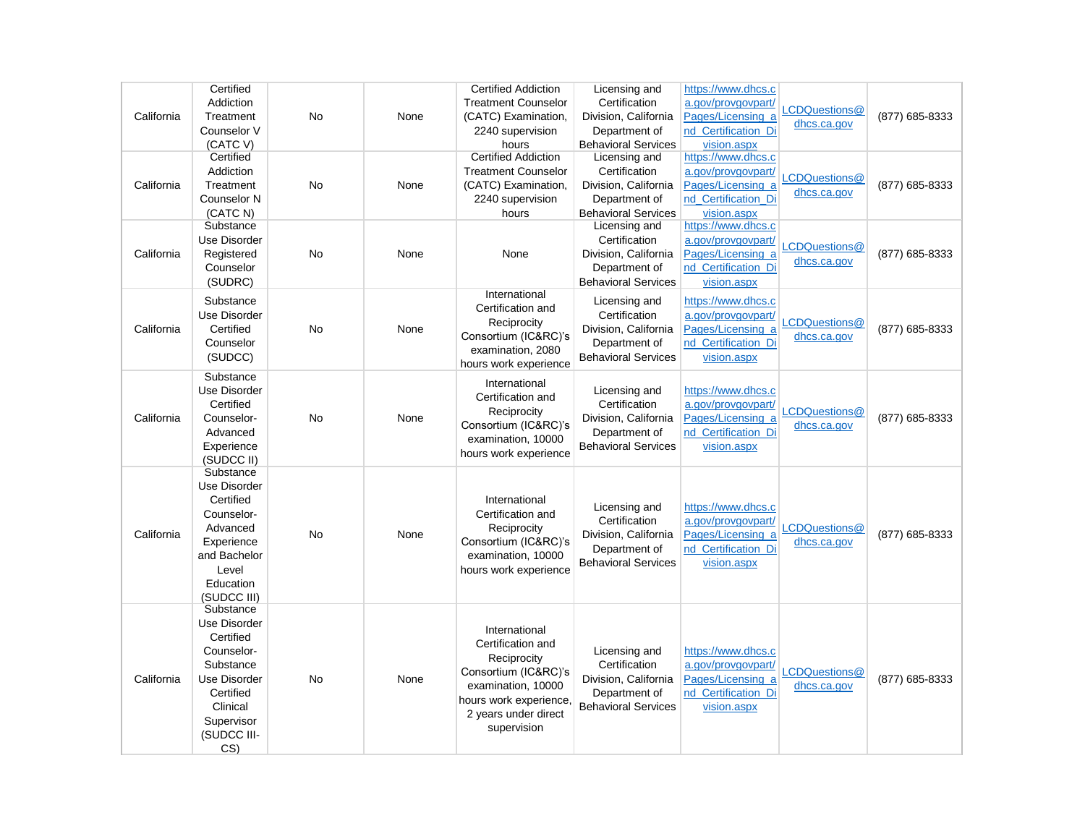|            | Certified                |           |      | <b>Certified Addiction</b> | Licensing and              | https://www.dhcs.c  |               |                |
|------------|--------------------------|-----------|------|----------------------------|----------------------------|---------------------|---------------|----------------|
|            | Addiction                |           |      | <b>Treatment Counselor</b> | Certification              | a.gov/provgovpart/  |               |                |
| California | Treatment                | No        | None | (CATC) Examination,        | Division, California       | Pages/Licensing a   | CDQuestions@  | (877) 685-8333 |
|            | Counselor V              |           |      | 2240 supervision           | Department of              | nd Certification Di | dhcs.ca.gov   |                |
|            | (CATC V)                 |           |      | hours                      | <b>Behavioral Services</b> | vision.aspx         |               |                |
|            | Certified                |           |      | <b>Certified Addiction</b> | Licensing and              | https://www.dhcs.c  |               |                |
|            | Addiction                |           |      | <b>Treatment Counselor</b> | Certification              | a.gov/provgovpart/  |               |                |
| California | Treatment                | <b>No</b> | None | (CATC) Examination,        | Division, California       | Pages/Licensing a   | CDQuestions@  | (877) 685-8333 |
|            | Counselor N              |           |      | 2240 supervision           | Department of              | nd_Certification_Di | dhcs.ca.gov   |                |
|            | (CATC N)                 |           |      | hours                      | <b>Behavioral Services</b> | vision.aspx         |               |                |
|            | Substance                |           |      |                            | Licensing and              | https://www.dhcs.c  |               |                |
|            | Use Disorder             |           |      |                            | Certification              | a.gov/provgovpart/  |               |                |
| California | Registered               | No        | None | None                       | Division, California       | Pages/Licensing a   | LCDQuestions@ | (877) 685-8333 |
|            | Counselor                |           |      |                            | Department of              | nd Certification Di | dhcs.ca.gov   |                |
|            | (SUDRC)                  |           |      |                            | <b>Behavioral Services</b> | vision.aspx         |               |                |
|            |                          |           |      | International              |                            |                     |               |                |
|            | Substance                |           |      | Certification and          | Licensing and              | https://www.dhcs.c  |               |                |
|            | Use Disorder             |           |      | Reciprocity                | Certification              | a.gov/provgovpart/  | LCDQuestions@ |                |
| California | Certified                | No        | None | Consortium (IC&RC)'s       | Division, California       | Pages/Licensing a   | dhcs.ca.gov   | (877) 685-8333 |
|            | Counselor                |           |      | examination, 2080          | Department of              | nd Certification Di |               |                |
|            | (SUDCC)                  |           |      | hours work experience      | <b>Behavioral Services</b> | vision.aspx         |               |                |
|            | Substance                |           |      |                            |                            |                     |               |                |
|            | Use Disorder             |           |      | International              | Licensing and              | https://www.dhcs.c  |               |                |
|            | Certified                |           |      | Certification and          | Certification              | a.gov/provgovpart/  |               |                |
| California | Counselor-               | No        | None | Reciprocity                | Division, California       | Pages/Licensing a   | _CDQuestions@ | (877) 685-8333 |
|            | Advanced                 |           |      | Consortium (IC&RC)'s       | Department of              | nd_Certification_Di | dhcs.ca.gov   |                |
|            | Experience               |           |      | examination, 10000         | <b>Behavioral Services</b> | vision.aspx         |               |                |
|            | (SUDCC II)               |           |      | hours work experience      |                            |                     |               |                |
|            | Substance                |           |      |                            |                            |                     |               |                |
|            | Use Disorder             |           |      |                            |                            |                     |               |                |
|            | Certified                |           |      | International              |                            |                     |               |                |
|            | Counselor-               |           |      | Certification and          | Licensing and              | https://www.dhcs.c  |               |                |
|            | Advanced                 |           |      | Reciprocity                | Certification              | a.gov/provgovpart/  | CDQuestions@  |                |
| California | Experience               | No        | None | Consortium (IC&RC)'s       | Division, California       | Pages/Licensing a   | dhcs.ca.gov   | (877) 685-8333 |
|            |                          |           |      |                            | Department of              | nd_Certification_Di |               |                |
|            | and Bachelor             |           |      | examination, 10000         | <b>Behavioral Services</b> | vision.aspx         |               |                |
|            | Level                    |           |      | hours work experience      |                            |                     |               |                |
|            | Education<br>(SUDCC III) |           |      |                            |                            |                     |               |                |
|            | Substance                |           |      |                            |                            |                     |               |                |
|            | Use Disorder             |           |      |                            |                            |                     |               |                |
|            | Certified                |           |      | International              |                            |                     |               |                |
|            |                          |           |      | Certification and          |                            |                     |               |                |
|            | Counselor-               |           |      | Reciprocity                | Licensing and              | https://www.dhcs.c  |               |                |
|            | Substance                |           |      | Consortium (IC&RC)'s       | Certification              | a.gov/provgovpart/  | CDQuestions@  |                |
| California | Use Disorder             | <b>No</b> | None | examination, 10000         | Division, California       | Pages/Licensing_a   | dhcs.ca.gov   | (877) 685-8333 |
|            | Certified                |           |      | hours work experience.     | Department of              | nd Certification Di |               |                |
|            | Clinical                 |           |      | 2 years under direct       | <b>Behavioral Services</b> | vision.aspx         |               |                |
|            | Supervisor               |           |      | supervision                |                            |                     |               |                |
|            | (SUDCC III-              |           |      |                            |                            |                     |               |                |
|            | CS                       |           |      |                            |                            |                     |               |                |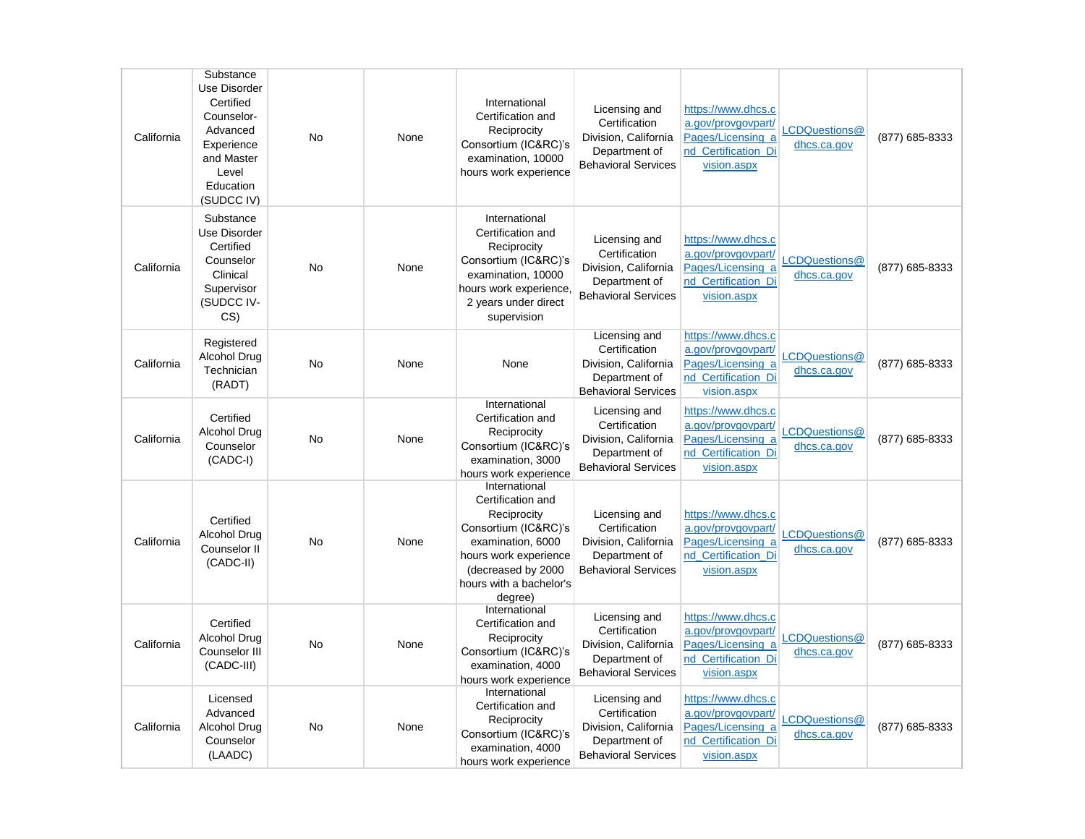| California | Substance<br>Use Disorder<br>Certified<br>Counselor-<br>Advanced<br>Experience<br>and Master<br>Level<br>Education<br>(SUDCC IV) | <b>No</b> | None | International<br>Certification and<br>Reciprocity<br>Consortium (IC&RC)'s<br>examination, 10000<br>hours work experience                                                             | Licensing and<br>Certification<br>Division, California<br>Department of<br><b>Behavioral Services</b> | https://www.dhcs.c<br>a.gov/provgovpart/<br>Pages/Licensing a<br>nd Certification Di<br>vision.aspx | LCDQuestions@<br>dhcs.ca.gov | (877) 685-8333 |
|------------|----------------------------------------------------------------------------------------------------------------------------------|-----------|------|--------------------------------------------------------------------------------------------------------------------------------------------------------------------------------------|-------------------------------------------------------------------------------------------------------|-----------------------------------------------------------------------------------------------------|------------------------------|----------------|
| California | Substance<br>Use Disorder<br>Certified<br>Counselor<br>Clinical<br>Supervisor<br>(SUDCC IV-<br>CS <sub>0</sub>                   | <b>No</b> | None | International<br>Certification and<br>Reciprocity<br>Consortium (IC&RC)'s<br>examination, 10000<br>hours work experience,<br>2 years under direct<br>supervision                     | Licensing and<br>Certification<br>Division, California<br>Department of<br><b>Behavioral Services</b> | https://www.dhcs.c<br>a.gov/provgovpart/<br>Pages/Licensing a<br>nd_Certification_Di<br>vision.aspx | LCDQuestions@<br>dhcs.ca.gov | (877) 685-8333 |
| California | Registered<br><b>Alcohol Drug</b><br>Technician<br>(RADT)                                                                        | No        | None | None                                                                                                                                                                                 | Licensing and<br>Certification<br>Division, California<br>Department of<br><b>Behavioral Services</b> | https://www.dhcs.c<br>a.gov/provgovpart/<br>Pages/Licensing a<br>nd Certification Di<br>vision.aspx | LCDQuestions@<br>dhcs.ca.gov | (877) 685-8333 |
| California | Certified<br><b>Alcohol Drug</b><br>Counselor<br>$(CADC-I)$                                                                      | No        | None | International<br>Certification and<br>Reciprocity<br>Consortium (IC&RC)'s<br>examination, 3000<br>hours work experience                                                              | Licensing and<br>Certification<br>Division, California<br>Department of<br><b>Behavioral Services</b> | https://www.dhcs.c<br>a.gov/provgovpart/<br>Pages/Licensing a<br>nd_Certification_Di<br>vision.aspx | LCDQuestions@<br>dhcs.ca.gov | (877) 685-8333 |
| California | Certified<br>Alcohol Drug<br>Counselor II<br>(CADC-II)                                                                           | No        | None | International<br>Certification and<br>Reciprocity<br>Consortium (IC&RC)'s<br>examination, 6000<br>hours work experience<br>(decreased by 2000)<br>hours with a bachelor's<br>degree) | Licensing and<br>Certification<br>Division, California<br>Department of<br><b>Behavioral Services</b> | https://www.dhcs.c<br>a.gov/provgovpart/<br>Pages/Licensing_a<br>nd Certification Di<br>vision.aspx | LCDQuestions@<br>dhcs.ca.gov | (877) 685-8333 |
| California | Certified<br>Alcohol Drug<br>Counselor III<br>(CADC-III)                                                                         | No        | None | International<br>Certification and<br>Reciprocity<br>Consortium (IC&RC)'s<br>examination, 4000<br>hours work experience                                                              | Licensing and<br>Certification<br>Division, California<br>Department of<br><b>Behavioral Services</b> | https://www.dhcs.c<br>a.gov/provgovpart/<br>Pages/Licensing a<br>nd Certification Di<br>vision.aspx | LCDQuestions@<br>dhcs.ca.gov | (877) 685-8333 |
| California | Licensed<br>Advanced<br><b>Alcohol Drug</b><br>Counselor<br>(LAADC)                                                              | No        | None | International<br>Certification and<br>Reciprocity<br>Consortium (IC&RC)'s<br>examination, 4000<br>hours work experience                                                              | Licensing and<br>Certification<br>Division, California<br>Department of<br><b>Behavioral Services</b> | https://www.dhcs.c<br>a.gov/provgovpart/<br>Pages/Licensing a<br>nd Certification Di<br>vision.aspx | LCDQuestions@<br>dhcs.ca.gov | (877) 685-8333 |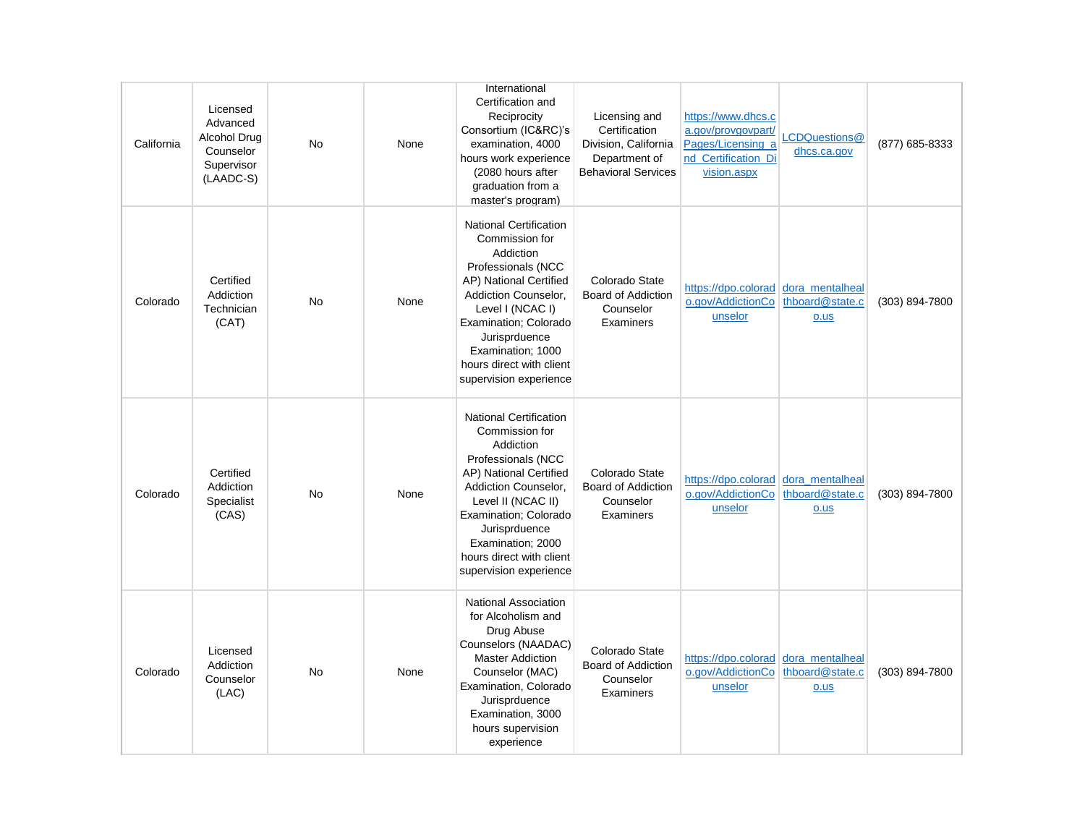| California | Licensed<br>Advanced<br>Alcohol Drug<br>Counselor<br>Supervisor<br>(LAADC-S) | <b>No</b> | None | International<br>Certification and<br>Reciprocity<br>Consortium (IC&RC)'s<br>examination, 4000<br>hours work experience<br>(2080 hours after<br>graduation from a<br>master's program)                                                                                          | Licensing and<br>Certification<br>Division, California<br>Department of<br><b>Behavioral Services</b> | https://www.dhcs.c<br>a.gov/provgovpart/<br>Pages/Licensing a<br>nd_Certification_Di<br>vision.aspx | LCDQuestions@<br>dhcs.ca.gov                  | (877) 685-8333 |
|------------|------------------------------------------------------------------------------|-----------|------|---------------------------------------------------------------------------------------------------------------------------------------------------------------------------------------------------------------------------------------------------------------------------------|-------------------------------------------------------------------------------------------------------|-----------------------------------------------------------------------------------------------------|-----------------------------------------------|----------------|
| Colorado   | Certified<br>Addiction<br>Technician<br>(CAT)                                | No        | None | <b>National Certification</b><br>Commission for<br>Addiction<br>Professionals (NCC<br>AP) National Certified<br>Addiction Counselor,<br>Level I (NCAC I)<br>Examination; Colorado<br>Jurisprduence<br>Examination; 1000<br>hours direct with client<br>supervision experience   | Colorado State<br><b>Board of Addiction</b><br>Counselor<br>Examiners                                 | https://dpo.colorad dora_mentalheal<br>o.gov/AddictionCo<br>unselor                                 | thboard@state.c<br>$0.$ us                    | (303) 894-7800 |
| Colorado   | Certified<br>Addiction<br>Specialist<br>(CAS)                                | <b>No</b> | None | <b>National Certification</b><br>Commission for<br>Addiction<br>Professionals (NCC<br>AP) National Certified<br>Addiction Counselor,<br>Level II (NCAC II)<br>Examination; Colorado<br>Jurisprduence<br>Examination; 2000<br>hours direct with client<br>supervision experience | Colorado State<br><b>Board of Addiction</b><br>Counselor<br>Examiners                                 | https://dpo.colorad dora_mentalheal<br>o.gov/AddictionCo<br>unselor                                 | thboard@state.c<br>o.us                       | (303) 894-7800 |
| Colorado   | Licensed<br>Addiction<br>Counselor<br>(LAC)                                  | <b>No</b> | None | <b>National Association</b><br>for Alcoholism and<br>Drug Abuse<br>Counselors (NAADAC)<br><b>Master Addiction</b><br>Counselor (MAC)<br>Examination, Colorado<br>Jurisprduence<br>Examination, 3000<br>hours supervision<br>experience                                          | Colorado State<br><b>Board of Addiction</b><br>Counselor<br>Examiners                                 | https://dpo.colorad<br>o.gov/AddictionCo<br>unselor                                                 | dora_mentalheal<br>thboard@state.c<br>$0.$ us | (303) 894-7800 |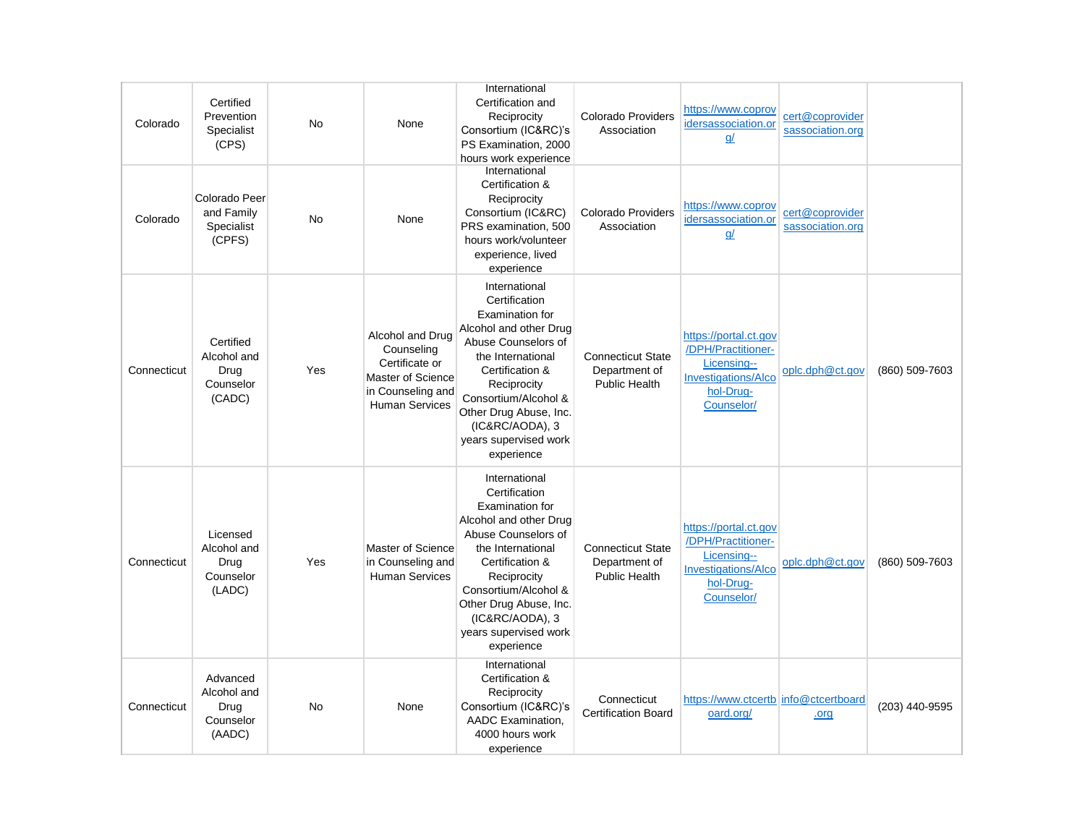| Colorado    | Certified<br>Prevention<br>Specialist<br>(CPS)          | <b>No</b> | None                                                                                                                | International<br>Certification and<br>Reciprocity<br>Consortium (IC&RC)'s<br>PS Examination, 2000<br>hours work experience                                                                                                                                                   | <b>Colorado Providers</b><br>Association                          | https://www.coprov<br>idersassociation.or<br>$q$ /                                                                  | cert@coprovider<br>sassociation.org |                |
|-------------|---------------------------------------------------------|-----------|---------------------------------------------------------------------------------------------------------------------|------------------------------------------------------------------------------------------------------------------------------------------------------------------------------------------------------------------------------------------------------------------------------|-------------------------------------------------------------------|---------------------------------------------------------------------------------------------------------------------|-------------------------------------|----------------|
| Colorado    | Colorado Peer<br>and Family<br>Specialist<br>(CPFS)     | <b>No</b> | None                                                                                                                | International<br>Certification &<br>Reciprocity<br>Consortium (IC&RC)<br>PRS examination, 500<br>hours work/volunteer<br>experience, lived<br>experience                                                                                                                     | <b>Colorado Providers</b><br>Association                          | https://www.coprov<br>idersassociation.or<br>$q$ /                                                                  | cert@coprovider<br>sassociation.org |                |
| Connecticut | Certified<br>Alcohol and<br>Drug<br>Counselor<br>(CADC) | Yes       | Alcohol and Drug<br>Counseling<br>Certificate or<br>Master of Science<br>in Counseling and<br><b>Human Services</b> | International<br>Certification<br><b>Examination for</b><br>Alcohol and other Drug<br>Abuse Counselors of<br>the International<br>Certification &<br>Reciprocity<br>Consortium/Alcohol &<br>Other Drug Abuse, Inc.<br>(IC&RC/AODA), 3<br>years supervised work<br>experience | <b>Connecticut State</b><br>Department of<br><b>Public Health</b> | https://portal.ct.gov<br>/DPH/Practitioner-<br>Licensing--<br><b>Investigations/Alco</b><br>hol-Drug-<br>Counselor/ | oplc.dph@ct.gov                     | (860) 509-7603 |
| Connecticut | Licensed<br>Alcohol and<br>Drug<br>Counselor<br>(LADC)  | Yes       | Master of Science<br>in Counseling and<br><b>Human Services</b>                                                     | International<br>Certification<br>Examination for<br>Alcohol and other Drug<br>Abuse Counselors of<br>the International<br>Certification &<br>Reciprocity<br>Consortium/Alcohol &<br>Other Drug Abuse, Inc.<br>(IC&RC/AODA), 3<br>years supervised work<br>experience        | <b>Connecticut State</b><br>Department of<br><b>Public Health</b> | https://portal.ct.gov<br>/DPH/Practitioner-<br>Licensing--<br><b>Investigations/Alco</b><br>hol-Drug-<br>Counselor/ | oplc.dph@ct.gov                     | (860) 509-7603 |
| Connecticut | Advanced<br>Alcohol and<br>Drug<br>Counselor<br>(AADC)  | No        | None                                                                                                                | International<br>Certification &<br>Reciprocity<br>Consortium (IC&RC)'s<br>AADC Examination.<br>4000 hours work<br>experience                                                                                                                                                | Connecticut<br><b>Certification Board</b>                         | https://www.ctcertb info@ctcertboard<br>oard.org/                                                                   | .org                                | (203) 440-9595 |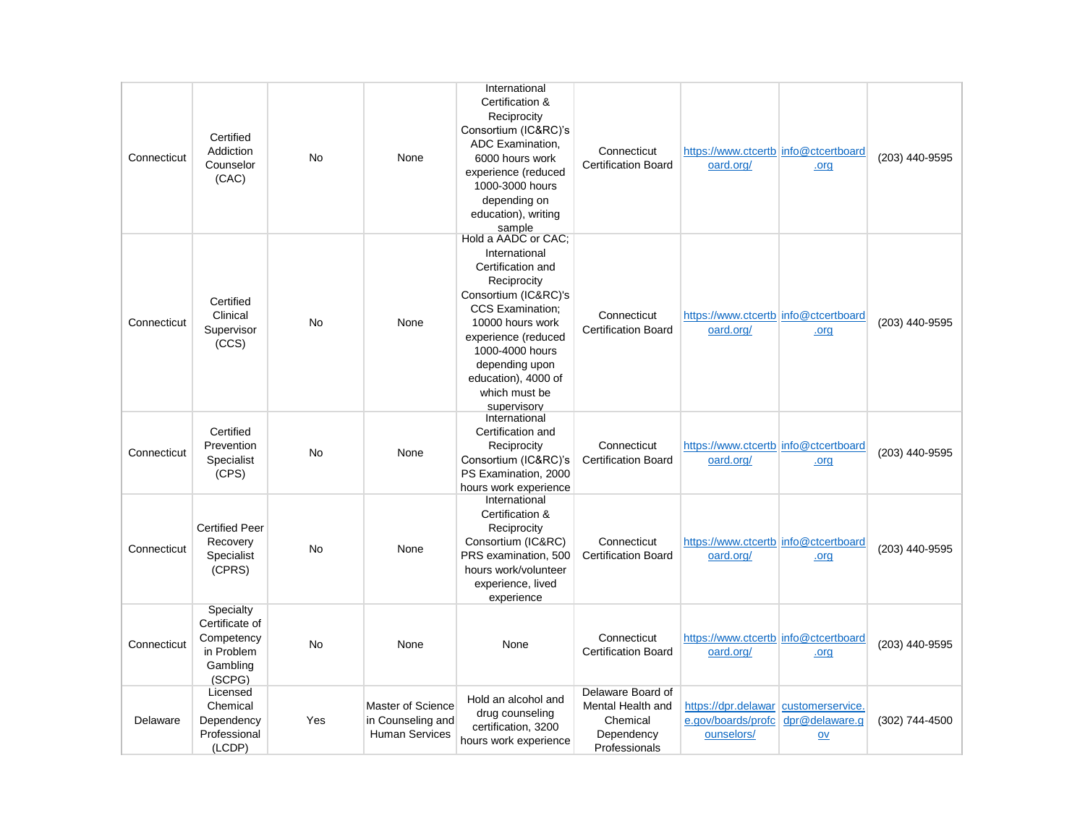| Connecticut | Certified<br>Addiction<br>Counselor<br>(CAC)                                  | <b>No</b> | None                                                            | International<br>Certification &<br>Reciprocity<br>Consortium (IC&RC)'s<br>ADC Examination.<br>6000 hours work<br>experience (reduced<br>1000-3000 hours<br>depending on<br>education), writing<br>sample                                                          | Connecticut<br><b>Certification Board</b>                                         | https://www.ctcertb info@ctcertboard<br>oard.org/                        | .org                   | (203) 440-9595 |
|-------------|-------------------------------------------------------------------------------|-----------|-----------------------------------------------------------------|--------------------------------------------------------------------------------------------------------------------------------------------------------------------------------------------------------------------------------------------------------------------|-----------------------------------------------------------------------------------|--------------------------------------------------------------------------|------------------------|----------------|
| Connecticut | Certified<br>Clinical<br>Supervisor<br>(CCS)                                  | No        | None                                                            | Hold a AADC or CAC:<br>International<br>Certification and<br>Reciprocity<br>Consortium (IC&RC)'s<br><b>CCS Examination:</b><br>10000 hours work<br>experience (reduced<br>1000-4000 hours<br>depending upon<br>education), 4000 of<br>which must be<br>supervisory | Connecticut<br><b>Certification Board</b>                                         | https://www.ctcertb info@ctcertboard<br>oard.org/                        | .org                   | (203) 440-9595 |
| Connecticut | Certified<br>Prevention<br>Specialist<br>(CPS)                                | <b>No</b> | None                                                            | International<br>Certification and<br>Reciprocity<br>Consortium (IC&RC)'s<br>PS Examination, 2000<br>hours work experience                                                                                                                                         | Connecticut<br><b>Certification Board</b>                                         | https://www.ctcertb info@ctcertboard<br>oard.org/                        | .org                   | (203) 440-9595 |
| Connecticut | <b>Certified Peer</b><br>Recovery<br>Specialist<br>(CPRS)                     | No        | None                                                            | International<br>Certification &<br>Reciprocity<br>Consortium (IC&RC)<br>PRS examination, 500<br>hours work/volunteer<br>experience, lived<br>experience                                                                                                           | Connecticut<br><b>Certification Board</b>                                         | https://www.ctcertblinfo@ctcertboard<br>oard.org/                        | .org                   | (203) 440-9595 |
| Connecticut | Specialty<br>Certificate of<br>Competency<br>in Problem<br>Gambling<br>(SCPG) | No        | None                                                            | None                                                                                                                                                                                                                                                               | Connecticut<br><b>Certification Board</b>                                         | https://www.ctcertb info@ctcertboard<br>oard.org/                        | .org                   | (203) 440-9595 |
| Delaware    | Licensed<br>Chemical<br>Dependency<br>Professional<br>(LCDP)                  | Yes       | Master of Science<br>in Counseling and<br><b>Human Services</b> | Hold an alcohol and<br>drug counseling<br>certification, 3200<br>hours work experience                                                                                                                                                                             | Delaware Board of<br>Mental Health and<br>Chemical<br>Dependency<br>Professionals | https://dpr.delawar customerservice.<br>e.gov/boards/profc<br>ounselors/ | dpr@delaware.g<br>$ov$ | (302) 744-4500 |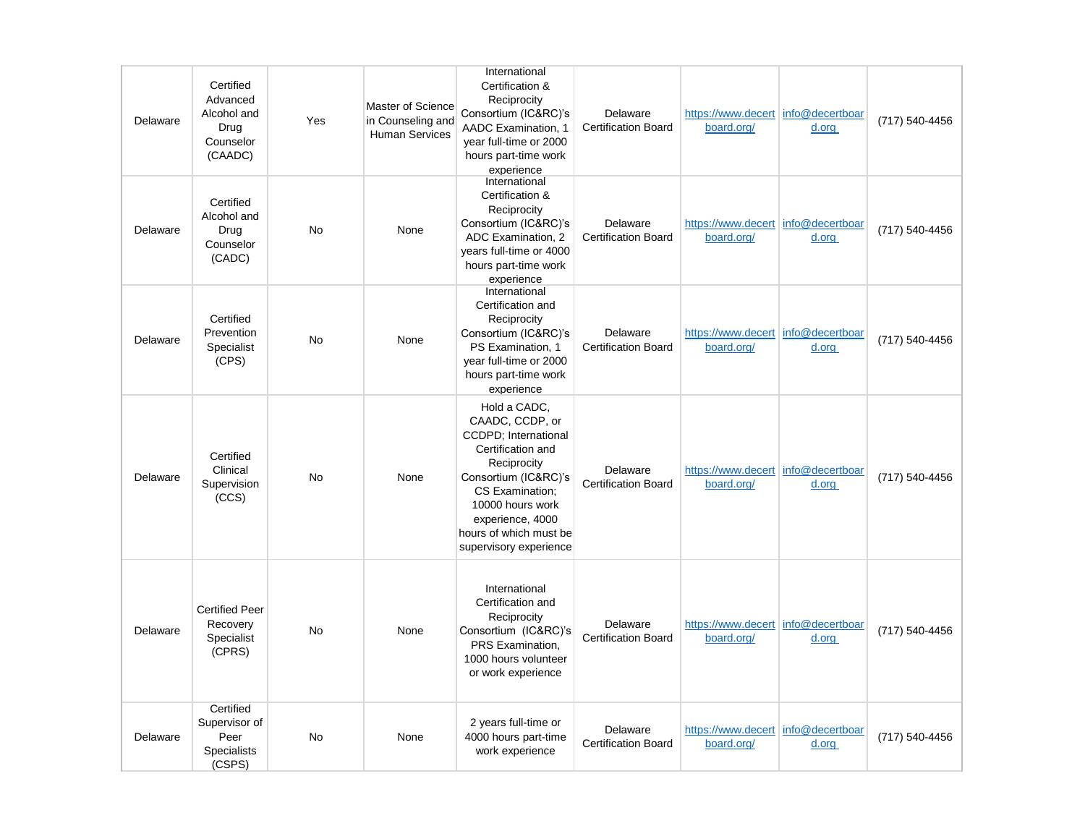| Delaware | Certified<br>Advanced<br>Alcohol and<br>Drug<br>Counselor<br>(CAADC) | Yes       | Master of Science<br>in Counseling and<br><b>Human Services</b> | International<br>Certification &<br>Reciprocity<br>Consortium (IC&RC)'s<br>AADC Examination, 1<br>year full-time or 2000<br>hours part-time work<br>experience                                                                             | Delaware<br><b>Certification Board</b> | https://www.decert info@decertboar<br>board.org/ | d.org                    | (717) 540-4456 |
|----------|----------------------------------------------------------------------|-----------|-----------------------------------------------------------------|--------------------------------------------------------------------------------------------------------------------------------------------------------------------------------------------------------------------------------------------|----------------------------------------|--------------------------------------------------|--------------------------|----------------|
| Delaware | Certified<br>Alcohol and<br>Drug<br>Counselor<br>(CADC)              | <b>No</b> | None                                                            | International<br>Certification &<br>Reciprocity<br>Consortium (IC&RC)'s<br>ADC Examination, 2<br>years full-time or 4000<br>hours part-time work<br>experience                                                                             | Delaware<br><b>Certification Board</b> | https://www.decert info@decertboar<br>board.org/ | d.org                    | (717) 540-4456 |
| Delaware | Certified<br>Prevention<br>Specialist<br>(CPS)                       | No        | None                                                            | International<br>Certification and<br>Reciprocity<br>Consortium (IC&RC)'s<br>PS Examination, 1<br>year full-time or 2000<br>hours part-time work<br>experience                                                                             | Delaware<br><b>Certification Board</b> | https://www.decert<br>board.org/                 | info@decertboar<br>d.org | (717) 540-4456 |
| Delaware | Certified<br>Clinical<br>Supervision<br>(CCS)                        | <b>No</b> | None                                                            | Hold a CADC,<br>CAADC, CCDP, or<br><b>CCDPD</b> ; International<br>Certification and<br>Reciprocity<br>Consortium (IC&RC)'s<br>CS Examination;<br>10000 hours work<br>experience, 4000<br>hours of which must be<br>supervisory experience | Delaware<br><b>Certification Board</b> | https://www.decert info@decertboar<br>board.org/ | d.org                    | (717) 540-4456 |
| Delaware | <b>Certified Peer</b><br>Recovery<br>Specialist<br>(CPRS)            | <b>No</b> | None                                                            | International<br>Certification and<br>Reciprocity<br>Consortium (IC&RC)'s<br>PRS Examination,<br>1000 hours volunteer<br>or work experience                                                                                                | Delaware<br><b>Certification Board</b> | https://www.decert<br>board.org/                 | info@decertboar<br>d.org | (717) 540-4456 |
| Delaware | Certified<br>Supervisor of<br>Peer<br><b>Specialists</b><br>(CSPS)   | <b>No</b> | None                                                            | 2 years full-time or<br>4000 hours part-time<br>work experience                                                                                                                                                                            | Delaware<br><b>Certification Board</b> | https://www.decert info@decertboar<br>board.org/ | d.org                    | (717) 540-4456 |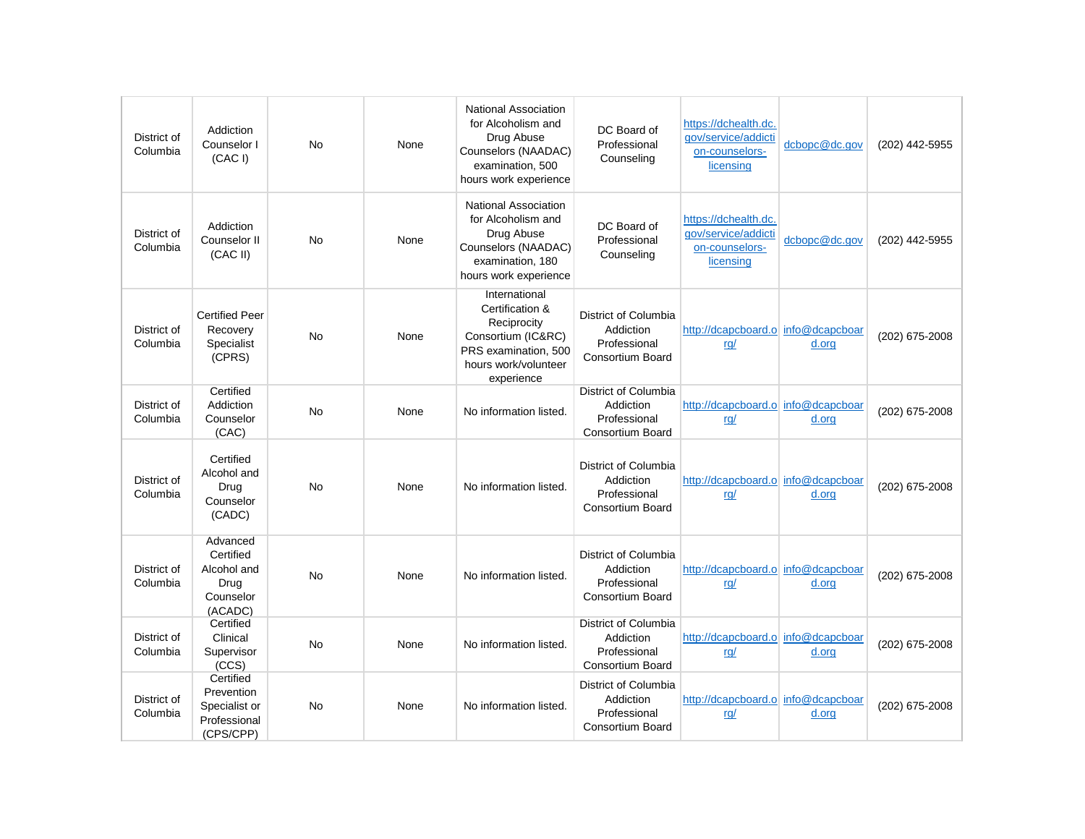| District of<br>Columbia | Addiction<br>Counselor I<br>(CAC I)                                   | No        | None | <b>National Association</b><br>for Alcoholism and<br>Drug Abuse<br>Counselors (NAADAC)<br>examination, 500<br>hours work experience | DC Board of<br>Professional<br>Counseling                                    | https://dchealth.dc.<br>qov/service/addicti<br>on-counselors-<br>licensing | dcbopc@dc.gov | (202) 442-5955 |
|-------------------------|-----------------------------------------------------------------------|-----------|------|-------------------------------------------------------------------------------------------------------------------------------------|------------------------------------------------------------------------------|----------------------------------------------------------------------------|---------------|----------------|
| District of<br>Columbia | Addiction<br>Counselor II<br>(CAC II)                                 | <b>No</b> | None | <b>National Association</b><br>for Alcoholism and<br>Drug Abuse<br>Counselors (NAADAC)<br>examination, 180<br>hours work experience | DC Board of<br>Professional<br>Counseling                                    | https://dchealth.dc.<br>gov/service/addicti<br>on-counselors-<br>licensing | dcbopc@dc.gov | (202) 442-5955 |
| District of<br>Columbia | <b>Certified Peer</b><br>Recovery<br>Specialist<br>(CPRS)             | No        | None | International<br>Certification &<br>Reciprocity<br>Consortium (IC&RC)<br>PRS examination, 500<br>hours work/volunteer<br>experience | District of Columbia<br>Addiction<br>Professional<br>Consortium Board        | http://dcapcboard.o info@dcapcboar<br>rq/                                  | d.org         | (202) 675-2008 |
| District of<br>Columbia | Certified<br>Addiction<br>Counselor<br>(CAC)                          | No        | None | No information listed.                                                                                                              | District of Columbia<br>Addiction<br>Professional<br><b>Consortium Board</b> | http://dcapcboard.o info@dcapcboar<br><u>rg/</u>                           | d.org         | (202) 675-2008 |
| District of<br>Columbia | Certified<br>Alcohol and<br>Drug<br>Counselor<br>(CADC)               | <b>No</b> | None | No information listed.                                                                                                              | District of Columbia<br>Addiction<br>Professional<br><b>Consortium Board</b> | http://dcapcboard.o info@dcapcboar<br>rg/                                  | d.org         | (202) 675-2008 |
| District of<br>Columbia | Advanced<br>Certified<br>Alcohol and<br>Drug<br>Counselor<br>(ACADC)  | No        | None | No information listed.                                                                                                              | District of Columbia<br>Addiction<br>Professional<br><b>Consortium Board</b> | http://dcapcboard.o info@dcapcboar<br>rq/                                  | d.org         | (202) 675-2008 |
| District of<br>Columbia | Certified<br>Clinical<br>Supervisor<br>(CCS)                          | No        | None | No information listed.                                                                                                              | District of Columbia<br>Addiction<br>Professional<br><b>Consortium Board</b> | http://dcapcboard.o info@dcapcboar<br>rq/                                  | d.org         | (202) 675-2008 |
| District of<br>Columbia | Certified<br>Prevention<br>Specialist or<br>Professional<br>(CPS/CPP) | No        | None | No information listed.                                                                                                              | District of Columbia<br>Addiction<br>Professional<br><b>Consortium Board</b> | http://dcapcboard.o info@dcapcboar<br><u>rg/</u>                           | d.org         | (202) 675-2008 |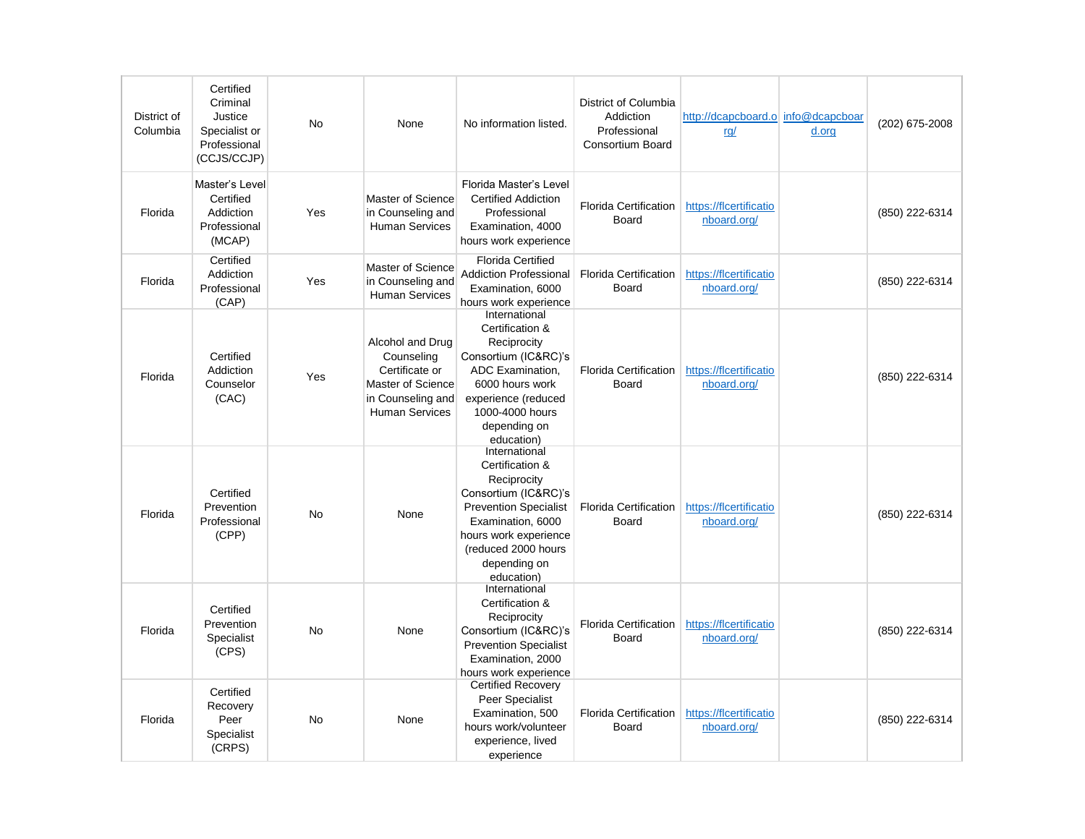| District of<br>Columbia | Certified<br>Criminal<br>Justice<br>Specialist or<br>Professional<br>(CCJS/CCJP) | <b>No</b> | None                                                                                                                | No information listed.                                                                                                                                                                                     | District of Columbia<br>Addiction<br>Professional<br><b>Consortium Board</b> | http://dcapcboard.o info@dcapcboar<br>rq/ | d.org | (202) 675-2008 |
|-------------------------|----------------------------------------------------------------------------------|-----------|---------------------------------------------------------------------------------------------------------------------|------------------------------------------------------------------------------------------------------------------------------------------------------------------------------------------------------------|------------------------------------------------------------------------------|-------------------------------------------|-------|----------------|
| Florida                 | Master's Level<br>Certified<br>Addiction<br>Professional<br>(MCAP)               | Yes       | Master of Science<br>in Counseling and<br><b>Human Services</b>                                                     | Florida Master's Level<br><b>Certified Addiction</b><br>Professional<br>Examination, 4000<br>hours work experience                                                                                         | <b>Florida Certification</b><br>Board                                        | https://flcertificatio<br>nboard.org/     |       | (850) 222-6314 |
| Florida                 | Certified<br>Addiction<br>Professional<br>(CAP)                                  | Yes       | Master of Science<br>in Counseling and<br><b>Human Services</b>                                                     | <b>Florida Certified</b><br><b>Addiction Professional</b><br>Examination, 6000<br>hours work experience                                                                                                    | <b>Florida Certification</b><br>Board                                        | https://flcertificatio<br>nboard.org/     |       | (850) 222-6314 |
| Florida                 | Certified<br>Addiction<br>Counselor<br>(CAC)                                     | Yes       | Alcohol and Drug<br>Counseling<br>Certificate or<br>Master of Science<br>in Counseling and<br><b>Human Services</b> | International<br>Certification &<br>Reciprocity<br>Consortium (IC&RC)'s<br>ADC Examination,<br>6000 hours work<br>experience (reduced<br>1000-4000 hours<br>depending on<br>education)                     | <b>Florida Certification</b><br>Board                                        | https://flcertificatio<br>nboard.org/     |       | (850) 222-6314 |
| Florida                 | Certified<br>Prevention<br>Professional<br>(CPP)                                 | <b>No</b> | None                                                                                                                | International<br>Certification &<br>Reciprocity<br>Consortium (IC&RC)'s<br><b>Prevention Specialist</b><br>Examination, 6000<br>hours work experience<br>(reduced 2000 hours<br>depending on<br>education) | <b>Florida Certification</b><br>Board                                        | https://flcertificatio<br>nboard.org/     |       | (850) 222-6314 |
| Florida                 | Certified<br>Prevention<br>Specialist<br>(CPS)                                   | No        | None                                                                                                                | International<br>Certification &<br>Reciprocity<br>Consortium (IC&RC)'s<br><b>Prevention Specialist</b><br>Examination, 2000<br>hours work experience                                                      | <b>Florida Certification</b><br>Board                                        | https://flcertificatio<br>nboard.org/     |       | (850) 222-6314 |
| Florida                 | Certified<br>Recovery<br>Peer<br>Specialist<br>(CRPS)                            | No        | None                                                                                                                | <b>Certified Recovery</b><br>Peer Specialist<br>Examination, 500<br>hours work/volunteer<br>experience, lived<br>experience                                                                                | <b>Florida Certification</b><br>Board                                        | https://flcertificatio<br>nboard.org/     |       | (850) 222-6314 |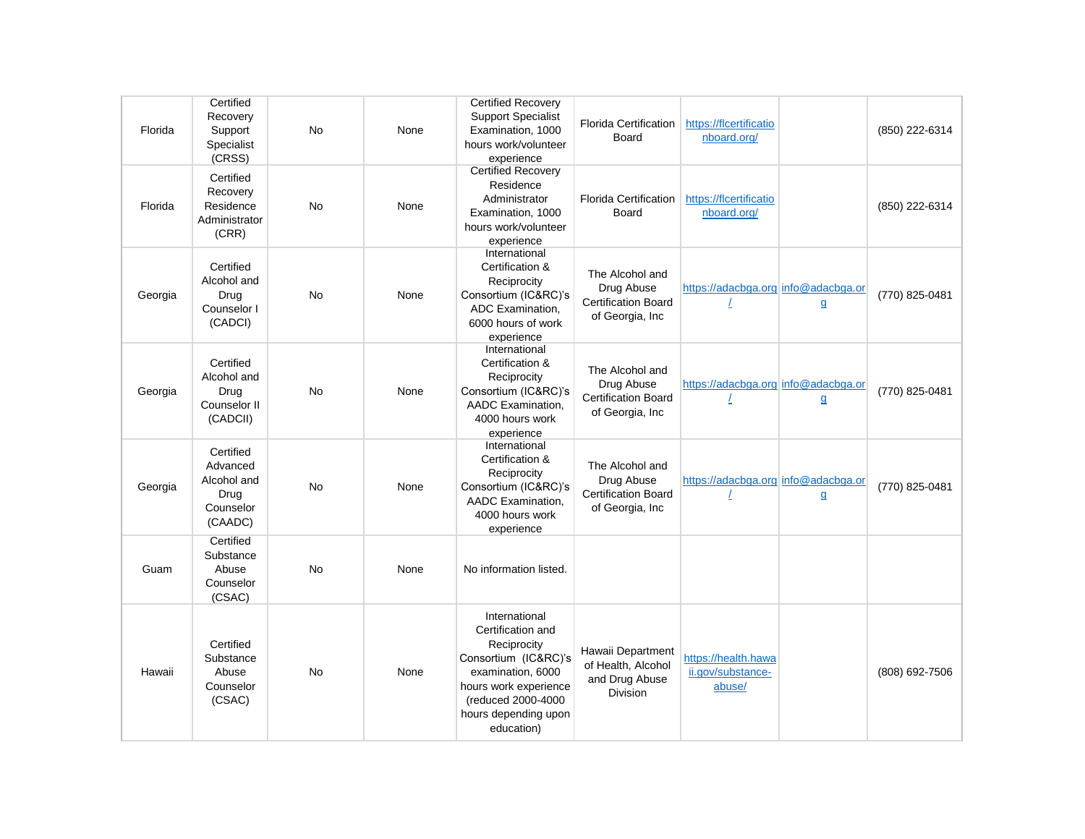| Florida | Certified<br>Recovery<br>Support<br>Specialist<br>(CRSS)             | <b>No</b> | None | <b>Certified Recovery</b><br><b>Support Specialist</b><br>Examination, 1000<br>hours work/volunteer<br>experience                                                                   | <b>Florida Certification</b><br>Board                                          | https://flcertificatio<br>nboard.org/              |              | (850) 222-6314 |
|---------|----------------------------------------------------------------------|-----------|------|-------------------------------------------------------------------------------------------------------------------------------------------------------------------------------------|--------------------------------------------------------------------------------|----------------------------------------------------|--------------|----------------|
| Florida | Certified<br>Recovery<br>Residence<br>Administrator<br>(CRR)         | <b>No</b> | None | <b>Certified Recovery</b><br>Residence<br>Administrator<br>Examination, 1000<br>hours work/volunteer<br>experience                                                                  | <b>Florida Certification</b><br>Board                                          | https://flcertificatio<br>nboard.org/              |              | (850) 222-6314 |
| Georgia | Certified<br>Alcohol and<br>Drua<br>Counselor I<br>(CADCI)           | <b>No</b> | None | International<br>Certification &<br>Reciprocity<br>Consortium (IC&RC)'s<br>ADC Examination,<br>6000 hours of work<br>experience                                                     | The Alcohol and<br>Drug Abuse<br><b>Certification Board</b><br>of Georgia, Inc | https://adacbga.org info@adacbga.or                | $\mathbf{q}$ | (770) 825-0481 |
| Georgia | Certified<br>Alcohol and<br>Drug<br>Counselor II<br>(CADCII)         | <b>No</b> | None | International<br>Certification &<br>Reciprocity<br>Consortium (IC&RC)'s<br>AADC Examination,<br>4000 hours work<br>experience                                                       | The Alcohol and<br>Drug Abuse<br><b>Certification Board</b><br>of Georgia, Inc | https://adacbga.org info@adacbga.or                | $\mathbf{q}$ | (770) 825-0481 |
| Georgia | Certified<br>Advanced<br>Alcohol and<br>Drug<br>Counselor<br>(CAADC) | <b>No</b> | None | International<br>Certification &<br>Reciprocity<br>Consortium (IC&RC)'s<br>AADC Examination.<br>4000 hours work<br>experience                                                       | The Alcohol and<br>Drug Abuse<br><b>Certification Board</b><br>of Georgia, Inc | https://adacbga.org info@adacbga.or                | $\mathbf{g}$ | (770) 825-0481 |
| Guam    | Certified<br>Substance<br>Abuse<br>Counselor<br>(CSAC)               | <b>No</b> | None | No information listed.                                                                                                                                                              |                                                                                |                                                    |              |                |
| Hawaii  | Certified<br>Substance<br>Abuse<br>Counselor<br>(CSAC)               | <b>No</b> | None | International<br>Certification and<br>Reciprocity<br>Consortium (IC&RC)'s<br>examination, 6000<br>hours work experience<br>(reduced 2000-4000<br>hours depending upon<br>education) | Hawaii Department<br>of Health, Alcohol<br>and Drug Abuse<br><b>Division</b>   | https://health.hawa<br>ii.gov/substance-<br>abuse/ |              | (808) 692-7506 |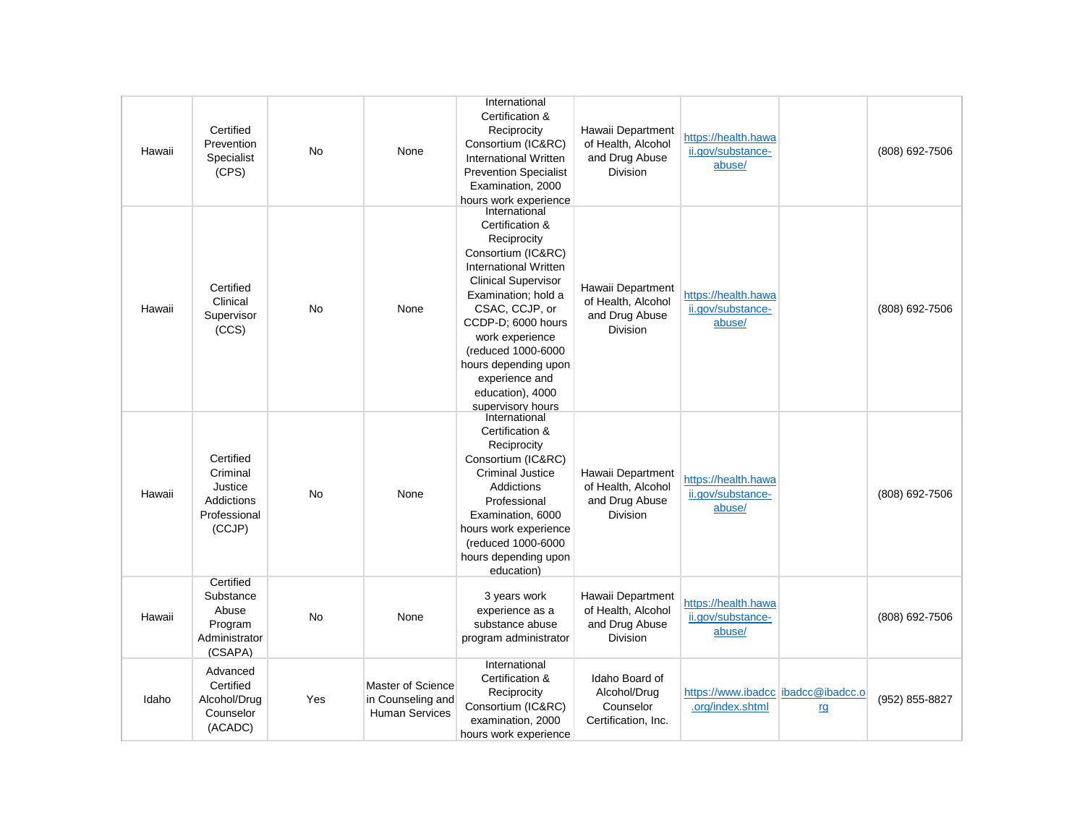| Hawaii | Certified<br>Prevention<br>Specialist<br>(CPS)                           | <b>No</b> | None                                                            | International<br>Certification &<br>Reciprocity<br>Consortium (IC&RC)<br>International Written<br><b>Prevention Specialist</b><br>Examination, 2000<br>hours work experience                                                                                                                                            | Hawaii Department<br>of Health, Alcohol<br>and Drug Abuse<br><b>Division</b> | https://health.hawa<br>ii.gov/substance-<br>abuse/     |    | (808) 692-7506 |
|--------|--------------------------------------------------------------------------|-----------|-----------------------------------------------------------------|-------------------------------------------------------------------------------------------------------------------------------------------------------------------------------------------------------------------------------------------------------------------------------------------------------------------------|------------------------------------------------------------------------------|--------------------------------------------------------|----|----------------|
| Hawaii | Certified<br>Clinical<br>Supervisor<br>(CCS)                             | <b>No</b> | None                                                            | International<br>Certification &<br>Reciprocity<br>Consortium (IC&RC)<br>International Written<br><b>Clinical Supervisor</b><br>Examination; hold a<br>CSAC, CCJP, or<br>CCDP-D; 6000 hours<br>work experience<br>(reduced 1000-6000<br>hours depending upon<br>experience and<br>education), 4000<br>supervisory hours | Hawaii Department<br>of Health, Alcohol<br>and Drug Abuse<br><b>Division</b> | https://health.hawa<br>ii.gov/substance-<br>abuse/     |    | (808) 692-7506 |
| Hawaii | Certified<br>Criminal<br>Justice<br>Addictions<br>Professional<br>(CCJP) | <b>No</b> | None                                                            | International<br>Certification &<br>Reciprocity<br>Consortium (IC&RC)<br><b>Criminal Justice</b><br>Addictions<br>Professional<br>Examination, 6000<br>hours work experience<br>(reduced 1000-6000<br>hours depending upon<br>education)                                                                                | Hawaii Department<br>of Health, Alcohol<br>and Drug Abuse<br><b>Division</b> | https://health.hawa<br>ii.gov/substance-<br>abuse/     |    | (808) 692-7506 |
| Hawaii | Certified<br>Substance<br>Abuse<br>Program<br>Administrator<br>(CSAPA)   | <b>No</b> | None                                                            | 3 years work<br>experience as a<br>substance abuse<br>program administrator                                                                                                                                                                                                                                             | Hawaii Department<br>of Health, Alcohol<br>and Drug Abuse<br>Division        | https://health.hawa<br>ii.gov/substance-<br>abuse/     |    | (808) 692-7506 |
| Idaho  | Advanced<br>Certified<br>Alcohol/Drug<br>Counselor<br>(ACADC)            | Yes       | Master of Science<br>in Counseling and<br><b>Human Services</b> | International<br>Certification &<br>Reciprocity<br>Consortium (IC&RC)<br>examination, 2000<br>hours work experience                                                                                                                                                                                                     | Idaho Board of<br>Alcohol/Drug<br>Counselor<br>Certification, Inc.           | https://www.ibadcc ibadcc@ibadcc.o<br>.org/index.shtml | rg | (952) 855-8827 |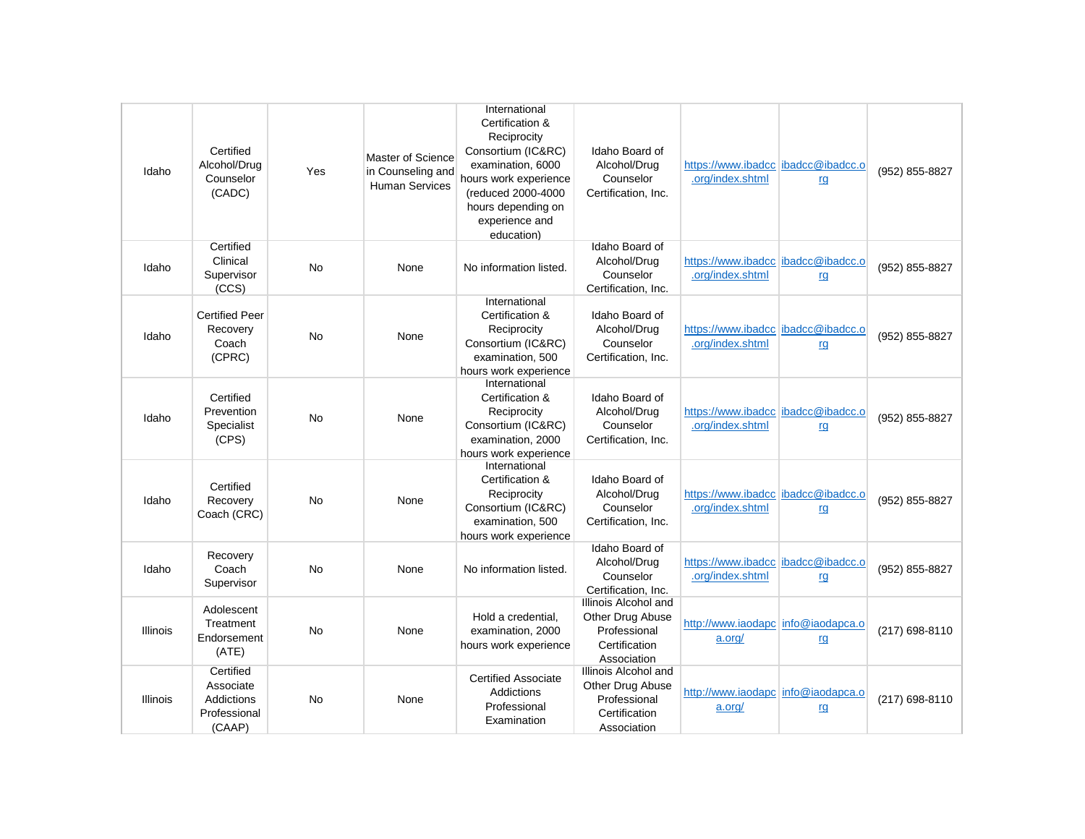|                 |                                                                       |           |                                                                 | International                                                                                                                                                                  |                                                                                          |                                                          |           |                |
|-----------------|-----------------------------------------------------------------------|-----------|-----------------------------------------------------------------|--------------------------------------------------------------------------------------------------------------------------------------------------------------------------------|------------------------------------------------------------------------------------------|----------------------------------------------------------|-----------|----------------|
| Idaho           | Certified<br>Alcohol/Drug<br>Counselor<br>(CADC)                      | Yes       | Master of Science<br>in Counseling and<br><b>Human Services</b> | Certification &<br>Reciprocity<br>Consortium (IC&RC)<br>examination, 6000<br>hours work experience<br>(reduced 2000-4000<br>hours depending on<br>experience and<br>education) | Idaho Board of<br>Alcohol/Drug<br>Counselor<br>Certification, Inc.                       | https://www.ibadcc   ibadcc@ibadcc.o<br>.org/index.shtml | rg        | (952) 855-8827 |
| Idaho           | Certified<br>Clinical<br>Supervisor<br>(CCS)                          | No        | None                                                            | No information listed.                                                                                                                                                         | Idaho Board of<br>Alcohol/Drug<br>Counselor<br>Certification, Inc.                       | https://www.ibadcc   ibadcc@ibadcc.o<br>.org/index.shtml | rg        | (952) 855-8827 |
| Idaho           | <b>Certified Peer</b><br>Recovery<br>Coach<br>(CPRC)                  | <b>No</b> | None                                                            | International<br>Certification &<br>Reciprocity<br>Consortium (IC&RC)<br>examination, 500<br>hours work experience                                                             | Idaho Board of<br>Alcohol/Drug<br>Counselor<br>Certification, Inc.                       | https://www.ibadcc   ibadcc@ibadcc.o<br>.org/index.shtml | rg        | (952) 855-8827 |
| Idaho           | Certified<br>Prevention<br>Specialist<br>(CPS)                        | No        | None                                                            | International<br>Certification &<br>Reciprocity<br>Consortium (IC&RC)<br>examination, 2000<br>hours work experience                                                            | Idaho Board of<br>Alcohol/Drug<br>Counselor<br>Certification, Inc.                       | https://www.ibadcc ibadcc@ibadcc.o<br>.org/index.shtml   | rg        | (952) 855-8827 |
| Idaho           | Certified<br>Recovery<br>Coach (CRC)                                  | No        | None                                                            | International<br>Certification &<br>Reciprocity<br>Consortium (IC&RC)<br>examination, 500<br>hours work experience                                                             | Idaho Board of<br>Alcohol/Drug<br>Counselor<br>Certification, Inc.                       | https://www.ibadcc ibadcc@ibadcc.o<br>.org/index.shtml   | rg        | (952) 855-8827 |
| Idaho           | Recovery<br>Coach<br>Supervisor                                       | <b>No</b> | None                                                            | No information listed.                                                                                                                                                         | Idaho Board of<br>Alcohol/Drug<br>Counselor<br>Certification. Inc.                       | https://www.ibadcc   ibadcc@ibadcc.o<br>.org/index.shtml | <u>rq</u> | (952) 855-8827 |
| <b>Illinois</b> | Adolescent<br>Treatment<br>Endorsement<br>(ATE)                       | <b>No</b> | None                                                            | Hold a credential,<br>examination, 2000<br>hours work experience                                                                                                               | Illinois Alcohol and<br>Other Drug Abuse<br>Professional<br>Certification<br>Association | http://www.iaodapc info@iaodapca.o<br>a.org/             | rg        | (217) 698-8110 |
| <b>Illinois</b> | Certified<br>Associate<br><b>Addictions</b><br>Professional<br>(CAAP) | <b>No</b> | None                                                            | <b>Certified Associate</b><br>Addictions<br>Professional<br>Examination                                                                                                        | Illinois Alcohol and<br>Other Drug Abuse<br>Professional<br>Certification<br>Association | http://www.iaodapc info@iaodapca.o<br>a.org/             | <u>rg</u> | (217) 698-8110 |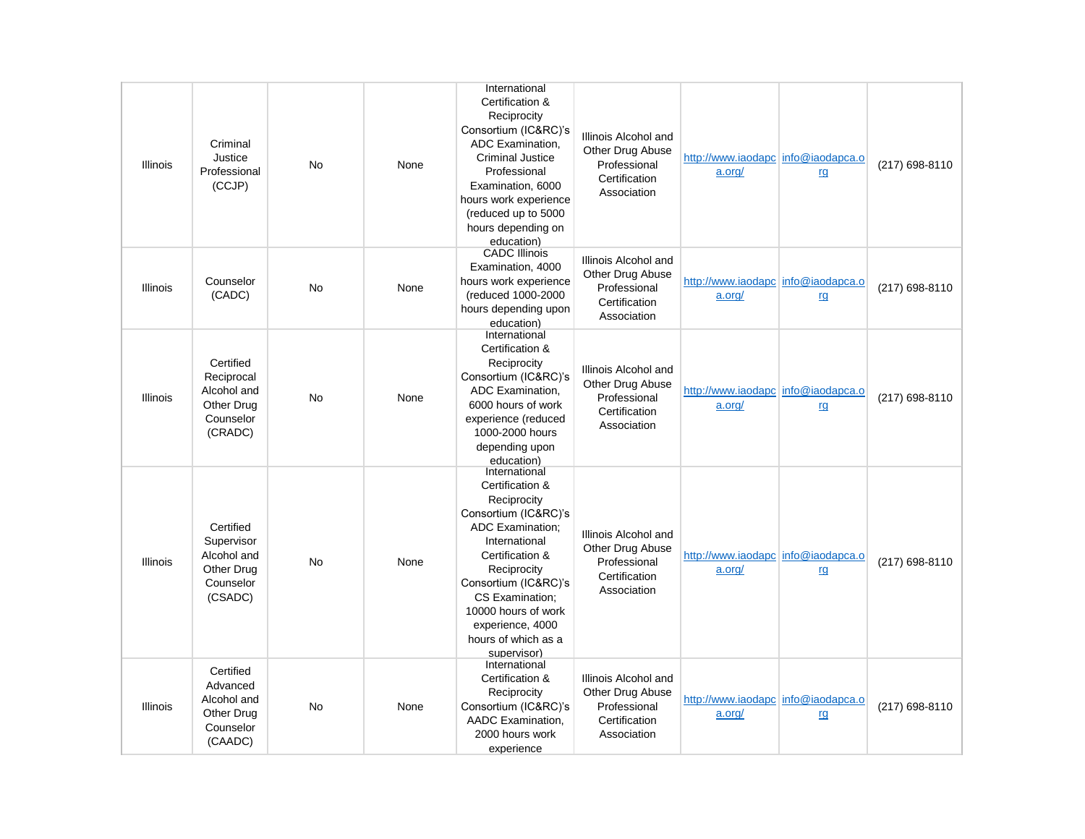| <b>Illinois</b> | Criminal<br>Justice<br>Professional<br>(CCJP)                                | <b>No</b> | None | International<br>Certification &<br>Reciprocity<br>Consortium (IC&RC)'s<br>ADC Examination.<br><b>Criminal Justice</b><br>Professional<br>Examination, 6000<br>hours work experience<br>(reduced up to 5000<br>hours depending on<br>education)                                   | Illinois Alcohol and<br>Other Drug Abuse<br>Professional<br>Certification<br>Association | http://www.iaodapc info@iaodapca.o<br>a.org/ | rg | (217) 698-8110 |
|-----------------|------------------------------------------------------------------------------|-----------|------|-----------------------------------------------------------------------------------------------------------------------------------------------------------------------------------------------------------------------------------------------------------------------------------|------------------------------------------------------------------------------------------|----------------------------------------------|----|----------------|
| <b>Illinois</b> | Counselor<br>(CADC)                                                          | <b>No</b> | None | <b>CADC Illinois</b><br>Examination, 4000<br>hours work experience<br>(reduced 1000-2000<br>hours depending upon<br>education)                                                                                                                                                    | Illinois Alcohol and<br>Other Drug Abuse<br>Professional<br>Certification<br>Association | http://www.iaodapc info@iaodapca.o<br>a.org/ | rg | (217) 698-8110 |
| Illinois        | Certified<br>Reciprocal<br>Alcohol and<br>Other Drug<br>Counselor<br>(CRADC) | No        | None | International<br>Certification &<br>Reciprocity<br>Consortium (IC&RC)'s<br>ADC Examination,<br>6000 hours of work<br>experience (reduced<br>1000-2000 hours<br>depending upon<br>education)                                                                                       | Illinois Alcohol and<br>Other Drug Abuse<br>Professional<br>Certification<br>Association | http://www.iaodapc info@iaodapca.o<br>a.org/ | rg | (217) 698-8110 |
| <b>Illinois</b> | Certified<br>Supervisor<br>Alcohol and<br>Other Drug<br>Counselor<br>(CSADC) | No        | None | International<br>Certification &<br>Reciprocity<br>Consortium (IC&RC)'s<br><b>ADC Examination:</b><br>International<br>Certification &<br>Reciprocity<br>Consortium (IC&RC)'s<br>CS Examination:<br>10000 hours of work<br>experience, 4000<br>hours of which as a<br>supervisor) | Illinois Alcohol and<br>Other Drug Abuse<br>Professional<br>Certification<br>Association | http://www.iaodapc info@iaodapca.o<br>a.org/ | rg | (217) 698-8110 |
| Illinois        | Certified<br>Advanced<br>Alcohol and<br>Other Drug<br>Counselor<br>(CAADC)   | No        | None | International<br>Certification &<br>Reciprocity<br>Consortium (IC&RC)'s<br>AADC Examination.<br>2000 hours work<br>experience                                                                                                                                                     | Illinois Alcohol and<br>Other Drug Abuse<br>Professional<br>Certification<br>Association | http://www.iaodapc info@iaodapca.o<br>a.org/ | rg | (217) 698-8110 |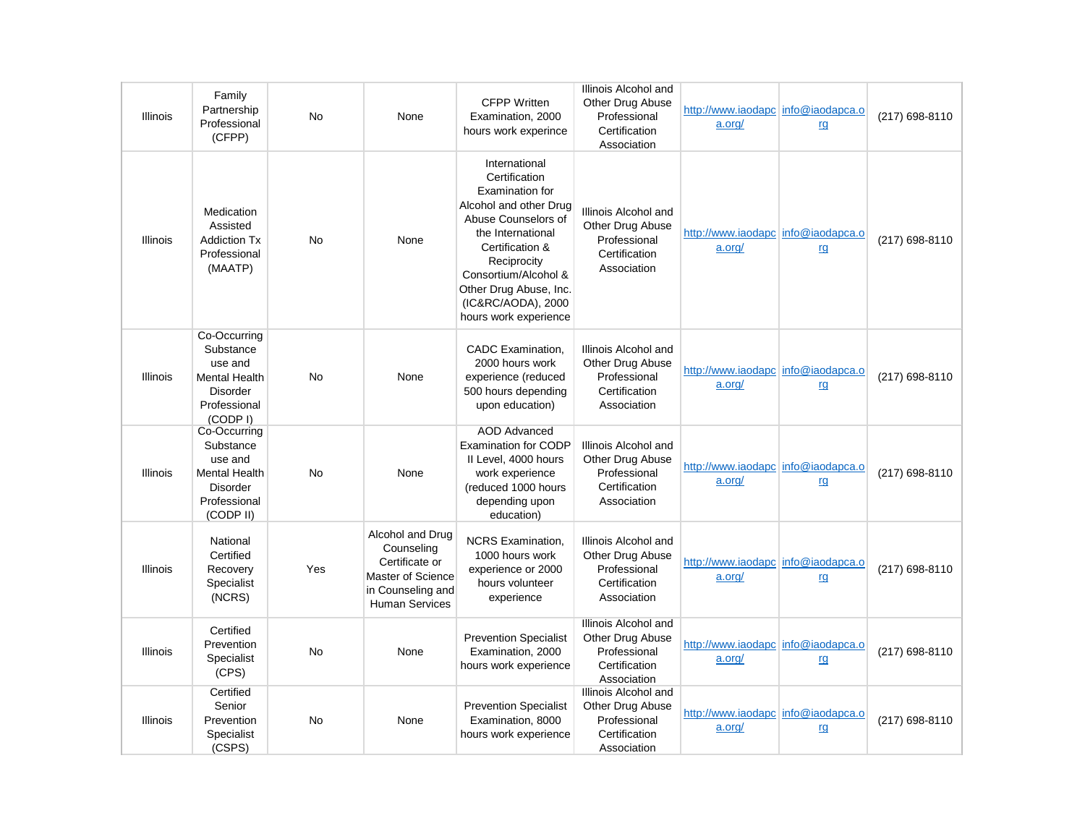| <b>Illinois</b> | Family<br>Partnership<br>Professional<br>(CFPP)                                                              | <b>No</b> | None                                                                                                                | <b>CFPP Written</b><br>Examination, 2000<br>hours work experince                                                                                                                                                                                           | Illinois Alcohol and<br>Other Drug Abuse<br>Professional<br>Certification<br>Association | http://www.iaodapc info@iaodapca.o<br>a.org/ | rg        | (217) 698-8110 |
|-----------------|--------------------------------------------------------------------------------------------------------------|-----------|---------------------------------------------------------------------------------------------------------------------|------------------------------------------------------------------------------------------------------------------------------------------------------------------------------------------------------------------------------------------------------------|------------------------------------------------------------------------------------------|----------------------------------------------|-----------|----------------|
| <b>Illinois</b> | Medication<br>Assisted<br><b>Addiction Tx</b><br>Professional<br>(MAATP)                                     | <b>No</b> | None                                                                                                                | International<br>Certification<br>Examination for<br>Alcohol and other Drug<br>Abuse Counselors of<br>the International<br>Certification &<br>Reciprocity<br>Consortium/Alcohol &<br>Other Drug Abuse, Inc.<br>(IC&RC/AODA), 2000<br>hours work experience | Illinois Alcohol and<br>Other Drug Abuse<br>Professional<br>Certification<br>Association | http://www.iaodapc info@iaodapca.o<br>a.org/ | rg        | (217) 698-8110 |
| <b>Illinois</b> | Co-Occurring<br>Substance<br>use and<br><b>Mental Health</b><br>Disorder<br>Professional<br>(CODP I)         | <b>No</b> | None                                                                                                                | CADC Examination,<br>2000 hours work<br>experience (reduced<br>500 hours depending<br>upon education)                                                                                                                                                      | Illinois Alcohol and<br>Other Drug Abuse<br>Professional<br>Certification<br>Association | http://www.iaodapc info@iaodapca.o<br>a.org/ | rg        | (217) 698-8110 |
| <b>Illinois</b> | Co-Occurring<br>Substance<br>use and<br><b>Mental Health</b><br><b>Disorder</b><br>Professional<br>(CODP II) | <b>No</b> | None                                                                                                                | <b>AOD Advanced</b><br><b>Examination for CODP</b><br>II Level, 4000 hours<br>work experience<br>(reduced 1000 hours<br>depending upon<br>education)                                                                                                       | Illinois Alcohol and<br>Other Drug Abuse<br>Professional<br>Certification<br>Association | http://www.iaodapc info@iaodapca.o<br>a.org/ | <u>rq</u> | (217) 698-8110 |
| Illinois        | National<br>Certified<br>Recovery<br>Specialist<br>(NCRS)                                                    | Yes       | Alcohol and Drug<br>Counseling<br>Certificate or<br>Master of Science<br>in Counseling and<br><b>Human Services</b> | <b>NCRS Examination,</b><br>1000 hours work<br>experience or 2000<br>hours volunteer<br>experience                                                                                                                                                         | Illinois Alcohol and<br>Other Drug Abuse<br>Professional<br>Certification<br>Association | http://www.iaodapc info@iaodapca.o<br>a.org/ | rg        | (217) 698-8110 |
| Illinois        | Certified<br>Prevention<br>Specialist<br>(CPS)                                                               | No        | None                                                                                                                | <b>Prevention Specialist</b><br>Examination, 2000<br>hours work experience                                                                                                                                                                                 | Illinois Alcohol and<br>Other Drug Abuse<br>Professional<br>Certification<br>Association | http://www.iaodapc info@iaodapca.o<br>a.org/ | rg        | (217) 698-8110 |
| Illinois        | Certified<br>Senior<br>Prevention<br>Specialist<br>(CSPS)                                                    | No        | None                                                                                                                | <b>Prevention Specialist</b><br>Examination, 8000<br>hours work experience                                                                                                                                                                                 | Illinois Alcohol and<br>Other Drug Abuse<br>Professional<br>Certification<br>Association | http://www.iaodapc info@iaodapca.o<br>a.org/ | rg        | (217) 698-8110 |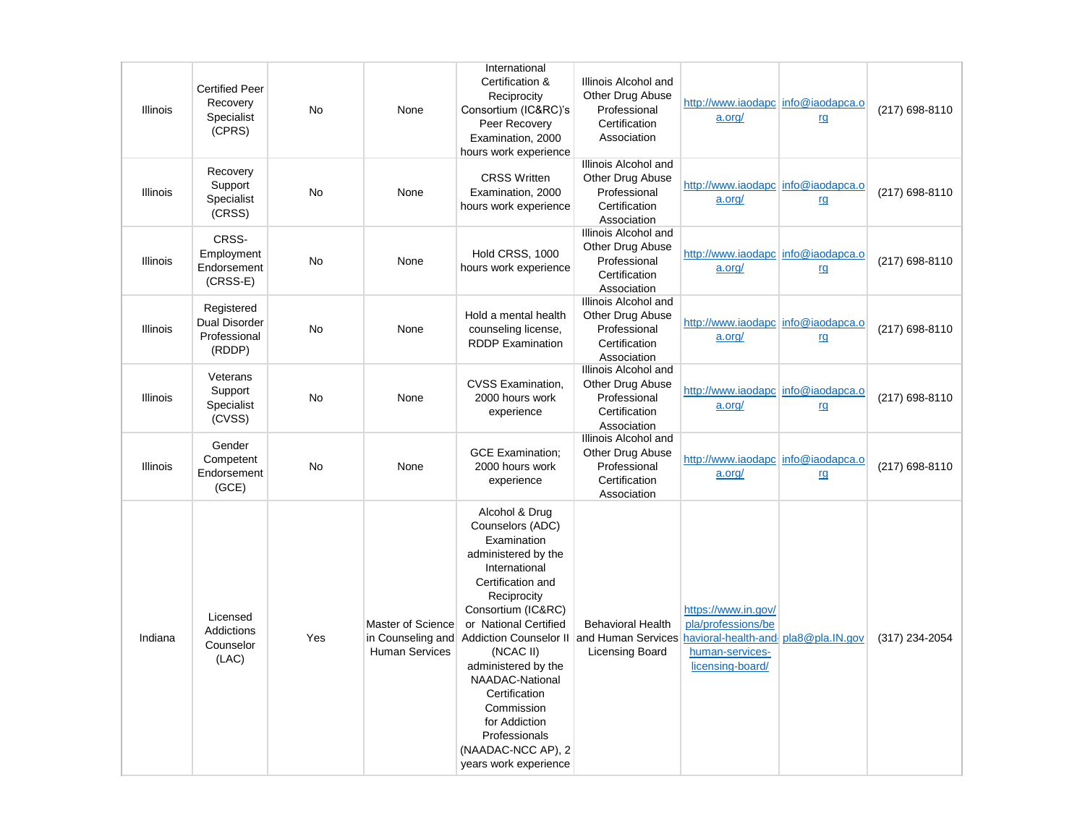| Illinois        | <b>Certified Peer</b><br>Recovery<br>Specialist<br>(CPRS)    | No        | None                                                            | International<br>Certification &<br>Reciprocity<br>Consortium (IC&RC)'s<br>Peer Recovery<br>Examination, 2000<br>hours work experience                                                                                                                                                                                                                                                           | Illinois Alcohol and<br>Other Drug Abuse<br>Professional<br>Certification<br>Association | http://www.iaodapc info@iaodapca.o<br>a.org/                                                                            | rg | (217) 698-8110 |
|-----------------|--------------------------------------------------------------|-----------|-----------------------------------------------------------------|--------------------------------------------------------------------------------------------------------------------------------------------------------------------------------------------------------------------------------------------------------------------------------------------------------------------------------------------------------------------------------------------------|------------------------------------------------------------------------------------------|-------------------------------------------------------------------------------------------------------------------------|----|----------------|
| Illinois        | Recovery<br>Support<br>Specialist<br>(CRSS)                  | No        | None                                                            | <b>CRSS Written</b><br>Examination, 2000<br>hours work experience                                                                                                                                                                                                                                                                                                                                | Illinois Alcohol and<br>Other Drug Abuse<br>Professional<br>Certification<br>Association | http://www.iaodapc info@iaodapca.o<br>a.org/                                                                            | rg | (217) 698-8110 |
| <b>Illinois</b> | CRSS-<br>Employment<br>Endorsement<br>$(CRSS-E)$             | <b>No</b> | None                                                            | Hold CRSS, 1000<br>hours work experience                                                                                                                                                                                                                                                                                                                                                         | Illinois Alcohol and<br>Other Drug Abuse<br>Professional<br>Certification<br>Association | http://www.iaodapc info@iaodapca.o<br>a.org/                                                                            | rg | (217) 698-8110 |
| Illinois        | Registered<br><b>Dual Disorder</b><br>Professional<br>(RDDP) | <b>No</b> | None                                                            | Hold a mental health<br>counseling license,<br><b>RDDP</b> Examination                                                                                                                                                                                                                                                                                                                           | Illinois Alcohol and<br>Other Drug Abuse<br>Professional<br>Certification<br>Association | http://www.iaodapc info@iaodapca.o<br>a.org/                                                                            | rg | (217) 698-8110 |
| <b>Illinois</b> | Veterans<br>Support<br>Specialist<br>(CVSS)                  | <b>No</b> | None                                                            | <b>CVSS Examination,</b><br>2000 hours work<br>experience                                                                                                                                                                                                                                                                                                                                        | Illinois Alcohol and<br>Other Drug Abuse<br>Professional<br>Certification<br>Association | http://www.iaodapc info@iaodapca.o<br>a.org/                                                                            | rg | (217) 698-8110 |
| Illinois        | Gender<br>Competent<br>Endorsement<br>(GCE)                  | No        | None                                                            | <b>GCE Examination:</b><br>2000 hours work<br>experience                                                                                                                                                                                                                                                                                                                                         | Illinois Alcohol and<br>Other Drug Abuse<br>Professional<br>Certification<br>Association | http://www.iaodapc info@iaodapca.o<br>a.org/                                                                            | rg | (217) 698-8110 |
| Indiana         | Licensed<br>Addictions<br>Counselor<br>(LAC)                 | Yes       | Master of Science<br>in Counseling and<br><b>Human Services</b> | Alcohol & Drug<br>Counselors (ADC)<br>Examination<br>administered by the<br>International<br>Certification and<br>Reciprocity<br>Consortium (IC&RC)<br>or National Certified<br>Addiction Counselor II and Human Services<br>(NCAC II)<br>administered by the<br>NAADAC-National<br>Certification<br>Commission<br>for Addiction<br>Professionals<br>(NAADAC-NCC AP), 2<br>years work experience | <b>Behavioral Health</b><br>Licensing Board                                              | https://www.in.gov/<br>pla/professions/be<br>havioral-health-and-pla8@pla.IN.gov<br>human-services-<br>licensing-board/ |    | (317) 234-2054 |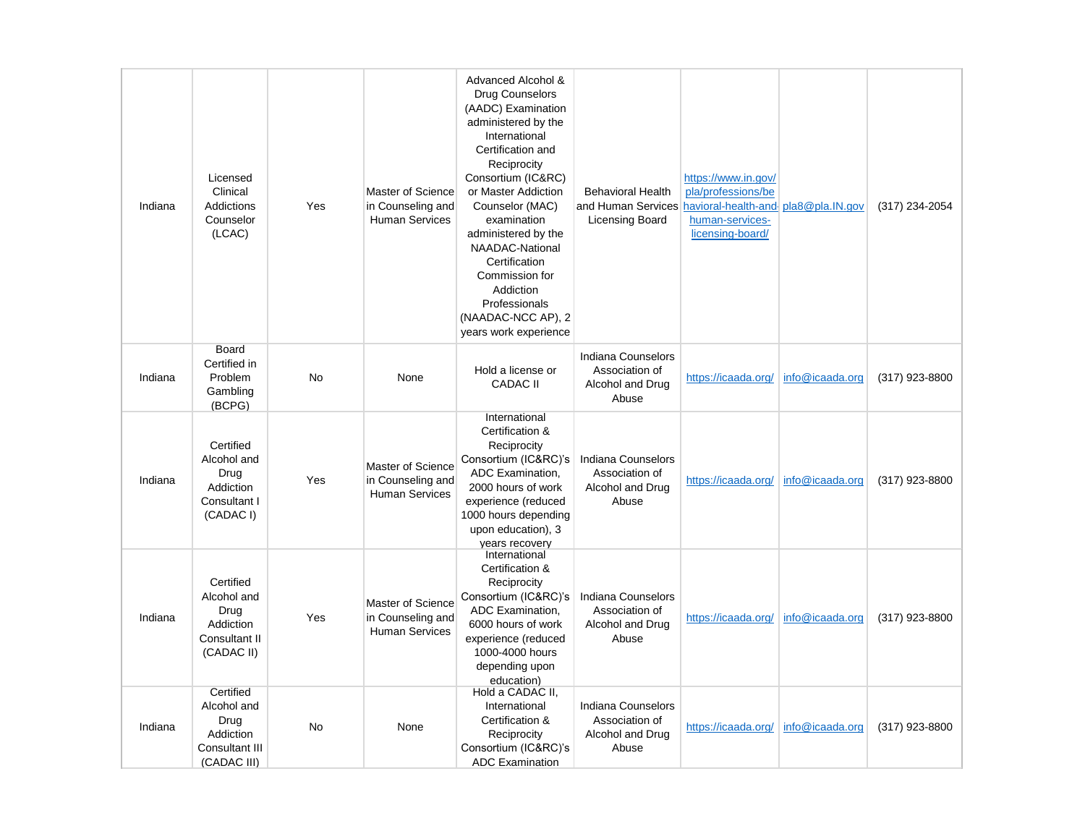| Indiana | Licensed<br>Clinical<br><b>Addictions</b><br>Counselor<br>(LCAC)               | Yes | Master of Science<br>in Counseling and<br><b>Human Services</b> | Advanced Alcohol &<br>Drug Counselors<br>(AADC) Examination<br>administered by the<br>International<br>Certification and<br>Reciprocity<br>Consortium (IC&RC)<br>or Master Addiction<br>Counselor (MAC)<br>examination<br>administered by the<br>NAADAC-National<br>Certification<br>Commission for<br>Addiction<br>Professionals<br>(NAADAC-NCC AP), 2<br>years work experience | <b>Behavioral Health</b><br>and Human Services<br><b>Licensing Board</b> | https://www.in.gov/<br>pla/professions/be<br>havioral-health-and-pla8@pla.IN.gov<br>human-services-<br>licensing-board/ |                 | (317) 234-2054   |
|---------|--------------------------------------------------------------------------------|-----|-----------------------------------------------------------------|----------------------------------------------------------------------------------------------------------------------------------------------------------------------------------------------------------------------------------------------------------------------------------------------------------------------------------------------------------------------------------|--------------------------------------------------------------------------|-------------------------------------------------------------------------------------------------------------------------|-----------------|------------------|
| Indiana | <b>Board</b><br>Certified in<br>Problem<br>Gambling<br>(BCPG)                  | No  | None                                                            | Hold a license or<br><b>CADAC II</b>                                                                                                                                                                                                                                                                                                                                             | Indiana Counselors<br>Association of<br>Alcohol and Drug<br>Abuse        | https://icaada.org/                                                                                                     | info@icaada.org | (317) 923-8800   |
| Indiana | Certified<br>Alcohol and<br>Drug<br>Addiction<br>Consultant I<br>(CADAC I)     | Yes | Master of Science<br>in Counseling and<br><b>Human Services</b> | International<br>Certification &<br>Reciprocity<br>Consortium (IC&RC)'s<br>ADC Examination,<br>2000 hours of work<br>experience (reduced<br>1000 hours depending<br>upon education), 3<br>vears recovery                                                                                                                                                                         | Indiana Counselors<br>Association of<br>Alcohol and Drug<br>Abuse        | https://icaada.org/                                                                                                     | info@icaada.org | (317) 923-8800   |
| Indiana | Certified<br>Alcohol and<br>Drug<br>Addiction<br>Consultant II<br>(CADAC II)   | Yes | Master of Science<br>in Counseling and<br><b>Human Services</b> | International<br>Certification &<br>Reciprocity<br>Consortium (IC&RC)'s<br>ADC Examination,<br>6000 hours of work<br>experience (reduced<br>1000-4000 hours<br>depending upon<br>education)                                                                                                                                                                                      | Indiana Counselors<br>Association of<br>Alcohol and Drug<br>Abuse        | https://icaada.org/                                                                                                     | info@icaada.org | (317) 923-8800   |
| Indiana | Certified<br>Alcohol and<br>Drug<br>Addiction<br>Consultant III<br>(CADAC III) | No  | None                                                            | Hold a CADAC II,<br>International<br>Certification &<br>Reciprocity<br>Consortium (IC&RC)'s<br><b>ADC Examination</b>                                                                                                                                                                                                                                                            | Indiana Counselors<br>Association of<br>Alcohol and Drug<br>Abuse        | https://icaada.org/                                                                                                     | info@icaada.org | $(317)$ 923-8800 |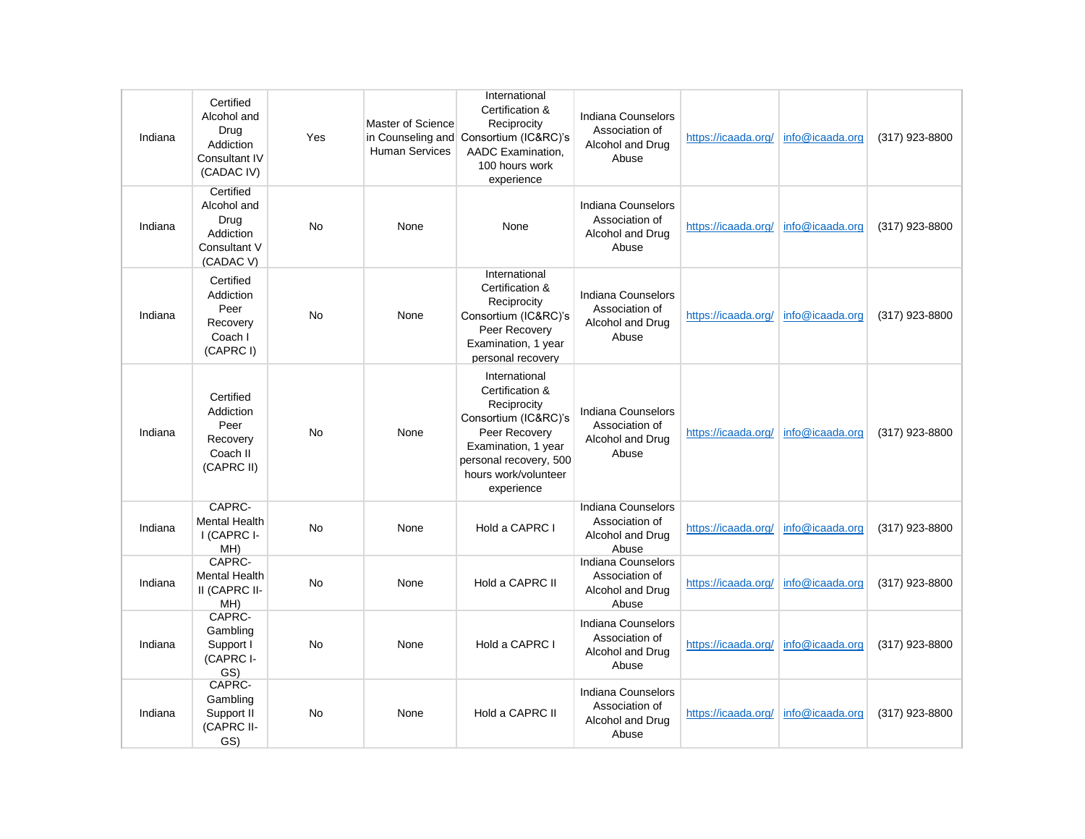| Indiana | Certified<br>Alcohol and<br>Drug<br>Addiction<br>Consultant IV<br>(CADAC IV) | Yes       | Master of Science<br><b>Human Services</b> | International<br>Certification &<br>Reciprocity<br>in Counseling and Consortium (IC&RC)'s<br>AADC Examination.<br>100 hours work<br>experience                                  | Indiana Counselors<br>Association of<br>Alcohol and Drug<br>Abuse | https://icaada.org/ | info@icaada.org | (317) 923-8800 |
|---------|------------------------------------------------------------------------------|-----------|--------------------------------------------|---------------------------------------------------------------------------------------------------------------------------------------------------------------------------------|-------------------------------------------------------------------|---------------------|-----------------|----------------|
| Indiana | Certified<br>Alcohol and<br>Drug<br>Addiction<br>Consultant V<br>(CADAC V)   | No        | None                                       | None                                                                                                                                                                            | Indiana Counselors<br>Association of<br>Alcohol and Drug<br>Abuse | https://icaada.org/ | info@icaada.org | (317) 923-8800 |
| Indiana | Certified<br>Addiction<br>Peer<br>Recovery<br>Coach I<br>(CAPRC I)           | <b>No</b> | None                                       | International<br>Certification &<br>Reciprocity<br>Consortium (IC&RC)'s<br>Peer Recovery<br>Examination, 1 year<br>personal recovery                                            | Indiana Counselors<br>Association of<br>Alcohol and Drug<br>Abuse | https://icaada.org/ | info@icaada.org | (317) 923-8800 |
| Indiana | Certified<br>Addiction<br>Peer<br>Recovery<br>Coach II<br>(CAPRC II)         | <b>No</b> | None                                       | International<br>Certification &<br>Reciprocity<br>Consortium (IC&RC)'s<br>Peer Recovery<br>Examination, 1 year<br>personal recovery, 500<br>hours work/volunteer<br>experience | Indiana Counselors<br>Association of<br>Alcohol and Drug<br>Abuse | https://icaada.org/ | info@icaada.org | (317) 923-8800 |
| Indiana | CAPRC-<br><b>Mental Health</b><br>I (CAPRC I-<br>MH)                         | No        | None                                       | Hold a CAPRC I                                                                                                                                                                  | Indiana Counselors<br>Association of<br>Alcohol and Drug<br>Abuse | https://icaada.org/ | info@icaada.org | (317) 923-8800 |
| Indiana | CAPRC-<br><b>Mental Health</b><br>II (CAPRC II-<br>MH)                       | No        | None                                       | Hold a CAPRC II                                                                                                                                                                 | Indiana Counselors<br>Association of<br>Alcohol and Drug<br>Abuse | https://icaada.org/ | info@icaada.org | (317) 923-8800 |
| Indiana | CAPRC-<br>Gambling<br>Support I<br>(CAPRC I-<br>GS)                          | No        | None                                       | Hold a CAPRC I                                                                                                                                                                  | Indiana Counselors<br>Association of<br>Alcohol and Drug<br>Abuse | https://icaada.org/ | info@icaada.org | (317) 923-8800 |
| Indiana | CAPRC-<br>Gambling<br>Support II<br>(CAPRC II-<br>GS)                        | No        | None                                       | Hold a CAPRC II                                                                                                                                                                 | Indiana Counselors<br>Association of<br>Alcohol and Drug<br>Abuse | https://icaada.org/ | info@icaada.org | (317) 923-8800 |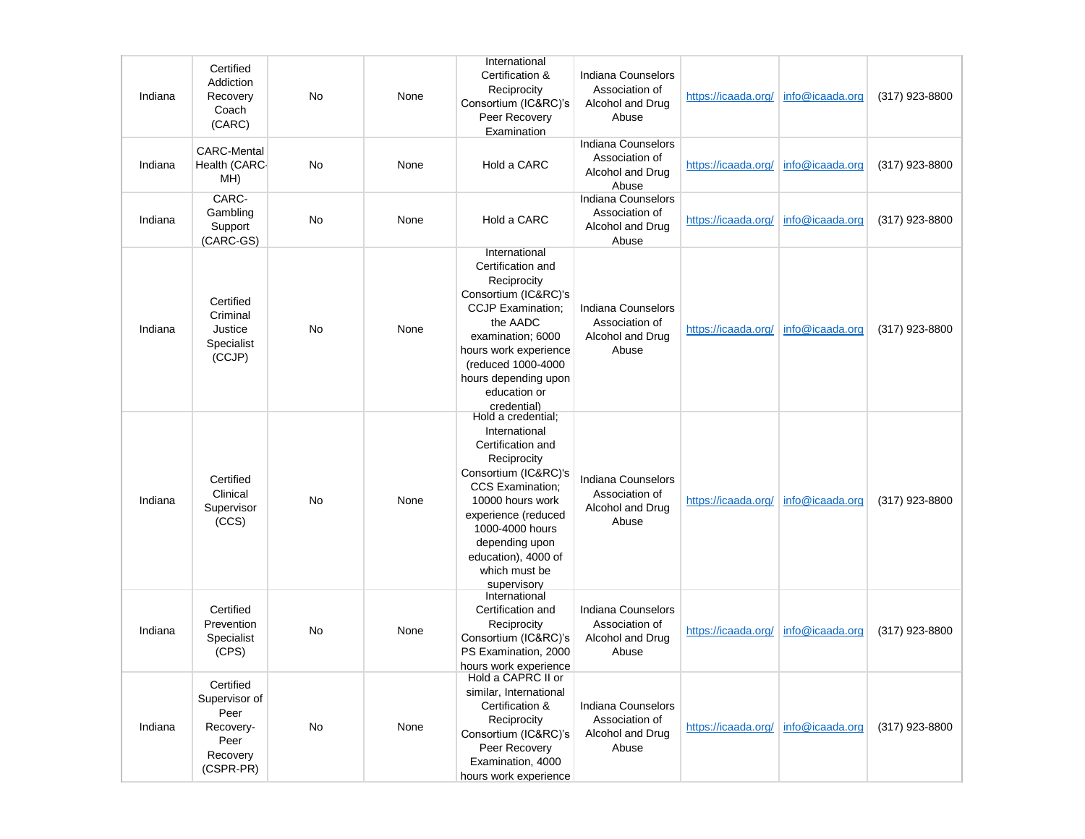| Indiana | Certified<br>Addiction<br>Recovery<br>Coach<br>(CARC)                            | No | None | International<br>Certification &<br>Reciprocity<br>Consortium (IC&RC)'s<br>Peer Recovery<br>Examination                                                                                                                                                           | Indiana Counselors<br>Association of<br>Alcohol and Drug<br>Abuse | https://icaada.org/                 | info@icaada.org | (317) 923-8800 |
|---------|----------------------------------------------------------------------------------|----|------|-------------------------------------------------------------------------------------------------------------------------------------------------------------------------------------------------------------------------------------------------------------------|-------------------------------------------------------------------|-------------------------------------|-----------------|----------------|
| Indiana | <b>CARC-Mental</b><br>Health (CARC-<br>MH)                                       | No | None | Hold a CARC                                                                                                                                                                                                                                                       | Indiana Counselors<br>Association of<br>Alcohol and Drug<br>Abuse | https://icaada.org/                 | info@icaada.org | (317) 923-8800 |
| Indiana | CARC-<br>Gambling<br>Support<br>(CARC-GS)                                        | No | None | Hold a CARC                                                                                                                                                                                                                                                       | Indiana Counselors<br>Association of<br>Alcohol and Drug<br>Abuse | https://icaada.org/                 | info@icaada.org | (317) 923-8800 |
| Indiana | Certified<br>Criminal<br>Justice<br>Specialist<br>(CCJP)                         | No | None | International<br>Certification and<br>Reciprocity<br>Consortium (IC&RC)'s<br><b>CCJP Examination;</b><br>the AADC<br>examination; 6000<br>hours work experience<br>(reduced 1000-4000<br>hours depending upon<br>education or<br>credential)                      | Indiana Counselors<br>Association of<br>Alcohol and Drug<br>Abuse | https://icaada.org/                 | info@icaada.org | (317) 923-8800 |
| Indiana | Certified<br>Clinical<br>Supervisor<br>(CCS)                                     | No | None | Hold a credential;<br>International<br>Certification and<br>Reciprocity<br>Consortium (IC&RC)'s<br><b>CCS Examination:</b><br>10000 hours work<br>experience (reduced<br>1000-4000 hours<br>depending upon<br>education), 4000 of<br>which must be<br>supervisory | Indiana Counselors<br>Association of<br>Alcohol and Drug<br>Abuse | https://icaada.org/                 | info@icaada.org | (317) 923-8800 |
| Indiana | Certified<br>Prevention<br>Specialist<br>(CPS)                                   | No | None | International<br>Certification and<br>Reciprocity<br>Consortium (IC&RC)'s<br>PS Examination, 2000<br>hours work experience                                                                                                                                        | Indiana Counselors<br>Association of<br>Alcohol and Drug<br>Abuse | https://icaada.org/                 | info@icaada.org | (317) 923-8800 |
| Indiana | Certified<br>Supervisor of<br>Peer<br>Recovery-<br>Peer<br>Recovery<br>(CSPR-PR) | No | None | Hold a CAPRC II or<br>similar, International<br>Certification &<br>Reciprocity<br>Consortium (IC&RC)'s<br>Peer Recovery<br>Examination, 4000<br>hours work experience                                                                                             | Indiana Counselors<br>Association of<br>Alcohol and Drug<br>Abuse | https://icaada.org/ info@icaada.org |                 | (317) 923-8800 |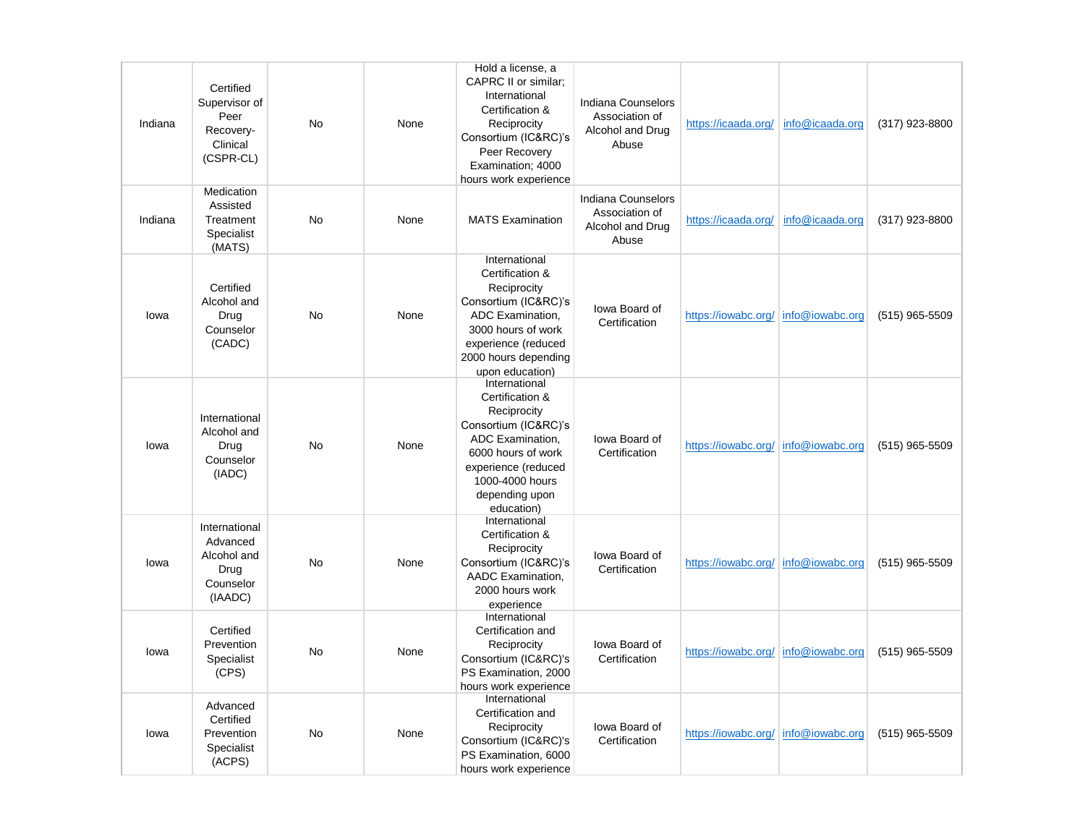| Indiana | Certified<br>Supervisor of<br>Peer<br>Recovery-<br>Clinical<br>(CSPR-CL) | No        | None | Hold a license, a<br>CAPRC II or similar:<br>International<br>Certification &<br>Reciprocity<br>Consortium (IC&RC)'s<br>Peer Recovery<br>Examination; 4000<br>hours work experience         | Indiana Counselors<br>Association of<br>Alcohol and Drug<br>Abuse | https://icaada.org/                   | info@icaada.org | (317) 923-8800   |
|---------|--------------------------------------------------------------------------|-----------|------|---------------------------------------------------------------------------------------------------------------------------------------------------------------------------------------------|-------------------------------------------------------------------|---------------------------------------|-----------------|------------------|
| Indiana | Medication<br>Assisted<br>Treatment<br>Specialist<br>(MATS)              | No        | None | <b>MATS Examination</b>                                                                                                                                                                     | Indiana Counselors<br>Association of<br>Alcohol and Drug<br>Abuse | https://icaada.org/                   | info@icaada.org | (317) 923-8800   |
| lowa    | Certified<br>Alcohol and<br>Drug<br>Counselor<br>(CADC)                  | <b>No</b> | None | International<br>Certification &<br>Reciprocity<br>Consortium (IC&RC)'s<br>ADC Examination.<br>3000 hours of work<br>experience (reduced<br>2000 hours depending<br>upon education)         | lowa Board of<br>Certification                                    | https://iowabc.org/                   | info@iowabc.org | $(515)$ 965-5509 |
| lowa    | International<br>Alcohol and<br>Drug<br>Counselor<br>(IADC)              | <b>No</b> | None | International<br>Certification &<br>Reciprocity<br>Consortium (IC&RC)'s<br>ADC Examination.<br>6000 hours of work<br>experience (reduced<br>1000-4000 hours<br>depending upon<br>education) | lowa Board of<br>Certification                                    | https://iowabc.org/                   | info@iowabc.org | (515) 965-5509   |
| lowa    | International<br>Advanced<br>Alcohol and<br>Drug<br>Counselor<br>(IAADC) | <b>No</b> | None | International<br>Certification &<br>Reciprocity<br>Consortium (IC&RC)'s<br>AADC Examination,<br>2000 hours work<br>experience                                                               | lowa Board of<br>Certification                                    | https://iowabc.org/ info@iowabc.org   |                 | $(515)$ 965-5509 |
| lowa    | Certified<br>Prevention<br>Specialist<br>(CPS)                           | <b>No</b> | None | International<br>Certification and<br>Reciprocity<br>Consortium (IC&RC)'s<br>PS Examination, 2000<br>hours work experience                                                                  | lowa Board of<br>Certification                                    | https://iowabc.org/ info@iowabc.org   |                 | (515) 965-5509   |
| lowa    | Advanced<br>Certified<br>Prevention<br>Specialist<br>(ACPS)              | No        | None | International<br>Certification and<br>Reciprocity<br>Consortium (IC&RC)'s<br>PS Examination, 6000<br>hours work experience                                                                  | lowa Board of<br>Certification                                    | https://iowabc.org/   info@iowabc.org |                 | $(515)$ 965-5509 |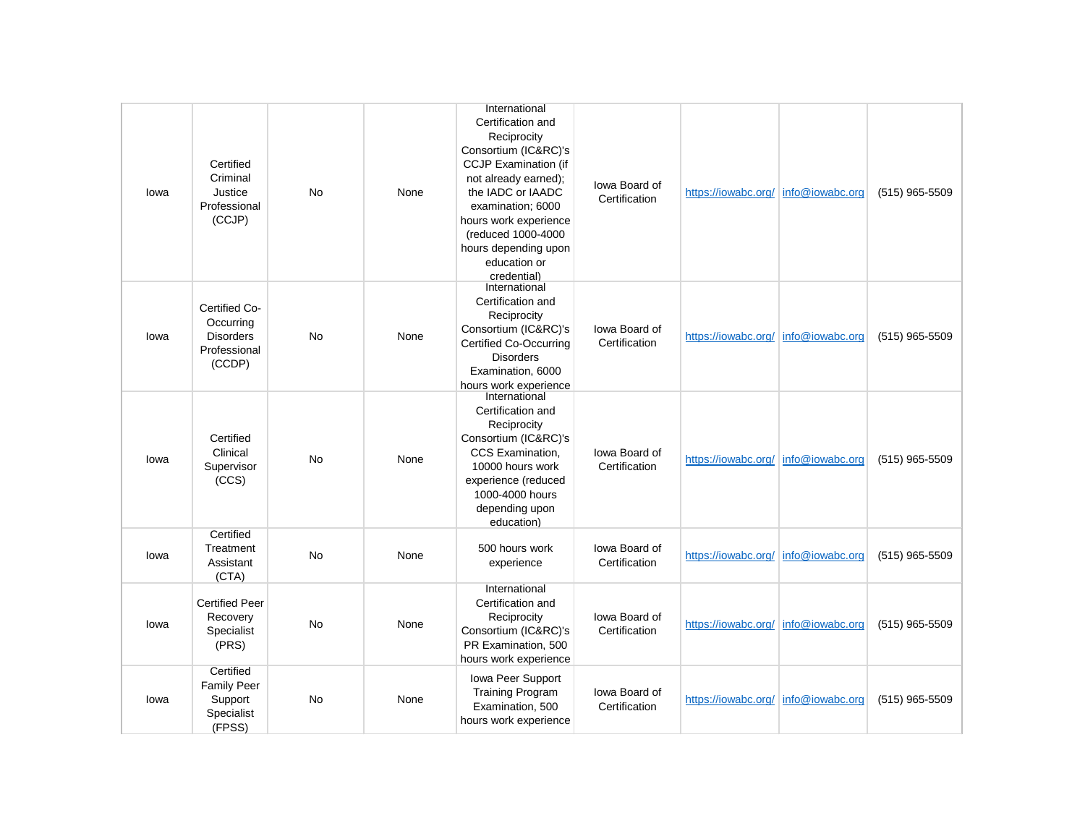| lowa | Certified<br>Criminal<br>Justice<br>Professional<br>(CCJP)               | <b>No</b> | None | International<br>Certification and<br>Reciprocity<br>Consortium (IC&RC)'s<br><b>CCJP Examination (if</b><br>not already earned);<br>the IADC or IAADC<br>examination; 6000<br>hours work experience<br>(reduced 1000-4000<br>hours depending upon<br>education or<br>credential) | lowa Board of<br>Certification | https://iowabc.org/   info@iowabc.org |                 | (515) 965-5509   |
|------|--------------------------------------------------------------------------|-----------|------|----------------------------------------------------------------------------------------------------------------------------------------------------------------------------------------------------------------------------------------------------------------------------------|--------------------------------|---------------------------------------|-----------------|------------------|
| lowa | Certified Co-<br>Occurring<br><b>Disorders</b><br>Professional<br>(CCDP) | No        | None | International<br>Certification and<br>Reciprocity<br>Consortium (IC&RC)'s<br><b>Certified Co-Occurring</b><br><b>Disorders</b><br>Examination, 6000<br>hours work experience                                                                                                     | lowa Board of<br>Certification | https://iowabc.org/ info@iowabc.org   |                 | $(515)$ 965-5509 |
| lowa | Certified<br>Clinical<br>Supervisor<br>(CCS)                             | <b>No</b> | None | International<br>Certification and<br>Reciprocity<br>Consortium (IC&RC)'s<br>CCS Examination,<br>10000 hours work<br>experience (reduced<br>1000-4000 hours<br>depending upon<br>education)                                                                                      | lowa Board of<br>Certification | https://jowabc.org/                   | info@iowabc.org | $(515)$ 965-5509 |
| lowa | Certified<br>Treatment<br>Assistant<br>(CTA)                             | <b>No</b> | None | 500 hours work<br>experience                                                                                                                                                                                                                                                     | lowa Board of<br>Certification | https://iowabc.org/   info@iowabc.org |                 | (515) 965-5509   |
| lowa | <b>Certified Peer</b><br>Recovery<br>Specialist<br>(PRS)                 | <b>No</b> | None | International<br>Certification and<br>Reciprocity<br>Consortium (IC&RC)'s<br>PR Examination, 500<br>hours work experience                                                                                                                                                        | lowa Board of<br>Certification | https://iowabc.org/ info@iowabc.org   |                 | $(515)$ 965-5509 |
| lowa | Certified<br><b>Family Peer</b><br>Support<br>Specialist<br>(FPSS)       | <b>No</b> | None | Iowa Peer Support<br><b>Training Program</b><br>Examination, 500<br>hours work experience                                                                                                                                                                                        | lowa Board of<br>Certification | https://iowabc.org/ info@iowabc.org   |                 | (515) 965-5509   |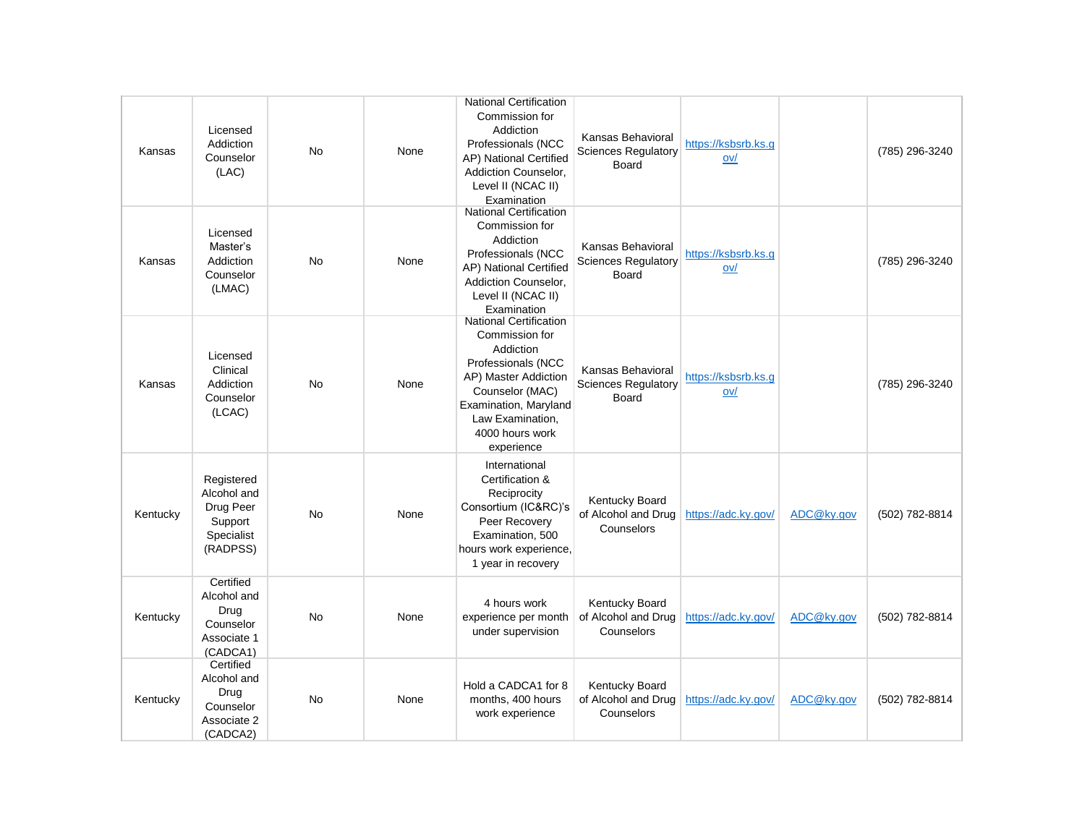| Kansas   | Licensed<br>Addiction<br>Counselor<br>(LAC)                                 | <b>No</b> | None | <b>National Certification</b><br>Commission for<br>Addiction<br>Professionals (NCC<br>AP) National Certified<br>Addiction Counselor,<br>Level II (NCAC II)<br>Examination                                   | Kansas Behavioral<br><b>Sciences Regulatory</b><br>Board | https://ksbsrb.ks.g<br>ov/ |            | (785) 296-3240 |
|----------|-----------------------------------------------------------------------------|-----------|------|-------------------------------------------------------------------------------------------------------------------------------------------------------------------------------------------------------------|----------------------------------------------------------|----------------------------|------------|----------------|
| Kansas   | Licensed<br>Master's<br>Addiction<br>Counselor<br>(LMAC)                    | <b>No</b> | None | <b>National Certification</b><br>Commission for<br>Addiction<br>Professionals (NCC<br>AP) National Certified<br>Addiction Counselor.<br>Level II (NCAC II)<br>Examination                                   | Kansas Behavioral<br><b>Sciences Regulatory</b><br>Board | https://ksbsrb.ks.g<br>ov/ |            | (785) 296-3240 |
| Kansas   | Licensed<br>Clinical<br>Addiction<br>Counselor<br>(LCAC)                    | <b>No</b> | None | <b>National Certification</b><br>Commission for<br>Addiction<br>Professionals (NCC<br>AP) Master Addiction<br>Counselor (MAC)<br>Examination, Maryland<br>Law Examination,<br>4000 hours work<br>experience | Kansas Behavioral<br><b>Sciences Regulatory</b><br>Board | https://ksbsrb.ks.g<br>ov/ |            | (785) 296-3240 |
| Kentucky | Registered<br>Alcohol and<br>Drug Peer<br>Support<br>Specialist<br>(RADPSS) | <b>No</b> | None | International<br>Certification &<br>Reciprocity<br>Consortium (IC&RC)'s<br>Peer Recovery<br>Examination, 500<br>hours work experience,<br>1 year in recovery                                                | Kentucky Board<br>of Alcohol and Drug<br>Counselors      | https://adc.ky.gov/        | ADC@ky.gov | (502) 782-8814 |
| Kentucky | Certified<br>Alcohol and<br>Drug<br>Counselor<br>Associate 1<br>(CADCA1)    | <b>No</b> | None | 4 hours work<br>experience per month<br>under supervision                                                                                                                                                   | Kentucky Board<br>of Alcohol and Drug<br>Counselors      | https://adc.ky.gov/        | ADC@ky.gov | (502) 782-8814 |
| Kentucky | Certified<br>Alcohol and<br>Drug<br>Counselor<br>Associate 2<br>(CADCA2)    | No        | None | Hold a CADCA1 for 8<br>months, 400 hours<br>work experience                                                                                                                                                 | Kentucky Board<br>of Alcohol and Drug<br>Counselors      | https://adc.ky.gov/        | ADC@ky.gov | (502) 782-8814 |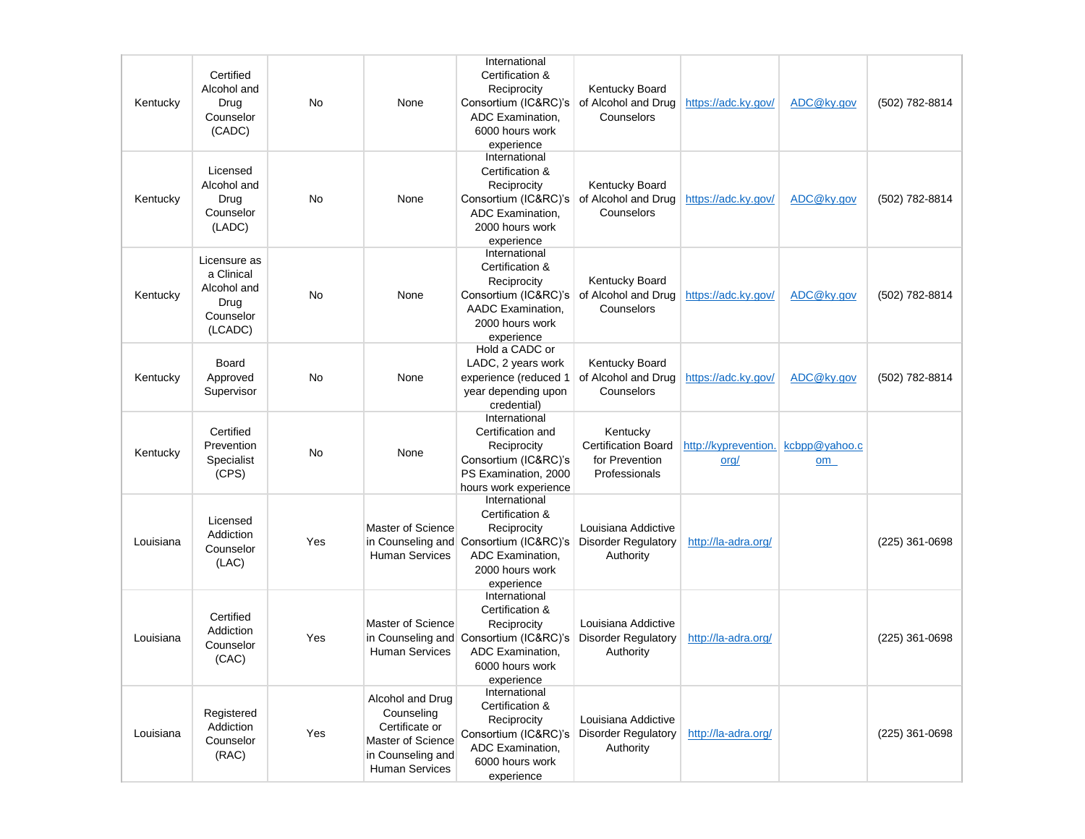| Kentucky  | Certified<br>Alcohol and<br>Drug<br>Counselor<br>(CADC)                   | <b>No</b> | None                                                                                                                | International<br>Certification &<br>Reciprocity<br>Consortium (IC&RC)'s<br>ADC Examination,<br>6000 hours work<br>experience                   | Kentucky Board<br>of Alcohol and Drug<br>Counselors                       | https://adc.ky.gov/                         | ADC@ky.gov | (502) 782-8814   |
|-----------|---------------------------------------------------------------------------|-----------|---------------------------------------------------------------------------------------------------------------------|------------------------------------------------------------------------------------------------------------------------------------------------|---------------------------------------------------------------------------|---------------------------------------------|------------|------------------|
| Kentucky  | Licensed<br>Alcohol and<br>Drug<br>Counselor<br>(LADC)                    | No        | None                                                                                                                | International<br>Certification &<br>Reciprocity<br>Consortium (IC&RC)'s<br>ADC Examination,<br>2000 hours work<br>experience                   | Kentucky Board<br>of Alcohol and Drug<br>Counselors                       | https://adc.ky.gov/                         | ADC@ky.gov | (502) 782-8814   |
| Kentucky  | Licensure as<br>a Clinical<br>Alcohol and<br>Drug<br>Counselor<br>(LCADC) | No        | None                                                                                                                | International<br>Certification &<br>Reciprocity<br>Consortium (IC&RC)'s<br>AADC Examination,<br>2000 hours work<br>experience                  | Kentucky Board<br>of Alcohol and Drug<br>Counselors                       | https://adc.ky.gov/                         | ADC@ky.gov | (502) 782-8814   |
| Kentucky  | Board<br>Approved<br>Supervisor                                           | No        | None                                                                                                                | Hold a CADC or<br>LADC, 2 years work<br>experience (reduced 1<br>year depending upon<br>credential)                                            | Kentucky Board<br>of Alcohol and Drug<br>Counselors                       | https://adc.ky.gov/                         | ADC@kv.gov | (502) 782-8814   |
| Kentucky  | Certified<br>Prevention<br>Specialist<br>(CPS)                            | No        | None                                                                                                                | International<br>Certification and<br>Reciprocity<br>Consortium (IC&RC)'s<br>PS Examination, 2000<br>hours work experience                     | Kentucky<br><b>Certification Board</b><br>for Prevention<br>Professionals | http://kyprevention. kcbpp@yahoo.c<br>$org$ | om         |                  |
| Louisiana | Licensed<br>Addiction<br>Counselor<br>(LAC)                               | Yes       | Master of Science<br>in Counseling and<br><b>Human Services</b>                                                     | International<br>Certification &<br>Reciprocity<br>Consortium (IC&RC)'s<br>ADC Examination,<br>2000 hours work<br>experience                   | Louisiana Addictive<br><b>Disorder Regulatory</b><br>Authority            | http://la-adra.org/                         |            | (225) 361-0698   |
| Louisiana | Certified<br>Addiction<br>Counselor<br>(CAC)                              | Yes       | Master of Science<br><b>Human Services</b>                                                                          | International<br>Certification &<br>Reciprocity<br>in Counseling and Consortium (IC&RC)'s<br>ADC Examination,<br>6000 hours work<br>experience | Louisiana Addictive<br><b>Disorder Regulatory</b><br>Authority            | http://la-adra.org/                         |            | (225) 361-0698   |
| Louisiana | Registered<br>Addiction<br>Counselor<br>(RAC)                             | Yes       | Alcohol and Drug<br>Counseling<br>Certificate or<br>Master of Science<br>in Counseling and<br><b>Human Services</b> | International<br>Certification &<br>Reciprocity<br>Consortium (IC&RC)'s<br>ADC Examination,<br>6000 hours work<br>experience                   | Louisiana Addictive<br><b>Disorder Regulatory</b><br>Authority            | http://la-adra.org/                         |            | $(225)$ 361-0698 |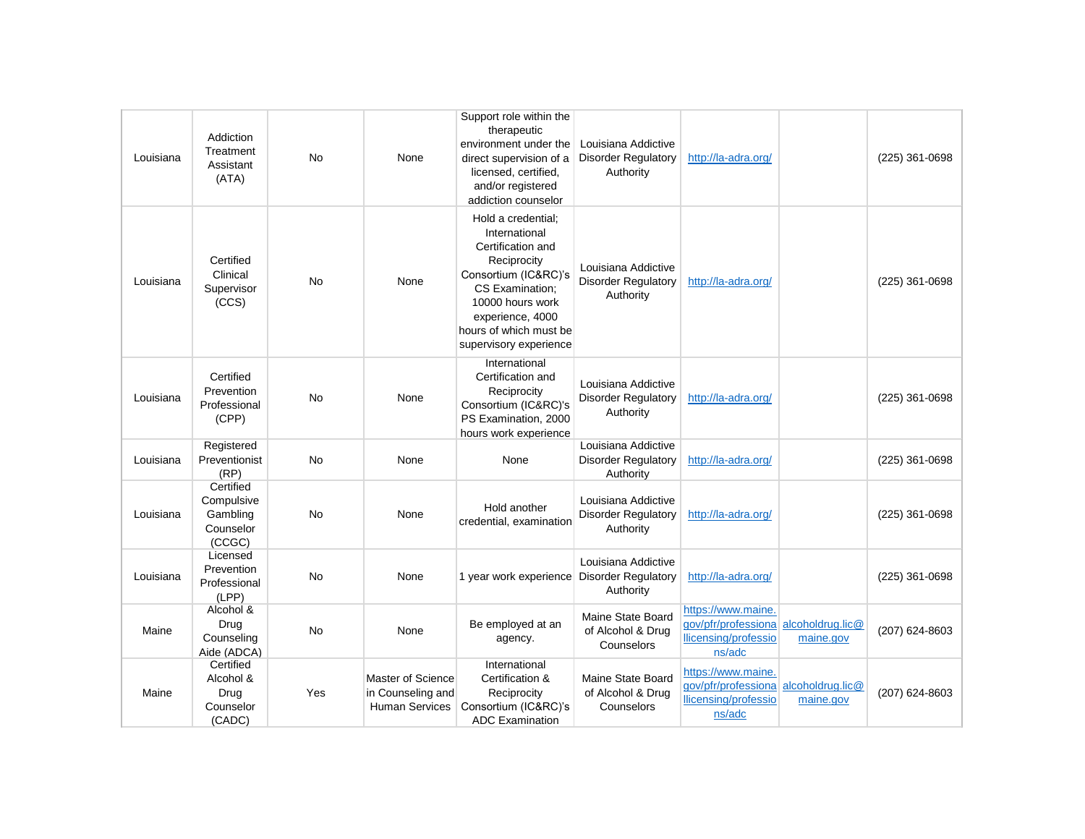| Louisiana | Addiction<br>Treatment<br>Assistant<br>(ATA)               | <b>No</b> | None                                                            | Support role within the<br>therapeutic<br>environment under the<br>direct supervision of a<br>licensed, certified,<br>and/or registered<br>addiction counselor                                                 | Louisiana Addictive<br><b>Disorder Regulatory</b><br>Authority | http://la-adra.org/                                                                          |           | (225) 361-0698   |
|-----------|------------------------------------------------------------|-----------|-----------------------------------------------------------------|----------------------------------------------------------------------------------------------------------------------------------------------------------------------------------------------------------------|----------------------------------------------------------------|----------------------------------------------------------------------------------------------|-----------|------------------|
| Louisiana | Certified<br>Clinical<br>Supervisor<br>(CCS)               | <b>No</b> | None                                                            | Hold a credential;<br>International<br>Certification and<br>Reciprocity<br>Consortium (IC&RC)'s<br>CS Examination;<br>10000 hours work<br>experience, 4000<br>hours of which must be<br>supervisory experience | Louisiana Addictive<br><b>Disorder Regulatory</b><br>Authority | http://la-adra.org/                                                                          |           | $(225)$ 361-0698 |
| Louisiana | Certified<br>Prevention<br>Professional<br>(CPP)           | <b>No</b> | None                                                            | International<br>Certification and<br>Reciprocity<br>Consortium (IC&RC)'s<br>PS Examination, 2000<br>hours work experience                                                                                     | Louisiana Addictive<br><b>Disorder Regulatory</b><br>Authority | http://la-adra.org/                                                                          |           | (225) 361-0698   |
| Louisiana | Registered<br>Preventionist<br>(RP)                        | <b>No</b> | None                                                            | None                                                                                                                                                                                                           | Louisiana Addictive<br><b>Disorder Regulatory</b><br>Authority | http://la-adra.org/                                                                          |           | (225) 361-0698   |
| Louisiana | Certified<br>Compulsive<br>Gambling<br>Counselor<br>(CCGC) | No        | None                                                            | Hold another<br>credential, examination                                                                                                                                                                        | Louisiana Addictive<br><b>Disorder Regulatory</b><br>Authority | http://la-adra.org/                                                                          |           | (225) 361-0698   |
| Louisiana | Licensed<br>Prevention<br>Professional<br>(LPP)            | <b>No</b> | None                                                            | 1 year work experience Disorder Regulatory                                                                                                                                                                     | Louisiana Addictive<br>Authority                               | http://la-adra.org/                                                                          |           | (225) 361-0698   |
| Maine     | Alcohol &<br>Drug<br>Counseling<br>Aide (ADCA)             | No        | None                                                            | Be employed at an<br>agency.                                                                                                                                                                                   | Maine State Board<br>of Alcohol & Drug<br>Counselors           | https://www.maine.<br>gov/pfr/professiona alcoholdrug.lic@<br>llicensing/professio<br>ns/adc | maine.gov | (207) 624-8603   |
| Maine     | Certified<br>Alcohol &<br>Drug<br>Counselor<br>(CADC)      | Yes       | Master of Science<br>in Counseling and<br><b>Human Services</b> | International<br>Certification &<br>Reciprocity<br>Consortium (IC&RC)'s<br><b>ADC Examination</b>                                                                                                              | Maine State Board<br>of Alcohol & Drug<br>Counselors           | https://www.maine.<br>gov/pfr/professiona alcoholdrug.lic@<br>llicensing/professio<br>ns/adc | maine.gov | (207) 624-8603   |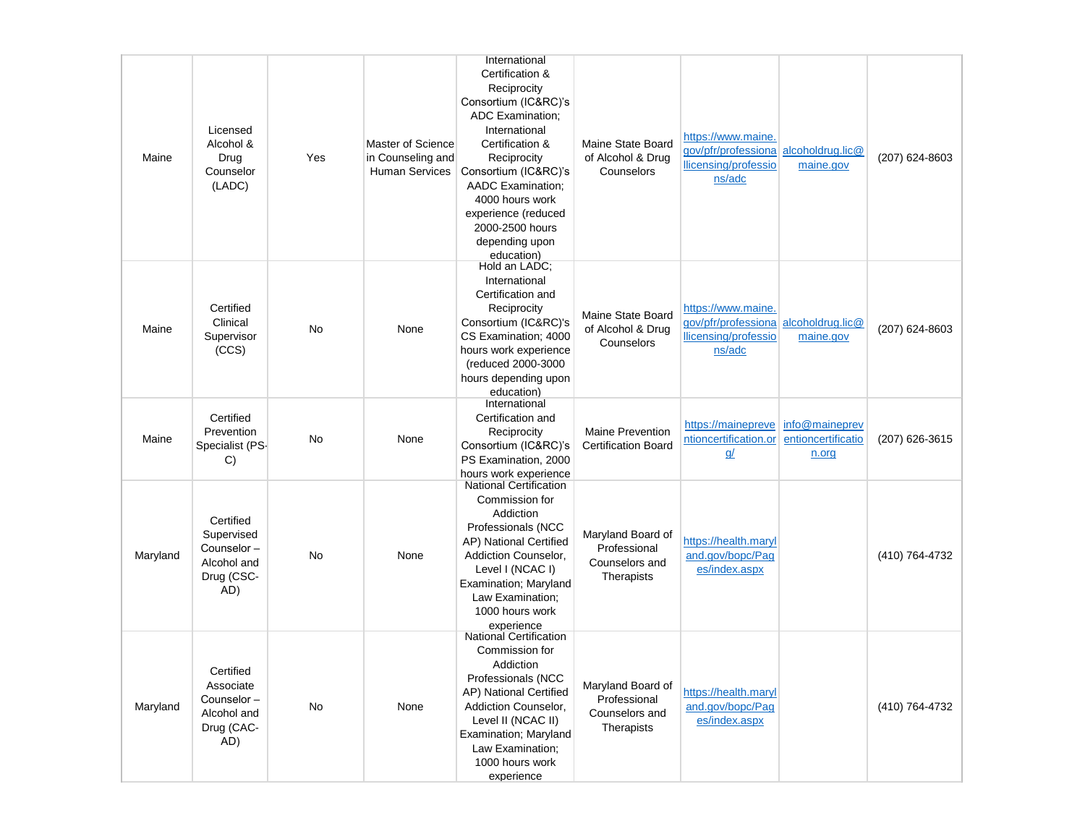| Maine    | Licensed<br>Alcohol &<br>Drug<br>Counselor<br>(LADC)                      | Yes | Master of Science<br>in Counseling and<br><b>Human Services</b> | International<br>Certification &<br>Reciprocity<br>Consortium (IC&RC)'s<br><b>ADC Examination:</b><br>International<br>Certification &<br>Reciprocity<br>Consortium (IC&RC)'s<br><b>AADC</b> Examination;<br>4000 hours work<br>experience (reduced<br>2000-2500 hours<br>depending upon<br>education) | Maine State Board<br>of Alcohol & Drug<br>Counselors              | https://www.maine.<br>gov/pfr/professiona alcoholdrug.lic@<br>llicensing/professio<br>ns/adc | maine.gov                                     | (207) 624-8603 |
|----------|---------------------------------------------------------------------------|-----|-----------------------------------------------------------------|--------------------------------------------------------------------------------------------------------------------------------------------------------------------------------------------------------------------------------------------------------------------------------------------------------|-------------------------------------------------------------------|----------------------------------------------------------------------------------------------|-----------------------------------------------|----------------|
| Maine    | Certified<br>Clinical<br>Supervisor<br>(CCS)                              | No  | None                                                            | Hold an LADC;<br>International<br>Certification and<br>Reciprocity<br>Consortium (IC&RC)'s<br>CS Examination; 4000<br>hours work experience<br>(reduced 2000-3000<br>hours depending upon<br>education)                                                                                                | Maine State Board<br>of Alcohol & Drug<br>Counselors              | https://www.maine.<br>gov/pfr/professiona alcoholdrug.lic@<br>llicensing/professio<br>ns/adc | maine.gov                                     | (207) 624-8603 |
| Maine    | Certified<br>Prevention<br>Specialist (PS-<br>C)                          | No  | None                                                            | International<br>Certification and<br>Reciprocity<br>Consortium (IC&RC)'s<br>PS Examination, 2000<br>hours work experience                                                                                                                                                                             | <b>Maine Prevention</b><br><b>Certification Board</b>             | https://mainepreve<br>ntioncertification.or<br><u>q/</u>                                     | info@maineprev<br>entioncertificatio<br>n.org | (207) 626-3615 |
| Maryland | Certified<br>Supervised<br>Counselor-<br>Alcohol and<br>Drug (CSC-<br>AD) | No  | None                                                            | <b>National Certification</b><br>Commission for<br>Addiction<br>Professionals (NCC<br>AP) National Certified<br>Addiction Counselor,<br>Level I (NCAC I)<br>Examination; Maryland<br>Law Examination;<br>1000 hours work<br>experience                                                                 | Maryland Board of<br>Professional<br>Counselors and<br>Therapists | https://health.maryl<br>and.gov/bopc/Pag<br>es/index.aspx                                    |                                               | (410) 764-4732 |
| Maryland | Certified<br>Associate<br>Counselor-<br>Alcohol and<br>Drug (CAC-<br>AD)  | No  | None                                                            | <b>National Certification</b><br>Commission for<br>Addiction<br>Professionals (NCC<br>AP) National Certified<br>Addiction Counselor,<br>Level II (NCAC II)<br>Examination; Maryland<br>Law Examination;<br>1000 hours work<br>experience                                                               | Maryland Board of<br>Professional<br>Counselors and<br>Therapists | https://health.maryl<br>and.gov/bopc/Pag<br>es/index.aspx                                    |                                               | (410) 764-4732 |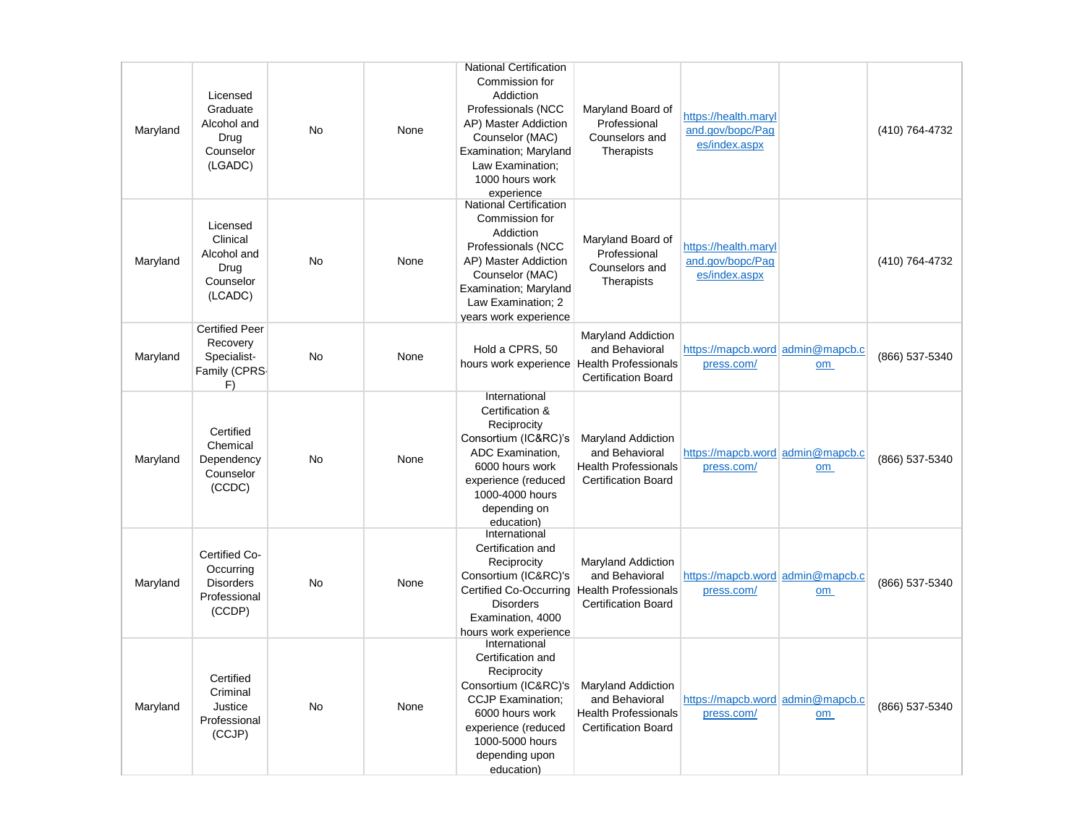| Maryland | Licensed<br>Graduate<br>Alcohol and<br>Drug<br>Counselor<br>(LGADC)      | <b>No</b> | None | <b>National Certification</b><br>Commission for<br>Addiction<br>Professionals (NCC<br>AP) Master Addiction<br>Counselor (MAC)<br>Examination; Maryland<br>Law Examination;<br>1000 hours work<br>experience | Maryland Board of<br>Professional<br>Counselors and<br>Therapists                                        | https://health.maryl<br>and.gov/bopc/Pag<br>es/index.aspx |    | (410) 764-4732 |
|----------|--------------------------------------------------------------------------|-----------|------|-------------------------------------------------------------------------------------------------------------------------------------------------------------------------------------------------------------|----------------------------------------------------------------------------------------------------------|-----------------------------------------------------------|----|----------------|
| Maryland | Licensed<br>Clinical<br>Alcohol and<br>Drug<br>Counselor<br>(LCADC)      | <b>No</b> | None | <b>National Certification</b><br>Commission for<br>Addiction<br>Professionals (NCC<br>AP) Master Addiction<br>Counselor (MAC)<br>Examination; Maryland<br>Law Examination; 2<br>years work experience       | Maryland Board of<br>Professional<br>Counselors and<br>Therapists                                        | https://health.maryl<br>and.gov/bopc/Pag<br>es/index.aspx |    | (410) 764-4732 |
| Maryland | <b>Certified Peer</b><br>Recovery<br>Specialist-<br>Family (CPRS-<br>F)  | No        | None | Hold a CPRS, 50<br>hours work experience Health Professionals                                                                                                                                               | <b>Maryland Addiction</b><br>and Behavioral<br><b>Certification Board</b>                                | https://mapcb.word admin@mapcb.c<br>press.com/            | om | (866) 537-5340 |
| Maryland | Certified<br>Chemical<br>Dependency<br>Counselor<br>(CCDC)               | <b>No</b> | None | International<br>Certification &<br>Reciprocity<br>Consortium (IC&RC)'s<br>ADC Examination.<br>6000 hours work<br>experience (reduced<br>1000-4000 hours<br>depending on<br>education)                      | <b>Maryland Addiction</b><br>and Behavioral<br><b>Health Professionals</b><br><b>Certification Board</b> | https://mapcb.word admin@mapcb.c<br>press.com/            | om | (866) 537-5340 |
| Maryland | Certified Co-<br>Occurring<br><b>Disorders</b><br>Professional<br>(CCDP) | No        | None | International<br>Certification and<br>Reciprocity<br>Consortium (IC&RC)'s<br>Certified Co-Occurring<br><b>Disorders</b><br>Examination, 4000<br>hours work experience                                       | <b>Maryland Addiction</b><br>and Behavioral<br><b>Health Professionals</b><br><b>Certification Board</b> | https://mapcb.word admin@mapcb.c<br>press.com/            | om | (866) 537-5340 |
| Maryland | Certified<br>Criminal<br>Justice<br>Professional<br>(CCJP)               | <b>No</b> | None | International<br>Certification and<br>Reciprocity<br>Consortium (IC&RC)'s<br><b>CCJP Examination:</b><br>6000 hours work<br>experience (reduced<br>1000-5000 hours<br>depending upon<br>education)          | <b>Maryland Addiction</b><br>and Behavioral<br><b>Health Professionals</b><br><b>Certification Board</b> | https://mapcb.word admin@mapcb.c<br>press.com/            | om | (866) 537-5340 |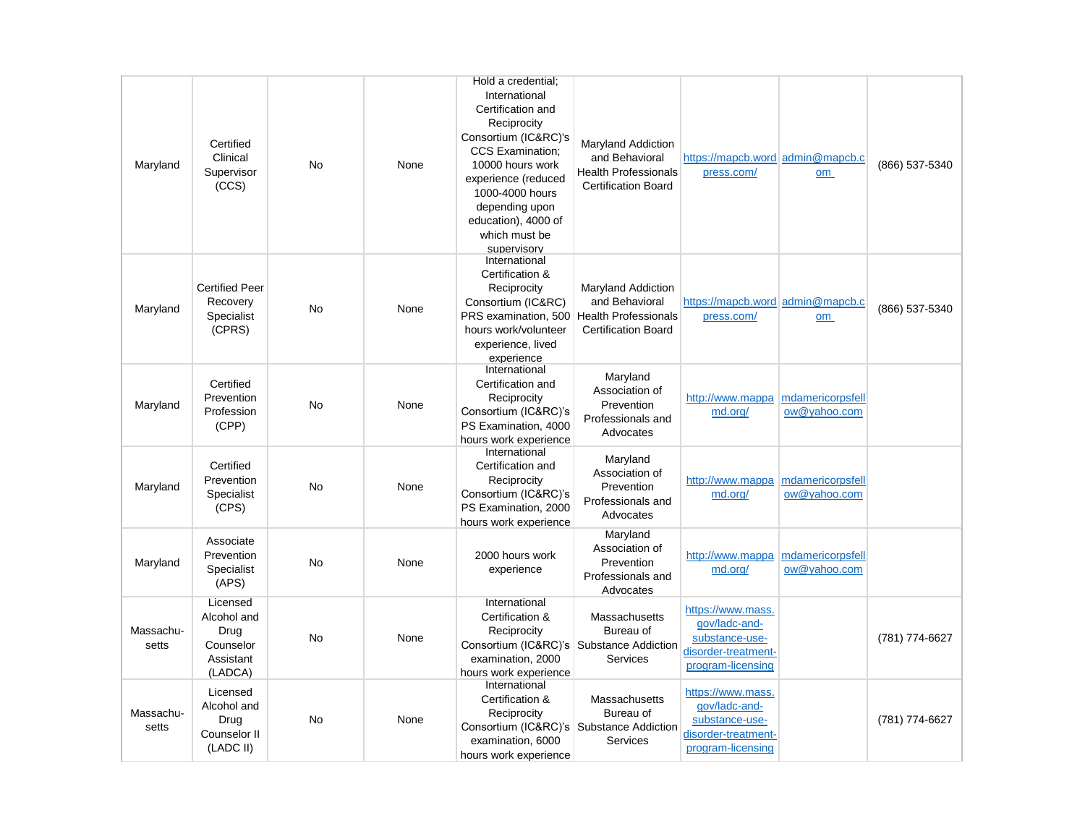| Maryland           | Certified<br>Clinical<br>Supervisor<br>(CCS)                         | <b>No</b> | None | Hold a credential;<br>International<br>Certification and<br>Reciprocity<br>Consortium (IC&RC)'s<br><b>CCS Examination:</b><br>10000 hours work<br>experience (reduced<br>1000-4000 hours<br>depending upon<br>education), 4000 of<br>which must be<br>supervisory | <b>Maryland Addiction</b><br>and Behavioral<br><b>Health Professionals</b><br><b>Certification Board</b> | https://mapcb.word admin@mapcb.c<br>press.com/                                                   | om                               | (866) 537-5340 |
|--------------------|----------------------------------------------------------------------|-----------|------|-------------------------------------------------------------------------------------------------------------------------------------------------------------------------------------------------------------------------------------------------------------------|----------------------------------------------------------------------------------------------------------|--------------------------------------------------------------------------------------------------|----------------------------------|----------------|
| Maryland           | <b>Certified Peer</b><br>Recovery<br>Specialist<br>(CPRS)            | No        | None | International<br>Certification &<br>Reciprocity<br>Consortium (IC&RC)<br>PRS examination, 500<br>hours work/volunteer<br>experience, lived<br>experience                                                                                                          | Maryland Addiction<br>and Behavioral<br><b>Health Professionals</b><br><b>Certification Board</b>        | https://mapcb.word admin@mapcb.c<br>press.com/                                                   | om                               | (866) 537-5340 |
| Maryland           | Certified<br>Prevention<br>Profession<br>(CPP)                       | No        | None | International<br>Certification and<br>Reciprocity<br>Consortium (IC&RC)'s<br>PS Examination, 4000<br>hours work experience                                                                                                                                        | Maryland<br>Association of<br>Prevention<br>Professionals and<br>Advocates                               | http://www.mappa<br>md.org/                                                                      | mdamericorpsfell<br>ow@yahoo.com |                |
| Maryland           | Certified<br>Prevention<br>Specialist<br>(CPS)                       | <b>No</b> | None | International<br>Certification and<br>Reciprocity<br>Consortium (IC&RC)'s<br>PS Examination, 2000<br>hours work experience                                                                                                                                        | Maryland<br>Association of<br>Prevention<br>Professionals and<br>Advocates                               | http://www.mappa<br>md.org/                                                                      | mdamericorpsfell<br>ow@yahoo.com |                |
| Maryland           | Associate<br>Prevention<br>Specialist<br>(APS)                       | No        | None | 2000 hours work<br>experience                                                                                                                                                                                                                                     | Maryland<br>Association of<br>Prevention<br>Professionals and<br>Advocates                               | http://www.mappa<br>md.org/                                                                      | mdamericorpsfell<br>ow@yahoo.com |                |
| Massachu-<br>setts | Licensed<br>Alcohol and<br>Drug<br>Counselor<br>Assistant<br>(LADCA) | No        | None | International<br>Certification &<br>Reciprocity<br>Consortium (IC&RC)'s Substance Addiction<br>examination, 2000<br>hours work experience                                                                                                                         | Massachusetts<br>Bureau of<br>Services                                                                   | https://www.mass.<br>gov/ladc-and-<br>substance-use-<br>disorder-treatment-<br>program-licensing |                                  | (781) 774-6627 |
| Massachu-<br>setts | Licensed<br>Alcohol and<br>Drug<br>Counselor II<br>(LADC II)         | <b>No</b> | None | International<br>Certification &<br>Reciprocity<br>Consortium (IC&RC)'s Substance Addiction<br>examination, 6000<br>hours work experience                                                                                                                         | Massachusetts<br>Bureau of<br>Services                                                                   | https://www.mass.<br>gov/ladc-and-<br>substance-use-<br>disorder-treatment-<br>program-licensing |                                  | (781) 774-6627 |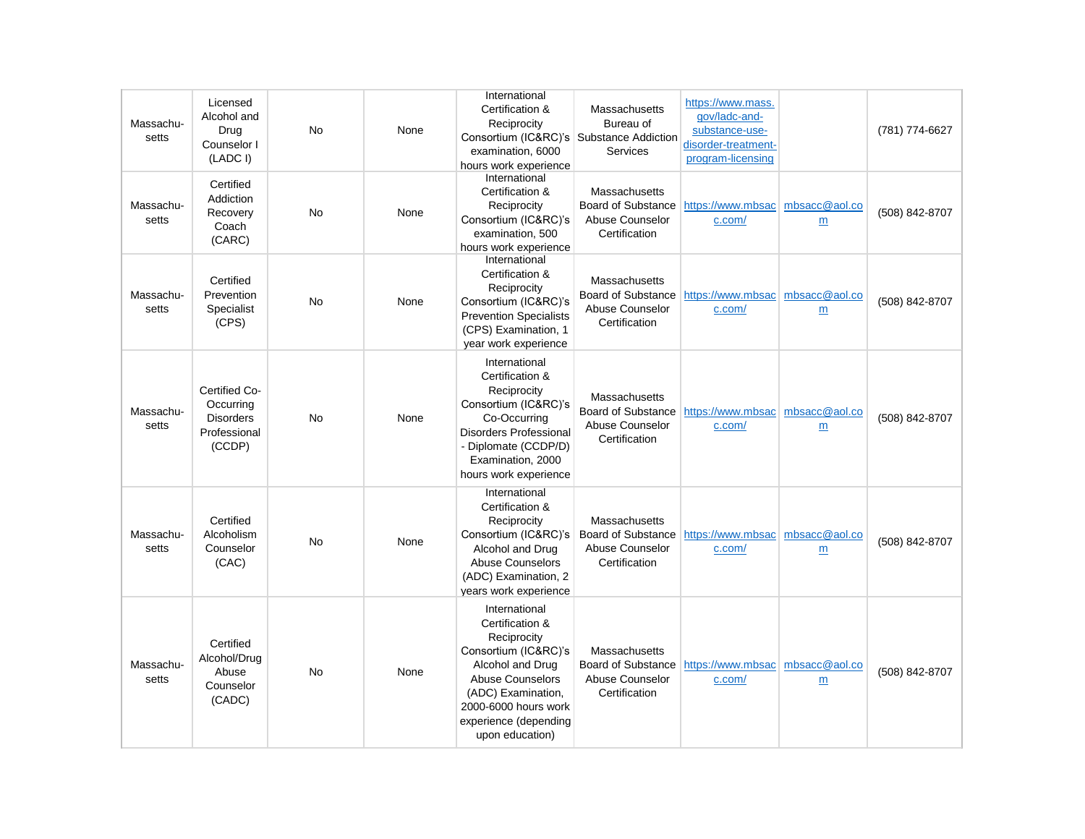| Massachu-<br>setts | Licensed<br>Alcohol and<br>Drug<br>Counselor I<br>(LADC I)               | <b>No</b> | None | International<br>Certification &<br>Reciprocity<br>Consortium (IC&RC)'s Substance Addiction<br>examination, 6000<br>hours work experience                                                                        | Massachusetts<br>Bureau of<br>Services                                         | https://www.mass.<br>qov/ladc-and-<br>substance-use-<br>disorder-treatment-<br>program-licensing |                    | (781) 774-6627 |
|--------------------|--------------------------------------------------------------------------|-----------|------|------------------------------------------------------------------------------------------------------------------------------------------------------------------------------------------------------------------|--------------------------------------------------------------------------------|--------------------------------------------------------------------------------------------------|--------------------|----------------|
| Massachu-<br>setts | Certified<br>Addiction<br>Recovery<br>Coach<br>(CARC)                    | <b>No</b> | None | International<br>Certification &<br>Reciprocity<br>Consortium (IC&RC)'s<br>examination, 500<br>hours work experience                                                                                             | Massachusetts<br>Board of Substance<br>Abuse Counselor<br>Certification        | https://www.mbsac<br>c.com/                                                                      | mbsacc@aol.co<br>m | (508) 842-8707 |
| Massachu-<br>setts | Certified<br>Prevention<br>Specialist<br>(CPS)                           | No        | None | International<br>Certification &<br>Reciprocity<br>Consortium (IC&RC)'s<br><b>Prevention Specialists</b><br>(CPS) Examination, 1<br>year work experience                                                         | Massachusetts<br><b>Board of Substance</b><br>Abuse Counselor<br>Certification | https://www.mbsac   mbsacc@aol.co<br>c.com/                                                      | m                  | (508) 842-8707 |
| Massachu-<br>setts | Certified Co-<br>Occurring<br><b>Disorders</b><br>Professional<br>(CCDP) | No        | None | International<br>Certification &<br>Reciprocity<br>Consortium (IC&RC)'s<br>Co-Occurring<br><b>Disorders Professional</b><br>- Diplomate (CCDP/D)<br>Examination, 2000<br>hours work experience                   | Massachusetts<br>Board of Substance<br>Abuse Counselor<br>Certification        | https://www.mbsac   mbsacc@aol.co<br>c.com/                                                      | m                  | (508) 842-8707 |
| Massachu-<br>setts | Certified<br>Alcoholism<br>Counselor<br>(CAC)                            | <b>No</b> | None | International<br>Certification &<br>Reciprocity<br>Consortium (IC&RC)'s<br>Alcohol and Drug<br><b>Abuse Counselors</b><br>(ADC) Examination, 2<br>vears work experience                                          | Massachusetts<br>Board of Substance<br>Abuse Counselor<br>Certification        | https://www.mbsac   mbsacc@aol.co<br>c.com/                                                      | m                  | (508) 842-8707 |
| Massachu-<br>setts | Certified<br>Alcohol/Drug<br>Abuse<br>Counselor<br>(CADC)                | No        | None | International<br>Certification &<br>Reciprocity<br>Consortium (IC&RC)'s<br>Alcohol and Drug<br><b>Abuse Counselors</b><br>(ADC) Examination,<br>2000-6000 hours work<br>experience (depending<br>upon education) | Massachusetts<br>Board of Substance<br>Abuse Counselor<br>Certification        | https://www.mbsac   mbsacc@aol.co<br>c.com/                                                      | m                  | (508) 842-8707 |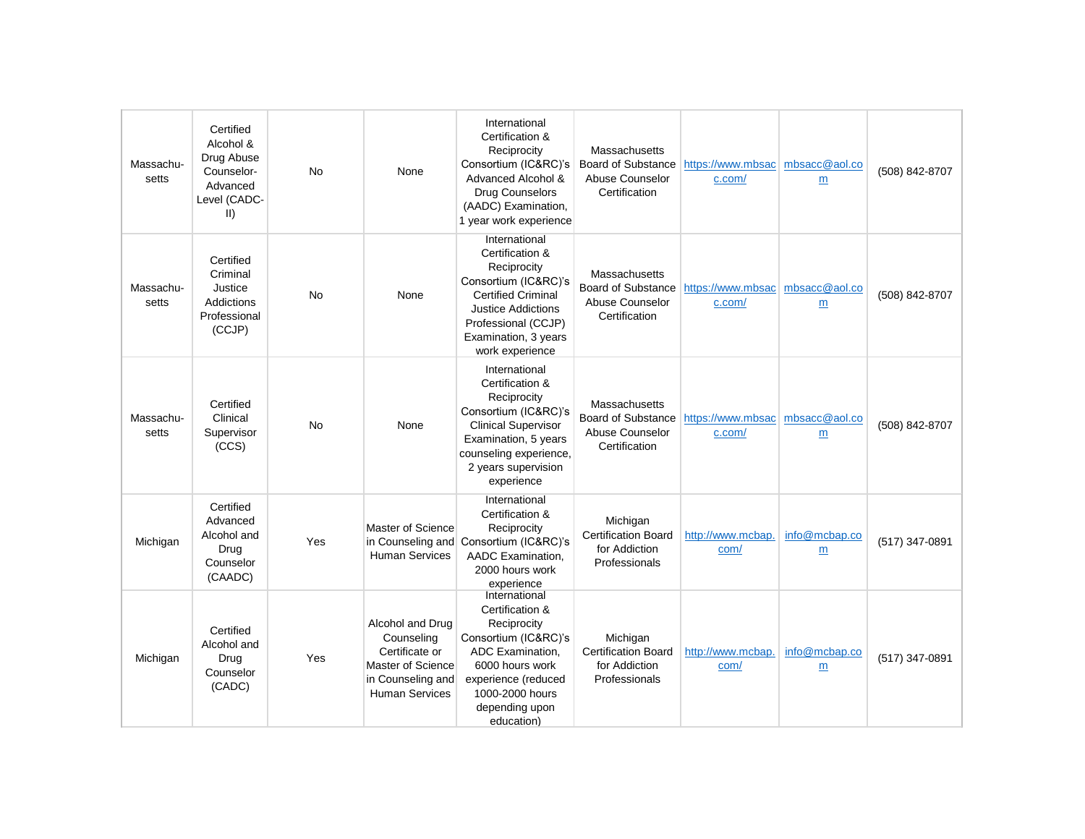| Massachu-<br>setts | Certified<br>Alcohol &<br>Drug Abuse<br>Counselor-<br>Advanced<br>Level (CADC-<br>$\vert \vert$ | <b>No</b> | None                                                                                                                | International<br>Certification &<br>Reciprocity<br>Consortium (IC&RC)'s<br>Advanced Alcohol &<br><b>Drug Counselors</b><br>(AADC) Examination,<br>1 year work experience                            | Massachusetts<br><b>Board of Substance</b><br>Abuse Counselor<br>Certification | https://www.mbsac<br>c.com/                 | mbsacc@aol.co<br>m | (508) 842-8707 |
|--------------------|-------------------------------------------------------------------------------------------------|-----------|---------------------------------------------------------------------------------------------------------------------|-----------------------------------------------------------------------------------------------------------------------------------------------------------------------------------------------------|--------------------------------------------------------------------------------|---------------------------------------------|--------------------|----------------|
| Massachu-<br>setts | Certified<br>Criminal<br>Justice<br><b>Addictions</b><br>Professional<br>(CCJP)                 | No        | None                                                                                                                | International<br>Certification &<br>Reciprocity<br>Consortium (IC&RC)'s<br><b>Certified Criminal</b><br><b>Justice Addictions</b><br>Professional (CCJP)<br>Examination, 3 years<br>work experience | Massachusetts<br>Board of Substance<br>Abuse Counselor<br>Certification        | https://www.mbsac mbsacc@aol.co<br>c.com/   | $\underline{m}$    | (508) 842-8707 |
| Massachu-<br>setts | Certified<br>Clinical<br>Supervisor<br>(CCS)                                                    | <b>No</b> | None                                                                                                                | International<br>Certification &<br>Reciprocity<br>Consortium (IC&RC)'s<br><b>Clinical Supervisor</b><br>Examination, 5 years<br>counseling experience,<br>2 years supervision<br>experience        | Massachusetts<br>Board of Substance<br>Abuse Counselor<br>Certification        | https://www.mbsac   mbsacc@aol.co<br>c.com/ | m                  | (508) 842-8707 |
| Michigan           | Certified<br>Advanced<br>Alcohol and<br>Drug<br>Counselor<br>(CAADC)                            | Yes       | Master of Science<br>in Counseling and<br><b>Human Services</b>                                                     | International<br>Certification &<br>Reciprocity<br>Consortium (IC&RC)'s<br>AADC Examination,<br>2000 hours work<br>experience                                                                       | Michigan<br><b>Certification Board</b><br>for Addiction<br>Professionals       | http://www.mcbap.<br>com/                   | info@mcbap.co<br>m | (517) 347-0891 |
| Michigan           | Certified<br>Alcohol and<br>Drug<br>Counselor<br>(CADC)                                         | Yes       | Alcohol and Drug<br>Counseling<br>Certificate or<br>Master of Science<br>in Counseling and<br><b>Human Services</b> | International<br>Certification &<br>Reciprocity<br>Consortium (IC&RC)'s<br>ADC Examination,<br>6000 hours work<br>experience (reduced<br>1000-2000 hours<br>depending upon<br>education)            | Michigan<br><b>Certification Board</b><br>for Addiction<br>Professionals       | http://www.mcbap.<br>com/                   | info@mcbap.co<br>m | (517) 347-0891 |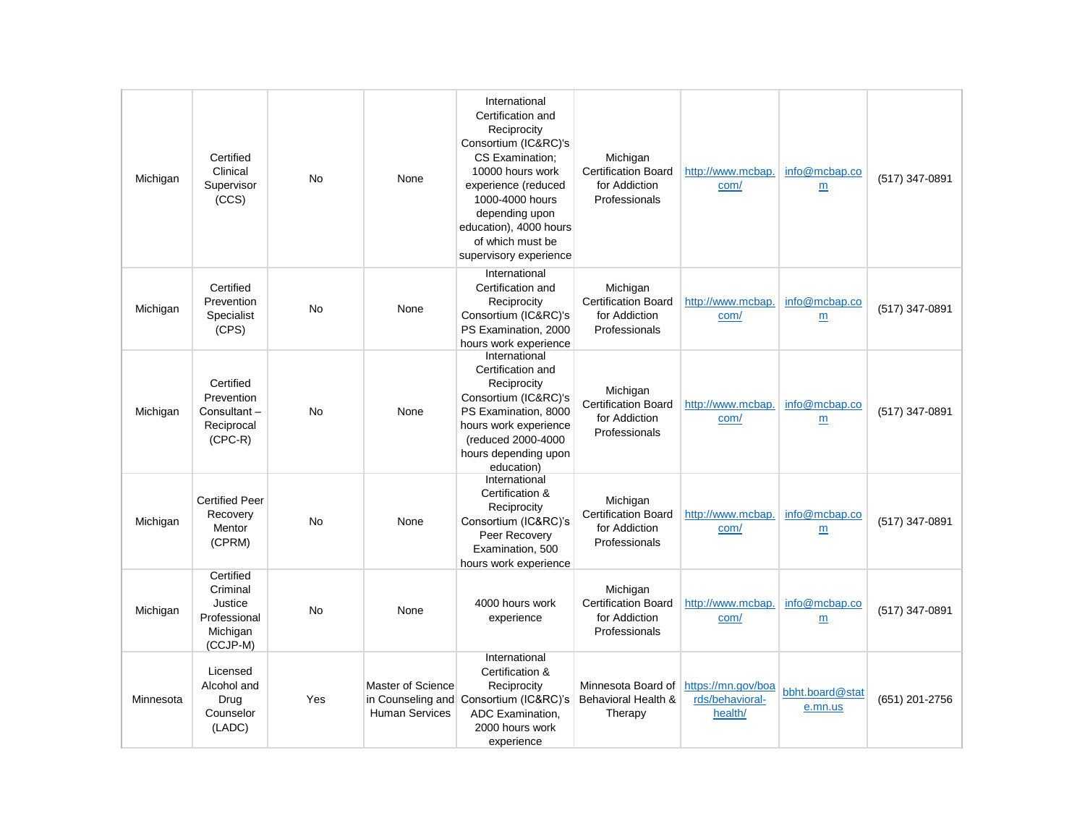| Michigan  | Certified<br>Clinical<br>Supervisor<br>(CCS)                             | <b>No</b> | None                                                            | International<br>Certification and<br>Reciprocity<br>Consortium (IC&RC)'s<br>CS Examination:<br>10000 hours work<br>experience (reduced<br>1000-4000 hours<br>depending upon<br>education), 4000 hours<br>of which must be<br>supervisory experience | Michigan<br><b>Certification Board</b><br>for Addiction<br>Professionals | http://www.mcbap.<br>com/                        | info@mcbap.co<br>m               | (517) 347-0891 |
|-----------|--------------------------------------------------------------------------|-----------|-----------------------------------------------------------------|------------------------------------------------------------------------------------------------------------------------------------------------------------------------------------------------------------------------------------------------------|--------------------------------------------------------------------------|--------------------------------------------------|----------------------------------|----------------|
| Michigan  | Certified<br>Prevention<br>Specialist<br>(CPS)                           | <b>No</b> | None                                                            | International<br>Certification and<br>Reciprocity<br>Consortium (IC&RC)'s<br>PS Examination, 2000<br>hours work experience                                                                                                                           | Michigan<br><b>Certification Board</b><br>for Addiction<br>Professionals | http://www.mcbap.<br>com/                        | info@mcbap.co<br>$\underline{m}$ | (517) 347-0891 |
| Michigan  | Certified<br>Prevention<br>Consultant-<br>Reciprocal<br>$(CPC-R)$        | <b>No</b> | None                                                            | International<br>Certification and<br>Reciprocity<br>Consortium (IC&RC)'s<br>PS Examination, 8000<br>hours work experience<br>(reduced 2000-4000<br>hours depending upon<br>education)                                                               | Michigan<br><b>Certification Board</b><br>for Addiction<br>Professionals | http://www.mcbap.<br>com/                        | info@mcbap.co<br>m               | (517) 347-0891 |
| Michigan  | <b>Certified Peer</b><br>Recovery<br>Mentor<br>(CPRM)                    | <b>No</b> | None                                                            | International<br>Certification &<br>Reciprocity<br>Consortium (IC&RC)'s<br>Peer Recovery<br>Examination, 500<br>hours work experience                                                                                                                | Michigan<br><b>Certification Board</b><br>for Addiction<br>Professionals | http://www.mcbap.<br>com/                        | info@mcbap.co<br>m               | (517) 347-0891 |
| Michigan  | Certified<br>Criminal<br>Justice<br>Professional<br>Michigan<br>(CCJP-M) | <b>No</b> | None                                                            | 4000 hours work<br>experience                                                                                                                                                                                                                        | Michigan<br><b>Certification Board</b><br>for Addiction<br>Professionals | http://www.mcbap.<br>com/                        | info@mcbap.co<br>m               | (517) 347-0891 |
| Minnesota | Licensed<br>Alcohol and<br>Drug<br>Counselor<br>(LADC)                   | Yes       | Master of Science<br>in Counseling and<br><b>Human Services</b> | International<br>Certification &<br>Reciprocity<br>Consortium (IC&RC)'s<br>ADC Examination,<br>2000 hours work<br>experience                                                                                                                         | Minnesota Board of<br>Behavioral Health &<br>Therapy                     | https://mn.gov/boa<br>rds/behavioral-<br>health/ | bbht.board@stat<br>e.mn.us       | (651) 201-2756 |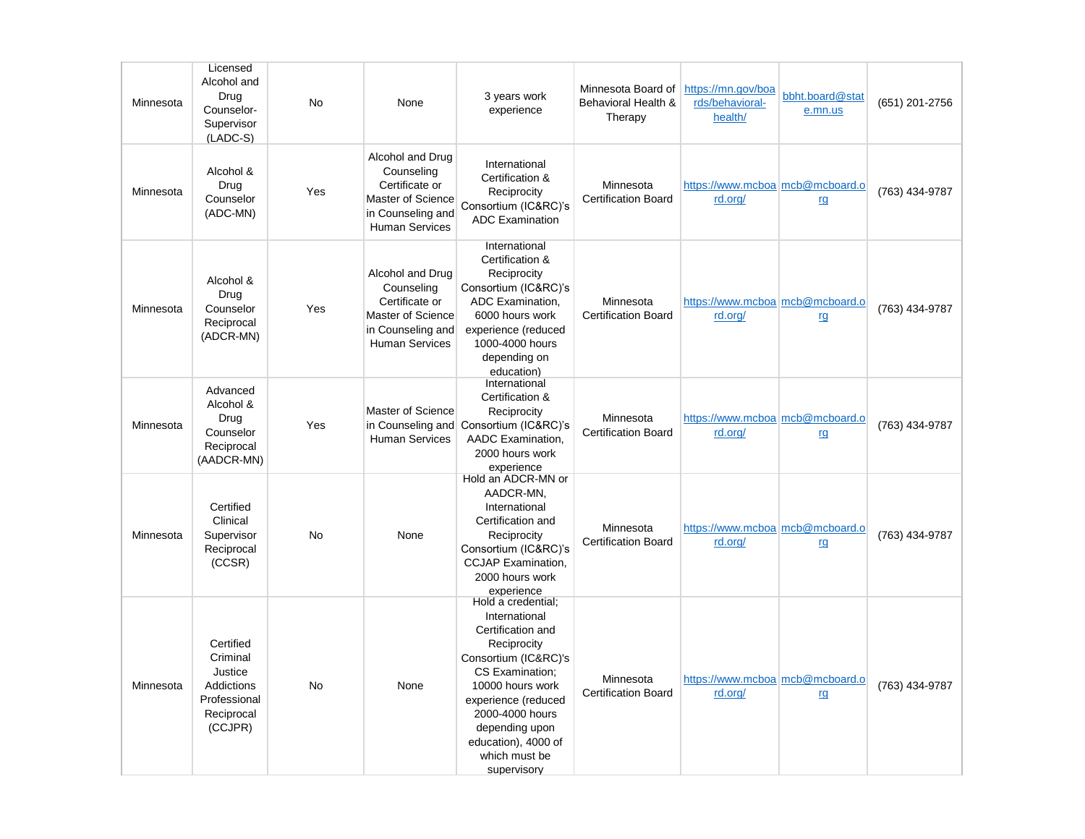| Minnesota | Licensed<br>Alcohol and<br>Drug<br>Counselor-<br>Supervisor<br>$(LADC-S)$               | <b>No</b> | None                                                                                                                | 3 years work<br>experience                                                                                                                                                                                                                                | Minnesota Board of<br>Behavioral Health &<br>Therapy | https://mn.gov/boa<br>rds/behavioral-<br>health/ | bbht.board@stat<br>e.mn.us | (651) 201-2756 |
|-----------|-----------------------------------------------------------------------------------------|-----------|---------------------------------------------------------------------------------------------------------------------|-----------------------------------------------------------------------------------------------------------------------------------------------------------------------------------------------------------------------------------------------------------|------------------------------------------------------|--------------------------------------------------|----------------------------|----------------|
| Minnesota | Alcohol &<br>Drug<br>Counselor<br>(ADC-MN)                                              | Yes       | Alcohol and Drug<br>Counseling<br>Certificate or<br>Master of Science<br>in Counseling and<br><b>Human Services</b> | International<br>Certification &<br>Reciprocity<br>Consortium (IC&RC)'s<br><b>ADC Examination</b>                                                                                                                                                         | Minnesota<br><b>Certification Board</b>              | https://www.mcboa mcb@mcboard.o<br>rd.org/       | rg                         | (763) 434-9787 |
| Minnesota | Alcohol &<br>Drug<br>Counselor<br>Reciprocal<br>(ADCR-MN)                               | Yes       | Alcohol and Drug<br>Counseling<br>Certificate or<br>Master of Science<br>in Counseling and<br><b>Human Services</b> | International<br>Certification &<br>Reciprocity<br>Consortium (IC&RC)'s<br>ADC Examination,<br>6000 hours work<br>experience (reduced<br>1000-4000 hours<br>depending on<br>education)                                                                    | Minnesota<br><b>Certification Board</b>              | https://www.mcboa mcb@mcboard.o<br>rd.org/       | <u>rg</u>                  | (763) 434-9787 |
| Minnesota | Advanced<br>Alcohol &<br>Drug<br>Counselor<br>Reciprocal<br>(AADCR-MN)                  | Yes       | Master of Science<br><b>Human Services</b>                                                                          | International<br>Certification &<br>Reciprocity<br>in Counseling and Consortium (IC&RC)'s<br>AADC Examination,<br>2000 hours work<br>experience                                                                                                           | Minnesota<br><b>Certification Board</b>              | https://www.mcboa mcb@mcboard.o<br>rd.org/       | rg                         | (763) 434-9787 |
| Minnesota | Certified<br>Clinical<br>Supervisor<br>Reciprocal<br>(CCSR)                             | <b>No</b> | None                                                                                                                | Hold an ADCR-MN or<br>AADCR-MN.<br>International<br>Certification and<br>Reciprocity<br>Consortium (IC&RC)'s<br><b>CCJAP</b> Examination,<br>2000 hours work<br>experience                                                                                | Minnesota<br><b>Certification Board</b>              | https://www.mcboa mcb@mcboard.o<br>rd.org/       | rg                         | (763) 434-9787 |
| Minnesota | Certified<br>Criminal<br>Justice<br>Addictions<br>Professional<br>Reciprocal<br>(CCJPR) | <b>No</b> | None                                                                                                                | Hold a credential:<br>International<br>Certification and<br>Reciprocity<br>Consortium (IC&RC)'s<br>CS Examination;<br>10000 hours work<br>experience (reduced<br>2000-4000 hours<br>depending upon<br>education), 4000 of<br>which must be<br>supervisory | Minnesota<br><b>Certification Board</b>              | https://www.mcboa mcb@mcboard.o<br>rd.org/       | rg                         | (763) 434-9787 |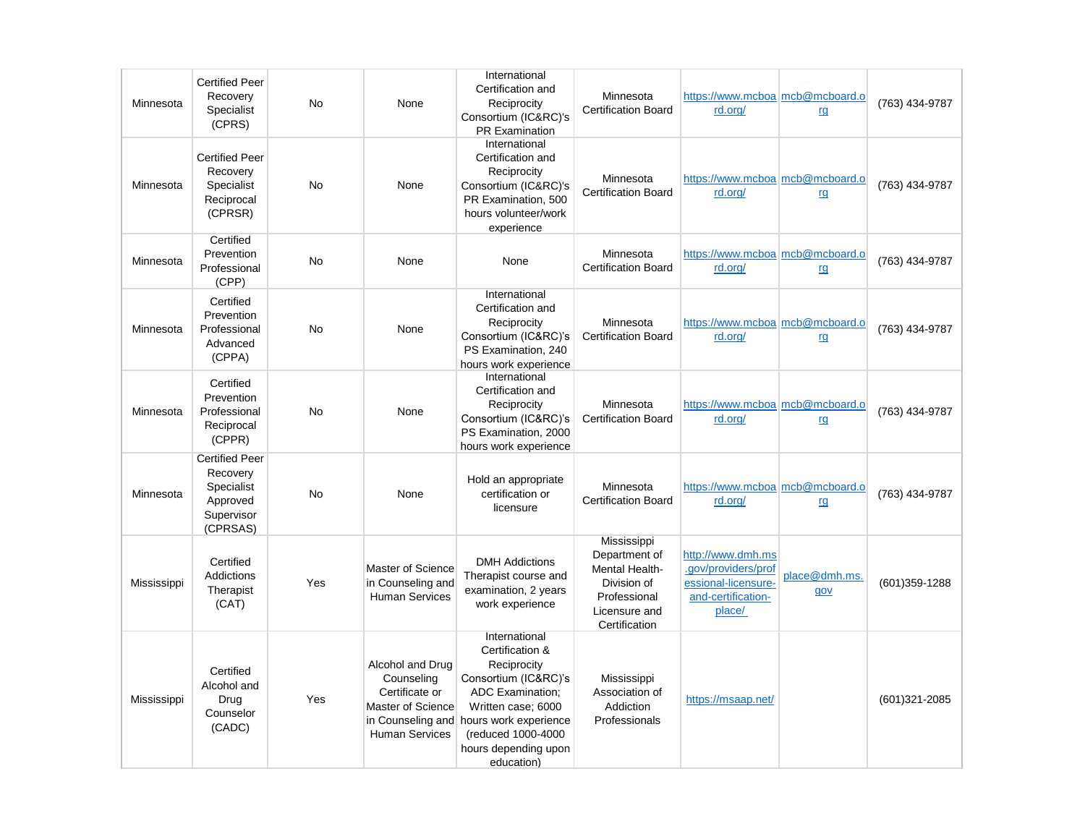| Minnesota   | <b>Certified Peer</b><br>Recovery<br>Specialist<br>(CPRS)                             | <b>No</b> | None                                                                                                                | International<br>Certification and<br>Reciprocity<br>Consortium (IC&RC)'s<br><b>PR Examination</b>                                                                                                            | Minnesota<br><b>Certification Board</b>                                                                         | https://www.mcboa mcb@mcboard.o<br>rd.org/                                                      | rg                   | (763) 434-9787    |
|-------------|---------------------------------------------------------------------------------------|-----------|---------------------------------------------------------------------------------------------------------------------|---------------------------------------------------------------------------------------------------------------------------------------------------------------------------------------------------------------|-----------------------------------------------------------------------------------------------------------------|-------------------------------------------------------------------------------------------------|----------------------|-------------------|
| Minnesota   | <b>Certified Peer</b><br>Recovery<br>Specialist<br>Reciprocal<br>(CPRSR)              | <b>No</b> | None                                                                                                                | International<br>Certification and<br>Reciprocity<br>Consortium (IC&RC)'s<br>PR Examination, 500<br>hours volunteer/work<br>experience                                                                        | Minnesota<br><b>Certification Board</b>                                                                         | https://www.mcboa mcb@mcboard.o<br>rd.org/                                                      | rg                   | (763) 434-9787    |
| Minnesota   | Certified<br>Prevention<br>Professional<br>(CPP)                                      | <b>No</b> | None                                                                                                                | None                                                                                                                                                                                                          | Minnesota<br><b>Certification Board</b>                                                                         | https://www.mcboa mcb@mcboard.o<br>rd.org/                                                      | rg                   | (763) 434-9787    |
| Minnesota   | Certified<br>Prevention<br>Professional<br>Advanced<br>(CPPA)                         | <b>No</b> | None                                                                                                                | International<br>Certification and<br>Reciprocity<br>Consortium (IC&RC)'s<br>PS Examination, 240<br>hours work experience                                                                                     | Minnesota<br><b>Certification Board</b>                                                                         | https://www.mcboa mcb@mcboard.o<br>rd.org/                                                      | rg                   | (763) 434-9787    |
| Minnesota   | Certified<br>Prevention<br>Professional<br>Reciprocal<br>(CPPR)                       | <b>No</b> | None                                                                                                                | International<br>Certification and<br>Reciprocity<br>Consortium (IC&RC)'s<br>PS Examination, 2000<br>hours work experience                                                                                    | Minnesota<br><b>Certification Board</b>                                                                         | https://www.mcboa mcb@mcboard.o<br>rd.org/                                                      | rg                   | (763) 434-9787    |
| Minnesota   | <b>Certified Peer</b><br>Recovery<br>Specialist<br>Approved<br>Supervisor<br>(CPRSAS) | <b>No</b> | None                                                                                                                | Hold an appropriate<br>certification or<br>licensure                                                                                                                                                          | Minnesota<br><b>Certification Board</b>                                                                         | https://www.mcboa mcb@mcboard.o<br>rd.org/                                                      | rg                   | (763) 434-9787    |
| Mississippi | Certified<br>Addictions<br>Therapist<br>(CAT)                                         | Yes       | Master of Science<br>in Counseling and<br><b>Human Services</b>                                                     | <b>DMH Addictions</b><br>Therapist course and<br>examination, 2 years<br>work experience                                                                                                                      | Mississippi<br>Department of<br>Mental Health-<br>Division of<br>Professional<br>Licensure and<br>Certification | http://www.dmh.ms<br>.gov/providers/prof<br>essional-licensure-<br>and-certification-<br>place/ | place@dmh.ms.<br>gov | $(601)359 - 1288$ |
| Mississippi | Certified<br>Alcohol and<br>Drug<br>Counselor<br>(CADC)                               | Yes       | Alcohol and Drug<br>Counseling<br>Certificate or<br>Master of Science<br>in Counseling and<br><b>Human Services</b> | International<br>Certification &<br>Reciprocity<br>Consortium (IC&RC)'s<br><b>ADC Examination:</b><br>Written case; 6000<br>hours work experience<br>(reduced 1000-4000<br>hours depending upon<br>education) | Mississippi<br>Association of<br>Addiction<br>Professionals                                                     | https://msaap.net/                                                                              |                      | $(601)321 - 2085$ |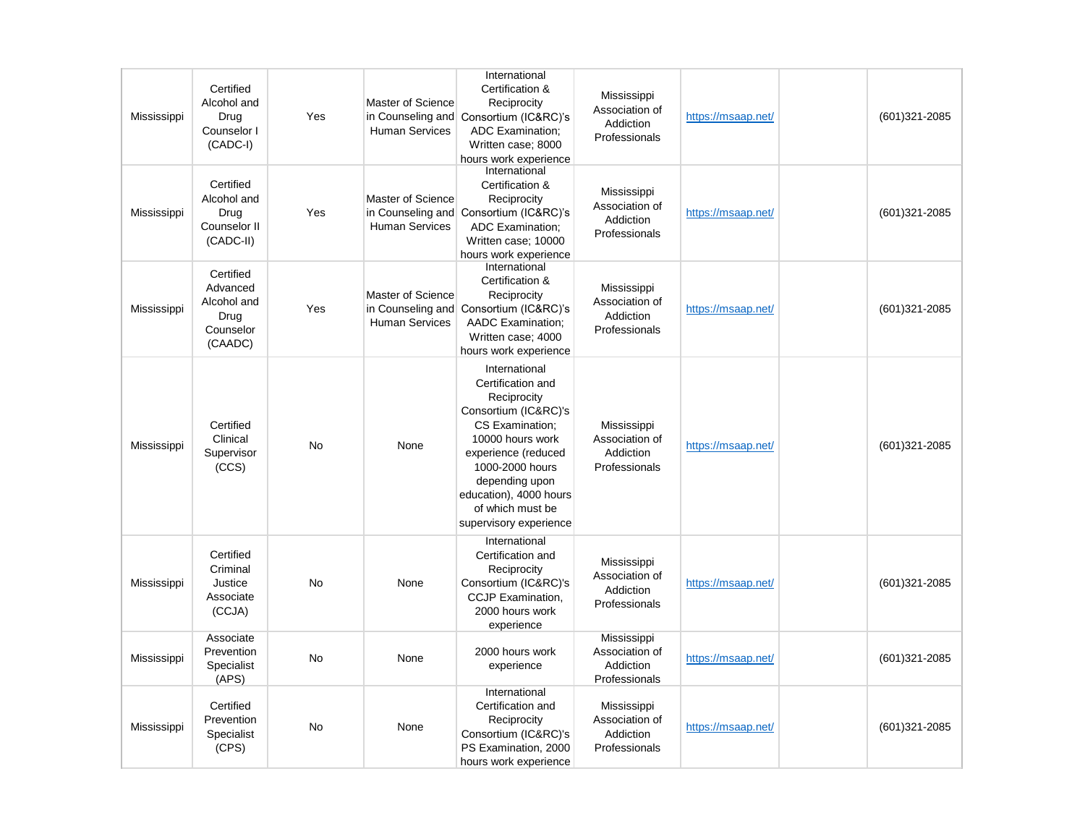| Mississippi | Certified<br>Alcohol and<br>Drug<br>Counselor I<br>$(CADC-I)$        | Yes       | Master of Science<br><b>Human Services</b>                      | International<br>Certification &<br>Reciprocity<br>in Counseling and Consortium (IC&RC)'s<br><b>ADC Examination:</b><br>Written case; 8000<br>hours work experience                                                                                  | Mississippi<br>Association of<br>Addiction<br>Professionals | https://msaap.net/ | $(601)321 - 2085$ |
|-------------|----------------------------------------------------------------------|-----------|-----------------------------------------------------------------|------------------------------------------------------------------------------------------------------------------------------------------------------------------------------------------------------------------------------------------------------|-------------------------------------------------------------|--------------------|-------------------|
| Mississippi | Certified<br>Alcohol and<br>Drug<br>Counselor II<br>(CADC-II)        | Yes       | Master of Science<br>in Counseling and<br><b>Human Services</b> | International<br>Certification &<br>Reciprocity<br>Consortium (IC&RC)'s<br><b>ADC Examination;</b><br>Written case; 10000<br>hours work experience                                                                                                   | Mississippi<br>Association of<br>Addiction<br>Professionals | https://msaap.net/ | $(601)321 - 2085$ |
| Mississippi | Certified<br>Advanced<br>Alcohol and<br>Drug<br>Counselor<br>(CAADC) | Yes       | Master of Science<br>in Counseling and<br><b>Human Services</b> | International<br>Certification &<br>Reciprocity<br>Consortium (IC&RC)'s<br><b>AADC Examination;</b><br>Written case; 4000<br>hours work experience                                                                                                   | Mississippi<br>Association of<br>Addiction<br>Professionals | https://msaap.net/ | (601)321-2085     |
| Mississippi | Certified<br>Clinical<br>Supervisor<br>(CCS)                         | No        | None                                                            | International<br>Certification and<br>Reciprocity<br>Consortium (IC&RC)'s<br>CS Examination;<br>10000 hours work<br>experience (reduced<br>1000-2000 hours<br>depending upon<br>education), 4000 hours<br>of which must be<br>supervisory experience | Mississippi<br>Association of<br>Addiction<br>Professionals | https://msaap.net/ | $(601)321 - 2085$ |
| Mississippi | Certified<br>Criminal<br>Justice<br>Associate<br>(CCJA)              | No        | None                                                            | International<br>Certification and<br>Reciprocity<br>Consortium (IC&RC)'s<br><b>CCJP Examination,</b><br>2000 hours work<br>experience                                                                                                               | Mississippi<br>Association of<br>Addiction<br>Professionals | https://msaap.net/ | $(601)321 - 2085$ |
| Mississippi | Associate<br>Prevention<br>Specialist<br>(APS)                       | <b>No</b> | None                                                            | 2000 hours work<br>experience                                                                                                                                                                                                                        | Mississippi<br>Association of<br>Addiction<br>Professionals | https://msaap.net/ | $(601)321 - 2085$ |
| Mississippi | Certified<br>Prevention<br>Specialist<br>(CPS)                       | No        | None                                                            | International<br>Certification and<br>Reciprocity<br>Consortium (IC&RC)'s<br>PS Examination, 2000<br>hours work experience                                                                                                                           | Mississippi<br>Association of<br>Addiction<br>Professionals | https://msaap.net/ | $(601)321 - 2085$ |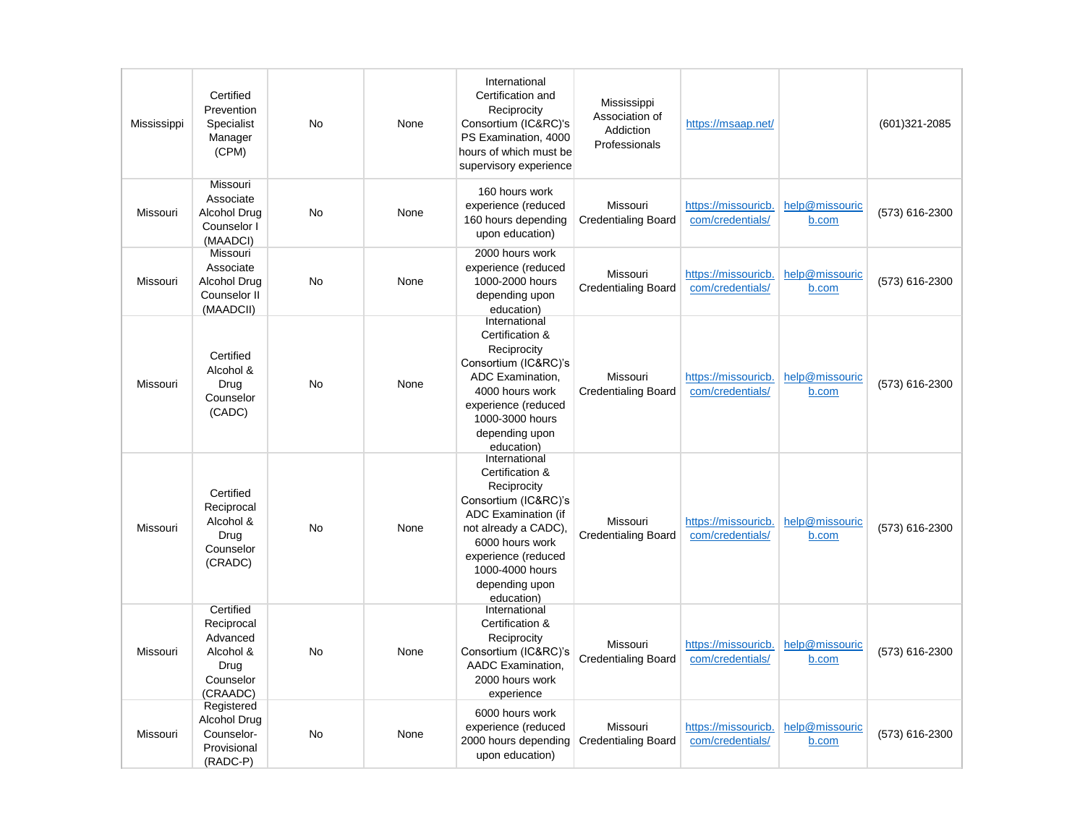| Mississippi | Certified<br>Prevention<br>Specialist<br>Manager<br>(CPM)                         | No        | None | International<br>Certification and<br>Reciprocity<br>Consortium (IC&RC)'s<br>PS Examination, 4000<br>hours of which must be<br>supervisory experience                                                                      | Mississippi<br>Association of<br>Addiction<br>Professionals | https://msaap.net/                      |                         | $(601)321 - 2085$ |
|-------------|-----------------------------------------------------------------------------------|-----------|------|----------------------------------------------------------------------------------------------------------------------------------------------------------------------------------------------------------------------------|-------------------------------------------------------------|-----------------------------------------|-------------------------|-------------------|
| Missouri    | Missouri<br>Associate<br>Alcohol Drug<br>Counselor I<br>(MAADCI)                  | <b>No</b> | None | 160 hours work<br>experience (reduced<br>160 hours depending<br>upon education)                                                                                                                                            | Missouri<br><b>Credentialing Board</b>                      | https://missouricb.<br>com/credentials/ | help@missouric<br>b.com | (573) 616-2300    |
| Missouri    | Missouri<br>Associate<br>Alcohol Drug<br>Counselor II<br>(MAADCII)                | <b>No</b> | None | 2000 hours work<br>experience (reduced<br>1000-2000 hours<br>depending upon<br>education)                                                                                                                                  | Missouri<br><b>Credentialing Board</b>                      | https://missouricb.<br>com/credentials/ | help@missouric<br>b.com | (573) 616-2300    |
| Missouri    | Certified<br>Alcohol &<br>Drug<br>Counselor<br>(CADC)                             | No        | None | International<br>Certification &<br>Reciprocity<br>Consortium (IC&RC)'s<br>ADC Examination,<br>4000 hours work<br>experience (reduced<br>1000-3000 hours<br>depending upon<br>education)                                   | Missouri<br><b>Credentialing Board</b>                      | https://missouricb.<br>com/credentials/ | help@missouric<br>b.com | (573) 616-2300    |
| Missouri    | Certified<br>Reciprocal<br>Alcohol &<br>Drug<br>Counselor<br>(CRADC)              | No        | None | International<br>Certification &<br>Reciprocity<br>Consortium (IC&RC)'s<br><b>ADC Examination (if</b><br>not already a CADC),<br>6000 hours work<br>experience (reduced<br>1000-4000 hours<br>depending upon<br>education) | Missouri<br><b>Credentialing Board</b>                      | https://missouricb<br>com/credentials/  | help@missouric<br>b.com | (573) 616-2300    |
| Missouri    | Certified<br>Reciprocal<br>Advanced<br>Alcohol &<br>Drug<br>Counselor<br>(CRAADC) | No        | None | International<br>Certification &<br>Reciprocity<br>Consortium (IC&RC)'s<br>AADC Examination.<br>2000 hours work<br>experience                                                                                              | Missouri<br><b>Credentialing Board</b>                      | https://missouricb.<br>com/credentials/ | help@missouric<br>b.com | (573) 616-2300    |
| Missouri    | Registered<br><b>Alcohol Drug</b><br>Counselor-<br>Provisional<br>(RADC-P)        | No        | None | 6000 hours work<br>experience (reduced<br>2000 hours depending<br>upon education)                                                                                                                                          | Missouri<br><b>Credentialing Board</b>                      | https://missouricb.<br>com/credentials/ | help@missouric<br>b.com | (573) 616-2300    |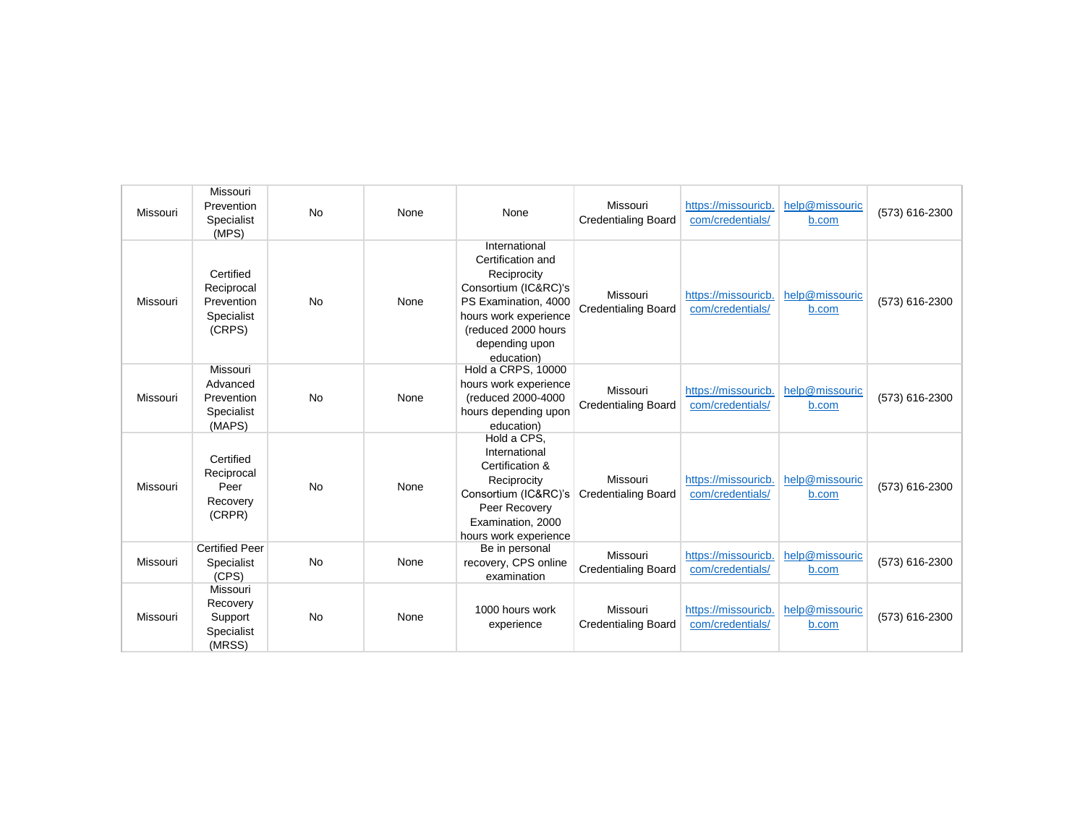| Missouri | Missouri<br>Prevention<br>Specialist<br>(MPS)                 | <b>No</b> | None | None                                                                                                                                                                              | Missouri<br><b>Credentialing Board</b> | https://missouricb.<br>com/credentials/ | help@missouric<br>b.com | (573) 616-2300 |
|----------|---------------------------------------------------------------|-----------|------|-----------------------------------------------------------------------------------------------------------------------------------------------------------------------------------|----------------------------------------|-----------------------------------------|-------------------------|----------------|
| Missouri | Certified<br>Reciprocal<br>Prevention<br>Specialist<br>(CRPS) | <b>No</b> | None | International<br>Certification and<br>Reciprocity<br>Consortium (IC&RC)'s<br>PS Examination, 4000<br>hours work experience<br>(reduced 2000 hours<br>depending upon<br>education) | Missouri<br><b>Credentialing Board</b> | https://missouricb.<br>com/credentials/ | help@missouric<br>b.com | (573) 616-2300 |
| Missouri | Missouri<br>Advanced<br>Prevention<br>Specialist<br>(MAPS)    | <b>No</b> | None | Hold a CRPS, 10000<br>hours work experience<br>(reduced 2000-4000<br>hours depending upon<br>education)                                                                           | Missouri<br><b>Credentialing Board</b> | https://missouricb.<br>com/credentials/ | help@missouric<br>b.com | (573) 616-2300 |
| Missouri | Certified<br>Reciprocal<br>Peer<br>Recovery<br>(CRPR)         | <b>No</b> | None | Hold a CPS.<br>International<br>Certification &<br>Reciprocity<br>Consortium (IC&RC)'s<br>Peer Recovery<br>Examination, 2000<br>hours work experience                             | Missouri<br><b>Credentialing Board</b> | https://missouricb.<br>com/credentials/ | help@missouric<br>b.com | (573) 616-2300 |
| Missouri | <b>Certified Peer</b><br>Specialist<br>(CPS)                  | <b>No</b> | None | Be in personal<br>recovery, CPS online<br>examination                                                                                                                             | Missouri<br><b>Credentialing Board</b> | https://missouricb.<br>com/credentials/ | help@missouric<br>b.com | (573) 616-2300 |
| Missouri | Missouri<br>Recovery<br>Support<br>Specialist<br>(MRSS)       | <b>No</b> | None | 1000 hours work<br>experience                                                                                                                                                     | Missouri<br><b>Credentialing Board</b> | https://missouricb.<br>com/credentials/ | help@missouric<br>b.com | (573) 616-2300 |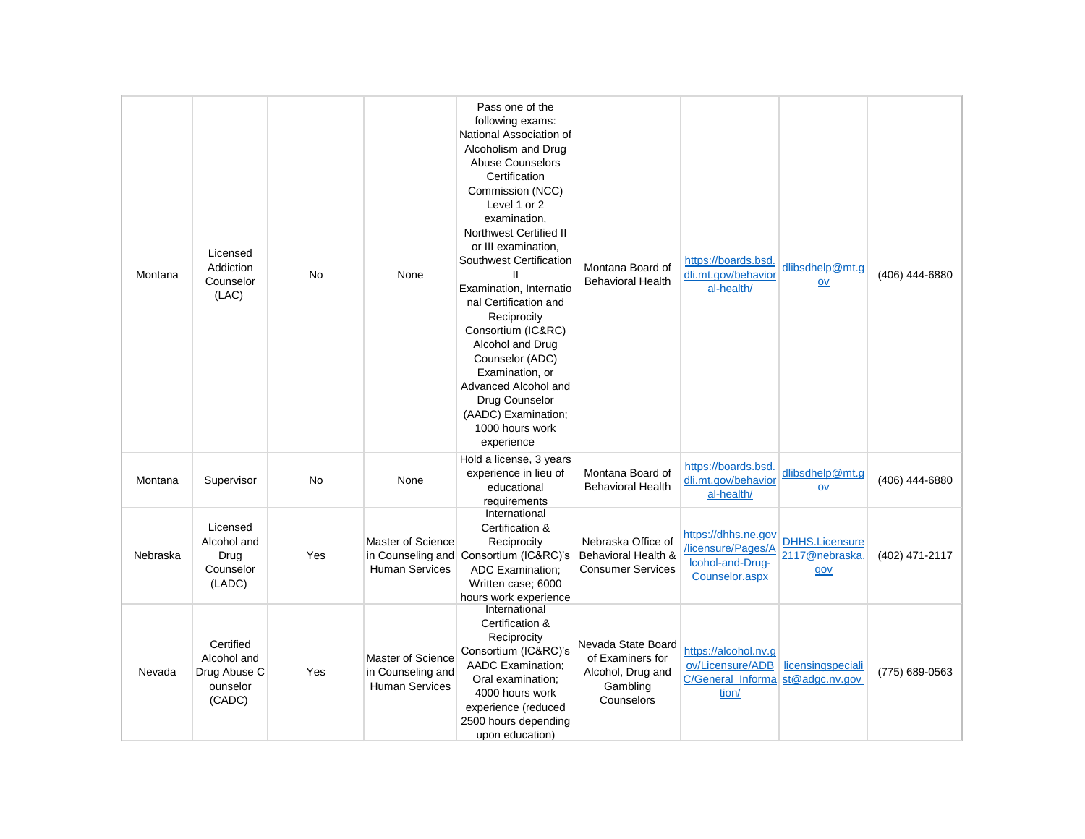| Montana  | Licensed<br>Addiction<br>Counselor<br>(LAC)                    | <b>No</b> | None                                                                   | Pass one of the<br>following exams:<br>National Association of<br>Alcoholism and Drug<br><b>Abuse Counselors</b><br>Certification<br>Commission (NCC)<br>Level 1 or 2<br>examination,<br><b>Northwest Certified II</b><br>or III examination.<br>Southwest Certification<br>Examination, Internatio<br>nal Certification and<br>Reciprocity<br>Consortium (IC&RC)<br>Alcohol and Drug<br>Counselor (ADC)<br>Examination, or<br>Advanced Alcohol and<br>Drug Counselor<br>(AADC) Examination;<br>1000 hours work<br>experience | Montana Board of<br><b>Behavioral Health</b>                                          | https://boards.bsd.<br>dli.mt.gov/behavior<br>al-health/                              | dlibsdhelp@mt.q<br>$ov$                        | (406) 444-6880 |
|----------|----------------------------------------------------------------|-----------|------------------------------------------------------------------------|-------------------------------------------------------------------------------------------------------------------------------------------------------------------------------------------------------------------------------------------------------------------------------------------------------------------------------------------------------------------------------------------------------------------------------------------------------------------------------------------------------------------------------|---------------------------------------------------------------------------------------|---------------------------------------------------------------------------------------|------------------------------------------------|----------------|
| Montana  | Supervisor                                                     | <b>No</b> | None                                                                   | Hold a license, 3 years<br>experience in lieu of<br>educational<br>requirements                                                                                                                                                                                                                                                                                                                                                                                                                                               | Montana Board of<br><b>Behavioral Health</b>                                          | https://boards.bsd.<br>dli.mt.gov/behavior<br>al-health/                              | dlibsdhelp@mt.g<br>$ov$                        | (406) 444-6880 |
| Nebraska | Licensed<br>Alcohol and<br>Drug<br>Counselor<br>(LADC)         | Yes       | Master of Science<br>in Counseling and<br><b>Human Services</b>        | International<br>Certification &<br>Reciprocity<br>Consortium (IC&RC)'s<br><b>ADC Examination:</b><br>Written case; 6000<br>hours work experience                                                                                                                                                                                                                                                                                                                                                                             | Nebraska Office of<br>Behavioral Health &<br><b>Consumer Services</b>                 | https://dhhs.ne.gov<br>/licensure/Pages/A<br>Icohol-and-Drug-<br>Counselor.aspx       | <b>DHHS.Licensure</b><br>2117@nebraska.<br>gov | (402) 471-2117 |
| Nevada   | Certified<br>Alcohol and<br>Drug Abuse C<br>ounselor<br>(CADC) | Yes       | <b>Master of Science</b><br>in Counseling and<br><b>Human Services</b> | International<br>Certification &<br>Reciprocity<br>Consortium (IC&RC)'s<br>AADC Examination;<br>Oral examination;<br>4000 hours work<br>experience (reduced<br>2500 hours depending<br>upon education)                                                                                                                                                                                                                                                                                                                        | Nevada State Board<br>of Examiners for<br>Alcohol, Drug and<br>Gambling<br>Counselors | https://alcohol.nv.g<br>ov/Licensure/ADB<br>C/General_Informa st@adgc.nv.gov<br>tion/ | licensingspeciali                              | (775) 689-0563 |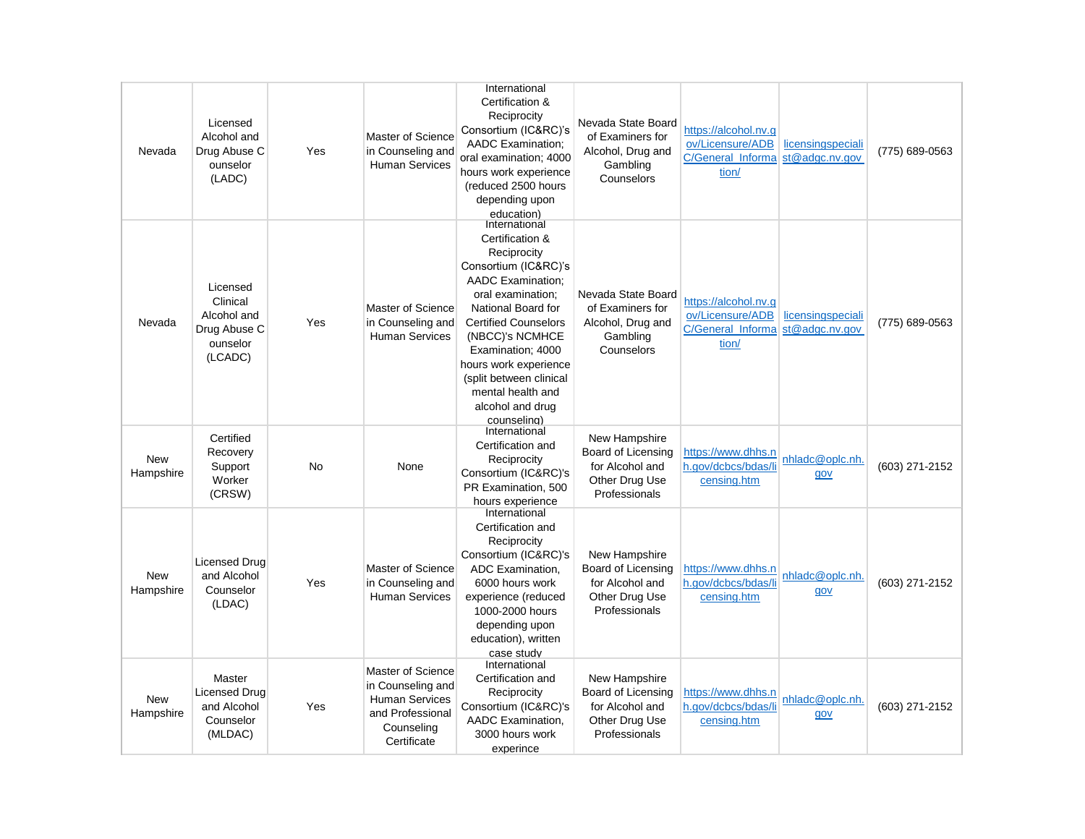| Nevada                  | Licensed<br>Alcohol and<br>Drug Abuse C<br>ounselor<br>(LADC)              | Yes | Master of Science<br>in Counseling and<br><b>Human Services</b>                                                  | International<br>Certification &<br>Reciprocity<br>Consortium (IC&RC)'s<br><b>AADC</b> Examination;<br>oral examination; 4000<br>hours work experience<br>(reduced 2500 hours<br>depending upon<br>education)                                                                                                                     | Nevada State Board<br>of Examiners for<br>Alcohol, Drug and<br>Gambling<br>Counselors            | https://alcohol.nv.g<br>ov/Licensure/ADB<br>C/General Informa<br>tion/                | licensingspeciali<br>st@adgc.nv.gov | (775) 689-0563 |
|-------------------------|----------------------------------------------------------------------------|-----|------------------------------------------------------------------------------------------------------------------|-----------------------------------------------------------------------------------------------------------------------------------------------------------------------------------------------------------------------------------------------------------------------------------------------------------------------------------|--------------------------------------------------------------------------------------------------|---------------------------------------------------------------------------------------|-------------------------------------|----------------|
| Nevada                  | Licensed<br>Clinical<br>Alcohol and<br>Drug Abuse C<br>ounselor<br>(LCADC) | Yes | Master of Science<br>in Counseling and<br><b>Human Services</b>                                                  | International<br>Certification &<br>Reciprocity<br>Consortium (IC&RC)'s<br><b>AADC</b> Examination;<br>oral examination;<br>National Board for<br><b>Certified Counselors</b><br>(NBCC)'s NCMHCE<br>Examination; 4000<br>hours work experience<br>(split between clinical<br>mental health and<br>alcohol and drug<br>counseling) | Nevada State Board<br>of Examiners for<br>Alcohol, Drug and<br>Gambling<br>Counselors            | https://alcohol.nv.g<br>ov/Licensure/ADB<br>C/General Informa st@adgc.nv.gov<br>tion/ | licensingspeciali                   | (775) 689-0563 |
| <b>New</b><br>Hampshire | Certified<br>Recovery<br>Support<br>Worker<br>(CRSW)                       | No  | None                                                                                                             | International<br>Certification and<br>Reciprocity<br>Consortium (IC&RC)'s<br>PR Examination, 500<br>hours experience                                                                                                                                                                                                              | New Hampshire<br><b>Board of Licensing</b><br>for Alcohol and<br>Other Drug Use<br>Professionals | https://www.dhhs.n<br>h.gov/dcbcs/bdas/li<br>censing.htm                              | nhladc@oplc.nh.<br>gov              | (603) 271-2152 |
| <b>New</b><br>Hampshire | Licensed Drua<br>and Alcohol<br>Counselor<br>(LDAC)                        | Yes | Master of Science<br>in Counseling and<br><b>Human Services</b>                                                  | International<br>Certification and<br>Reciprocity<br>Consortium (IC&RC)'s<br>ADC Examination,<br>6000 hours work<br>experience (reduced<br>1000-2000 hours<br>depending upon<br>education), written<br>case study                                                                                                                 | New Hampshire<br><b>Board of Licensing</b><br>for Alcohol and<br>Other Drug Use<br>Professionals | https://www.dhhs.n<br>h.gov/dcbcs/bdas/li<br>censing.htm                              | nhladc@oplc.nh.<br>gov              | (603) 271-2152 |
| <b>New</b><br>Hampshire | Master<br><b>Licensed Drug</b><br>and Alcohol<br>Counselor<br>(MLDAC)      | Yes | Master of Science<br>in Counseling and<br><b>Human Services</b><br>and Professional<br>Counseling<br>Certificate | International<br>Certification and<br>Reciprocity<br>Consortium (IC&RC)'s<br>AADC Examination.<br>3000 hours work<br>experince                                                                                                                                                                                                    | New Hampshire<br>Board of Licensing<br>for Alcohol and<br>Other Drug Use<br>Professionals        | https://www.dhhs.n<br>h.gov/dcbcs/bdas/li<br>censing.htm                              | nhladc@oplc.nh.<br>gov              | (603) 271-2152 |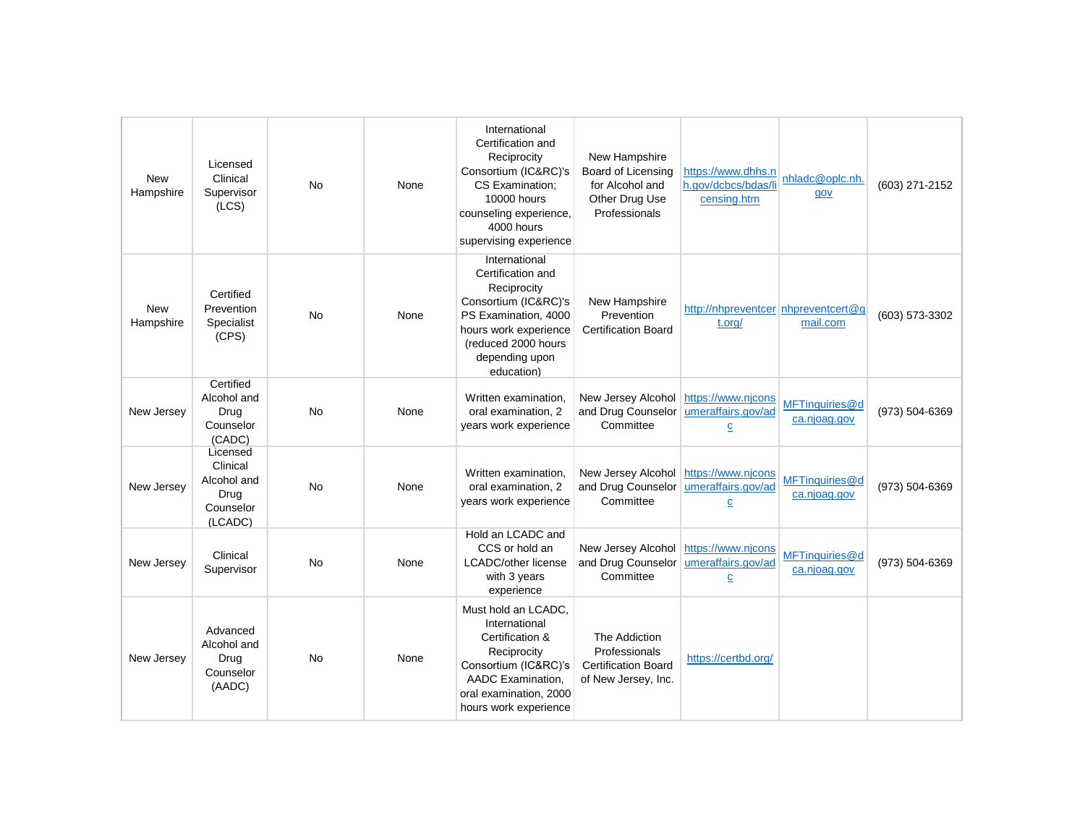| <b>New</b><br>Hampshire | Licensed<br>Clinical<br>Supervisor<br>(LCS)                         | <b>No</b> | None | International<br>Certification and<br>Reciprocity<br>Consortium (IC&RC)'s<br>CS Examination;<br>10000 hours<br>counseling experience,<br>4000 hours<br>supervising experience     | New Hampshire<br><b>Board of Licensing</b><br>for Alcohol and<br>Other Drug Use<br>Professionals | https://www.dhhs.n<br>h.gov/dcbcs/bdas/li<br>censing.htm   | nhladc@oplc.nh.<br>gov         | (603) 271-2152 |
|-------------------------|---------------------------------------------------------------------|-----------|------|-----------------------------------------------------------------------------------------------------------------------------------------------------------------------------------|--------------------------------------------------------------------------------------------------|------------------------------------------------------------|--------------------------------|----------------|
| <b>New</b><br>Hampshire | Certified<br>Prevention<br>Specialist<br>(CPS)                      | <b>No</b> | None | International<br>Certification and<br>Reciprocity<br>Consortium (IC&RC)'s<br>PS Examination, 4000<br>hours work experience<br>(reduced 2000 hours<br>depending upon<br>education) | New Hampshire<br>Prevention<br><b>Certification Board</b>                                        | http://nhpreventcer nhpreventcert@q<br>t.org/              | mail.com                       | (603) 573-3302 |
| New Jersey              | Certified<br>Alcohol and<br>Drug<br>Counselor<br>(CADC)             | <b>No</b> | None | Written examination.<br>oral examination, 2<br>years work experience                                                                                                              | New Jersey Alcohol<br>and Drug Counselor<br>Committee                                            | https://www.njcons<br>umeraffairs.gov/ad<br>$\overline{c}$ | MFTinquiries@d<br>ca.njoag.gov | (973) 504-6369 |
| New Jersey              | Licensed<br>Clinical<br>Alcohol and<br>Drug<br>Counselor<br>(LCADC) | No        | None | Written examination.<br>oral examination, 2<br>years work experience                                                                                                              | New Jersey Alcohol<br>and Drug Counselor<br>Committee                                            | https://www.njcons<br>umeraffairs.gov/ad<br>$\overline{c}$ | MFTinquiries@d<br>ca.njoag.gov | (973) 504-6369 |
| New Jersey              | Clinical<br>Supervisor                                              | <b>No</b> | None | Hold an LCADC and<br>CCS or hold an<br><b>LCADC/other license</b><br>with 3 years<br>experience                                                                                   | New Jersey Alcohol<br>and Drug Counselor<br>Committee                                            | https://www.njcons<br>umeraffairs.gov/ad<br>$\overline{c}$ | MFTinguiries@d<br>ca.njoag.gov | (973) 504-6369 |
| New Jersey              | Advanced<br>Alcohol and<br>Drug<br>Counselor<br>(AADC)              | <b>No</b> | None | Must hold an LCADC,<br>International<br>Certification &<br>Reciprocity<br>Consortium (IC&RC)'s<br>AADC Examination.<br>oral examination, 2000<br>hours work experience            | The Addiction<br>Professionals<br><b>Certification Board</b><br>of New Jersey, Inc.              | https://certbd.org/                                        |                                |                |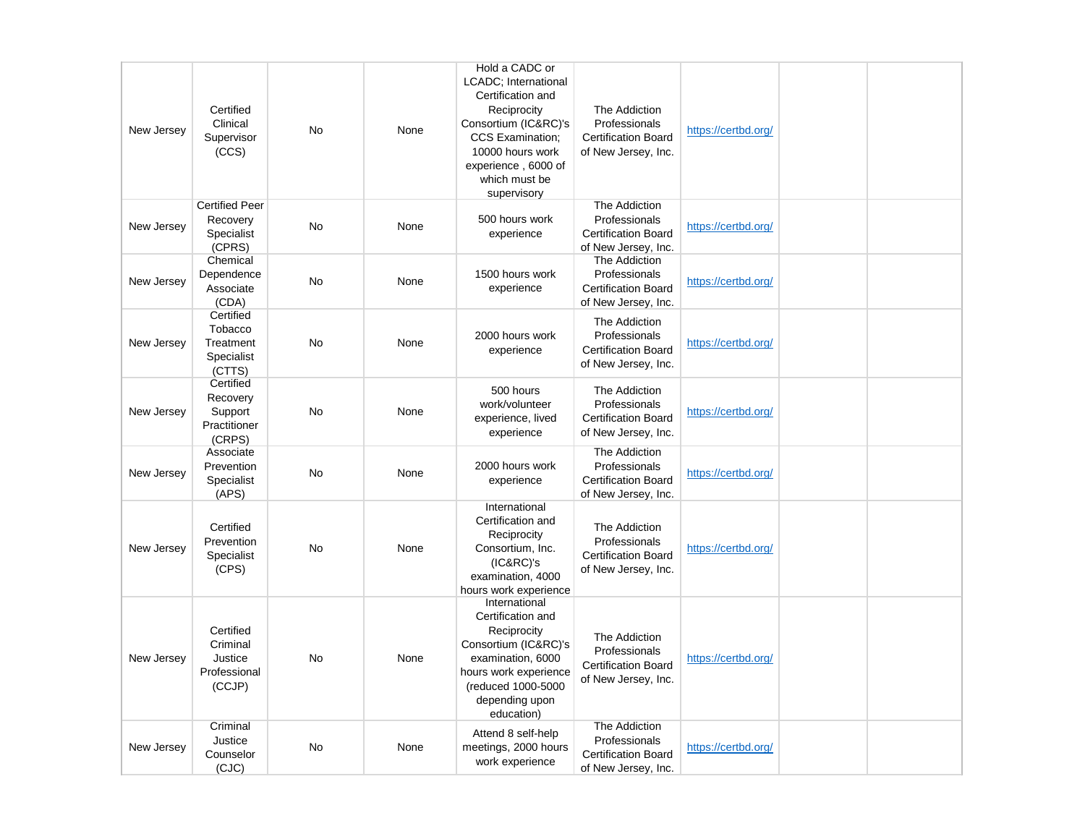| New Jersey | Certified<br>Clinical<br>Supervisor<br>(CCS)               | No        | None | Hold a CADC or<br>LCADC; International<br>Certification and<br>Reciprocity<br>Consortium (IC&RC)'s<br><b>CCS Examination:</b><br>10000 hours work<br>experience, 6000 of<br>which must be<br>supervisory | The Addiction<br>Professionals<br><b>Certification Board</b><br>of New Jersey, Inc. | https://certbd.org/ |  |
|------------|------------------------------------------------------------|-----------|------|----------------------------------------------------------------------------------------------------------------------------------------------------------------------------------------------------------|-------------------------------------------------------------------------------------|---------------------|--|
| New Jersey | <b>Certified Peer</b><br>Recovery<br>Specialist<br>(CPRS)  | <b>No</b> | None | 500 hours work<br>experience                                                                                                                                                                             | The Addiction<br>Professionals<br><b>Certification Board</b><br>of New Jersey, Inc. | https://certbd.org/ |  |
| New Jersey | Chemical<br>Dependence<br>Associate<br>(CDA)               | <b>No</b> | None | 1500 hours work<br>experience                                                                                                                                                                            | The Addiction<br>Professionals<br><b>Certification Board</b><br>of New Jersey, Inc. | https://certbd.org/ |  |
| New Jersey | Certified<br>Tobacco<br>Treatment<br>Specialist<br>(CTTS)  | No        | None | 2000 hours work<br>experience                                                                                                                                                                            | The Addiction<br>Professionals<br><b>Certification Board</b><br>of New Jersey, Inc. | https://certbd.org/ |  |
| New Jersey | Certified<br>Recovery<br>Support<br>Practitioner<br>(CRPS) | No        | None | 500 hours<br>work/volunteer<br>experience, lived<br>experience                                                                                                                                           | The Addiction<br>Professionals<br><b>Certification Board</b><br>of New Jersey, Inc. | https://certbd.org/ |  |
| New Jersey | Associate<br>Prevention<br>Specialist<br>(APS)             | <b>No</b> | None | 2000 hours work<br>experience                                                                                                                                                                            | The Addiction<br>Professionals<br><b>Certification Board</b><br>of New Jersey, Inc. | https://certbd.org/ |  |
| New Jersey | Certified<br>Prevention<br>Specialist<br>(CPS)             | <b>No</b> | None | International<br>Certification and<br>Reciprocity<br>Consortium, Inc.<br>(IC@RC)'s<br>examination, 4000<br>hours work experience                                                                         | The Addiction<br>Professionals<br><b>Certification Board</b><br>of New Jersey, Inc. | https://certbd.org/ |  |
| New Jersey | Certified<br>Criminal<br>Justice<br>Professional<br>(CCJP) | No        | None | International<br>Certification and<br>Reciprocity<br>Consortium (IC&RC)'s<br>examination, 6000<br>hours work experience<br>(reduced 1000-5000<br>depending upon<br>education)                            | The Addiction<br>Professionals<br><b>Certification Board</b><br>of New Jersey, Inc. | https://certbd.org/ |  |
| New Jersey | Criminal<br>Justice<br>Counselor<br>(CJC)                  | No        | None | Attend 8 self-help<br>meetings, 2000 hours<br>work experience                                                                                                                                            | The Addiction<br>Professionals<br><b>Certification Board</b><br>of New Jersey, Inc. | https://certbd.org/ |  |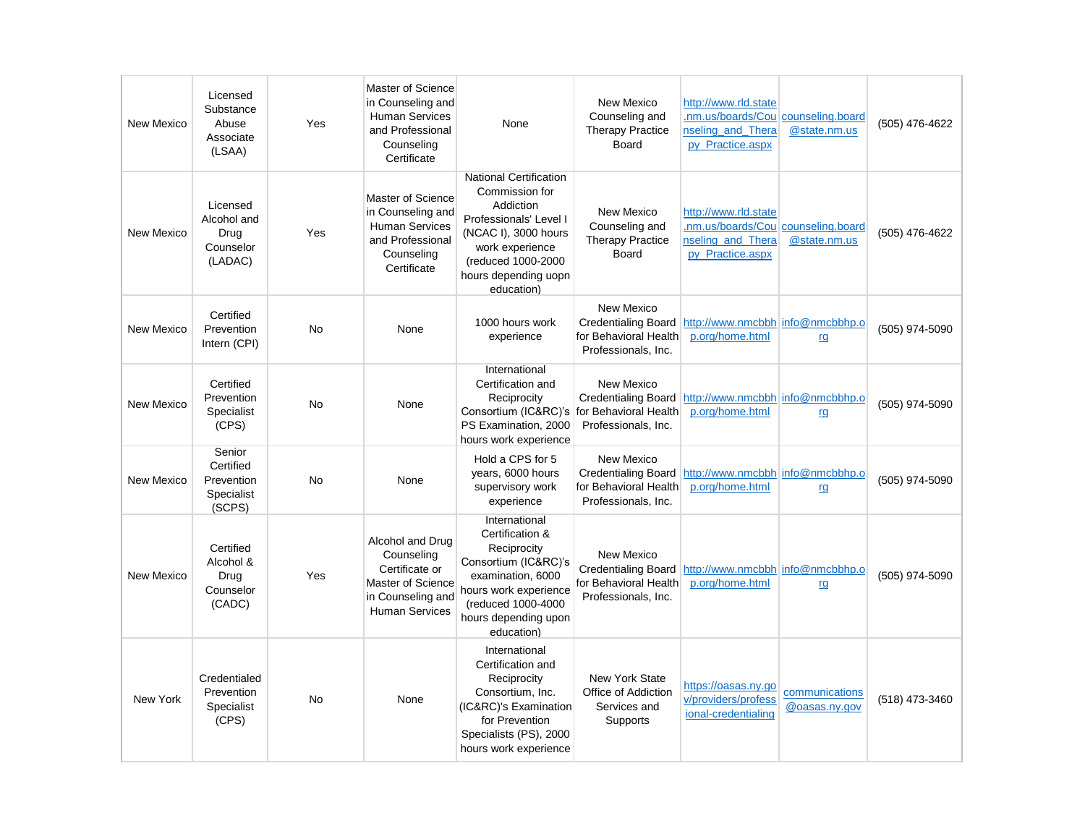| New Mexico        | Licensed<br>Substance<br>Abuse<br>Associate<br>(LSAA)     | Yes       | Master of Science<br>in Counseling and<br><b>Human Services</b><br>and Professional<br>Counseling<br>Certificate    | None                                                                                                                                                                                          | New Mexico<br>Counseling and<br><b>Therapy Practice</b><br><b>Board</b>                                            | http://www.rld.state<br>nm.us/boards/Cou counseling.board<br>nseling and Thera<br>py Practice.aspx | @state.nm.us                    | (505) 476-4622 |
|-------------------|-----------------------------------------------------------|-----------|---------------------------------------------------------------------------------------------------------------------|-----------------------------------------------------------------------------------------------------------------------------------------------------------------------------------------------|--------------------------------------------------------------------------------------------------------------------|----------------------------------------------------------------------------------------------------|---------------------------------|----------------|
| New Mexico        | Licensed<br>Alcohol and<br>Drua<br>Counselor<br>(LADAC)   | Yes       | Master of Science<br>in Counseling and<br><b>Human Services</b><br>and Professional<br>Counseling<br>Certificate    | <b>National Certification</b><br>Commission for<br>Addiction<br>Professionals' Level I<br>(NCAC I), 3000 hours<br>work experience<br>(reduced 1000-2000<br>hours depending uopn<br>education) | New Mexico<br>Counseling and<br><b>Therapy Practice</b><br><b>Board</b>                                            | http://www.rld.state<br>nm.us/boards/Cou counseling.board<br>nseling and Thera<br>py_Practice.aspx | @state.nm.us                    | (505) 476-4622 |
| New Mexico        | Certified<br>Prevention<br>Intern (CPI)                   | <b>No</b> | None                                                                                                                | 1000 hours work<br>experience                                                                                                                                                                 | New Mexico<br>Credentialing Board<br>for Behavioral Health<br>Professionals, Inc.                                  | http://www.nmcbbh info@nmcbbhp.o<br>p.org/home.html                                                | rg                              | (505) 974-5090 |
| <b>New Mexico</b> | Certified<br>Prevention<br>Specialist<br>(CPS)            | <b>No</b> | None                                                                                                                | International<br>Certification and<br>Reciprocity<br>Consortium (IC&RC)'s<br>PS Examination, 2000<br>hours work experience                                                                    | New Mexico<br>Credentialing Board<br>for Behavioral Health<br>Professionals, Inc.                                  | http://www.nmcbbh info@nmcbbhp.o<br>p.org/home.html                                                | rg                              | (505) 974-5090 |
| New Mexico        | Senior<br>Certified<br>Prevention<br>Specialist<br>(SCPS) | No        | None                                                                                                                | Hold a CPS for 5<br>years, 6000 hours<br>supervisory work<br>experience                                                                                                                       | New Mexico<br>Credentialing Board http://www.nmcbbh info@nmcbbhp.o<br>for Behavioral Health<br>Professionals, Inc. | p.org/home.html                                                                                    | rg                              | (505) 974-5090 |
| New Mexico        | Certified<br>Alcohol &<br>Drug<br>Counselor<br>(CADC)     | Yes       | Alcohol and Drug<br>Counseling<br>Certificate or<br>Master of Science<br>in Counseling and<br><b>Human Services</b> | International<br>Certification &<br>Reciprocity<br>Consortium (IC&RC)'s<br>examination, 6000<br>hours work experience<br>(reduced 1000-4000<br>hours depending upon<br>education)             | New Mexico<br>Credentialing Board http://www.nmcbbh info@nmcbbhp.o<br>for Behavioral Health<br>Professionals, Inc. | p.org/home.html                                                                                    | rg                              | (505) 974-5090 |
| New York          | Credentialed<br>Prevention<br>Specialist<br>(CPS)         | No        | None                                                                                                                | International<br>Certification and<br>Reciprocity<br>Consortium, Inc.<br>(IC&RC)'s Examination<br>for Prevention<br>Specialists (PS), 2000<br>hours work experience                           | <b>New York State</b><br>Office of Addiction<br>Services and<br>Supports                                           | https://oasas.ny.go<br>v/providers/profess<br>ional-credentialing                                  | communications<br>@oasas.ny.gov | (518) 473-3460 |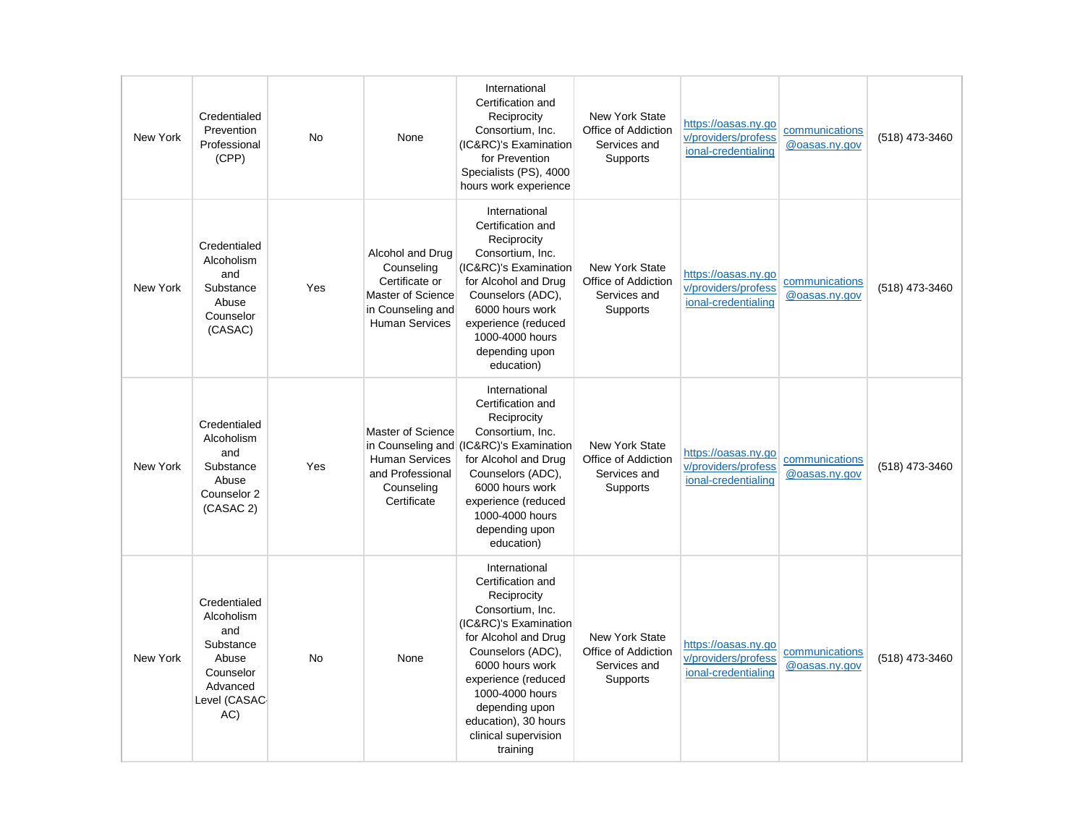| New York | Credentialed<br>Prevention<br>Professional<br>(CPP)                                                      | <b>No</b> | None                                                                                                                | International<br>Certification and<br>Reciprocity<br>Consortium, Inc.<br>(IC&RC)'s Examination<br>for Prevention<br>Specialists (PS), 4000<br>hours work experience                                                                                                                    | <b>New York State</b><br>Office of Addiction<br>Services and<br>Supports | https://oasas.ny.go<br>v/providers/profess<br>ional-credentialing | communications<br>@oasas.ny.gov | (518) 473-3460 |
|----------|----------------------------------------------------------------------------------------------------------|-----------|---------------------------------------------------------------------------------------------------------------------|----------------------------------------------------------------------------------------------------------------------------------------------------------------------------------------------------------------------------------------------------------------------------------------|--------------------------------------------------------------------------|-------------------------------------------------------------------|---------------------------------|----------------|
| New York | Credentialed<br>Alcoholism<br>and<br>Substance<br>Abuse<br>Counselor<br>(CASAC)                          | Yes       | Alcohol and Drug<br>Counseling<br>Certificate or<br>Master of Science<br>in Counseling and<br><b>Human Services</b> | International<br>Certification and<br>Reciprocity<br>Consortium, Inc.<br>(IC&RC)'s Examination<br>for Alcohol and Drug<br>Counselors (ADC),<br>6000 hours work<br>experience (reduced<br>1000-4000 hours<br>depending upon<br>education)                                               | <b>New York State</b><br>Office of Addiction<br>Services and<br>Supports | https://oasas.ny.go<br>v/providers/profess<br>ional-credentialing | communications<br>@oasas.ny.gov | (518) 473-3460 |
| New York | Credentialed<br>Alcoholism<br>and<br>Substance<br>Abuse<br>Counselor 2<br>(CASAC 2)                      | Yes       | Master of Science<br><b>Human Services</b><br>and Professional<br>Counseling<br>Certificate                         | International<br>Certification and<br>Reciprocity<br>Consortium, Inc.<br>in Counseling and (IC&RC)'s Examination<br>for Alcohol and Drug<br>Counselors (ADC),<br>6000 hours work<br>experience (reduced<br>1000-4000 hours<br>depending upon<br>education)                             | <b>New York State</b><br>Office of Addiction<br>Services and<br>Supports | https://oasas.ny.go<br>v/providers/profess<br>ional-credentialing | communications<br>@oasas.ny.gov | (518) 473-3460 |
| New York | Credentialed<br>Alcoholism<br>and<br>Substance<br>Abuse<br>Counselor<br>Advanced<br>Level (CASAC-<br>AC) | <b>No</b> | None                                                                                                                | International<br>Certification and<br>Reciprocity<br>Consortium, Inc.<br>(IC&RC)'s Examination<br>for Alcohol and Drug<br>Counselors (ADC),<br>6000 hours work<br>experience (reduced<br>1000-4000 hours<br>depending upon<br>education), 30 hours<br>clinical supervision<br>training | <b>New York State</b><br>Office of Addiction<br>Services and<br>Supports | https://oasas.ny.go<br>v/providers/profess<br>ional-credentialing | communications<br>@oasas.ny.gov | (518) 473-3460 |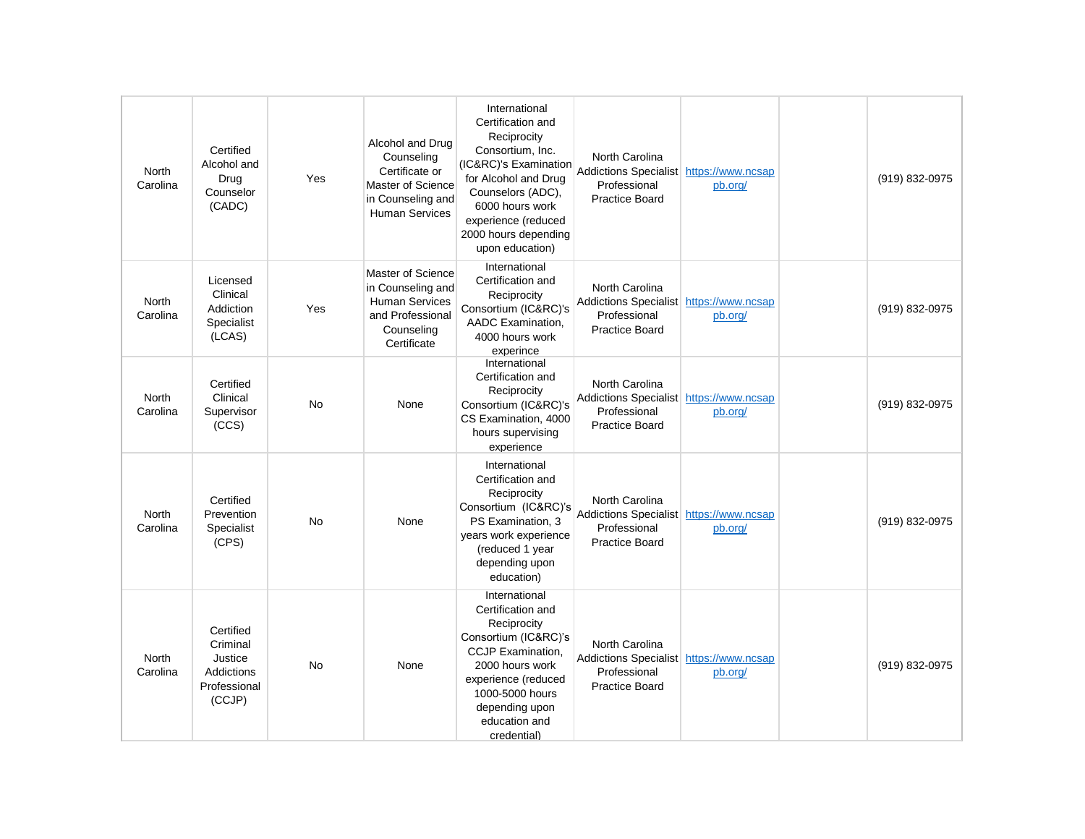| North<br>Carolina        | Certified<br>Alcohol and<br>Drug<br>Counselor<br>(CADC)                         | Yes       | Alcohol and Drug<br>Counseling<br>Certificate or<br>Master of Science<br>in Counseling and<br><b>Human Services</b> | International<br>Certification and<br>Reciprocity<br>Consortium, Inc.<br>(IC&RC)'s Examination<br>for Alcohol and Drug<br>Counselors (ADC),<br>6000 hours work<br>experience (reduced<br>2000 hours depending<br>upon education) | North Carolina<br>Addictions Specialist https://www.ncsap<br>Professional<br><b>Practice Board</b> | pb.org/ | (919) 832-0975 |
|--------------------------|---------------------------------------------------------------------------------|-----------|---------------------------------------------------------------------------------------------------------------------|----------------------------------------------------------------------------------------------------------------------------------------------------------------------------------------------------------------------------------|----------------------------------------------------------------------------------------------------|---------|----------------|
| North<br>Carolina        | Licensed<br>Clinical<br>Addiction<br>Specialist<br>(LCAS)                       | Yes       | Master of Science<br>in Counseling and<br><b>Human Services</b><br>and Professional<br>Counseling<br>Certificate    | International<br>Certification and<br>Reciprocity<br>Consortium (IC&RC)'s<br>AADC Examination,<br>4000 hours work<br>experince                                                                                                   | North Carolina<br>Addictions Specialist https://www.ncsap<br>Professional<br><b>Practice Board</b> | pb.org/ | (919) 832-0975 |
| North<br>Carolina        | Certified<br>Clinical<br>Supervisor<br>(CCS)                                    | <b>No</b> | None                                                                                                                | International<br>Certification and<br>Reciprocity<br>Consortium (IC&RC)'s<br>CS Examination, 4000<br>hours supervising<br>experience                                                                                             | North Carolina<br>Addictions Specialist https://www.ncsap<br>Professional<br><b>Practice Board</b> | pb.org/ | (919) 832-0975 |
| <b>North</b><br>Carolina | Certified<br>Prevention<br>Specialist<br>(CPS)                                  | No        | None                                                                                                                | International<br>Certification and<br>Reciprocity<br>Consortium (IC&RC)'s<br>PS Examination, 3<br>years work experience<br>(reduced 1 year<br>depending upon<br>education)                                                       | North Carolina<br>Addictions Specialist https://www.ncsap<br>Professional<br><b>Practice Board</b> | pb.org/ | (919) 832-0975 |
| North<br>Carolina        | Certified<br>Criminal<br>Justice<br><b>Addictions</b><br>Professional<br>(CCJP) | <b>No</b> | None                                                                                                                | International<br>Certification and<br>Reciprocity<br>Consortium (IC&RC)'s<br>CCJP Examination,<br>2000 hours work<br>experience (reduced<br>1000-5000 hours<br>depending upon<br>education and<br>credential)                    | North Carolina<br>Addictions Specialist https://www.ncsap<br>Professional<br><b>Practice Board</b> | pb.org/ | (919) 832-0975 |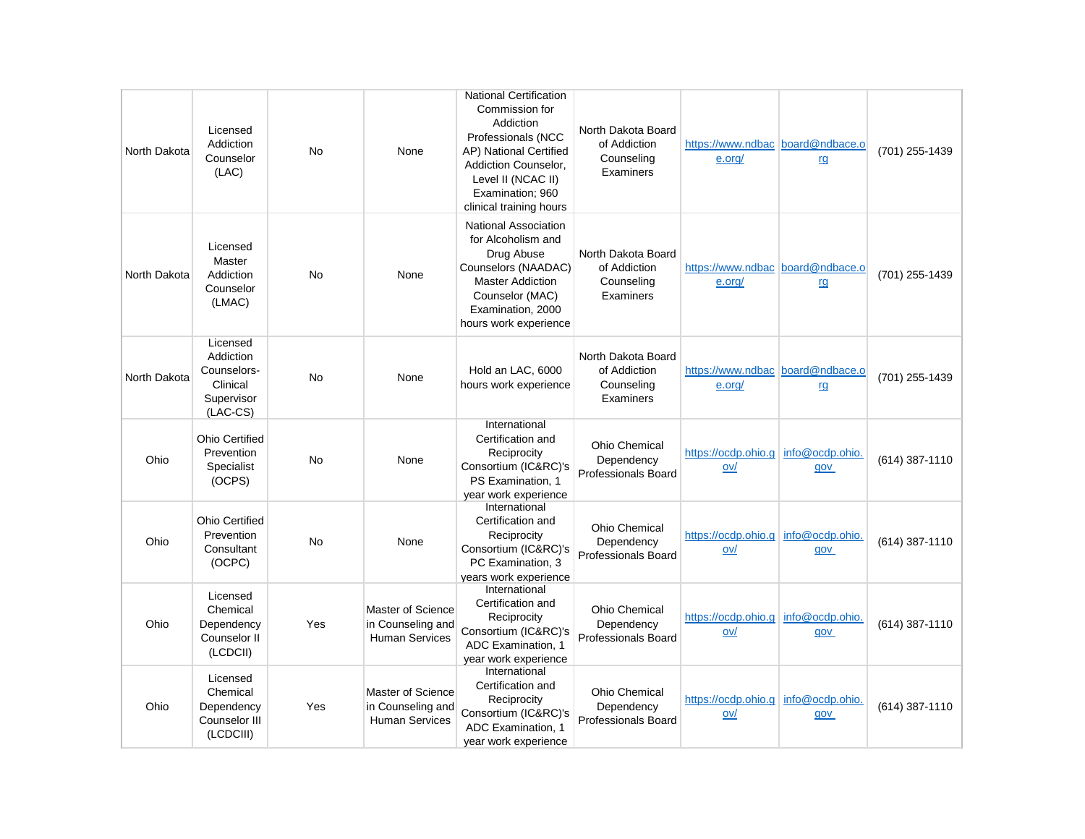| North Dakota | Licensed<br>Addiction<br>Counselor<br>(LAC)                                  | <b>No</b> | None                                                                   | <b>National Certification</b><br>Commission for<br>Addiction<br>Professionals (NCC<br>AP) National Certified<br>Addiction Counselor,<br>Level II (NCAC II)<br>Examination; 960<br>clinical training hours | North Dakota Board<br>of Addiction<br>Counseling<br>Examiners    | https://www.ndbac board@ndbace.o<br>e.org/ | rg                     | (701) 255-1439 |
|--------------|------------------------------------------------------------------------------|-----------|------------------------------------------------------------------------|-----------------------------------------------------------------------------------------------------------------------------------------------------------------------------------------------------------|------------------------------------------------------------------|--------------------------------------------|------------------------|----------------|
| North Dakota | Licensed<br>Master<br>Addiction<br>Counselor<br>(LMAC)                       | <b>No</b> | None                                                                   | National Association<br>for Alcoholism and<br>Drug Abuse<br>Counselors (NAADAC)<br><b>Master Addiction</b><br>Counselor (MAC)<br>Examination, 2000<br>hours work experience                               | North Dakota Board<br>of Addiction<br>Counseling<br>Examiners    | https://www.ndbac board@ndbace.o<br>e.org/ | rg                     | (701) 255-1439 |
| North Dakota | Licensed<br>Addiction<br>Counselors-<br>Clinical<br>Supervisor<br>$(LAC-CS)$ | <b>No</b> | None                                                                   | Hold an LAC, 6000<br>hours work experience                                                                                                                                                                | North Dakota Board<br>of Addiction<br>Counseling<br>Examiners    | https://www.ndbac board@ndbace.o<br>e.org/ | <u>rg</u>              | (701) 255-1439 |
| Ohio         | <b>Ohio Certified</b><br>Prevention<br>Specialist<br>(OCPS)                  | <b>No</b> | None                                                                   | International<br>Certification and<br>Reciprocity<br>Consortium (IC&RC)'s<br>PS Examination. 1<br>year work experience                                                                                    | <b>Ohio Chemical</b><br>Dependency<br>Professionals Board        | https://ocdp.ohio.g<br>ov/                 | info@ocdp.ohio.<br>gov | (614) 387-1110 |
| Ohio         | <b>Ohio Certified</b><br>Prevention<br>Consultant<br>(OCPC)                  | <b>No</b> | None                                                                   | International<br>Certification and<br>Reciprocity<br>Consortium (IC&RC)'s<br>PC Examination, 3<br>years work experience                                                                                   | <b>Ohio Chemical</b><br>Dependency<br><b>Professionals Board</b> | https://ocdp.ohio.g<br>ov/                 | info@ocdp.ohio.<br>gov | (614) 387-1110 |
| Ohio         | Licensed<br>Chemical<br>Dependency<br>Counselor II<br>(LCDCII)               | Yes       | <b>Master of Science</b><br>in Counseling and<br><b>Human Services</b> | International<br>Certification and<br>Reciprocity<br>Consortium (IC&RC)'s<br>ADC Examination. 1<br>year work experience                                                                                   | <b>Ohio Chemical</b><br>Dependency<br>Professionals Board        | https://ocdp.ohio.g<br>ov/                 | info@ocdp.ohio.<br>gov | (614) 387-1110 |
| Ohio         | Licensed<br>Chemical<br>Dependency<br>Counselor III<br>(LCDCIII)             | Yes       | Master of Science<br>in Counseling and<br><b>Human Services</b>        | International<br>Certification and<br>Reciprocity<br>Consortium (IC&RC)'s<br>ADC Examination, 1<br>year work experience                                                                                   | <b>Ohio Chemical</b><br>Dependency<br>Professionals Board        | https://ocdp.ohio.g info@ocdp.ohio.<br>ov/ | gov                    | (614) 387-1110 |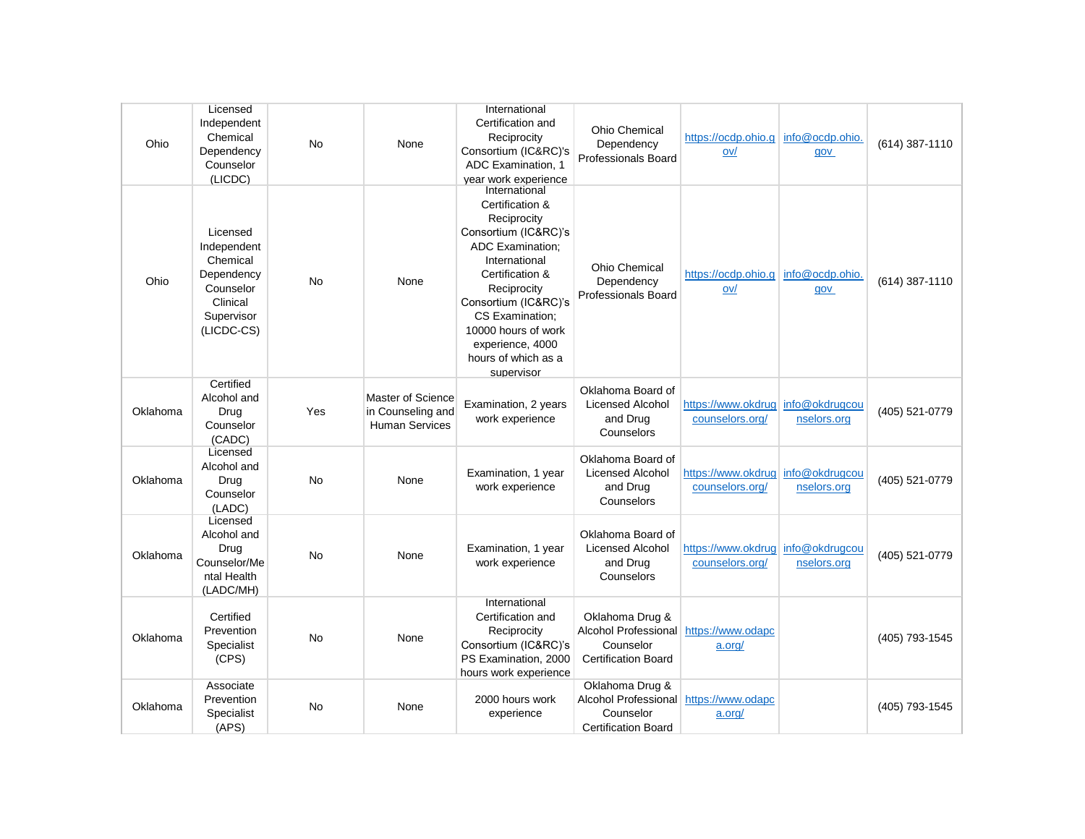| Ohio     | Licensed<br>Independent<br>Chemical<br>Dependency<br>Counselor<br>(LICDC)                              | <b>No</b> | None                                                            | International<br>Certification and<br>Reciprocity<br>Consortium (IC&RC)'s<br>ADC Examination, 1<br>year work experience                                                                                                                                                          | <b>Ohio Chemical</b><br>Dependency<br>Professionals Board                                            | https://ocdp.ohio.g   info@ocdp.ohio.<br>ov/         | gov                    | (614) 387-1110 |
|----------|--------------------------------------------------------------------------------------------------------|-----------|-----------------------------------------------------------------|----------------------------------------------------------------------------------------------------------------------------------------------------------------------------------------------------------------------------------------------------------------------------------|------------------------------------------------------------------------------------------------------|------------------------------------------------------|------------------------|----------------|
| Ohio     | Licensed<br>Independent<br>Chemical<br>Dependency<br>Counselor<br>Clinical<br>Supervisor<br>(LICDC-CS) | No        | None                                                            | International<br>Certification &<br>Reciprocity<br>Consortium (IC&RC)'s<br><b>ADC Examination:</b><br>International<br>Certification &<br>Reciprocity<br>Consortium (IC&RC)'s<br>CS Examination;<br>10000 hours of work<br>experience, 4000<br>hours of which as a<br>supervisor | <b>Ohio Chemical</b><br>Dependency<br><b>Professionals Board</b>                                     | https://ocdp.ohio.g<br>ov/                           | info@ocdp.ohio.<br>gov | (614) 387-1110 |
| Oklahoma | Certified<br>Alcohol and<br>Drug<br>Counselor<br>(CADC)                                                | Yes       | Master of Science<br>in Counseling and<br><b>Human Services</b> | Examination, 2 years<br>work experience                                                                                                                                                                                                                                          | Oklahoma Board of<br><b>Licensed Alcohol</b><br>and Drug<br>Counselors                               | https://www.okdruglinfo@okdrugcou<br>counselors.org/ | nselors.org            | (405) 521-0779 |
| Oklahoma | Licensed<br>Alcohol and<br>Drug<br>Counselor<br>(LADC)                                                 | No        | None                                                            | Examination, 1 year<br>work experience                                                                                                                                                                                                                                           | Oklahoma Board of<br><b>Licensed Alcohol</b><br>and Drug<br>Counselors                               | https://www.okdruglinfo@okdrugcou<br>counselors.org/ | nselors.org            | (405) 521-0779 |
| Oklahoma | Licensed<br>Alcohol and<br>Drug<br>Counselor/Me<br>ntal Health<br>(LADC/MH)                            | No        | None                                                            | Examination, 1 year<br>work experience                                                                                                                                                                                                                                           | Oklahoma Board of<br><b>Licensed Alcohol</b><br>and Drug<br>Counselors                               | https://www.okdrug info@okdrugcou<br>counselors.org/ | nselors.org            | (405) 521-0779 |
| Oklahoma | Certified<br>Prevention<br>Specialist<br>(CPS)                                                         | <b>No</b> | None                                                            | International<br>Certification and<br>Reciprocity<br>Consortium (IC&RC)'s<br>PS Examination, 2000<br>hours work experience                                                                                                                                                       | Oklahoma Drug &<br>Alcohol Professional<br>Counselor<br><b>Certification Board</b>                   | https://www.odapc<br>a.org/                          |                        | (405) 793-1545 |
| Oklahoma | Associate<br>Prevention<br>Specialist<br>(APS)                                                         | <b>No</b> | None                                                            | 2000 hours work<br>experience                                                                                                                                                                                                                                                    | Oklahoma Drug &<br>Alcohol Professional https://www.odapc<br>Counselor<br><b>Certification Board</b> | a.org/                                               |                        | (405) 793-1545 |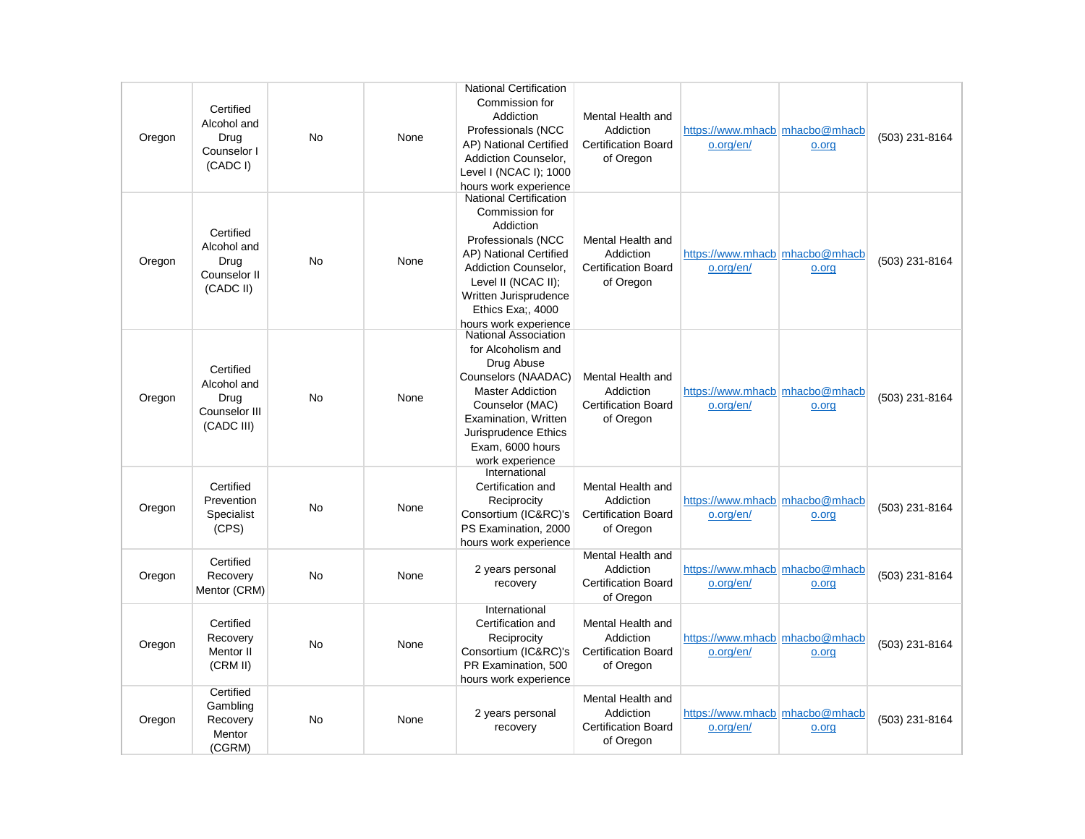| Oregon | Certified<br>Alcohol and<br>Drug<br>Counselor I<br>(CADC I)     | <b>No</b> | None | <b>National Certification</b><br>Commission for<br>Addiction<br>Professionals (NCC<br>AP) National Certified<br>Addiction Counselor.<br>Level I (NCAC I); 1000<br>hours work experience                                            | Mental Health and<br>Addiction<br><b>Certification Board</b><br>of Oregon | https://www.mhacb   mhacbo@mhacb<br>o.org/en/ | o.org | (503) 231-8164 |
|--------|-----------------------------------------------------------------|-----------|------|------------------------------------------------------------------------------------------------------------------------------------------------------------------------------------------------------------------------------------|---------------------------------------------------------------------------|-----------------------------------------------|-------|----------------|
| Oregon | Certified<br>Alcohol and<br>Drug<br>Counselor II<br>(CADC II)   | No        | None | <b>National Certification</b><br>Commission for<br>Addiction<br>Professionals (NCC<br>AP) National Certified<br>Addiction Counselor,<br>Level II (NCAC II);<br>Written Jurisprudence<br>Ethics Exa;, 4000<br>hours work experience | Mental Health and<br>Addiction<br>Certification Board<br>of Oregon        | https://www.mhacb   mhacbo@mhacb<br>o.org/en/ | o.org | (503) 231-8164 |
| Oregon | Certified<br>Alcohol and<br>Drug<br>Counselor III<br>(CADC III) | No        | None | <b>National Association</b><br>for Alcoholism and<br>Drug Abuse<br>Counselors (NAADAC)<br><b>Master Addiction</b><br>Counselor (MAC)<br>Examination, Written<br>Jurisprudence Ethics<br>Exam, 6000 hours<br>work experience        | Mental Health and<br>Addiction<br><b>Certification Board</b><br>of Oregon | https://www.mhacb   mhacbo@mhacb<br>o.org/en/ | o.org | (503) 231-8164 |
| Oregon | Certified<br>Prevention<br>Specialist<br>(CPS)                  | No        | None | International<br>Certification and<br>Reciprocity<br>Consortium (IC&RC)'s<br>PS Examination, 2000<br>hours work experience                                                                                                         | Mental Health and<br>Addiction<br><b>Certification Board</b><br>of Oregon | https://www.mhacb   mhacbo@mhacb<br>o.org/en/ | o.org | (503) 231-8164 |
| Oregon | Certified<br>Recovery<br>Mentor (CRM)                           | <b>No</b> | None | 2 years personal<br>recovery                                                                                                                                                                                                       | Mental Health and<br>Addiction<br><b>Certification Board</b><br>of Oregon | https://www.mhacb mhacbo@mhacb<br>o.org/en/   | o.org | (503) 231-8164 |
| Oregon | Certified<br>Recovery<br>Mentor II<br>(CRM II)                  | No        | None | International<br>Certification and<br>Reciprocity<br>Consortium (IC&RC)'s<br>PR Examination, 500<br>hours work experience                                                                                                          | Mental Health and<br>Addiction<br><b>Certification Board</b><br>of Oregon | https://www.mhacb mhacbo@mhacb<br>o.org/en/   | o.org | (503) 231-8164 |
| Oregon | Certified<br>Gambling<br>Recovery<br>Mentor<br>(CGRM)           | <b>No</b> | None | 2 years personal<br>recovery                                                                                                                                                                                                       | Mental Health and<br>Addiction<br><b>Certification Board</b><br>of Oregon | https://www.mhacb mhacbo@mhacb<br>o.org/en/   | o.org | (503) 231-8164 |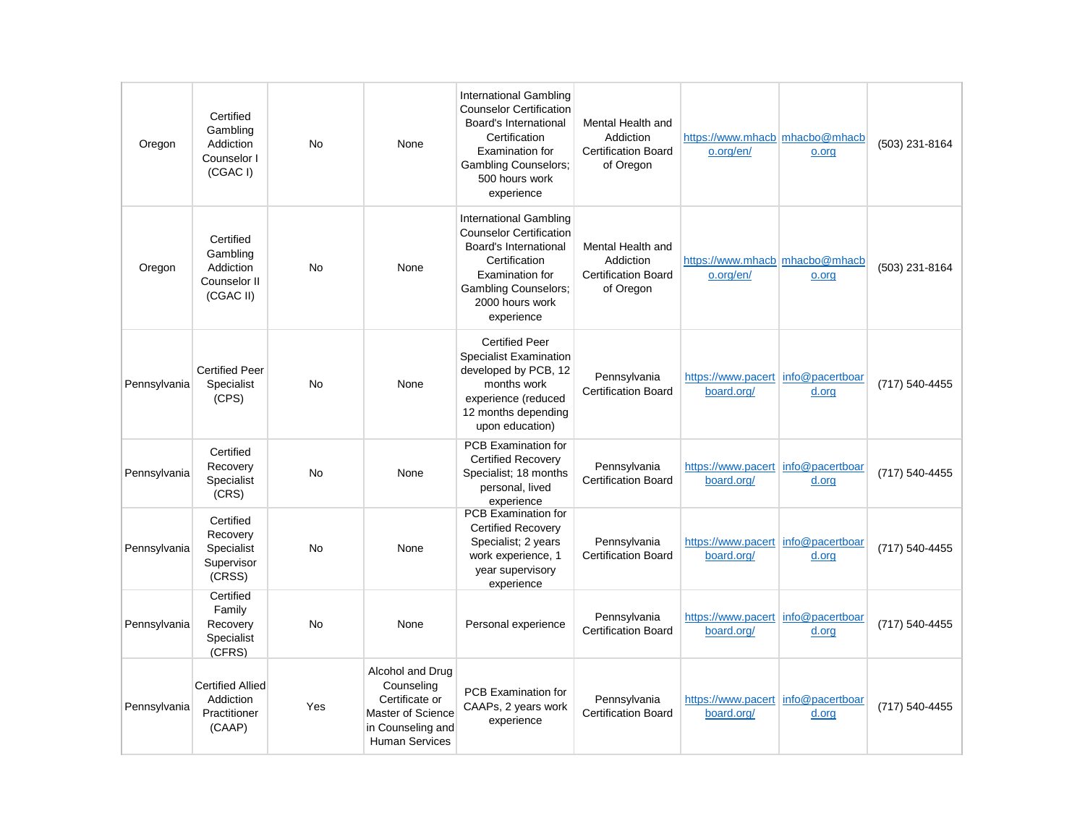| Oregon       | Certified<br>Gambling<br>Addiction<br>Counselor I<br>(CGAC I)   | <b>No</b> | None                                                                                                                | <b>International Gambling</b><br><b>Counselor Certification</b><br>Board's International<br>Certification<br><b>Examination for</b><br><b>Gambling Counselors:</b><br>500 hours work<br>experience | Mental Health and<br>Addiction<br><b>Certification Board</b><br>of Oregon | https://www.mhacb   mhacbo@mhacb<br>o.org/en/    | o.org | (503) 231-8164 |
|--------------|-----------------------------------------------------------------|-----------|---------------------------------------------------------------------------------------------------------------------|----------------------------------------------------------------------------------------------------------------------------------------------------------------------------------------------------|---------------------------------------------------------------------------|--------------------------------------------------|-------|----------------|
| Oregon       | Certified<br>Gambling<br>Addiction<br>Counselor II<br>(CGAC II) | <b>No</b> | None                                                                                                                | International Gambling<br><b>Counselor Certification</b><br>Board's International<br>Certification<br>Examination for<br><b>Gambling Counselors;</b><br>2000 hours work<br>experience              | Mental Health and<br>Addiction<br><b>Certification Board</b><br>of Oregon | https://www.mhacb mhacbo@mhacb<br>o.org/en/      | o.org | (503) 231-8164 |
| Pennsylvania | <b>Certified Peer</b><br>Specialist<br>(CPS)                    | <b>No</b> | None                                                                                                                | <b>Certified Peer</b><br><b>Specialist Examination</b><br>developed by PCB, 12<br>months work<br>experience (reduced<br>12 months depending<br>upon education)                                     | Pennsylvania<br><b>Certification Board</b>                                | https://www.pacert info@pacertboar<br>board.org/ | d.org | (717) 540-4455 |
| Pennsylvania | Certified<br>Recovery<br>Specialist<br>(CRS)                    | <b>No</b> | None                                                                                                                | <b>PCB Examination for</b><br><b>Certified Recovery</b><br>Specialist; 18 months<br>personal, lived<br>experience                                                                                  | Pennsvlvania<br><b>Certification Board</b>                                | https://www.pacert info@pacertboar<br>board.org/ | d.org | (717) 540-4455 |
| Pennsylvania | Certified<br>Recovery<br>Specialist<br>Supervisor<br>(CRSS)     | <b>No</b> | None                                                                                                                | PCB Examination for<br><b>Certified Recovery</b><br>Specialist; 2 years<br>work experience, 1<br>year supervisory<br>experience                                                                    | Pennsylvania<br><b>Certification Board</b>                                | https://www.pacert info@pacertboar<br>board.org/ | d.org | (717) 540-4455 |
| Pennsylvania | Certified<br>Family<br>Recovery<br>Specialist<br>(CFRS)         | No        | None                                                                                                                | Personal experience                                                                                                                                                                                | Pennsylvania<br><b>Certification Board</b>                                | https://www.pacert info@pacertboar<br>board.org/ | d.org | (717) 540-4455 |
| Pennsylvania | <b>Certified Allied</b><br>Addiction<br>Practitioner<br>(CAAP)  | Yes       | Alcohol and Drug<br>Counseling<br>Certificate or<br>Master of Science<br>in Counseling and<br><b>Human Services</b> | <b>PCB Examination for</b><br>CAAPs, 2 years work<br>experience                                                                                                                                    | Pennsylvania<br><b>Certification Board</b>                                | https://www.pacert info@pacertboar<br>board.org/ | d.org | (717) 540-4455 |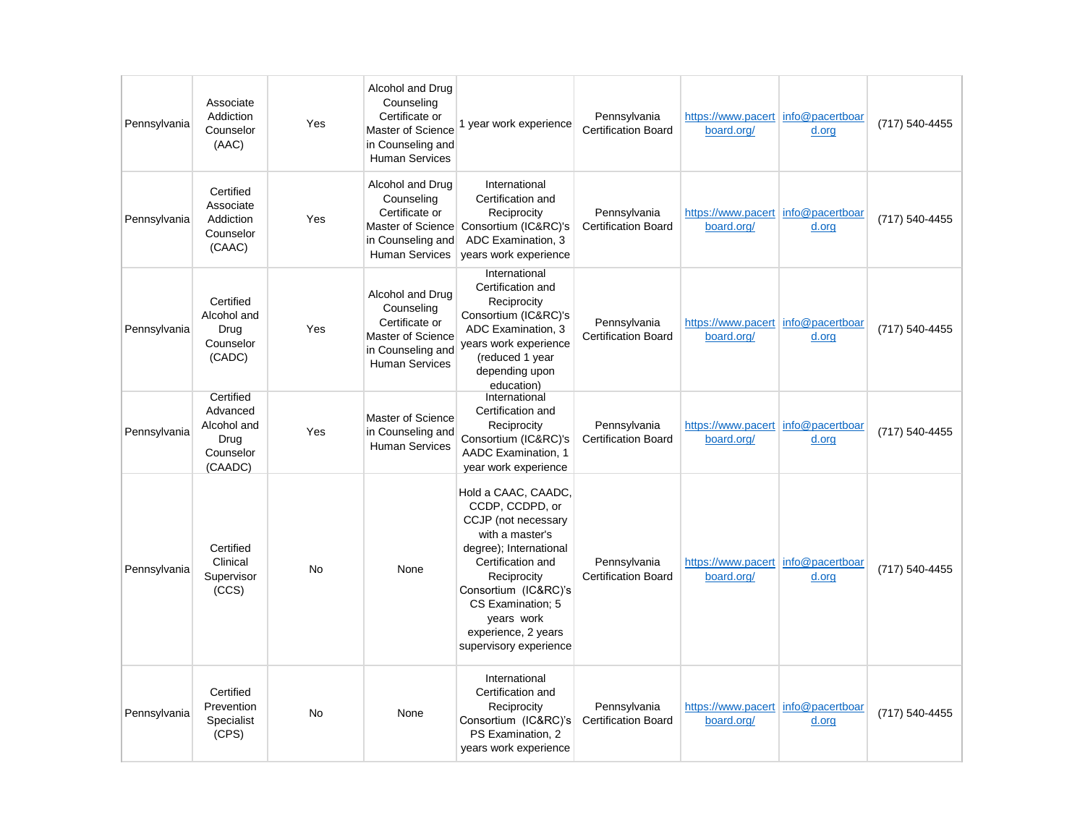| Pennsylvania | Associate<br>Addiction<br>Counselor<br>(AAC)                         | Yes            | Alcohol and Drug<br>Counseling<br>Certificate or<br>Master of Science<br>in Counseling and<br><b>Human Services</b> | 1 year work experience                                                                                                                                                                                                                                     | Pennsylvania<br><b>Certification Board</b> | https://www.pacert info@pacertboar<br>board.org/   | d.org                    | (717) 540-4455 |
|--------------|----------------------------------------------------------------------|----------------|---------------------------------------------------------------------------------------------------------------------|------------------------------------------------------------------------------------------------------------------------------------------------------------------------------------------------------------------------------------------------------------|--------------------------------------------|----------------------------------------------------|--------------------------|----------------|
| Pennsylvania | Certified<br>Associate<br>Addiction<br>Counselor<br>(CAAC)           | Yes            | Alcohol and Drug<br>Counseling<br>Certificate or<br>Master of Science<br>in Counseling and<br><b>Human Services</b> | International<br>Certification and<br>Reciprocity<br>Consortium (IC&RC)'s<br>ADC Examination, 3<br>years work experience                                                                                                                                   | Pennsylvania<br><b>Certification Board</b> | https://www.pacert info@pacertboar<br>board.org/   | d.org                    | (717) 540-4455 |
| Pennsylvania | Certified<br>Alcohol and<br>Drug<br>Counselor<br>(CADC)              | Yes            | Alcohol and Drug<br>Counseling<br>Certificate or<br>Master of Science<br>in Counseling and<br><b>Human Services</b> | International<br>Certification and<br>Reciprocity<br>Consortium (IC&RC)'s<br>ADC Examination, 3<br>years work experience<br>(reduced 1 year<br>depending upon<br>education)                                                                                | Pennsylvania<br><b>Certification Board</b> | https://www.pacert info@pacertboar<br>board.org/   | d.org                    | (717) 540-4455 |
| Pennsylvania | Certified<br>Advanced<br>Alcohol and<br>Drug<br>Counselor<br>(CAADC) | Yes            | Master of Science<br>in Counseling and<br><b>Human Services</b>                                                     | International<br>Certification and<br>Reciprocity<br>Consortium (IC&RC)'s<br>AADC Examination, 1<br>year work experience                                                                                                                                   | Pennsylvania<br><b>Certification Board</b> | https://www.pacert<br>board.org/                   | info@pacertboar<br>d.org | (717) 540-4455 |
| Pennsylvania | Certified<br>Clinical<br>Supervisor<br>(CCS)                         | <b>No</b>      | None                                                                                                                | Hold a CAAC, CAADC,<br>CCDP, CCDPD, or<br>CCJP (not necessary<br>with a master's<br>degree); International<br>Certification and<br>Reciprocity<br>Consortium (IC&RC)'s<br>CS Examination; 5<br>years work<br>experience, 2 years<br>supervisory experience | Pennsylvania<br><b>Certification Board</b> | https://www.pacert info@pacertboar<br>board.org/   | d.org                    | (717) 540-4455 |
| Pennsylvania | Certified<br>Prevention<br>Specialist<br>(CPS)                       | N <sub>0</sub> | None                                                                                                                | International<br>Certification and<br>Reciprocity<br>Consortium (IC&RC)'s<br>PS Examination, 2<br>years work experience                                                                                                                                    | Pennsylvania<br><b>Certification Board</b> | https://www.pacert   info@pacertboar<br>board.org/ | d.org                    | (717) 540-4455 |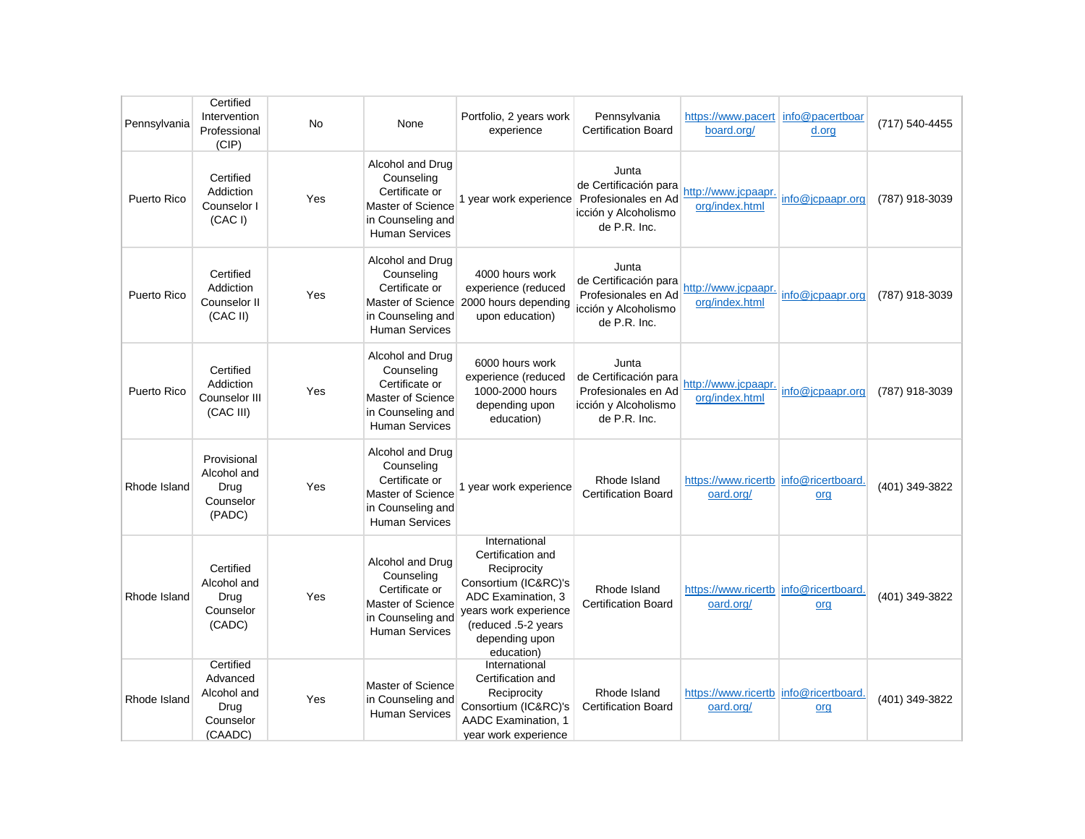| Pennsylvania | Certified<br>Intervention<br>Professional<br>(CIP)                   | No  | None                                                                                                                       | Portfolio, 2 years work<br>experience                                                                                                                                           | Pennsylvania<br>Certification Board                                                           | https://www.pacert<br>board.org/                   | info@pacertboar<br>d.org | (717) 540-4455 |
|--------------|----------------------------------------------------------------------|-----|----------------------------------------------------------------------------------------------------------------------------|---------------------------------------------------------------------------------------------------------------------------------------------------------------------------------|-----------------------------------------------------------------------------------------------|----------------------------------------------------|--------------------------|----------------|
| Puerto Rico  | Certified<br>Addiction<br>Counselor I<br>(CAC I)                     | Yes | Alcohol and Drug<br>Counseling<br>Certificate or<br><b>Master of Science</b><br>in Counseling and<br><b>Human Services</b> | 1 year work experience                                                                                                                                                          | Junta<br>de Certificación para<br>Profesionales en Ad<br>icción y Alcoholismo<br>de P.R. Inc. | http://www.jcpaapr.<br>org/index.html              | info@jcpaapr.org         | (787) 918-3039 |
| Puerto Rico  | Certified<br>Addiction<br>Counselor II<br>(CAC II)                   | Yes | Alcohol and Drug<br>Counseling<br>Certificate or<br>Master of Science<br>in Counseling and<br><b>Human Services</b>        | 4000 hours work<br>experience (reduced<br>2000 hours depending<br>upon education)                                                                                               | Junta<br>de Certificación para<br>Profesionales en Ad<br>icción y Alcoholismo<br>de P.R. Inc. | http://www.jcpaapr.<br>org/index.html              | info@icpaapr.org         | (787) 918-3039 |
| Puerto Rico  | Certified<br>Addiction<br>Counselor III<br>(CAC III)                 | Yes | Alcohol and Drug<br>Counseling<br>Certificate or<br>Master of Science<br>in Counseling and<br><b>Human Services</b>        | 6000 hours work<br>experience (reduced<br>1000-2000 hours<br>depending upon<br>education)                                                                                       | Junta<br>de Certificación para<br>Profesionales en Ad<br>icción y Alcoholismo<br>de P.R. Inc. | http://www.jcpaapr.<br>org/index.html              | info@jcpaapr.org         | (787) 918-3039 |
| Rhode Island | Provisional<br>Alcohol and<br>Drug<br>Counselor<br>(PADC)            | Yes | Alcohol and Drug<br>Counseling<br>Certificate or<br><b>Master of Science</b><br>in Counseling and<br><b>Human Services</b> | 1 year work experience                                                                                                                                                          | Rhode Island<br><b>Certification Board</b>                                                    | https://www.ricertb info@ricertboard.<br>oard.org/ | org                      | (401) 349-3822 |
| Rhode Island | Certified<br>Alcohol and<br>Drug<br>Counselor<br>(CADC)              | Yes | Alcohol and Drug<br>Counseling<br>Certificate or<br>Master of Science<br>in Counseling and<br><b>Human Services</b>        | International<br>Certification and<br>Reciprocity<br>Consortium (IC&RC)'s<br>ADC Examination, 3<br>years work experience<br>(reduced .5-2 years<br>depending upon<br>education) | Rhode Island<br><b>Certification Board</b>                                                    | https://www.ricertb<br>oard.org/                   | info@ricertboard.<br>org | (401) 349-3822 |
| Rhode Island | Certified<br>Advanced<br>Alcohol and<br>Drug<br>Counselor<br>(CAADC) | Yes | Master of Science<br>in Counseling and<br><b>Human Services</b>                                                            | International<br>Certification and<br>Reciprocity<br>Consortium (IC&RC)'s<br><b>AADC Examination, 1</b><br>year work experience                                                 | Rhode Island<br><b>Certification Board</b>                                                    | https://www.ricertb<br>oard.org/                   | info@ricertboard.<br>org | (401) 349-3822 |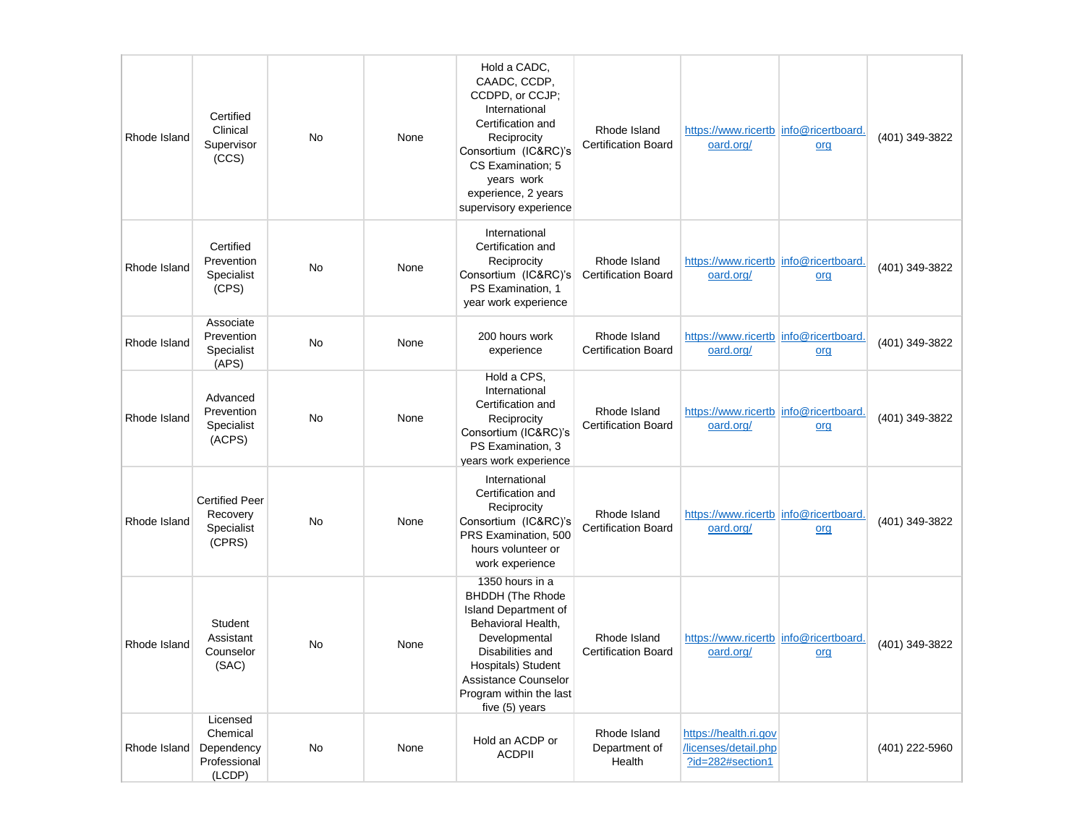| Rhode Island | Certified<br>Clinical<br>Supervisor<br>(CCS)                 | No | None | Hold a CADC,<br>CAADC, CCDP,<br>CCDPD, or CCJP;<br>International<br>Certification and<br>Reciprocity<br>Consortium (IC&RC)'s<br>CS Examination; 5<br>years work<br>experience, 2 years<br>supervisory experience                | Rhode Island<br><b>Certification Board</b> | https://www.ricertb info@ricertboard.<br>oard.org/                | org | (401) 349-3822 |
|--------------|--------------------------------------------------------------|----|------|---------------------------------------------------------------------------------------------------------------------------------------------------------------------------------------------------------------------------------|--------------------------------------------|-------------------------------------------------------------------|-----|----------------|
| Rhode Island | Certified<br>Prevention<br>Specialist<br>(CPS)               | No | None | International<br>Certification and<br>Reciprocity<br>Consortium (IC&RC)'s<br>PS Examination, 1<br>year work experience                                                                                                          | Rhode Island<br><b>Certification Board</b> | https://www.ricertb info@ricertboard.<br>oard.org/                | org | (401) 349-3822 |
| Rhode Island | Associate<br>Prevention<br>Specialist<br>(APS)               | No | None | 200 hours work<br>experience                                                                                                                                                                                                    | Rhode Island<br><b>Certification Board</b> | https://www.ricertb info@ricertboard.<br>oard.org/                | org | (401) 349-3822 |
| Rhode Island | Advanced<br>Prevention<br>Specialist<br>(ACPS)               | No | None | Hold a CPS,<br>International<br>Certification and<br>Reciprocity<br>Consortium (IC&RC)'s<br>PS Examination, 3<br>years work experience                                                                                          | Rhode Island<br><b>Certification Board</b> | https://www.ricertb linfo@ricertboard.<br>oard.org/               | org | (401) 349-3822 |
| Rhode Island | <b>Certified Peer</b><br>Recovery<br>Specialist<br>(CPRS)    | No | None | International<br>Certification and<br>Reciprocity<br>Consortium (IC&RC)'s<br>PRS Examination, 500<br>hours volunteer or<br>work experience                                                                                      | Rhode Island<br><b>Certification Board</b> | https://www.ricertb info@ricertboard.<br>oard.org/                | org | (401) 349-3822 |
| Rhode Island | Student<br>Assistant<br>Counselor<br>(SAC)                   | No | None | 1350 hours in a<br><b>BHDDH</b> (The Rhode<br><b>Island Department of</b><br>Behavioral Health,<br>Developmental<br>Disabilities and<br>Hospitals) Student<br>Assistance Counselor<br>Program within the last<br>five (5) years | Rhode Island<br><b>Certification Board</b> | https://www.ricertb info@ricertboard.<br>oard.org/                | org | (401) 349-3822 |
| Rhode Island | Licensed<br>Chemical<br>Dependency<br>Professional<br>(LCDP) | No | None | Hold an ACDP or<br><b>ACDPII</b>                                                                                                                                                                                                | Rhode Island<br>Department of<br>Health    | https://health.ri.gov<br>/licenses/detail.php<br>?id=282#section1 |     | (401) 222-5960 |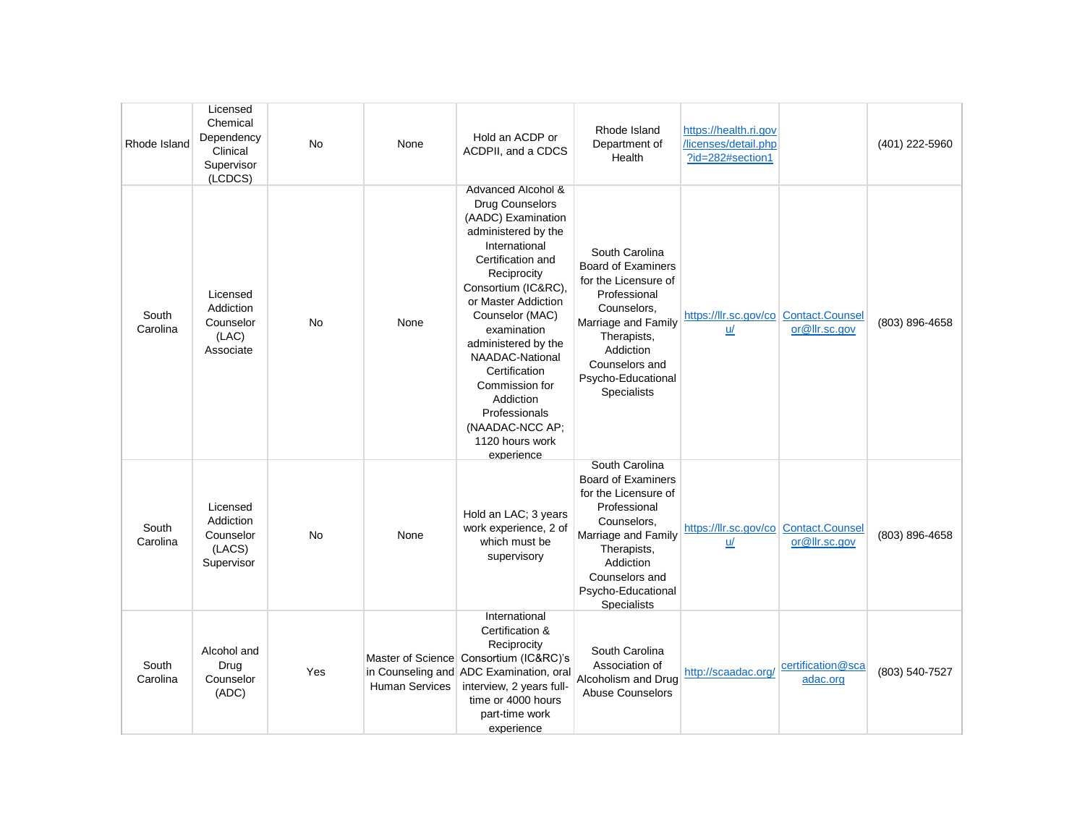| Rhode Island      | Licensed<br>Chemical<br>Dependency<br>Clinical<br>Supervisor<br>(LCDCS) | No        | None                  | Hold an ACDP or<br>ACDPII, and a CDCS                                                                                                                                                                                                                                                                                                                                                  | Rhode Island<br>Department of<br>Health                                                                                                                                                                             | https://health.ri.gov<br>licenses/detail.php<br>?id=282#section1 |                               | (401) 222-5960 |
|-------------------|-------------------------------------------------------------------------|-----------|-----------------------|----------------------------------------------------------------------------------------------------------------------------------------------------------------------------------------------------------------------------------------------------------------------------------------------------------------------------------------------------------------------------------------|---------------------------------------------------------------------------------------------------------------------------------------------------------------------------------------------------------------------|------------------------------------------------------------------|-------------------------------|----------------|
| South<br>Carolina | Licensed<br>Addiction<br>Counselor<br>(LAC)<br>Associate                | <b>No</b> | None                  | Advanced Alcohol &<br>Drug Counselors<br>(AADC) Examination<br>administered by the<br>International<br>Certification and<br>Reciprocity<br>Consortium (IC&RC),<br>or Master Addiction<br>Counselor (MAC)<br>examination<br>administered by the<br>NAADAC-National<br>Certification<br>Commission for<br>Addiction<br>Professionals<br>(NAADAC-NCC AP;<br>1120 hours work<br>experience | South Carolina<br><b>Board of Examiners</b><br>for the Licensure of<br>Professional<br>Counselors,<br>Marriage and Family<br>Therapists,<br>Addiction<br>Counselors and<br>Psycho-Educational<br>Specialists        | https://llr.sc.gov/co   Contact.Counsel<br>u/                    | or@llr.sc.gov                 | (803) 896-4658 |
| South<br>Carolina | Licensed<br>Addiction<br>Counselor<br>(LACS)<br>Supervisor              | <b>No</b> | None                  | Hold an LAC; 3 years<br>work experience, 2 of<br>which must be<br>supervisory                                                                                                                                                                                                                                                                                                          | South Carolina<br><b>Board of Examiners</b><br>for the Licensure of<br>Professional<br>Counselors,<br>Marriage and Family<br>Therapists,<br>Addiction<br>Counselors and<br>Psycho-Educational<br><b>Specialists</b> | https://llr.sc.gov/co   Contact.Counsel<br>u/                    | or@llr.sc.gov                 | (803) 896-4658 |
| South<br>Carolina | Alcohol and<br>Drug<br>Counselor<br>(ADC)                               | Yes       | <b>Human Services</b> | International<br>Certification &<br>Reciprocity<br>Master of Science Consortium (IC&RC)'s<br>in Counseling and ADC Examination, oral<br>interview, 2 years full-<br>time or 4000 hours<br>part-time work<br>experience                                                                                                                                                                 | South Carolina<br>Association of<br>Alcoholism and Drug<br><b>Abuse Counselors</b>                                                                                                                                  | http://scaadac.org/                                              | certification@sca<br>adac.org | (803) 540-7527 |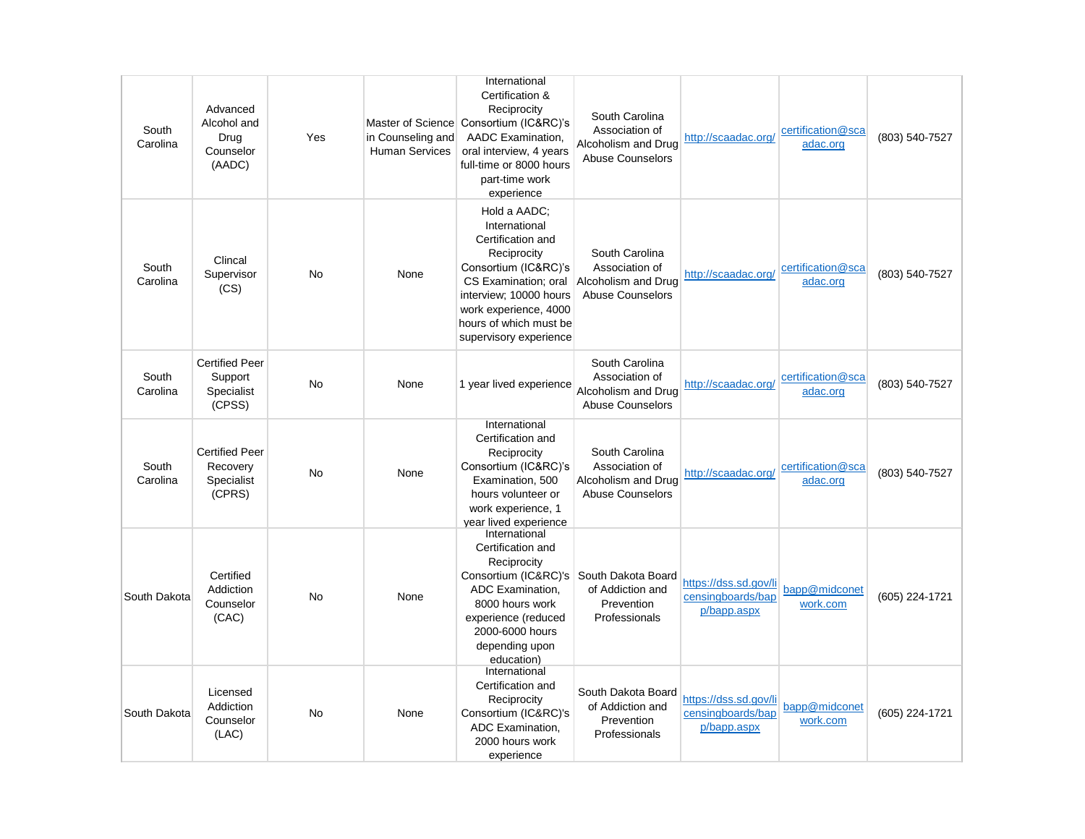| South<br>Carolina | Advanced<br>Alcohol and<br>Drug<br>Counselor<br>(AADC)    | Yes       | in Counseling and<br><b>Human Services</b> | International<br>Certification &<br>Reciprocity<br>Master of Science Consortium (IC&RC)'s<br>AADC Examination,<br>oral interview, 4 years<br>full-time or 8000 hours<br>part-time work<br>experience                     | South Carolina<br>Association of<br>Alcoholism and Drug<br><b>Abuse Counselors</b> | http://scaadac.org/                                       | certification@sca<br>adac.org | (803) 540-7527 |
|-------------------|-----------------------------------------------------------|-----------|--------------------------------------------|--------------------------------------------------------------------------------------------------------------------------------------------------------------------------------------------------------------------------|------------------------------------------------------------------------------------|-----------------------------------------------------------|-------------------------------|----------------|
| South<br>Carolina | Clincal<br>Supervisor<br>(CS)                             | <b>No</b> | None                                       | Hold a AADC;<br>International<br>Certification and<br>Reciprocity<br>Consortium (IC&RC)'s<br>CS Examination; oral<br>interview; 10000 hours<br>work experience, 4000<br>hours of which must be<br>supervisory experience | South Carolina<br>Association of<br>Alcoholism and Drug<br><b>Abuse Counselors</b> | http://scaadac.org/                                       | certification@sca<br>adac.org | (803) 540-7527 |
| South<br>Carolina | <b>Certified Peer</b><br>Support<br>Specialist<br>(CPSS)  | <b>No</b> | None                                       | 1 year lived experience                                                                                                                                                                                                  | South Carolina<br>Association of<br>Alcoholism and Drug<br><b>Abuse Counselors</b> | http://scaadac.org/                                       | certification@sca<br>adac.org | (803) 540-7527 |
| South<br>Carolina | <b>Certified Peer</b><br>Recovery<br>Specialist<br>(CPRS) | <b>No</b> | None                                       | International<br>Certification and<br>Reciprocity<br>Consortium (IC&RC)'s<br>Examination, 500<br>hours volunteer or<br>work experience, 1<br>vear lived experience                                                       | South Carolina<br>Association of<br>Alcoholism and Drug<br><b>Abuse Counselors</b> | http://scaadac.org/                                       | certification@sca<br>adac.org | (803) 540-7527 |
| South Dakota      | Certified<br>Addiction<br>Counselor<br>(CAC)              | <b>No</b> | None                                       | International<br>Certification and<br>Reciprocity<br>Consortium (IC&RC)'s South Dakota Board<br>ADC Examination,<br>8000 hours work<br>experience (reduced<br>2000-6000 hours<br>depending upon<br>education)            | of Addiction and<br>Prevention<br>Professionals                                    | https://dss.sd.gov/li<br>censingboards/bap<br>p/bapp.aspx | bapp@midconet<br>work.com     | (605) 224-1721 |
| South Dakota      | Licensed<br>Addiction<br>Counselor<br>(LAC)               | No        | None                                       | International<br>Certification and<br>Reciprocity<br>Consortium (IC&RC)'s<br>ADC Examination,<br>2000 hours work<br>experience                                                                                           | South Dakota Board<br>of Addiction and<br>Prevention<br>Professionals              | https://dss.sd.gov/li<br>censingboards/bap<br>p/bapp.aspx | bapp@midconet<br>work.com     | (605) 224-1721 |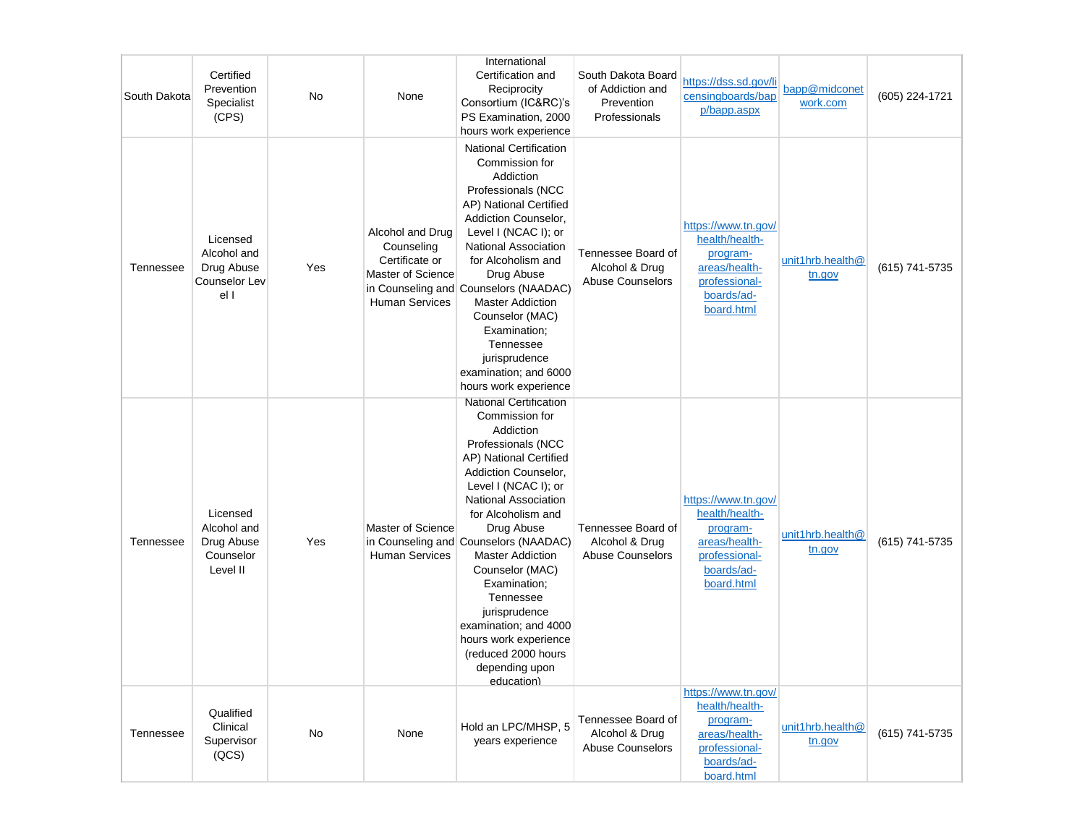| South Dakota | Certified<br>Prevention<br>Specialist<br>(CPS)                 | No  | None                                                                                           | International<br>Certification and<br>Reciprocity<br>Consortium (IC&RC)'s<br>PS Examination, 2000<br>hours work experience                                                                                                                                                                                                                                                                                                                                                    | South Dakota Board<br>of Addiction and<br>Prevention<br>Professionals | https://dss.sd.gov/li<br>censingboards/bap<br>p/bapp.aspx                                                       | bapp@midconet<br>work.com  | (605) 224-1721 |
|--------------|----------------------------------------------------------------|-----|------------------------------------------------------------------------------------------------|-------------------------------------------------------------------------------------------------------------------------------------------------------------------------------------------------------------------------------------------------------------------------------------------------------------------------------------------------------------------------------------------------------------------------------------------------------------------------------|-----------------------------------------------------------------------|-----------------------------------------------------------------------------------------------------------------|----------------------------|----------------|
| Tennessee    | Licensed<br>Alcohol and<br>Drug Abuse<br>Counselor Lev<br>el I | Yes | Alcohol and Drug<br>Counseling<br>Certificate or<br>Master of Science<br><b>Human Services</b> | <b>National Certification</b><br>Commission for<br>Addiction<br>Professionals (NCC<br>AP) National Certified<br>Addiction Counselor,<br>Level I (NCAC I); or<br>National Association<br>for Alcoholism and<br>Drug Abuse<br>in Counseling and Counselors (NAADAC)<br><b>Master Addiction</b><br>Counselor (MAC)<br>Examination;<br>Tennessee<br>jurisprudence<br>examination; and 6000<br>hours work experience                                                               | Tennessee Board of<br>Alcohol & Drug<br><b>Abuse Counselors</b>       | https://www.tn.gov/<br>health/health-<br>program-<br>areas/health-<br>professional-<br>boards/ad-<br>board.html | unit1hrb.health@<br>tn.gov | (615) 741-5735 |
| Tennessee    | Licensed<br>Alcohol and<br>Drug Abuse<br>Counselor<br>Level II | Yes | Master of Science<br><b>Human Services</b>                                                     | <b>National Certification</b><br>Commission for<br>Addiction<br>Professionals (NCC<br>AP) National Certified<br>Addiction Counselor,<br>Level I (NCAC I); or<br><b>National Association</b><br>for Alcoholism and<br>Drug Abuse<br>in Counseling and Counselors (NAADAC)<br><b>Master Addiction</b><br>Counselor (MAC)<br>Examination;<br>Tennessee<br>jurisprudence<br>examination; and 4000<br>hours work experience<br>(reduced 2000 hours<br>depending upon<br>education) | Tennessee Board of<br>Alcohol & Drug<br><b>Abuse Counselors</b>       | https://www.tn.gov/<br>health/health-<br>program-<br>areas/health-<br>professional-<br>boards/ad-<br>board.html | unit1hrb.health@<br>tn.gov | (615) 741-5735 |
| Tennessee    | Qualified<br>Clinical<br>Supervisor<br>(QCS)                   | No  | None                                                                                           | Hold an LPC/MHSP, 5<br>years experience                                                                                                                                                                                                                                                                                                                                                                                                                                       | Tennessee Board of<br>Alcohol & Drug<br>Abuse Counselors              | https://www.tn.gov/<br>health/health-<br>program-<br>areas/health-<br>professional-<br>boards/ad-<br>board.html | unit1hrb.health@<br>tn.gov | (615) 741-5735 |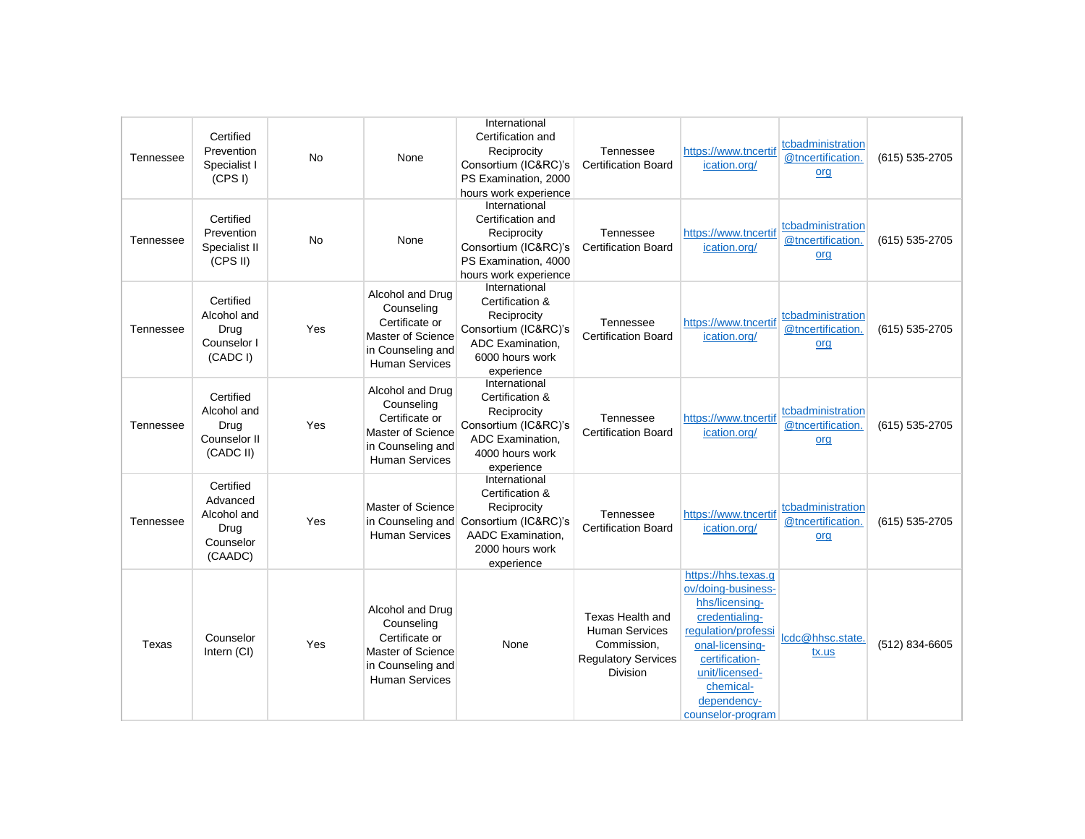| Tennessee | Certified<br>Prevention<br>Specialist I<br>(CPS I)                   | <b>No</b> | None                                                                                                                | International<br>Certification and<br>Reciprocity<br>Consortium (IC&RC)'s<br>PS Examination, 2000<br>hours work experience    | Tennessee<br><b>Certification Board</b>                                                                   | https://www.tncertif<br>ication.org/                                                                                                                                                                         | tcbadministration<br>@tncertification.<br>org | (615) 535-2705 |
|-----------|----------------------------------------------------------------------|-----------|---------------------------------------------------------------------------------------------------------------------|-------------------------------------------------------------------------------------------------------------------------------|-----------------------------------------------------------------------------------------------------------|--------------------------------------------------------------------------------------------------------------------------------------------------------------------------------------------------------------|-----------------------------------------------|----------------|
| Tennessee | Certified<br>Prevention<br>Specialist II<br>(CPS II)                 | No        | None                                                                                                                | International<br>Certification and<br>Reciprocity<br>Consortium (IC&RC)'s<br>PS Examination, 4000<br>hours work experience    | Tennessee<br><b>Certification Board</b>                                                                   | https://www.tncertif<br>ication.org/                                                                                                                                                                         | tcbadministration<br>@tncertification.<br>org | (615) 535-2705 |
| Tennessee | Certified<br>Alcohol and<br>Drug<br>Counselor I<br>(CADC I)          | Yes       | Alcohol and Drug<br>Counseling<br>Certificate or<br>Master of Science<br>in Counseling and<br><b>Human Services</b> | International<br>Certification &<br>Reciprocity<br>Consortium (IC&RC)'s<br>ADC Examination.<br>6000 hours work<br>experience  | Tennessee<br><b>Certification Board</b>                                                                   | https://www.tncertif<br>ication.org/                                                                                                                                                                         | tcbadministration<br>@tncertification.<br>org | (615) 535-2705 |
| Tennessee | Certified<br>Alcohol and<br>Drug<br>Counselor II<br>(CADC II)        | Yes       | Alcohol and Drug<br>Counseling<br>Certificate or<br>Master of Science<br>in Counseling and<br><b>Human Services</b> | International<br>Certification &<br>Reciprocity<br>Consortium (IC&RC)'s<br>ADC Examination,<br>4000 hours work<br>experience  | Tennessee<br><b>Certification Board</b>                                                                   | https://www.tncertif<br>ication.org/                                                                                                                                                                         | tcbadministration<br>@tncertification.<br>org | (615) 535-2705 |
| Tennessee | Certified<br>Advanced<br>Alcohol and<br>Drug<br>Counselor<br>(CAADC) | Yes       | Master of Science<br>in Counseling and<br><b>Human Services</b>                                                     | International<br>Certification &<br>Reciprocity<br>Consortium (IC&RC)'s<br>AADC Examination.<br>2000 hours work<br>experience | Tennessee<br><b>Certification Board</b>                                                                   | https://www.tncertif<br>ication.org/                                                                                                                                                                         | tcbadministration<br>@tncertification.<br>org | (615) 535-2705 |
| Texas     | Counselor<br>Intern (CI)                                             | Yes       | Alcohol and Drug<br>Counseling<br>Certificate or<br>Master of Science<br>in Counseling and<br><b>Human Services</b> | None                                                                                                                          | Texas Health and<br><b>Human Services</b><br>Commission.<br><b>Regulatory Services</b><br><b>Division</b> | https://hhs.texas.g<br>ov/doing-business-<br>hhs/licensing-<br>credentialing-<br>regulation/professi<br>onal-licensing-<br>certification-<br>unit/licensed-<br>chemical-<br>dependency-<br>counselor-program | lcdc@hhsc.state<br>tx.us                      | (512) 834-6605 |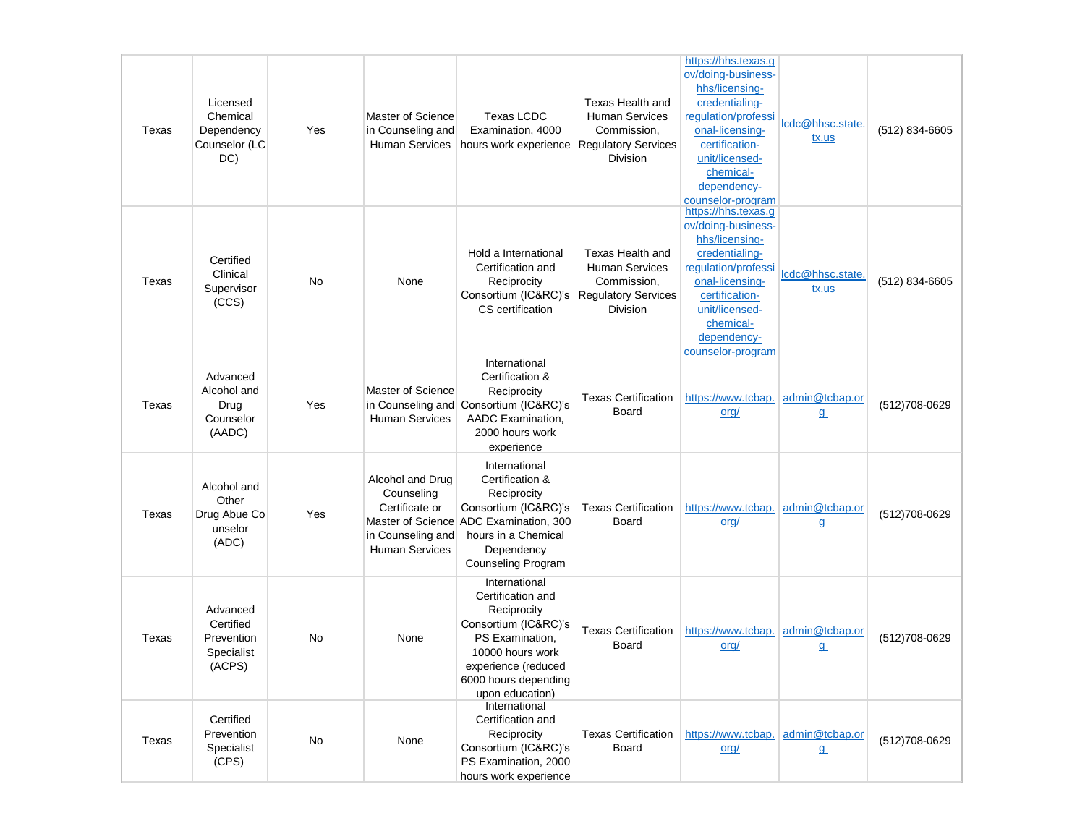| Texas | Licensed<br>Chemical<br>Dependency<br>Counselor (LC<br>DC)  | Yes | Master of Science<br>in Counseling and<br>Human Services                                       | <b>Texas LCDC</b><br>Examination, 4000<br>hours work experience                                                                                                                    | Texas Health and<br><b>Human Services</b><br>Commission,<br><b>Regulatory Services</b><br><b>Division</b> | https://hhs.texas.g<br>ov/doing-business-<br>hhs/licensing-<br>credentialing-<br>regulation/professi<br>onal-licensing-<br>certification-<br>unit/licensed-<br>chemical-<br>dependency-<br>counselor-program | lcdc@hhsc.state.<br>tx.us  | (512) 834-6605 |
|-------|-------------------------------------------------------------|-----|------------------------------------------------------------------------------------------------|------------------------------------------------------------------------------------------------------------------------------------------------------------------------------------|-----------------------------------------------------------------------------------------------------------|--------------------------------------------------------------------------------------------------------------------------------------------------------------------------------------------------------------|----------------------------|----------------|
| Texas | Certified<br>Clinical<br>Supervisor<br>(CCS)                | No  | None                                                                                           | Hold a International<br>Certification and<br>Reciprocity<br>Consortium (IC&RC)'s<br>CS certification                                                                               | Texas Health and<br><b>Human Services</b><br>Commission,<br><b>Regulatory Services</b><br><b>Division</b> | https://hhs.texas.g<br>ov/doing-business-<br>hhs/licensing-<br>credentialing-<br>regulation/professi<br>onal-licensing-<br>certification-<br>unit/licensed-<br>chemical-<br>dependency-<br>counselor-program | lcdc@hhsc.state.<br>tx.us  | (512) 834-6605 |
| Texas | Advanced<br>Alcohol and<br>Drug<br>Counselor<br>(AADC)      | Yes | Master of Science<br>in Counseling and<br><b>Human Services</b>                                | International<br>Certification &<br>Reciprocity<br>Consortium (IC&RC)'s<br>AADC Examination,<br>2000 hours work<br>experience                                                      | <b>Texas Certification</b><br>Board                                                                       | https://www.tcbap. admin@tcbap.or<br>org/                                                                                                                                                                    | $\mathbf{q}$               | (512) 708-0629 |
| Texas | Alcohol and<br>Other<br>Drug Abue Co<br>unselor<br>(ADC)    | Yes | Alcohol and Drug<br>Counseling<br>Certificate or<br>in Counseling and<br><b>Human Services</b> | International<br>Certification &<br>Reciprocity<br>Consortium (IC&RC)'s<br>Master of Science ADC Examination, 300<br>hours in a Chemical<br>Dependency<br>Counseling Program       | <b>Texas Certification</b><br>Board                                                                       | https://www.tcbap. admin@tcbap.or<br>org/                                                                                                                                                                    | $\mathbf{q}$               | (512)708-0629  |
| Texas | Advanced<br>Certified<br>Prevention<br>Specialist<br>(ACPS) | No  | None                                                                                           | International<br>Certification and<br>Reciprocity<br>Consortium (IC&RC)'s<br>PS Examination,<br>10000 hours work<br>experience (reduced<br>6000 hours depending<br>upon education) | <b>Texas Certification</b><br>Board                                                                       | https://www.tcbap. admin@tcbap.or<br>org/                                                                                                                                                                    | $\mathbf{q}$               | (512) 708-0629 |
| Texas | Certified<br>Prevention<br>Specialist<br>(CPS)              | No  | None                                                                                           | International<br>Certification and<br>Reciprocity<br>Consortium (IC&RC)'s<br>PS Examination, 2000<br>hours work experience                                                         | <b>Texas Certification</b><br>Board                                                                       | https://www.tcbap. admin@tcbap.or<br>org/                                                                                                                                                                    | $\underline{\mathfrak{g}}$ | (512)708-0629  |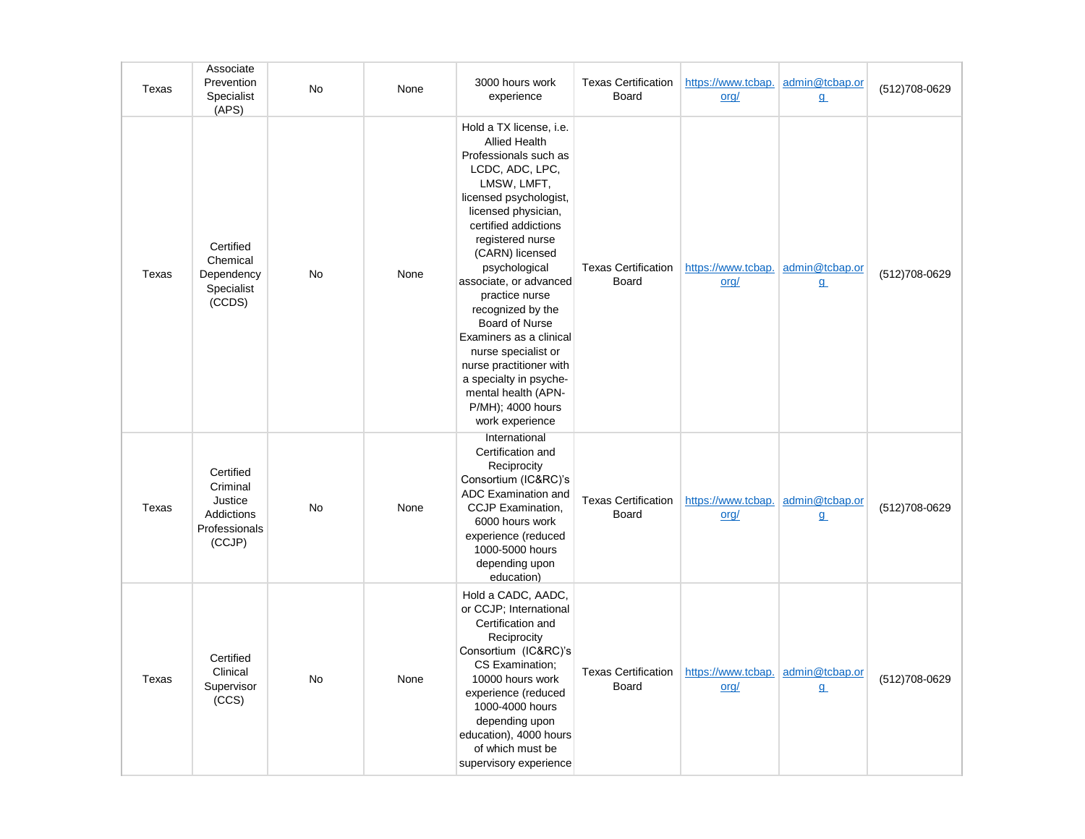| Texas | Associate<br>Prevention<br>Specialist<br>(APS)                            | No        | None | 3000 hours work<br>experience                                                                                                                                                                                                                                                                                                                                                                                                                                                                               | <b>Texas Certification</b><br><b>Board</b> | https://www.tcbap.<br>org/  | admin@tcbap.or<br>$\underline{q}$ | (512) 708-0629 |
|-------|---------------------------------------------------------------------------|-----------|------|-------------------------------------------------------------------------------------------------------------------------------------------------------------------------------------------------------------------------------------------------------------------------------------------------------------------------------------------------------------------------------------------------------------------------------------------------------------------------------------------------------------|--------------------------------------------|-----------------------------|-----------------------------------|----------------|
| Texas | Certified<br>Chemical<br>Dependency<br>Specialist<br>(CCDS)               | <b>No</b> | None | Hold a TX license, i.e.<br><b>Allied Health</b><br>Professionals such as<br>LCDC, ADC, LPC,<br>LMSW, LMFT,<br>licensed psychologist,<br>licensed physician,<br>certified addictions<br>registered nurse<br>(CARN) licensed<br>psychological<br>associate, or advanced<br>practice nurse<br>recognized by the<br><b>Board of Nurse</b><br>Examiners as a clinical<br>nurse specialist or<br>nurse practitioner with<br>a specialty in psyche-<br>mental health (APN-<br>P/MH); 4000 hours<br>work experience | <b>Texas Certification</b><br><b>Board</b> | https://www.tcbap.<br>$org$ | admin@tcbap.or<br>$\underline{q}$ | (512) 708-0629 |
| Texas | Certified<br>Criminal<br>Justice<br>Addictions<br>Professionals<br>(CCJP) | No        | None | International<br>Certification and<br>Reciprocity<br>Consortium (IC&RC)'s<br><b>ADC Examination and</b><br>CCJP Examination,<br>6000 hours work<br>experience (reduced<br>1000-5000 hours<br>depending upon<br>education)                                                                                                                                                                                                                                                                                   | <b>Texas Certification</b><br><b>Board</b> | https://www.tcbap.<br>org/  | admin@tcbap.or<br>$9$             | (512) 708-0629 |
| Texas | Certified<br>Clinical<br>Supervisor<br>(CCS)                              | <b>No</b> | None | Hold a CADC, AADC,<br>or CCJP; International<br>Certification and<br>Reciprocity<br>Consortium (IC&RC)'s<br>CS Examination;<br>10000 hours work<br>experience (reduced<br>1000-4000 hours<br>depending upon<br>education), 4000 hours<br>of which must be<br>supervisory experience                                                                                                                                                                                                                         | <b>Texas Certification</b><br>Board        | https://www.tcbap.<br>org/  | admin@tcbap.or<br>$\mathbf{a}$    | (512) 708-0629 |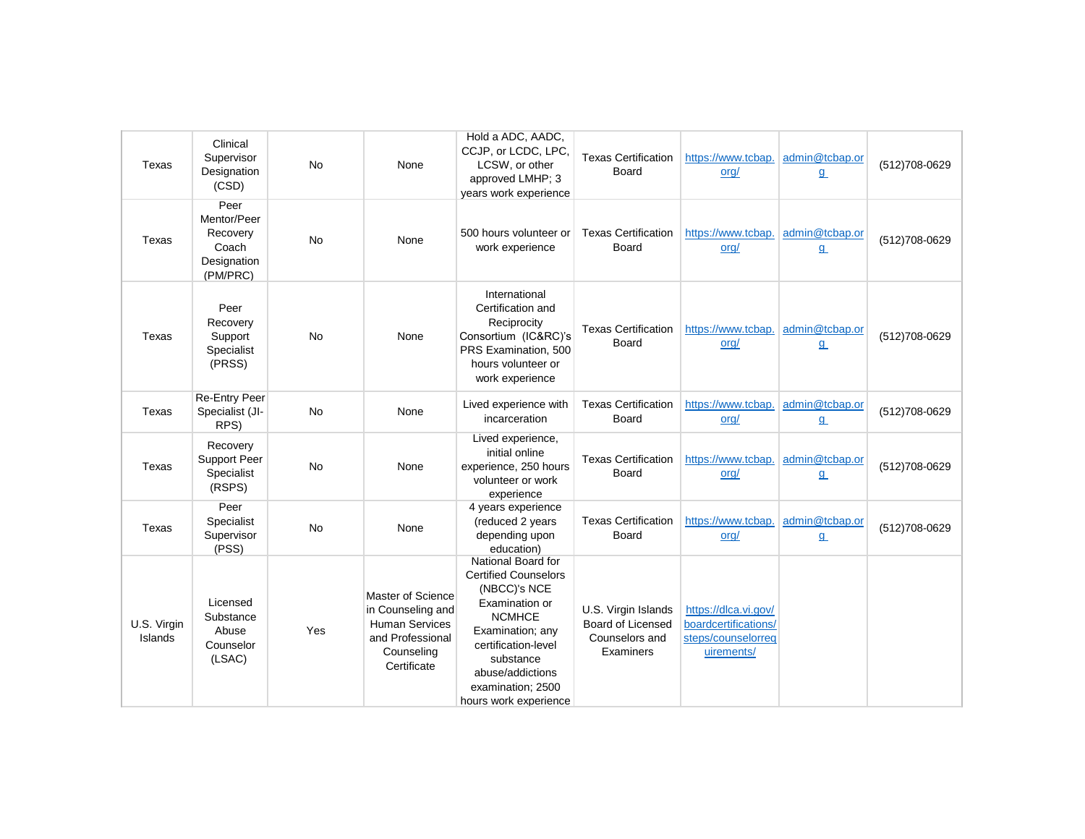| Texas                  | Clinical<br>Supervisor<br>Designation<br>(CSD)                      | <b>No</b> | None                                                                                                             | Hold a ADC, AADC,<br>CCJP, or LCDC, LPC,<br>LCSW, or other<br>approved LMHP; 3<br>years work experience                                                                                                                        | <b>Texas Certification</b><br>Board                                            | https://www.tcbap.<br>org/                                                       | admin@tcbap.or<br>$\underline{q}$ | (512)708-0629  |
|------------------------|---------------------------------------------------------------------|-----------|------------------------------------------------------------------------------------------------------------------|--------------------------------------------------------------------------------------------------------------------------------------------------------------------------------------------------------------------------------|--------------------------------------------------------------------------------|----------------------------------------------------------------------------------|-----------------------------------|----------------|
| Texas                  | Peer<br>Mentor/Peer<br>Recovery<br>Coach<br>Designation<br>(PM/PRC) | No        | None                                                                                                             | 500 hours volunteer or<br>work experience                                                                                                                                                                                      | <b>Texas Certification</b><br>Board                                            | https://www.tcbap.<br>org/                                                       | admin@tcbap.or<br>$\underline{q}$ | (512)708-0629  |
| Texas                  | Peer<br>Recovery<br>Support<br>Specialist<br>(PRSS)                 | <b>No</b> | None                                                                                                             | International<br>Certification and<br>Reciprocity<br>Consortium (IC&RC)'s<br>PRS Examination, 500<br>hours volunteer or<br>work experience                                                                                     | <b>Texas Certification</b><br>Board                                            | https://www.tcbap.<br>org/                                                       | admin@tcbap.or<br>$\underline{q}$ | (512)708-0629  |
| Texas                  | <b>Re-Entry Peer</b><br>Specialist (JI-<br>RPS)                     | <b>No</b> | None                                                                                                             | Lived experience with<br>incarceration                                                                                                                                                                                         | <b>Texas Certification</b><br>Board                                            | https://www.tcbap.<br>org/                                                       | admin@tcbap.or<br>${\bf q}$       | (512)708-0629  |
| Texas                  | Recovery<br><b>Support Peer</b><br>Specialist<br>(RSPS)             | <b>No</b> | None                                                                                                             | Lived experience,<br>initial online<br>experience, 250 hours<br>volunteer or work<br>experience                                                                                                                                | <b>Texas Certification</b><br>Board                                            | https://www.tcbap.<br>org/                                                       | admin@tcbap.or<br>$\underline{q}$ | (512)708-0629  |
| Texas                  | Peer<br>Specialist<br>Supervisor<br>(PSS)                           | <b>No</b> | None                                                                                                             | 4 years experience<br>(reduced 2 years<br>depending upon<br>education)                                                                                                                                                         | <b>Texas Certification</b><br>Board                                            | https://www.tcbap.<br>org/                                                       | admin@tcbap.or<br>$\underline{q}$ | (512) 708-0629 |
| U.S. Virgin<br>Islands | Licensed<br>Substance<br>Abuse<br>Counselor<br>(LSAC)               | Yes       | Master of Science<br>in Counseling and<br><b>Human Services</b><br>and Professional<br>Counseling<br>Certificate | National Board for<br><b>Certified Counselors</b><br>(NBCC)'s NCE<br>Examination or<br><b>NCMHCE</b><br>Examination; any<br>certification-level<br>substance<br>abuse/addictions<br>examination; 2500<br>hours work experience | U.S. Virgin Islands<br><b>Board of Licensed</b><br>Counselors and<br>Examiners | https://dlca.vi.gov/<br>boardcertifications/<br>steps/counselorreg<br>uirements/ |                                   |                |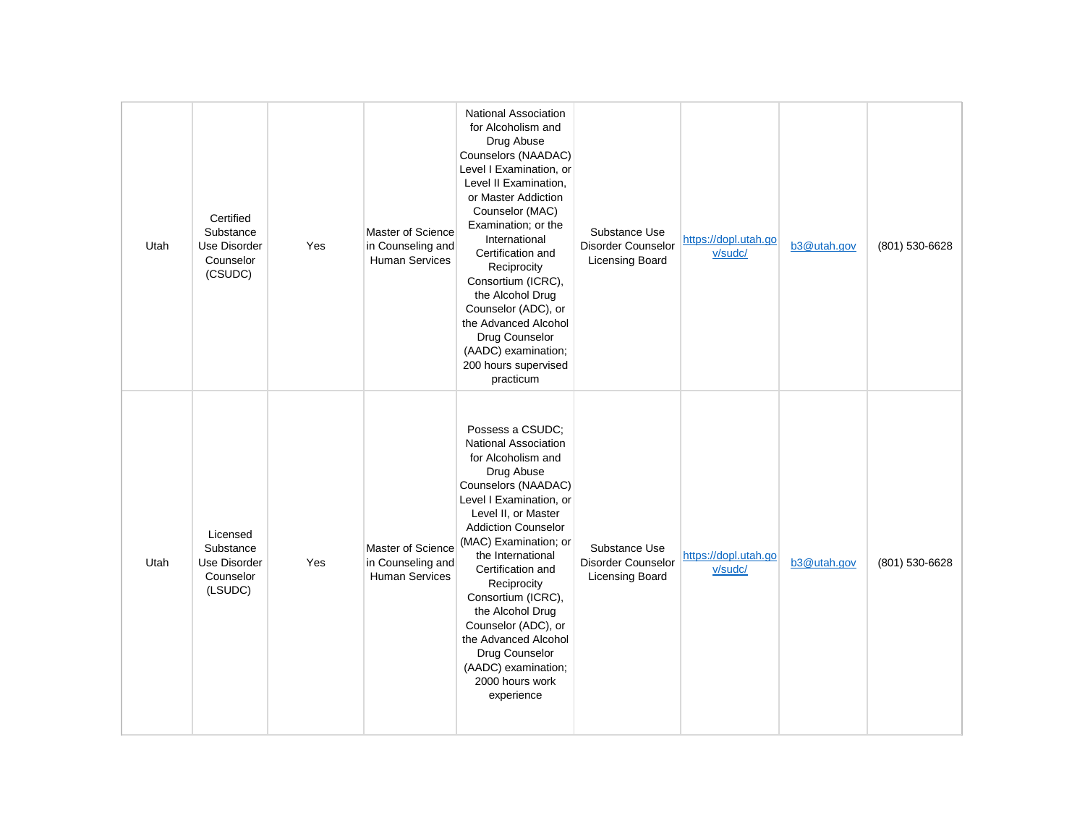| Utah | Certified<br>Substance<br>Use Disorder<br>Counselor<br>(CSUDC) | Yes | Master of Science<br>in Counseling and<br>Human Services        | National Association<br>for Alcoholism and<br>Drug Abuse<br>Counselors (NAADAC)<br>Level I Examination, or<br>Level II Examination,<br>or Master Addiction<br>Counselor (MAC)<br>Examination; or the<br>International<br>Certification and<br>Reciprocity<br>Consortium (ICRC),<br>the Alcohol Drug<br>Counselor (ADC), or<br>the Advanced Alcohol<br>Drug Counselor<br>(AADC) examination;<br>200 hours supervised<br>practicum         | Substance Use<br>Disorder Counselor<br><b>Licensing Board</b> | https://dopl.utah.go<br>v/sudc/ | b3@utah.gov | (801) 530-6628 |
|------|----------------------------------------------------------------|-----|-----------------------------------------------------------------|------------------------------------------------------------------------------------------------------------------------------------------------------------------------------------------------------------------------------------------------------------------------------------------------------------------------------------------------------------------------------------------------------------------------------------------|---------------------------------------------------------------|---------------------------------|-------------|----------------|
| Utah | Licensed<br>Substance<br>Use Disorder<br>Counselor<br>(LSUDC)  | Yes | Master of Science<br>in Counseling and<br><b>Human Services</b> | Possess a CSUDC;<br>National Association<br>for Alcoholism and<br>Drug Abuse<br>Counselors (NAADAC)<br>Level I Examination, or<br>Level II, or Master<br><b>Addiction Counselor</b><br>(MAC) Examination; or<br>the International<br>Certification and<br>Reciprocity<br>Consortium (ICRC),<br>the Alcohol Drug<br>Counselor (ADC), or<br>the Advanced Alcohol<br>Drug Counselor<br>(AADC) examination;<br>2000 hours work<br>experience | Substance Use<br>Disorder Counselor<br>Licensing Board        | https://dopl.utah.go<br>v/sudc/ | b3@utah.gov | (801) 530-6628 |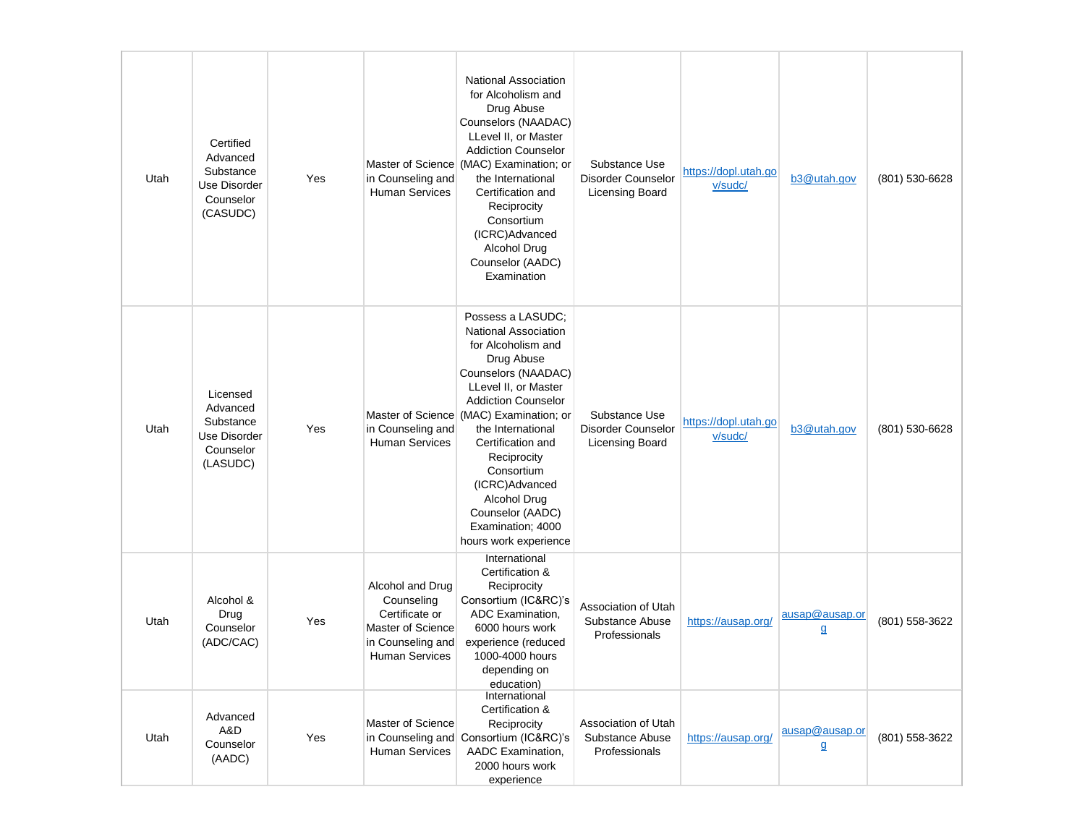| Utah | Certified<br>Advanced<br>Substance<br><b>Use Disorder</b><br>Counselor<br>(CASUDC) | Yes | in Counseling and<br><b>Human Services</b>                                                                          | <b>National Association</b><br>for Alcoholism and<br>Drug Abuse<br>Counselors (NAADAC)<br>LLevel II, or Master<br><b>Addiction Counselor</b><br>Master of Science (MAC) Examination; or<br>the International<br>Certification and<br>Reciprocity<br>Consortium<br>(ICRC)Advanced<br>Alcohol Drug<br>Counselor (AADC)<br>Examination                                                            | Substance Use<br>Disorder Counselor<br><b>Licensing Board</b> | https://dopl.utah.go<br>v/sudc/ | b3@utah.gov                    | (801) 530-6628 |
|------|------------------------------------------------------------------------------------|-----|---------------------------------------------------------------------------------------------------------------------|------------------------------------------------------------------------------------------------------------------------------------------------------------------------------------------------------------------------------------------------------------------------------------------------------------------------------------------------------------------------------------------------|---------------------------------------------------------------|---------------------------------|--------------------------------|----------------|
| Utah | Licensed<br>Advanced<br>Substance<br>Use Disorder<br>Counselor<br>(LASUDC)         | Yes | in Counseling and<br><b>Human Services</b>                                                                          | Possess a LASUDC;<br><b>National Association</b><br>for Alcoholism and<br>Drug Abuse<br>Counselors (NAADAC)<br>LLevel II, or Master<br><b>Addiction Counselor</b><br>Master of Science (MAC) Examination; or<br>the International<br>Certification and<br>Reciprocity<br>Consortium<br>(ICRC)Advanced<br><b>Alcohol Drug</b><br>Counselor (AADC)<br>Examination; 4000<br>hours work experience | Substance Use<br>Disorder Counselor<br>Licensing Board        | https://dopl.utah.go<br>v/sudc/ | b3@utah.gov                    | (801) 530-6628 |
| Utah | Alcohol &<br>Drug<br>Counselor<br>(ADC/CAC)                                        | Yes | Alcohol and Drug<br>Counseling<br>Certificate or<br>Master of Science<br>in Counseling and<br><b>Human Services</b> | International<br>Certification &<br>Reciprocity<br>Consortium (IC&RC)'s<br>ADC Examination.<br>6000 hours work<br>experience (reduced<br>1000-4000 hours<br>depending on<br>education)                                                                                                                                                                                                         | Association of Utah<br>Substance Abuse<br>Professionals       | https://ausap.org/              | ausap@ausap.or<br>$\mathbf{q}$ | (801) 558-3622 |
| Utah | Advanced<br>A&D<br>Counselor<br>(AADC)                                             | Yes | Master of Science<br><b>Human Services</b>                                                                          | International<br>Certification &<br>Reciprocity<br>in Counseling and Consortium (IC&RC)'s<br>AADC Examination,<br>2000 hours work<br>experience                                                                                                                                                                                                                                                | Association of Utah<br>Substance Abuse<br>Professionals       | https://ausap.org/              | ausap@ausap.or<br>$\mathbf{q}$ | (801) 558-3622 |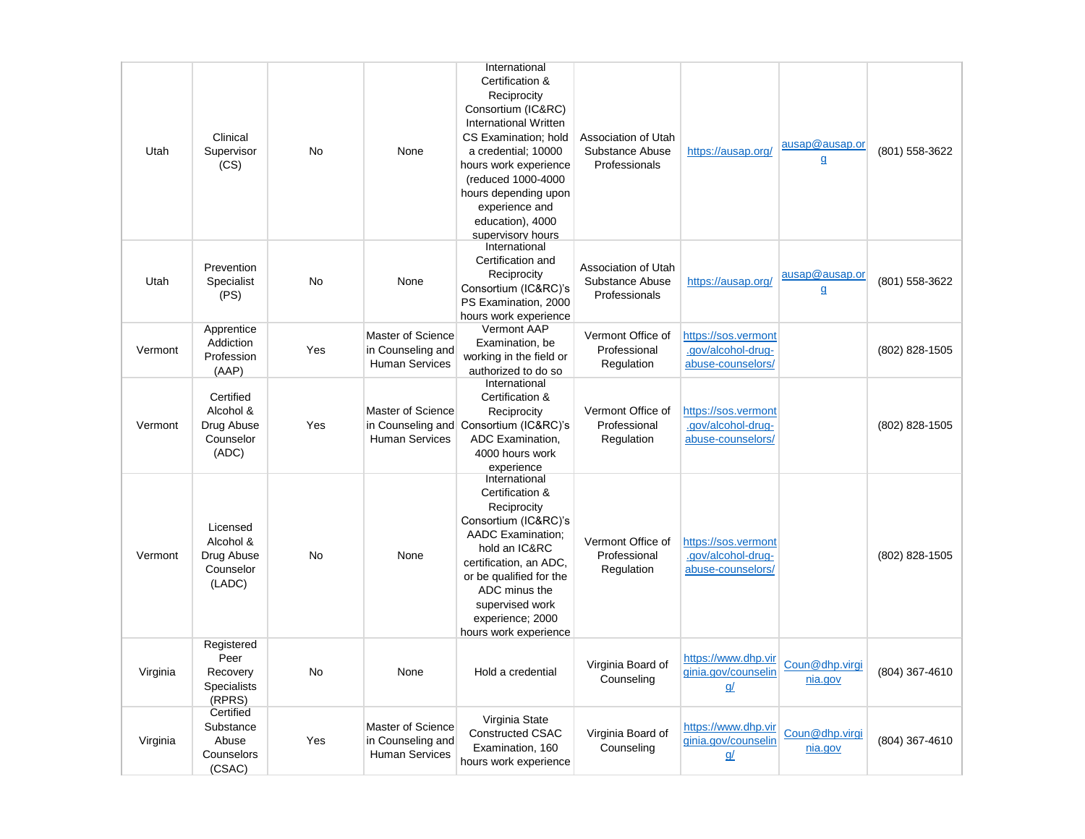|          |                                                                |           |                                                                 | International                                                                                                                                                                                                                                                  |                                                         |                                                                |                                |                |
|----------|----------------------------------------------------------------|-----------|-----------------------------------------------------------------|----------------------------------------------------------------------------------------------------------------------------------------------------------------------------------------------------------------------------------------------------------------|---------------------------------------------------------|----------------------------------------------------------------|--------------------------------|----------------|
| Utah     | Clinical<br>Supervisor<br>(CS)                                 | <b>No</b> | None                                                            | Certification &<br>Reciprocity<br>Consortium (IC&RC)<br>International Written<br>CS Examination; hold<br>a credential; 10000<br>hours work experience<br>(reduced 1000-4000<br>hours depending upon<br>experience and<br>education), 4000<br>supervisory hours | Association of Utah<br>Substance Abuse<br>Professionals | https://ausap.org/                                             | ausap@ausap.or<br>$\mathbf{q}$ | (801) 558-3622 |
| Utah     | Prevention<br>Specialist<br>(PS)                               | <b>No</b> | None                                                            | International<br>Certification and<br>Reciprocity<br>Consortium (IC&RC)'s<br>PS Examination, 2000<br>hours work experience                                                                                                                                     | Association of Utah<br>Substance Abuse<br>Professionals | https://ausap.org/                                             | ausap@ausap.or<br>$\mathbf{q}$ | (801) 558-3622 |
| Vermont  | Apprentice<br>Addiction<br>Profession<br>(AAP)                 | Yes       | Master of Science<br>in Counseling and<br><b>Human Services</b> | Vermont AAP<br>Examination, be<br>working in the field or<br>authorized to do so                                                                                                                                                                               | Vermont Office of<br>Professional<br>Regulation         | https://sos.vermont<br>.gov/alcohol-drug-<br>abuse-counselors/ |                                | (802) 828-1505 |
| Vermont  | Certified<br>Alcohol &<br>Drug Abuse<br>Counselor<br>(ADC)     | Yes       | Master of Science<br>in Counseling and<br><b>Human Services</b> | International<br>Certification &<br>Reciprocity<br>Consortium (IC&RC)'s<br>ADC Examination,<br>4000 hours work<br>experience                                                                                                                                   | Vermont Office of<br>Professional<br>Regulation         | https://sos.vermont<br>.gov/alcohol-drug-<br>abuse-counselors/ |                                | (802) 828-1505 |
| Vermont  | Licensed<br>Alcohol &<br>Drug Abuse<br>Counselor<br>(LADC)     | <b>No</b> | None                                                            | International<br>Certification &<br>Reciprocity<br>Consortium (IC&RC)'s<br><b>AADC</b> Examination:<br>hold an IC&RC<br>certification, an ADC,<br>or be qualified for the<br>ADC minus the<br>supervised work<br>experience; 2000<br>hours work experience     | Vermont Office of<br>Professional<br>Regulation         | https://sos.vermont<br>.gov/alcohol-drug-<br>abuse-counselors/ |                                | (802) 828-1505 |
| Virginia | Registered<br>Peer<br>Recovery<br><b>Specialists</b><br>(RPRS) | <b>No</b> | None                                                            | Hold a credential                                                                                                                                                                                                                                              | Virginia Board of<br>Counseling                         | https://www.dhp.vir<br>ginia.gov/counselin<br><u>g/</u>        | Coun@dhp.virgi<br>nia.gov      | (804) 367-4610 |
| Virginia | Certified<br>Substance<br>Abuse<br>Counselors<br>(CSAC)        | Yes       | Master of Science<br>in Counseling and<br><b>Human Services</b> | Virginia State<br><b>Constructed CSAC</b><br>Examination, 160<br>hours work experience                                                                                                                                                                         | Virginia Board of<br>Counseling                         | https://www.dhp.vir<br>ginia.gov/counselin<br><u>q/</u>        | Coun@dhp.virgi<br>nia.gov      | (804) 367-4610 |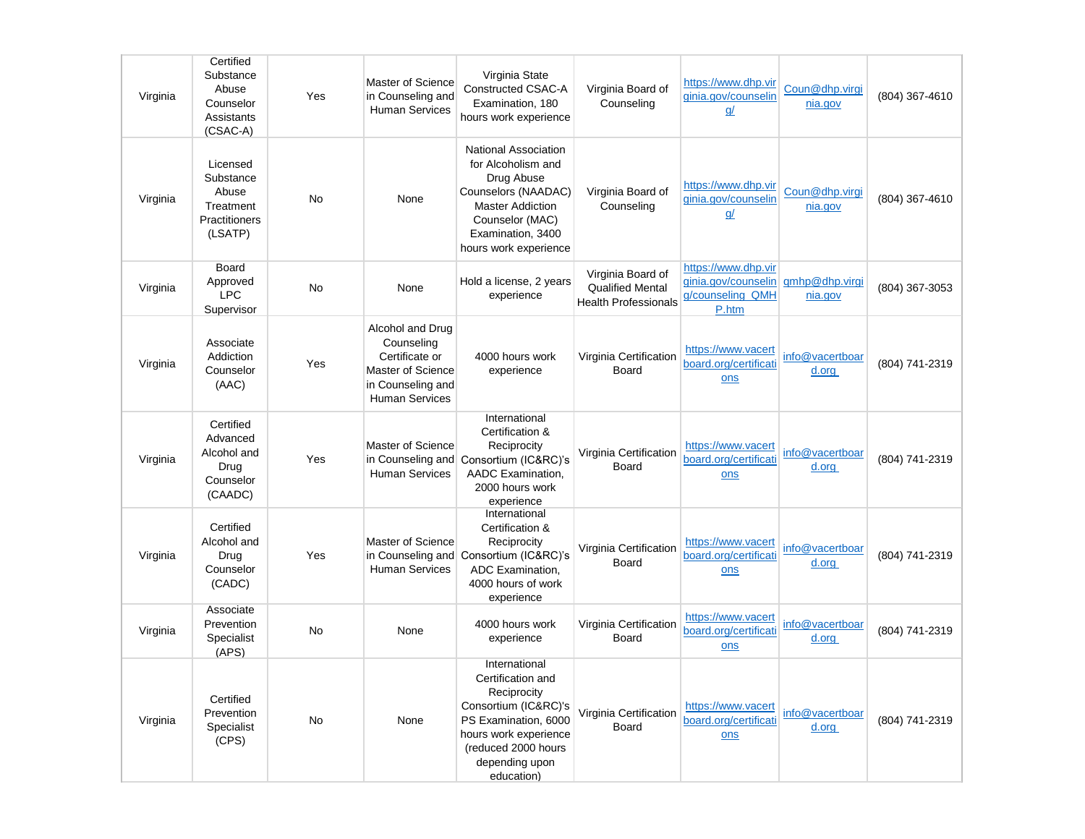| Virginia | Certified<br>Substance<br>Abuse<br>Counselor<br>Assistants<br>(CSAC-A)  | Yes       | Master of Science<br>in Counseling and<br><b>Human Services</b>                                                     | Virginia State<br><b>Constructed CSAC-A</b><br>Examination, 180<br>hours work experience                                                                                          | Virginia Board of<br>Counseling                                             | https://www.dhp.vir<br>ginia.gov/counselin<br><u>q/</u>                                | Coun@dhp.virgi<br>nia.gov | (804) 367-4610 |
|----------|-------------------------------------------------------------------------|-----------|---------------------------------------------------------------------------------------------------------------------|-----------------------------------------------------------------------------------------------------------------------------------------------------------------------------------|-----------------------------------------------------------------------------|----------------------------------------------------------------------------------------|---------------------------|----------------|
| Virginia | Licensed<br>Substance<br>Abuse<br>Treatment<br>Practitioners<br>(LSATP) | <b>No</b> | None                                                                                                                | National Association<br>for Alcoholism and<br>Drug Abuse<br>Counselors (NAADAC)<br><b>Master Addiction</b><br>Counselor (MAC)<br>Examination, 3400<br>hours work experience       | Virginia Board of<br>Counseling                                             | https://www.dhp.vir<br>ginia.gov/counselin<br><u>q/</u>                                | Coun@dhp.virgi<br>nia.gov | (804) 367-4610 |
| Virginia | Board<br>Approved<br><b>LPC</b><br>Supervisor                           | No        | None                                                                                                                | Hold a license, 2 years<br>experience                                                                                                                                             | Virginia Board of<br><b>Qualified Mental</b><br><b>Health Professionals</b> | https://www.dhp.vir<br>ginia.gov/counselin gmhp@dhp.virgi<br>g/counseling_QMH<br>P.htm | nia.gov                   | (804) 367-3053 |
| Virginia | Associate<br>Addiction<br>Counselor<br>(AAC)                            | Yes       | Alcohol and Drug<br>Counseling<br>Certificate or<br>Master of Science<br>in Counseling and<br><b>Human Services</b> | 4000 hours work<br>experience                                                                                                                                                     | Virginia Certification<br>Board                                             | https://www.vacert<br>board.org/certificati<br>ons                                     | info@vacertboar<br>d.org  | (804) 741-2319 |
| Virginia | Certified<br>Advanced<br>Alcohol and<br>Drug<br>Counselor<br>(CAADC)    | Yes       | Master of Science<br>in Counseling and<br><b>Human Services</b>                                                     | International<br>Certification &<br>Reciprocity<br>Consortium (IC&RC)'s<br>AADC Examination,<br>2000 hours work<br>experience                                                     | Virginia Certification<br>Board                                             | https://www.vacert<br>board.org/certificati<br>ons                                     | info@vacertboar<br>d.org  | (804) 741-2319 |
| Virginia | Certified<br>Alcohol and<br>Drug<br>Counselor<br>(CADC)                 | Yes       | Master of Science<br><b>Human Services</b>                                                                          | International<br>Certification &<br>Reciprocity<br>in Counseling and Consortium (IC&RC)'s<br>ADC Examination,<br>4000 hours of work<br>experience                                 | Virginia Certification<br>Board                                             | https://www.vacert<br>board.org/certificati<br>ons                                     | info@vacertboar<br>d.org  | (804) 741-2319 |
| Virginia | Associate<br>Prevention<br>Specialist<br>(APS)                          | No        | None                                                                                                                | 4000 hours work<br>experience                                                                                                                                                     | Virginia Certification<br>Board                                             | https://www.vacert<br>board.org/certificati<br>ons                                     | info@vacertboar<br>d.org  | (804) 741-2319 |
| Virginia | Certified<br>Prevention<br>Specialist<br>(CPS)                          | No        | None                                                                                                                | International<br>Certification and<br>Reciprocity<br>Consortium (IC&RC)'s<br>PS Examination, 6000<br>hours work experience<br>(reduced 2000 hours<br>depending upon<br>education) | Virginia Certification<br>Board                                             | https://www.vacert<br>board.org/certificati<br>ons                                     | info@vacertboar<br>d.org  | (804) 741-2319 |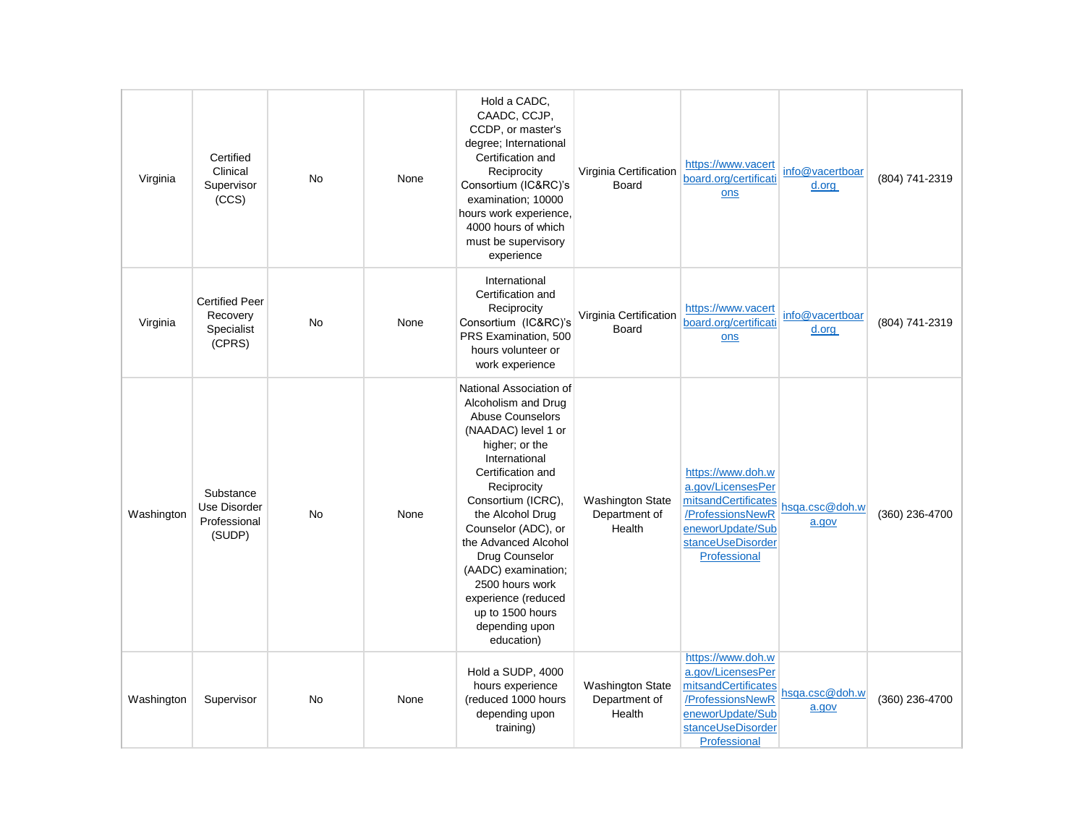| Virginia   | Certified<br>Clinical<br>Supervisor<br>(CCS)              | <b>No</b> | None | Hold a CADC,<br>CAADC, CCJP,<br>CCDP, or master's<br>degree; International<br>Certification and<br>Reciprocity<br>Consortium (IC&RC)'s<br>examination; 10000<br>hours work experience,<br>4000 hours of which<br>must be supervisory<br>experience                                                                                                                                                      | Virginia Certification<br><b>Board</b>             | https://www.vacert<br>board.org/certificati<br>ons                                                                                         | info@vacertboar<br>d.org | (804) 741-2319 |
|------------|-----------------------------------------------------------|-----------|------|---------------------------------------------------------------------------------------------------------------------------------------------------------------------------------------------------------------------------------------------------------------------------------------------------------------------------------------------------------------------------------------------------------|----------------------------------------------------|--------------------------------------------------------------------------------------------------------------------------------------------|--------------------------|----------------|
| Virginia   | <b>Certified Peer</b><br>Recovery<br>Specialist<br>(CPRS) | <b>No</b> | None | International<br>Certification and<br>Reciprocity<br>Consortium (IC&RC)'s<br>PRS Examination, 500<br>hours volunteer or<br>work experience                                                                                                                                                                                                                                                              | Virginia Certification<br><b>Board</b>             | https://www.vacert<br>board.org/certificati<br>ons                                                                                         | info@vacertboar<br>d.org | (804) 741-2319 |
| Washington | Substance<br>Use Disorder<br>Professional<br>(SUDP)       | <b>No</b> | None | National Association of<br>Alcoholism and Drug<br><b>Abuse Counselors</b><br>(NAADAC) level 1 or<br>higher; or the<br>International<br>Certification and<br>Reciprocity<br>Consortium (ICRC),<br>the Alcohol Drug<br>Counselor (ADC), or<br>the Advanced Alcohol<br>Drug Counselor<br>(AADC) examination;<br>2500 hours work<br>experience (reduced<br>up to 1500 hours<br>depending upon<br>education) | <b>Washington State</b><br>Department of<br>Health | https://www.doh.w<br>a.gov/LicensesPer<br>mitsandCertificates<br>/ProfessionsNewR<br>eneworUpdate/Sub<br>stanceUseDisorder<br>Professional | hsga.csc@doh.w<br>a.gov  | (360) 236-4700 |
| Washington | Supervisor                                                | No        | None | Hold a SUDP, 4000<br>hours experience<br>(reduced 1000 hours<br>depending upon<br>training)                                                                                                                                                                                                                                                                                                             | <b>Washington State</b><br>Department of<br>Health | https://www.doh.w<br>a.gov/LicensesPer<br>mitsandCertificates<br>/ProfessionsNewR<br>eneworUpdate/Sub<br>stanceUseDisorder<br>Professional | hsga.csc@doh.w<br>a.gov  | (360) 236-4700 |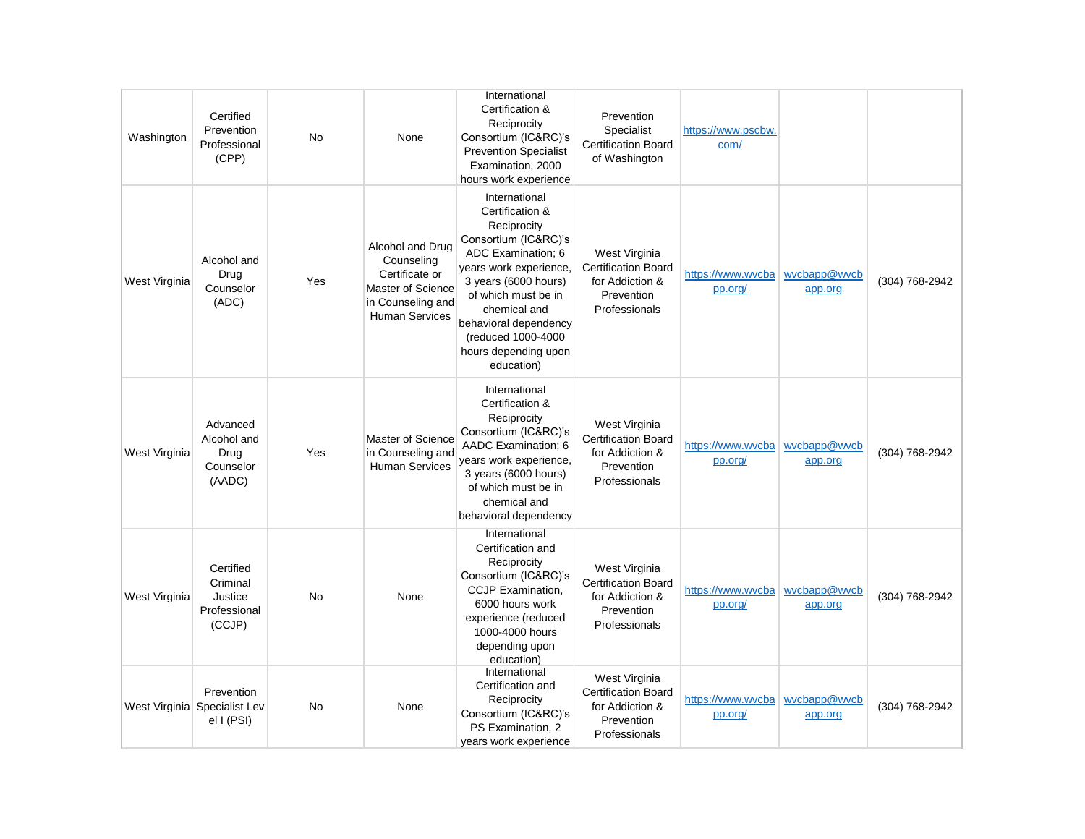| Washington    | Certified<br>Prevention<br>Professional<br>(CPP)           | <b>No</b> | None                                                                                                                | International<br>Certification &<br>Reciprocity<br>Consortium (IC&RC)'s<br><b>Prevention Specialist</b><br>Examination, 2000<br>hours work experience                                                                                                                       | Prevention<br>Specialist<br><b>Certification Board</b><br>of Washington                       | https://www.pscbw.<br>com/   |                         |                |
|---------------|------------------------------------------------------------|-----------|---------------------------------------------------------------------------------------------------------------------|-----------------------------------------------------------------------------------------------------------------------------------------------------------------------------------------------------------------------------------------------------------------------------|-----------------------------------------------------------------------------------------------|------------------------------|-------------------------|----------------|
| West Virginia | Alcohol and<br>Drug<br>Counselor<br>(ADC)                  | Yes       | Alcohol and Drug<br>Counseling<br>Certificate or<br>Master of Science<br>in Counseling and<br><b>Human Services</b> | International<br>Certification &<br>Reciprocity<br>Consortium (IC&RC)'s<br>ADC Examination; 6<br>years work experience,<br>3 years (6000 hours)<br>of which must be in<br>chemical and<br>behavioral dependency<br>(reduced 1000-4000<br>hours depending upon<br>education) | West Virginia<br><b>Certification Board</b><br>for Addiction &<br>Prevention<br>Professionals | https://www.wvcba<br>pp.org/ | wycbapp@wycb<br>app.org | (304) 768-2942 |
| West Virginia | Advanced<br>Alcohol and<br>Drug<br>Counselor<br>(AADC)     | Yes       | Master of Science<br>in Counseling and<br><b>Human Services</b>                                                     | International<br>Certification &<br>Reciprocity<br>Consortium (IC&RC)'s<br>AADC Examination; 6<br>years work experience,<br>3 years (6000 hours)<br>of which must be in<br>chemical and<br>behavioral dependency                                                            | West Virginia<br><b>Certification Board</b><br>for Addiction &<br>Prevention<br>Professionals | https://www.wvcba<br>pp.org/ | wycbapp@wycb<br>app.org | (304) 768-2942 |
| West Virginia | Certified<br>Criminal<br>Justice<br>Professional<br>(CCJP) | <b>No</b> | None                                                                                                                | International<br>Certification and<br>Reciprocity<br>Consortium (IC&RC)'s<br>CCJP Examination,<br>6000 hours work<br>experience (reduced<br>1000-4000 hours<br>depending upon<br>education)                                                                                 | West Virginia<br><b>Certification Board</b><br>for Addiction &<br>Prevention<br>Professionals | https://www.wvcba<br>pp.org/ | wycbapp@wycb<br>app.org | (304) 768-2942 |
|               | Prevention<br>West Virginia Specialist Lev<br>el I (PSI)   | <b>No</b> | None                                                                                                                | International<br>Certification and<br>Reciprocity<br>Consortium (IC&RC)'s<br>PS Examination, 2<br>years work experience                                                                                                                                                     | West Virginia<br><b>Certification Board</b><br>for Addiction &<br>Prevention<br>Professionals | https://www.wvcba<br>pp.org/ | wycbapp@wycb<br>app.org | (304) 768-2942 |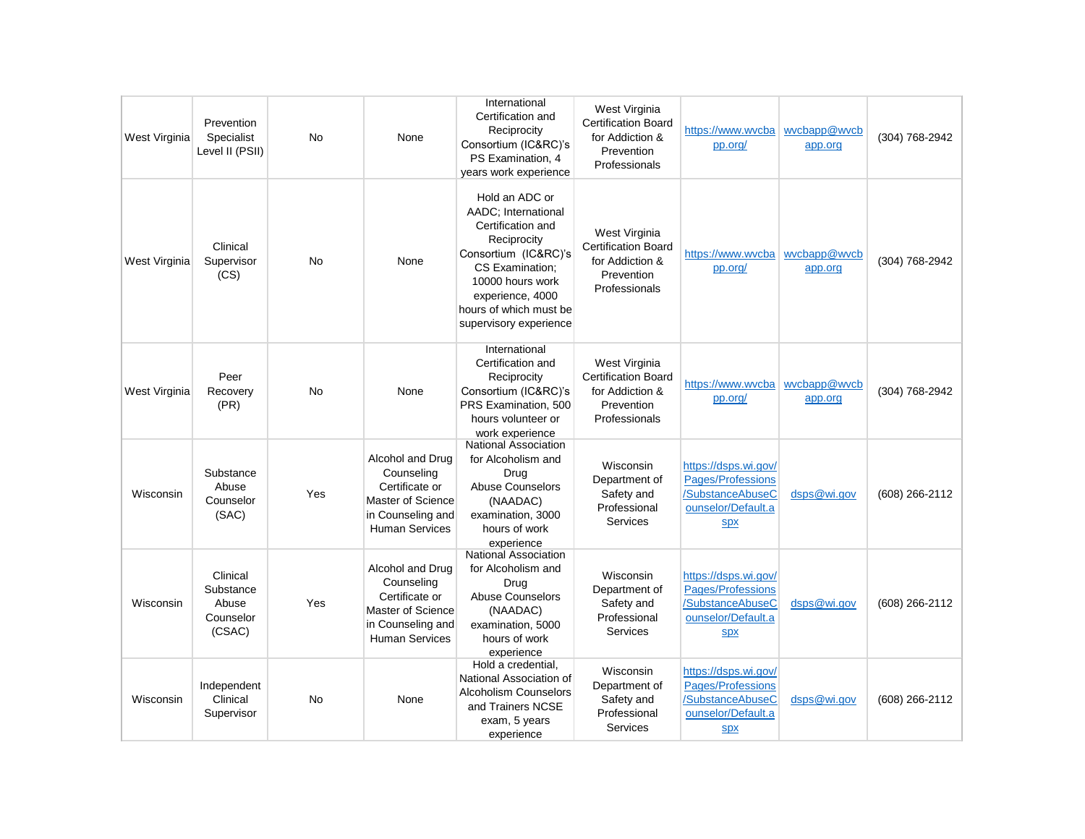| West Virginia | Prevention<br>Specialist<br>Level II (PSII)           | <b>No</b> | None                                                                                                                | International<br>Certification and<br>Reciprocity<br>Consortium (IC&RC)'s<br>PS Examination, 4<br>years work experience                                                                                          | West Virginia<br><b>Certification Board</b><br>for Addiction &<br>Prevention<br>Professionals | https://www.wvcba<br>pp.org/                                                                      | wycbapp@wycb<br>app.org | (304) 768-2942 |
|---------------|-------------------------------------------------------|-----------|---------------------------------------------------------------------------------------------------------------------|------------------------------------------------------------------------------------------------------------------------------------------------------------------------------------------------------------------|-----------------------------------------------------------------------------------------------|---------------------------------------------------------------------------------------------------|-------------------------|----------------|
| West Virginia | Clinical<br>Supervisor<br>(CS)                        | <b>No</b> | None                                                                                                                | Hold an ADC or<br>AADC; International<br>Certification and<br>Reciprocity<br>Consortium (IC&RC)'s<br>CS Examination:<br>10000 hours work<br>experience, 4000<br>hours of which must be<br>supervisory experience | West Virginia<br><b>Certification Board</b><br>for Addiction &<br>Prevention<br>Professionals | https://www.wvcba<br>pp.org/                                                                      | wycbapp@wycb<br>app.org | (304) 768-2942 |
| West Virginia | Peer<br>Recovery<br>(PR)                              | <b>No</b> | None                                                                                                                | International<br>Certification and<br>Reciprocity<br>Consortium (IC&RC)'s<br>PRS Examination, 500<br>hours volunteer or<br>work experience                                                                       | West Virginia<br><b>Certification Board</b><br>for Addiction &<br>Prevention<br>Professionals | https://www.wycba<br>pp.org/                                                                      | wycbapp@wycb<br>app.org | (304) 768-2942 |
| Wisconsin     | Substance<br>Abuse<br>Counselor<br>(SAC)              | Yes       | Alcohol and Drug<br>Counseling<br>Certificate or<br>Master of Science<br>in Counseling and<br><b>Human Services</b> | <b>National Association</b><br>for Alcoholism and<br>Drug<br>Abuse Counselors<br>(NAADAC)<br>examination, 3000<br>hours of work<br>experience                                                                    | Wisconsin<br>Department of<br>Safety and<br>Professional<br><b>Services</b>                   | https://dsps.wi.gov/<br>Pages/Professions<br>/SubstanceAbuseC<br>ounselor/Default.a<br><b>Spx</b> | dsps@wi.gov             | (608) 266-2112 |
| Wisconsin     | Clinical<br>Substance<br>Abuse<br>Counselor<br>(CSAC) | Yes       | Alcohol and Drug<br>Counseling<br>Certificate or<br>Master of Science<br>in Counseling and<br><b>Human Services</b> | <b>National Association</b><br>for Alcoholism and<br>Drug<br><b>Abuse Counselors</b><br>(NAADAC)<br>examination, 5000<br>hours of work<br>experience                                                             | Wisconsin<br>Department of<br>Safety and<br>Professional<br>Services                          | https://dsps.wi.gov/<br>Pages/Professions<br>/SubstanceAbuseC<br>ounselor/Default.a<br><b>Spx</b> | dsps@wi.gov             | (608) 266-2112 |
| Wisconsin     | Independent<br>Clinical<br>Supervisor                 | <b>No</b> | None                                                                                                                | Hold a credential,<br>National Association of<br><b>Alcoholism Counselors</b><br>and Trainers NCSE<br>exam, 5 years<br>experience                                                                                | Wisconsin<br>Department of<br>Safety and<br>Professional<br>Services                          | https://dsps.wi.gov/<br>Pages/Professions<br>/SubstanceAbuseC<br>ounselor/Default.a<br><b>SDX</b> | dsps@wi.gov             | (608) 266-2112 |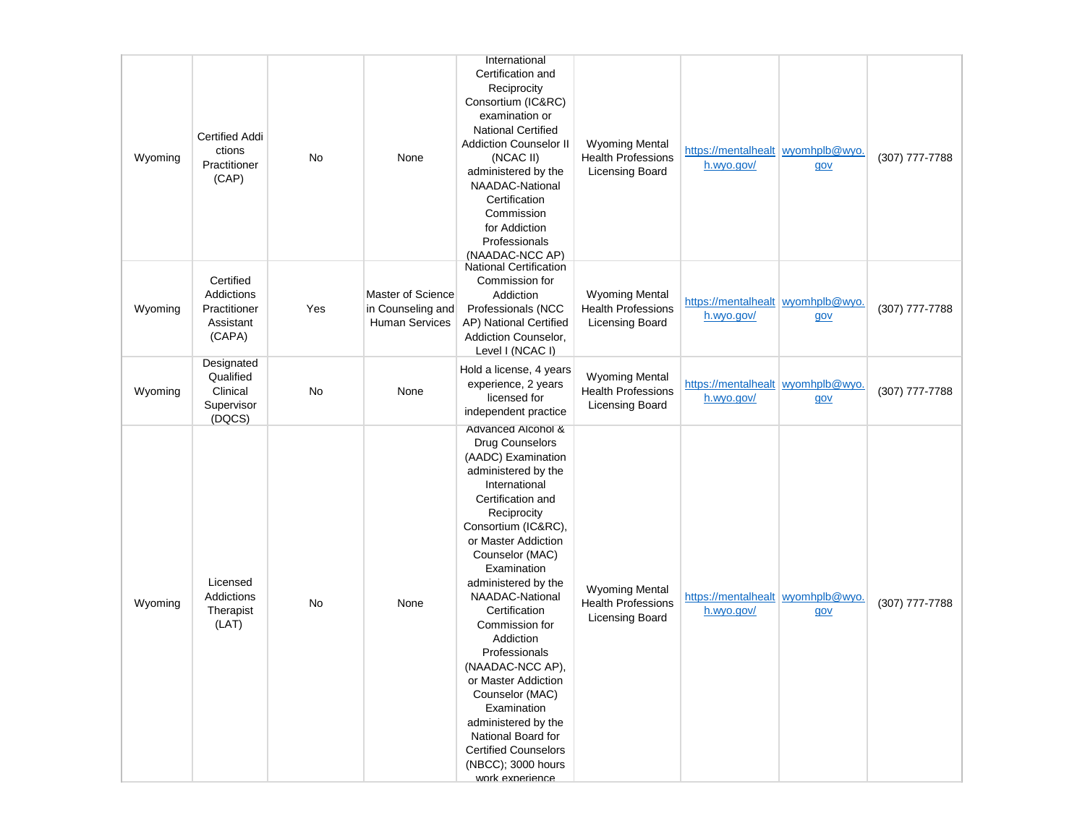|         |                                                                |     |                                                                 | International                                                                                                                                                                                                                                                                                                                                                                                                                                                                                                                       |                                                                              |                                                 |     |                |
|---------|----------------------------------------------------------------|-----|-----------------------------------------------------------------|-------------------------------------------------------------------------------------------------------------------------------------------------------------------------------------------------------------------------------------------------------------------------------------------------------------------------------------------------------------------------------------------------------------------------------------------------------------------------------------------------------------------------------------|------------------------------------------------------------------------------|-------------------------------------------------|-----|----------------|
| Wyoming | <b>Certified Addi</b><br>ctions<br>Practitioner<br>(CAP)       | No  | None                                                            | Certification and<br>Reciprocity<br>Consortium (IC&RC)<br>examination or<br><b>National Certified</b><br><b>Addiction Counselor II</b><br>(NCAC II)<br>administered by the<br>NAADAC-National<br>Certification<br>Commission<br>for Addiction<br>Professionals<br>(NAADAC-NCC AP)                                                                                                                                                                                                                                                   | <b>Wyoming Mental</b><br><b>Health Professions</b><br><b>Licensing Board</b> | https://mentalhealt wyomhplb@wyo.<br>h.wyo.gov/ | gov | (307) 777-7788 |
| Wyoming | Certified<br>Addictions<br>Practitioner<br>Assistant<br>(CAPA) | Yes | Master of Science<br>in Counseling and<br><b>Human Services</b> | <b>National Certification</b><br>Commission for<br>Addiction<br>Professionals (NCC<br>AP) National Certified<br>Addiction Counselor,<br>Level I (NCAC I)                                                                                                                                                                                                                                                                                                                                                                            | <b>Wyoming Mental</b><br><b>Health Professions</b><br><b>Licensing Board</b> | https://mentalhealt wyomhplb@wyo.<br>h.wyo.gov/ | gov | (307) 777-7788 |
| Wyoming | Designated<br>Qualified<br>Clinical<br>Supervisor<br>(DQCS)    | No  | None                                                            | Hold a license, 4 years<br>experience, 2 years<br>licensed for<br>independent practice                                                                                                                                                                                                                                                                                                                                                                                                                                              | <b>Wyoming Mental</b><br><b>Health Professions</b><br><b>Licensing Board</b> | https://mentalhealt wyomhplb@wyo.<br>h.wyo.gov/ | gov | (307) 777-7788 |
| Wyoming | Licensed<br>Addictions<br>Therapist<br>(LAT)                   | No  | None                                                            | Advanced Alcohol &<br>Drug Counselors<br>(AADC) Examination<br>administered by the<br>International<br>Certification and<br>Reciprocity<br>Consortium (IC&RC),<br>or Master Addiction<br>Counselor (MAC)<br>Examination<br>administered by the<br>NAADAC-National<br>Certification<br>Commission for<br>Addiction<br>Professionals<br>(NAADAC-NCC AP)<br>or Master Addiction<br>Counselor (MAC)<br>Examination<br>administered by the<br>National Board for<br><b>Certified Counselors</b><br>(NBCC); 3000 hours<br>work experience | <b>Wyoming Mental</b><br><b>Health Professions</b><br><b>Licensing Board</b> | https://mentalhealt wyomhplb@wyo.<br>h.wyo.gov/ | gov | (307) 777-7788 |